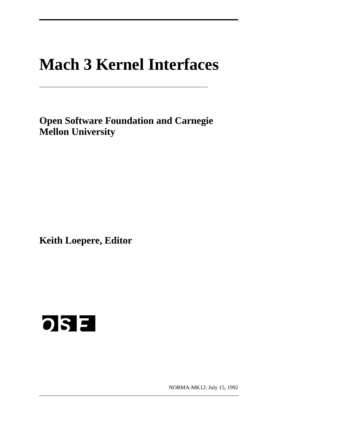# **Mach 3 Kernel Interfaces**

**Open Software Foundation and Carnegie Mellon University**

**Keith Loepere, Editor**



NORMA-MK12: July 15, 1992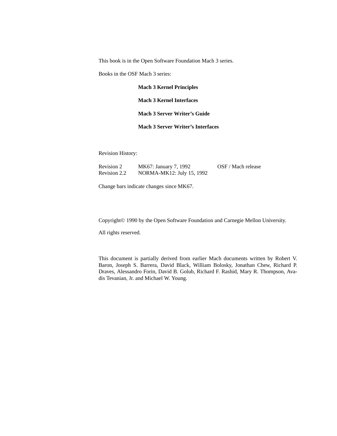This book is in the Open Software Foundation Mach 3 series.

Books in the OSF Mach 3 series:

#### **Mach 3 Kernel Principles**

**Mach 3 Kernel Interfaces**

#### **Mach 3 Server Writer's Guide**

## **Mach 3 Server Writer's Interfaces**

Revision History:

| Revision 2   | MK67: January 7, 1992     | OSF / Mach release |
|--------------|---------------------------|--------------------|
| Revision 2.2 | NORMA-MK12: July 15, 1992 |                    |

Change bars indicate changes since MK67.

Copyright© 1990 by the Open Software Foundation and Carnegie Mellon University.

All rights reserved.

This document is partially derived from earlier Mach documents written by Robert V. Baron, Joseph S. Barrera, David Black, William Bolosky, Jonathan Chew, Richard P. Draves, Alessandro Forin, David B. Golub, Richard F. Rashid, Mary R. Thompson, Avadis Tevanian, Jr. and Michael W. Young.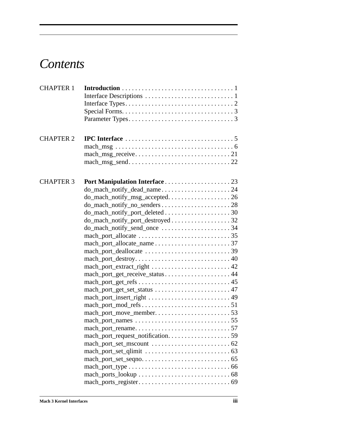## *Contents*

| <b>CHAPTER 1</b> |                                                                                                                                                                                                                                                                                                                                                                  |
|------------------|------------------------------------------------------------------------------------------------------------------------------------------------------------------------------------------------------------------------------------------------------------------------------------------------------------------------------------------------------------------|
| <b>CHAPTER 2</b> | $mach\_msg \ldots \ldots \ldots \ldots \ldots \ldots \ldots \ldots \ldots \ldots 6$<br>$mach\_msg\_receive \dots \dots \dots \dots \dots \dots \dots \dots \dots 21$<br>$mach\_msg\_send. \ldots \ldots \ldots \ldots \ldots \ldots \ldots \ldots \ldots 22$                                                                                                     |
| <b>CHAPTER 3</b> | do_mach_notify_dead_name24<br>do_mach_notify_port_destroyed 32<br>$\alpha$ mach_notify_send_once $\dots \dots \dots \dots \dots \dots \dots$ 34<br>mach_port_get_receive_status 44<br>$mach\_port\_get\_refs \ldots \ldots \ldots \ldots \ldots \ldots \ldots \ldots 45$<br>$mach\_port\_type \ldots \ldots \ldots \ldots \ldots \ldots \ldots \ldots \ldots 66$ |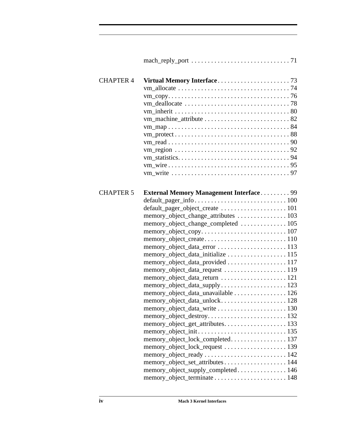|                  | $mach\_reply\_port \ldots \ldots \ldots \ldots \ldots \ldots \ldots \ldots \ldots 71$ |  |
|------------------|---------------------------------------------------------------------------------------|--|
| <b>CHAPTER 4</b> |                                                                                       |  |
|                  |                                                                                       |  |
|                  |                                                                                       |  |
|                  |                                                                                       |  |
|                  |                                                                                       |  |
|                  |                                                                                       |  |
|                  |                                                                                       |  |
|                  |                                                                                       |  |
|                  |                                                                                       |  |
|                  |                                                                                       |  |
|                  |                                                                                       |  |
|                  |                                                                                       |  |
|                  |                                                                                       |  |
|                  |                                                                                       |  |
| <b>CHAPTER 5</b> | External Memory Management Interface 99                                               |  |
|                  | $default\_paper\_info \ldots \ldots \ldots \ldots \ldots \ldots \ldots \ldots 100$    |  |
|                  | default_pager_object_create  101                                                      |  |
|                  | memory_object_change_attributes  103                                                  |  |
|                  | memory_object_change_completed  105                                                   |  |
|                  |                                                                                       |  |
|                  | memory_object_create110                                                               |  |
|                  | memory_object_data_error 113                                                          |  |
|                  | memory_object_data_initialize 115                                                     |  |
|                  | memory_object_data_provided 117                                                       |  |
|                  | memory_object_data_request 119                                                        |  |
|                  | memory_object_data_return  121                                                        |  |
|                  | memory_object_data_supply 123                                                         |  |
|                  | memory_object_data_unavailable 126                                                    |  |
|                  | memory_object_data_unlock 128                                                         |  |
|                  |                                                                                       |  |
|                  | memory_object_destroy132                                                              |  |
|                  | memory_object_get_attributes133                                                       |  |
|                  |                                                                                       |  |
|                  | memory_object_lock_completed137                                                       |  |
|                  | memory_object_lock_request 139                                                        |  |
|                  |                                                                                       |  |
|                  | memory_object_set_attributes144                                                       |  |
|                  | memory_object_supply_completed146                                                     |  |
|                  |                                                                                       |  |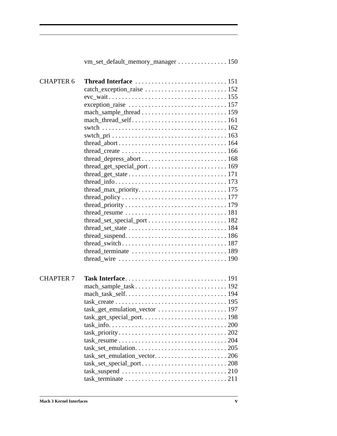|                  | vm_set_default_memory_manager 150                                                          |  |
|------------------|--------------------------------------------------------------------------------------------|--|
| <b>CHAPTER 6</b> |                                                                                            |  |
|                  |                                                                                            |  |
|                  |                                                                                            |  |
|                  |                                                                                            |  |
|                  |                                                                                            |  |
|                  |                                                                                            |  |
|                  |                                                                                            |  |
|                  |                                                                                            |  |
|                  |                                                                                            |  |
|                  |                                                                                            |  |
|                  |                                                                                            |  |
|                  |                                                                                            |  |
|                  |                                                                                            |  |
|                  |                                                                                            |  |
|                  |                                                                                            |  |
|                  |                                                                                            |  |
|                  |                                                                                            |  |
|                  |                                                                                            |  |
|                  |                                                                                            |  |
|                  |                                                                                            |  |
|                  |                                                                                            |  |
|                  |                                                                                            |  |
|                  |                                                                                            |  |
|                  |                                                                                            |  |
| <b>CHAPTER 7</b> |                                                                                            |  |
|                  |                                                                                            |  |
|                  |                                                                                            |  |
|                  |                                                                                            |  |
|                  |                                                                                            |  |
|                  |                                                                                            |  |
|                  | $task_info. \ldots \ldots \ldots \ldots \ldots \ldots \ldots \ldots \ldots \ldots 200$     |  |
|                  | $task\_priority \ldots \ldots \ldots \ldots \ldots \ldots \ldots \ldots \ldots \ldots 202$ |  |
|                  | $task\_resume \ldots \ldots \ldots \ldots \ldots \ldots \ldots \ldots \ldots \ldots 204$   |  |
|                  |                                                                                            |  |
|                  |                                                                                            |  |
|                  |                                                                                            |  |
|                  | $task\_suspend \dots \dots \dots \dots \dots \dots \dots \dots \dots \dots 210$            |  |
|                  |                                                                                            |  |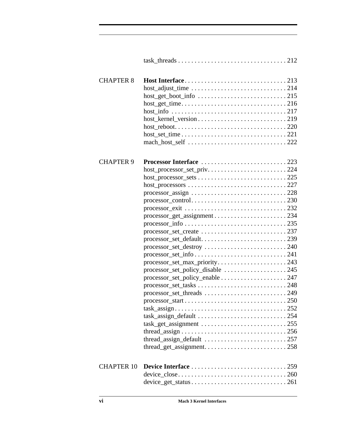| <b>CHAPTER 8</b>  |                                                                                            |  |
|-------------------|--------------------------------------------------------------------------------------------|--|
|                   |                                                                                            |  |
|                   |                                                                                            |  |
|                   | $host\_get\_time \ldots \ldots \ldots \ldots \ldots \ldots \ldots \ldots \ldots 216$       |  |
|                   |                                                                                            |  |
|                   |                                                                                            |  |
|                   |                                                                                            |  |
|                   | $host\_set\_time \ldots \ldots \ldots \ldots \ldots \ldots \ldots \ldots \ldots 221$       |  |
|                   |                                                                                            |  |
|                   |                                                                                            |  |
| <b>CHAPTER 9</b>  | Processor Interface 223                                                                    |  |
|                   |                                                                                            |  |
|                   |                                                                                            |  |
|                   |                                                                                            |  |
|                   |                                                                                            |  |
|                   |                                                                                            |  |
|                   |                                                                                            |  |
|                   |                                                                                            |  |
|                   |                                                                                            |  |
|                   |                                                                                            |  |
|                   |                                                                                            |  |
|                   | processor_set_destroy 240                                                                  |  |
|                   |                                                                                            |  |
|                   | processor_set_max_priority243                                                              |  |
|                   | processor_set_policy_disable  245                                                          |  |
|                   |                                                                                            |  |
|                   |                                                                                            |  |
|                   |                                                                                            |  |
|                   |                                                                                            |  |
|                   |                                                                                            |  |
|                   |                                                                                            |  |
|                   |                                                                                            |  |
|                   | $thread\_assign \ldots \ldots \ldots \ldots \ldots \ldots \ldots \ldots \ldots \ldots 256$ |  |
|                   |                                                                                            |  |
|                   | $thread\_get\_assignment. \ldots \ldots \ldots \ldots \ldots \ldots \ldots \ldots 258$     |  |
|                   |                                                                                            |  |
| <b>CHAPTER 10</b> |                                                                                            |  |
|                   |                                                                                            |  |
|                   |                                                                                            |  |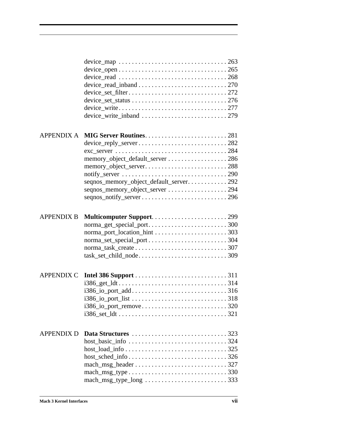| <b>APPENDIX A</b> | memory_object_default_server 286<br>seqnos_memory_object_default_server292 |
|-------------------|----------------------------------------------------------------------------|
| <b>APPENDIX B</b> |                                                                            |
| <b>APPENDIX C</b> |                                                                            |
| <b>APPENDIX D</b> | mach_msg_type_long 333                                                     |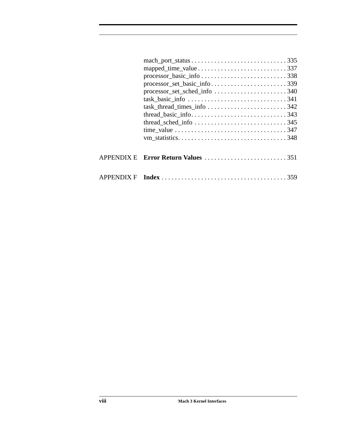| $processor_set_basic_info \ldots \ldots \ldots \ldots \ldots \ldots \ldots 339$<br>$task_{\text{i}}\cdot\text{time}\cdot\text{time}\cdot\text{time}\cdot\text{time}\cdot\text{time}\cdot\text{time}\cdot\text{time}\cdot\text{time}\cdot\text{time}\cdot\text{time}\cdot\text{time}\cdot\text{time}\cdot\text{time}\cdot\text{time}\cdot\text{time}\cdot\text{time}\cdot\text{time}\cdot\text{time}\cdot\text{time}\cdot\text{time}\cdot\text{time}\cdot\text{time}\cdot\text{time}\cdot\text{time}\cdot\text{time}\cdot\text{time}\cdot\text{time}\cdot\text{time}\cdot\text{time}\cdot\text{time}\cdot\text{time}\cdot\text{time}\cdot\text{time}\cdot\text{time}\cdot\text{time}\cdot\$<br>time_value $\dots \dots \dots \dots \dots \dots \dots \dots \dots \dots \dots \dots 347$ |
|----------------------------------------------------------------------------------------------------------------------------------------------------------------------------------------------------------------------------------------------------------------------------------------------------------------------------------------------------------------------------------------------------------------------------------------------------------------------------------------------------------------------------------------------------------------------------------------------------------------------------------------------------------------------------------------------------------------------------------------------------------------------------------------|
|                                                                                                                                                                                                                                                                                                                                                                                                                                                                                                                                                                                                                                                                                                                                                                                        |
|                                                                                                                                                                                                                                                                                                                                                                                                                                                                                                                                                                                                                                                                                                                                                                                        |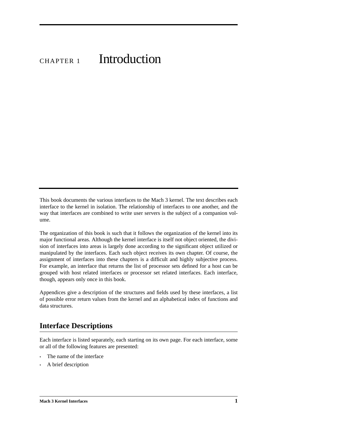## CHAPTER 1 Introduction

This book documents the various interfaces to the Mach 3 kernel. The text describes each interface to the kernel in isolation. The relationship of interfaces to one another, and the way that interfaces are combined to write user servers is the subject of a companion volume.

The organization of this book is such that it follows the organization of the kernel into its major functional areas. Although the kernel interface is itself not object oriented, the division of interfaces into areas is largely done according to the significant object utilized or manipulated by the interfaces. Each such object receives its own chapter. Of course, the assignment of interfaces into these chapters is a difficult and highly subjective process. For example, an interface that returns the list of processor sets defined for a host can be grouped with host related interfaces or processor set related interfaces. Each interface, though, appears only once in this book.

Appendices give a description of the structures and fields used by these interfaces, a list of possible error return values from the kernel and an alphabetical index of functions and data structures.

## **Interface Descriptions**

Each interface is listed separately, each starting on its own page. For each interface, some or all of the following features are presented:

- The name of the interface
- A brief description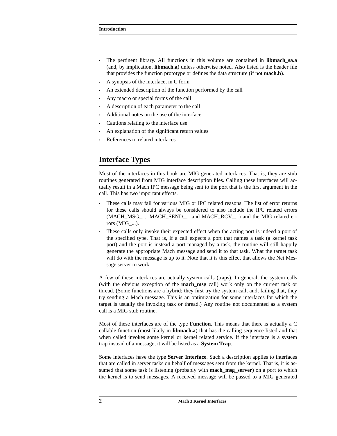- The pertinent library. All functions in this volume are contained in **libmach\_sa.a** (and, by implication, **libmach.a**) unless otherwise noted. Also listed is the header file that provides the function prototype or defines the data structure (if not **mach.h**).
- A synopsis of the interface, in C form
- An extended description of the function performed by the call
- Any macro or special forms of the call
- A description of each parameter to the call
- Additional notes on the use of the interface
- Cautions relating to the interface use
- An explanation of the significant return values
- References to related interfaces

## **Interface Types**

Most of the interfaces in this book are MIG generated interfaces. That is, they are stub routines generated from MIG interface description files. Calling these interfaces will actually result in a Mach IPC message being sent to the port that is the first argument in the call. This has two important effects.

- These calls may fail for various MIG or IPC related reasons. The list of error returns for these calls should always be considered to also include the IPC related errors (MACH\_MSG\_..., MACH\_SEND\_... and MACH\_RCV\_...) and the MIG related errors (MIG\_...).
- These calls only invoke their expected effect when the acting port is indeed a port of the specified type. That is, if a call expects a port that names a task (a kernel task port) and the port is instead a port managed by a task, the routine will still happily generate the appropriate Mach message and send it to that task. What the target task will do with the message is up to it. Note that it is this effect that allows the Net Message server to work.

A few of these interfaces are actually system calls (traps). In general, the system calls (with the obvious exception of the **mach\_msg** call) work only on the current task or thread. (Some functions are a hybrid; they first try the system call, and, failing that, they try sending a Mach message. This is an optimization for some interfaces for which the target is usually the invoking task or thread.) Any routine not documented as a system call is a MIG stub routine.

Most of these interfaces are of the type **Function**. This means that there is actually a C callable function (most likely in **libmach.a**) that has the calling sequence listed and that when called invokes some kernel or kernel related service. If the interface is a system trap instead of a message, it will be listed as a **System Trap**.

Some interfaces have the type **Server Interface**. Such a description applies to interfaces that are called in server tasks on behalf of messages sent from the kernel. That is, it is assumed that some task is listening (probably with **mach\_msg\_server**) on a port to which the kernel is to send messages. A received message will be passed to a MIG generated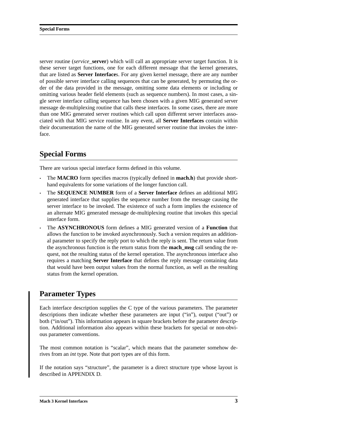server routine (*service\_***server**) which will call an appropriate server target function. It is these server target functions, one for each different message that the kernel generates, that are listed as **Server Interface**s. For any given kernel message, there are any number of possible server interface calling sequences that can be generated, by permuting the order of the data provided in the message, omitting some data elements or including or omitting various header field elements (such as sequence numbers). In most cases, a single server interface calling sequence has been chosen with a given MIG generated server message de-multiplexing routine that calls these interfaces. In some cases, there are more than one MIG generated server routines which call upon different server interfaces associated with that MIG service routine. In any event, all **Server Interfaces** contain within their documentation the name of the MIG generated server routine that invokes the interface.

## **Special Forms**

There are various special interface forms defined in this volume.

- The **MACRO** form specifies macros (typically defined in **mach.h**) that provide shorthand equivalents for some variations of the longer function call.
- The **SEQUENCE NUMBER** form of a **Server Interface** defines an additional MIG generated interface that supplies the sequence number from the message causing the server interface to be invoked. The existence of such a form implies the existence of an alternate MIG generated message de-multiplexing routine that invokes this special interface form.
- The **ASYNCHRONOUS** form defines a MIG generated version of a **Function** that allows the function to be invoked asynchronously. Such a version requires an additional parameter to specify the reply port to which the reply is sent. The return value from the asynchronous function is the return status from the **mach\_msg** call sending the request, not the resulting status of the kernel operation. The asynchronous interface also requires a matching **Server Interface** that defines the reply message containing data that would have been output values from the normal function, as well as the resulting status from the kernel operation.

## **Parameter Types**

Each interface description supplies the C type of the various parameters. The parameter descriptions then indicate whether these parameters are input ("in"), output ("out") or both ("in/out"). This information appears in square brackets before the parameter description. Additional information also appears within these brackets for special or non-obvious parameter conventions.

The most common notation is "scalar", which means that the parameter somehow derives from an *int* type. Note that port types are of this form.

If the notation says "structure", the parameter is a direct structure type whose layout is described in APPENDIX D.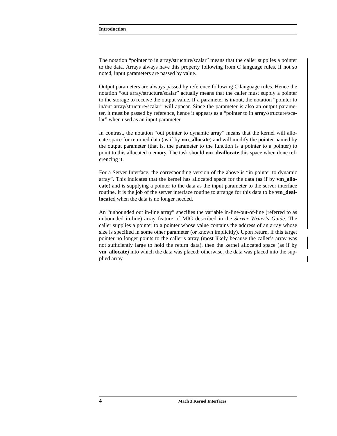#### **Introduction**

The notation "pointer to in array/structure/scalar" means that the caller supplies a pointer to the data. Arrays always have this property following from C language rules. If not so noted, input parameters are passed by value.

Output parameters are always passed by reference following C language rules. Hence the notation "out array/structure/scalar" actually means that the caller must supply a pointer to the storage to receive the output value. If a parameter is in/out, the notation "pointer to in/out array/structure/scalar" will appear. Since the parameter is also an output parameter, it must be passed by reference, hence it appears as a "pointer to in array/structure/scalar" when used as an input parameter.

In contrast, the notation "out pointer to dynamic array" means that the kernel will allocate space for returned data (as if by **vm\_allocate**) and will modify the pointer named by the output parameter (that is, the parameter to the function is a pointer to a pointer) to point to this allocated memory. The task should **vm\_deallocate** this space when done referencing it.

For a Server Interface, the corresponding version of the above is "in pointer to dynamic array". This indicates that the kernel has allocated space for the data (as if by **vm\_allocate**) and is supplying a pointer to the data as the input parameter to the server interface routine. It is the job of the server interface routine to arrange for this data to be **vm\_deallocate**d when the data is no longer needed.

An "unbounded out in-line array" specifies the variable in-line/out-of-line (referred to as unbounded in-line) array feature of MIG described in the *Server Writer's Guide*. The caller supplies a pointer to a pointer whose value contains the address of an array whose size is specified in some other parameter (or known implicitly). Upon return, if this target pointer no longer points to the caller's array (most likely because the caller's array was not sufficiently large to hold the return data), then the kernel allocated space (as if by **vm\_allocate**) into which the data was placed; otherwise, the data was placed into the supplied array.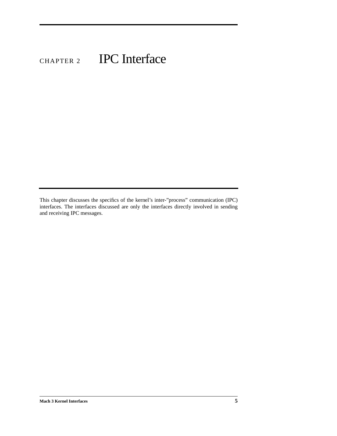## CHAPTER 2 IPC Interface

This chapter discusses the specifics of the kernel's inter-"process" communication (IPC) interfaces. The interfaces discussed are only the interfaces directly involved in sending and receiving IPC messages.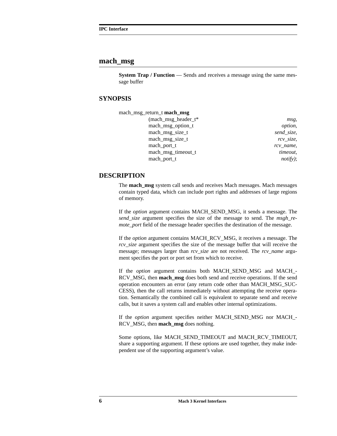## **mach\_msg**

**System Trap / Function** — Sends and receives a message using the same message buffer

#### **SYNOPSIS**

|            | mach_msg_return_t mach_msg |
|------------|----------------------------|
| msg,       | (mach_msg_header_t*        |
| option,    | mach_msg_option_t          |
| send_size, | mach_msg_size_t            |
| rcv_size,  | mach_msg_size_t            |
| rcv name,  | mach_port_t                |
| timeout.   | mach_msg_timeout_t         |
| notify);   | mach_port_t                |
|            |                            |

## **DESCRIPTION**

The **mach msg** system call sends and receives Mach messages. Mach messages contain typed data, which can include port rights and addresses of large regions of memory.

If the *option* argument contains MACH\_SEND\_MSG, it sends a message. The *send\_size* argument specifies the size of the message to send. The *msgh\_remote port* field of the message header specifies the destination of the message.

If the *option* argument contains MACH\_RCV\_MSG, it receives a message. The *rcv\_size* argument specifies the size of the message buffer that will receive the message; messages larger than *rcv\_size* are not received. The *rcv\_name* argument specifies the port or port set from which to receive.

If the *option* argument contains both MACH\_SEND\_MSG and MACH\_- RCV\_MSG, then **mach\_msg** does both send and receive operations. If the send operation encounters an error (any return code other than MACH\_MSG\_SUC-CESS), then the call returns immediately without attempting the receive operation. Semantically the combined call is equivalent to separate send and receive calls, but it saves a system call and enables other internal optimizations.

If the *option* argument specifies neither MACH\_SEND\_MSG nor MACH\_- RCV\_MSG, then **mach\_msg** does nothing.

Some options, like MACH\_SEND\_TIMEOUT and MACH\_RCV\_TIMEOUT, share a supporting argument. If these options are used together, they make independent use of the supporting argument's value.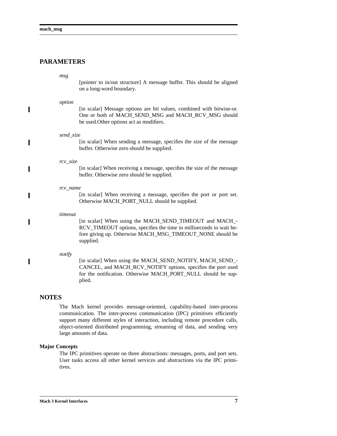I

I

Г

I

## **PARAMETERS**

#### *msg*

[pointer to in/out structure] A message buffer. This should be aligned on a long-word boundary.

#### *option*

[in scalar] Message options are bit values, combined with bitwise-or. One or both of MACH\_SEND\_MSG and MACH\_RCV\_MSG should be used.Other options act as modifiers.

#### *send\_size*

[in scalar] When sending a message, specifies the size of the message buffer. Otherwise zero should be supplied.

#### *rcv\_size*

[in scalar] When receiving a message, specifies the size of the message buffer. Otherwise zero should be supplied.

#### *rcv\_name*

[in scalar] When receiving a message, specifies the port or port set. Otherwise MACH\_PORT\_NULL should be supplied.

#### *timeout*

[in scalar] When using the MACH\_SEND\_TIMEOUT and MACH\_-RCV\_TIMEOUT options, specifies the time in milliseconds to wait before giving up. Otherwise MACH\_MSG\_TIMEOUT\_NONE should be supplied.

#### *notify*

[in scalar] When using the MACH\_SEND\_NOTIFY, MACH\_SEND\_-CANCEL, and MACH\_RCV\_NOTIFY options, specifies the port used for the notification. Otherwise MACH\_PORT\_NULL should be supplied.

### **NOTES**

The Mach kernel provides message-oriented, capability-based inter-process communication. The inter-process communication (IPC) primitives efficiently support many different styles of interaction, including remote procedure calls, object-oriented distributed programming, streaming of data, and sending very large amounts of data.

#### **Major Concepts**

The IPC primitives operate on three abstractions: messages, ports, and port sets. User tasks access all other kernel services and abstractions via the IPC primitives.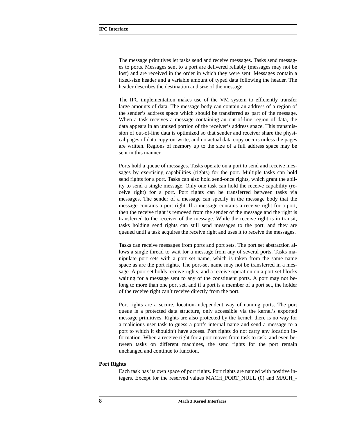The message primitives let tasks send and receive messages. Tasks send messages to ports. Messages sent to a port are delivered reliably (messages may not be lost) and are received in the order in which they were sent. Messages contain a fixed-size header and a variable amount of typed data following the header. The header describes the destination and size of the message.

The IPC implementation makes use of the VM system to efficiently transfer large amounts of data. The message body can contain an address of a region of the sender's address space which should be transferred as part of the message. When a task receives a message containing an out-of-line region of data, the data appears in an unused portion of the receiver's address space. This transmission of out-of-line data is optimized so that sender and receiver share the physical pages of data copy-on-write, and no actual data copy occurs unless the pages are written. Regions of memory up to the size of a full address space may be sent in this manner.

Ports hold a queue of messages. Tasks operate on a port to send and receive messages by exercising capabilities (rights) for the port. Multiple tasks can hold send rights for a port. Tasks can also hold send-once rights, which grant the ability to send a single message. Only one task can hold the receive capability (receive right) for a port. Port rights can be transferred between tasks via messages. The sender of a message can specify in the message body that the message contains a port right. If a message contains a receive right for a port, then the receive right is removed from the sender of the message and the right is transferred to the receiver of the message. While the receive right is in transit, tasks holding send rights can still send messages to the port, and they are queued until a task acquires the receive right and uses it to receive the messages.

Tasks can receive messages from ports and port sets. The port set abstraction allows a single thread to wait for a message from any of several ports. Tasks manipulate port sets with a port set name, which is taken from the same name space as are the port rights. The port-set name may not be transferred in a message. A port set holds receive rights, and a receive operation on a port set blocks waiting for a message sent to any of the constituent ports. A port may not belong to more than one port set, and if a port is a member of a port set, the holder of the receive right can't receive directly from the port.

Port rights are a secure, location-independent way of naming ports. The port queue is a protected data structure, only accessible via the kernel's exported message primitives. Rights are also protected by the kernel; there is no way for a malicious user task to guess a port's internal name and send a message to a port to which it shouldn't have access. Port rights do not carry any location information. When a receive right for a port moves from task to task, and even between tasks on different machines, the send rights for the port remain unchanged and continue to function.

#### **Port Rights**

Each task has its own space of port rights. Port rights are named with positive integers. Except for the reserved values MACH\_PORT\_NULL (0) and MACH\_-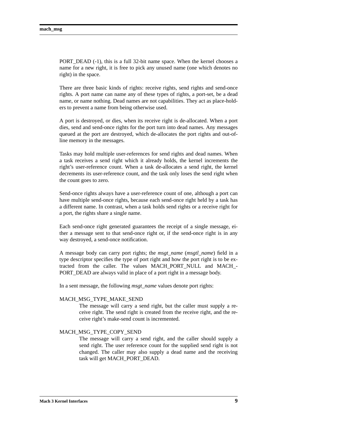PORT DEAD (-1), this is a full 32-bit name space. When the kernel chooses a name for a new right, it is free to pick any unused name (one which denotes no right) in the space.

There are three basic kinds of rights: receive rights, send rights and send-once rights. A port name can name any of these types of rights, a port-set, be a dead name, or name nothing. Dead names are not capabilities. They act as place-holders to prevent a name from being otherwise used.

A port is destroyed, or dies, when its receive right is de-allocated. When a port dies, send and send-once rights for the port turn into dead names. Any messages queued at the port are destroyed, which de-allocates the port rights and out-ofline memory in the messages.

Tasks may hold multiple user-references for send rights and dead names. When a task receives a send right which it already holds, the kernel increments the right's user-reference count. When a task de-allocates a send right, the kernel decrements its user-reference count, and the task only loses the send right when the count goes to zero.

Send-once rights always have a user-reference count of one, although a port can have multiple send-once rights, because each send-once right held by a task has a different name. In contrast, when a task holds send rights or a receive right for a port, the rights share a single name.

Each send-once right generated guarantees the receipt of a single message, either a message sent to that send-once right or, if the send-once right is in any way destroyed, a send-once notification.

A message body can carry port rights; the *msgt\_name* (*msgtl\_name*) field in a type descriptor specifies the type of port right and how the port right is to be extracted from the caller. The values MACH\_PORT\_NULL and MACH\_- PORT\_DEAD are always valid in place of a port right in a message body.

In a sent message, the following *msgt\_name* values denote port rights:

#### MACH\_MSG\_TYPE\_MAKE\_SEND

The message will carry a send right, but the caller must supply a receive right. The send right is created from the receive right, and the receive right's make-send count is incremented.

#### MACH\_MSG\_TYPE\_COPY\_SEND

The message will carry a send right, and the caller should supply a send right. The user reference count for the supplied send right is not changed. The caller may also supply a dead name and the receiving task will get MACH\_PORT\_DEAD.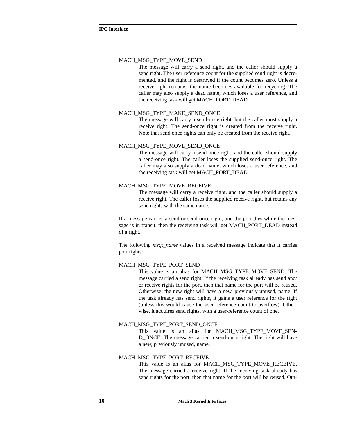#### MACH\_MSG\_TYPE\_MOVE\_SEND

The message will carry a send right, and the caller should supply a send right. The user reference count for the supplied send right is decremented, and the right is destroyed if the count becomes zero. Unless a receive right remains, the name becomes available for recycling. The caller may also supply a dead name, which loses a user reference, and the receiving task will get MACH\_PORT\_DEAD.

#### MACH\_MSG\_TYPE\_MAKE\_SEND\_ONCE

The message will carry a send-once right, but the caller must supply a receive right. The send-once right is created from the receive right. Note that send once rights can only be created from the receive right.

#### MACH\_MSG\_TYPE\_MOVE\_SEND\_ONCE

The message will carry a send-once right, and the caller should supply a send-once right. The caller loses the supplied send-once right. The caller may also supply a dead name, which loses a user reference, and the receiving task will get MACH\_PORT\_DEAD.

#### MACH\_MSG\_TYPE\_MOVE\_RECEIVE

The message will carry a receive right, and the caller should supply a receive right. The caller loses the supplied receive right, but retains any send rights with the same name.

If a message carries a send or send-once right, and the port dies while the message is in transit, then the receiving task will get MACH\_PORT\_DEAD instead of a right.

The following *msgt\_name* values in a received message indicate that it carries port rights:

#### MACH\_MSG\_TYPE\_PORT\_SEND

This value is an alias for MACH\_MSG\_TYPE\_MOVE\_SEND. The message carried a send right. If the receiving task already has send and/ or receive rights for the port, then that name for the port will be reused. Otherwise, the new right will have a new, previously unused, name. If the task already has send rights, it gains a user reference for the right (unless this would cause the user-reference count to overflow). Otherwise, it acquires send rights, with a user-reference count of one.

#### MACH\_MSG\_TYPE\_PORT\_SEND\_ONCE

This value is an alias for MACH MSG TYPE MOVE SEN-D\_ONCE. The message carried a send-once right. The right will have a new, previously unused, name.

#### MACH\_MSG\_TYPE\_PORT\_RECEIVE

This value is an alias for MACH MSG TYPE MOVE RECEIVE. The message carried a receive right. If the receiving task already has send rights for the port, then that name for the port will be reused. Oth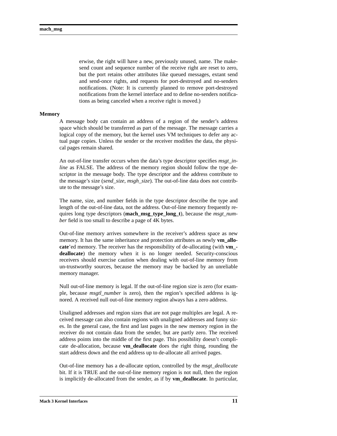erwise, the right will have a new, previously unused, name. The makesend count and sequence number of the receive right are reset to zero, but the port retains other attributes like queued messages, extant send and send-once rights, and requests for port-destroyed and no-senders notifications. (Note: It is currently planned to remove port-destroyed notifications from the kernel interface and to define no-senders notifications as being canceled when a receive right is moved.)

#### **Memory**

A message body can contain an address of a region of the sender's address space which should be transferred as part of the message. The message carries a logical copy of the memory, but the kernel uses VM techniques to defer any actual page copies. Unless the sender or the receiver modifies the data, the physical pages remain shared.

An out-of-line transfer occurs when the data's type descriptor specifies *msgt\_inline* as FALSE. The address of the memory region should follow the type descriptor in the message body. The type descriptor and the address contribute to the message's size (*send\_size*, *msgh\_size*). The out-of-line data does not contribute to the message's size.

The name, size, and number fields in the type descriptor describe the type and length of the out-of-line data, not the address. Out-of-line memory frequently requires long type descriptors (**mach\_msg\_type\_long\_t**), because the *msgt\_number* field is too small to describe a page of 4K bytes.

Out-of-line memory arrives somewhere in the receiver's address space as new memory. It has the same inheritance and protection attributes as newly **vm\_allocate**'ed memory. The receiver has the responsibility of de-allocating (with **vm\_ deallocate**) the memory when it is no longer needed. Security-conscious receivers should exercise caution when dealing with out-of-line memory from un-trustworthy sources, because the memory may be backed by an unreliable memory manager.

Null out-of-line memory is legal. If the out-of-line region size is zero (for example, because *msgtl\_number* is zero), then the region's specified address is ignored. A received null out-of-line memory region always has a zero address.

Unaligned addresses and region sizes that are not page multiples are legal. A received message can also contain regions with unaligned addresses and funny sizes. In the general case, the first and last pages in the new memory region in the receiver do not contain data from the sender, but are partly zero. The received address points into the middle of the first page. This possibility doesn't complicate de-allocation, because **vm\_deallocate** does the right thing, rounding the start address down and the end address up to de-allocate all arrived pages.

Out-of-line memory has a de-allocate option, controlled by the *msgt\_deallocate* bit. If it is TRUE and the out-of-line memory region is not null, then the region is implicitly de-allocated from the sender, as if by **vm\_deallocate**. In particular,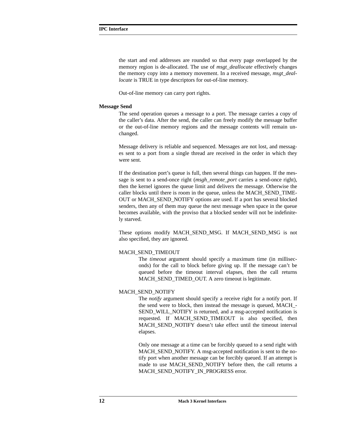the start and end addresses are rounded so that every page overlapped by the memory region is de-allocated. The use of *msgt\_deallocate* effectively changes the memory copy into a memory movement. In a received message, *msgt\_deallocate* is TRUE in type descriptors for out-of-line memory.

Out-of-line memory can carry port rights.

#### **Message Send**

The send operation queues a message to a port. The message carries a copy of the caller's data. After the send, the caller can freely modify the message buffer or the out-of-line memory regions and the message contents will remain unchanged.

Message delivery is reliable and sequenced. Messages are not lost, and messages sent to a port from a single thread are received in the order in which they were sent.

If the destination port's queue is full, then several things can happen. If the message is sent to a send-once right (*msgh\_remote\_port* carries a send-once right), then the kernel ignores the queue limit and delivers the message. Otherwise the caller blocks until there is room in the queue, unless the MACH\_SEND\_TIME-OUT or MACH\_SEND\_NOTIFY options are used. If a port has several blocked senders, then any of them may queue the next message when space in the queue becomes available, with the proviso that a blocked sender will not be indefinitely starved.

These options modify MACH\_SEND\_MSG. If MACH\_SEND\_MSG is not also specified, they are ignored.

#### MACH\_SEND\_TIMEOUT

The *timeout* argument should specify a maximum time (in milliseconds) for the call to block before giving up. If the message can't be queued before the timeout interval elapses, then the call returns MACH\_SEND\_TIMED\_OUT. A zero timeout is legitimate.

#### MACH\_SEND\_NOTIFY

The *notify* argument should specify a receive right for a notify port. If the send were to block, then instead the message is queued, MACH\_- SEND\_WILL\_NOTIFY is returned, and a msg-accepted notification is requested. If MACH\_SEND\_TIMEOUT is also specified, then MACH\_SEND\_NOTIFY doesn't take effect until the timeout interval elapses.

Only one message at a time can be forcibly queued to a send right with MACH\_SEND\_NOTIFY. A msg-accepted notification is sent to the notify port when another message can be forcibly queued. If an attempt is made to use MACH\_SEND\_NOTIFY before then, the call returns a MACH\_SEND\_NOTIFY\_IN\_PROGRESS error.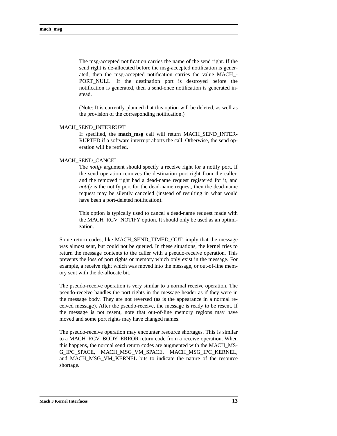The msg-accepted notification carries the name of the send right. If the send right is de-allocated before the msg-accepted notification is generated, then the msg-accepted notification carries the value MACH\_- PORT NULL. If the destination port is destroyed before the notification is generated, then a send-once notification is generated instead.

(Note: It is currently planned that this option will be deleted, as well as the provision of the corresponding notification.)

#### MACH\_SEND\_INTERRUPT

If specified, the **mach\_msg** call will return MACH\_SEND\_INTER-RUPTED if a software interrupt aborts the call. Otherwise, the send operation will be retried.

#### MACH\_SEND\_CANCEL

The *notify* argument should specify a receive right for a notify port. If the send operation removes the destination port right from the caller, and the removed right had a dead-name request registered for it, and *notify* is the notify port for the dead-name request, then the dead-name request may be silently canceled (instead of resulting in what would have been a port-deleted notification).

This option is typically used to cancel a dead-name request made with the MACH\_RCV\_NOTIFY option. It should only be used as an optimization.

Some return codes, like MACH\_SEND\_TIMED\_OUT, imply that the message was almost sent, but could not be queued. In these situations, the kernel tries to return the message contents to the caller with a pseudo-receive operation. This prevents the loss of port rights or memory which only exist in the message. For example, a receive right which was moved into the message, or out-of-line memory sent with the de-allocate bit.

The pseudo-receive operation is very similar to a normal receive operation. The pseudo-receive handles the port rights in the message header as if they were in the message body. They are not reversed (as is the appearance in a normal received message). After the pseudo-receive, the message is ready to be resent. If the message is not resent, note that out-of-line memory regions may have moved and some port rights may have changed names.

The pseudo-receive operation may encounter resource shortages. This is similar to a MACH\_RCV\_BODY\_ERROR return code from a receive operation. When this happens, the normal send return codes are augmented with the MACH\_MS-G\_IPC\_SPACE, MACH\_MSG\_VM\_SPACE, MACH\_MSG\_IPC\_KERNEL, and MACH\_MSG\_VM\_KERNEL bits to indicate the nature of the resource shortage.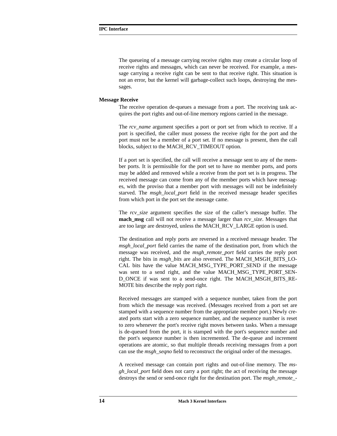The queueing of a message carrying receive rights may create a circular loop of receive rights and messages, which can never be received. For example, a message carrying a receive right can be sent to that receive right. This situation is not an error, but the kernel will garbage-collect such loops, destroying the messages.

#### **Message Receive**

The receive operation de-queues a message from a port. The receiving task acquires the port rights and out-of-line memory regions carried in the message.

The *rcv\_name* argument specifies a port or port set from which to receive. If a port is specified, the caller must possess the receive right for the port and the port must not be a member of a port set. If no message is present, then the call blocks, subject to the MACH\_RCV\_TIMEOUT option.

If a port set is specified, the call will receive a message sent to any of the member ports. It is permissible for the port set to have no member ports, and ports may be added and removed while a receive from the port set is in progress. The received message can come from any of the member ports which have messages, with the proviso that a member port with messages will not be indefinitely starved. The *msgh\_local\_port* field in the received message header specifies from which port in the port set the message came.

The *rcv\_size* argument specifies the size of the caller's message buffer. The **mach\_msg** call will not receive a message larger than *rcv\_size*. Messages that are too large are destroyed, unless the MACH\_RCV\_LARGE option is used.

The destination and reply ports are reversed in a received message header. The *msgh\_local\_port* field carries the name of the destination port, from which the message was received, and the *msgh\_remote\_port* field carries the reply port right. The bits in *msgh\_bits* are also reversed. The MACH\_MSGH\_BITS\_LO-CAL bits have the value MACH\_MSG\_TYPE\_PORT\_SEND if the message was sent to a send right, and the value MACH\_MSG\_TYPE\_PORT\_SEN-D\_ONCE if was sent to a send-once right. The MACH\_MSGH\_BITS\_RE-MOTE bits describe the reply port right.

Received messages are stamped with a sequence number, taken from the port from which the message was received. (Messages received from a port set are stamped with a sequence number from the appropriate member port.) Newly created ports start with a zero sequence number, and the sequence number is reset to zero whenever the port's receive right moves between tasks. When a message is de-queued from the port, it is stamped with the port's sequence number and the port's sequence number is then incremented. The de-queue and increment operations are atomic, so that multiple threads receiving messages from a port can use the *msgh\_seqno* field to reconstruct the original order of the messages.

A received message can contain port rights and out-of-line memory. The *msgh\_local\_port* field does not carry a port right; the act of receiving the message destroys the send or send-once right for the destination port. The *msgh\_remote\_-*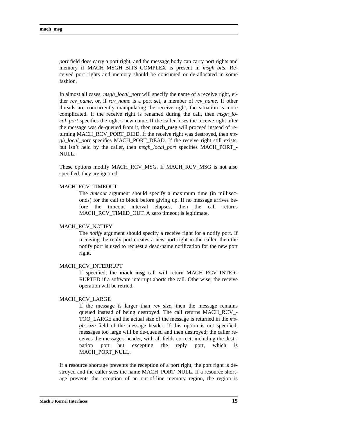*port* field does carry a port right, and the message body can carry port rights and memory if MACH\_MSGH\_BITS\_COMPLEX is present in *msgh\_bits*. Received port rights and memory should be consumed or de-allocated in some fashion.

In almost all cases, *msgh\_local\_port* will specify the name of a receive right, either *rcv\_name*, or, if *rcv\_name* is a port set, a member of *rcv\_name*. If other threads are concurrently manipulating the receive right, the situation is more complicated. If the receive right is renamed during the call, then *msgh\_local port* specifies the right's new name. If the caller loses the receive right after the message was de-queued from it, then **mach\_msg** will proceed instead of returning MACH\_RCV\_PORT\_DIED. If the receive right was destroyed, then *msgh\_local\_port* specifies MACH\_PORT\_DEAD. If the receive right still exists, but isn't held by the caller, then *msgh\_local\_port* specifies MACH\_PORT\_- NULL.

These options modify MACH\_RCV\_MSG. If MACH\_RCV\_MSG is not also specified, they are ignored.

#### MACH\_RCV\_TIMEOUT

The *timeout* argument should specify a maximum time (in milliseconds) for the call to block before giving up. If no message arrives before the timeout interval elapses, then the call returns MACH\_RCV\_TIMED\_OUT. A zero timeout is legitimate.

#### MACH\_RCV\_NOTIFY

The *notify* argument should specify a receive right for a notify port. If receiving the reply port creates a new port right in the caller, then the notify port is used to request a dead-name notification for the new port right.

#### MACH\_RCV\_INTERRUPT

If specified, the **mach\_msg** call will return MACH\_RCV\_INTER-RUPTED if a software interrupt aborts the call. Otherwise, the receive operation will be retried.

#### MACH\_RCV\_LARGE

If the message is larger than *rcv\_size*, then the message remains queued instead of being destroyed. The call returns MACH\_RCV\_- TOO\_LARGE and the actual size of the message is returned in the *msgh\_size* field of the message header. If this option is not specified, messages too large will be de-queued and then destroyed; the caller receives the message's header, with all fields correct, including the destination port but excepting the reply port, which is MACH\_PORT\_NULL.

If a resource shortage prevents the reception of a port right, the port right is destroyed and the caller sees the name MACH\_PORT\_NULL. If a resource shortage prevents the reception of an out-of-line memory region, the region is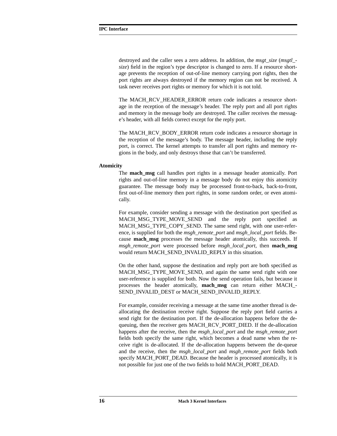destroyed and the caller sees a zero address. In addition, the *msgt\_size* (*msgtl\_ size*) field in the region's type descriptor is changed to zero. If a resource shortage prevents the reception of out-of-line memory carrying port rights, then the port rights are always destroyed if the memory region can not be received. A task never receives port rights or memory for which it is not told.

The MACH\_RCV\_HEADER\_ERROR return code indicates a resource shortage in the reception of the message's header. The reply port and all port rights and memory in the message body are destroyed. The caller receives the message's header, with all fields correct except for the reply port.

The MACH\_RCV\_BODY\_ERROR return code indicates a resource shortage in the reception of the message's body. The message header, including the reply port, is correct. The kernel attempts to transfer all port rights and memory regions in the body, and only destroys those that can't be transferred.

#### **Atomicity**

The **mach\_msg** call handles port rights in a message header atomically. Port rights and out-of-line memory in a message body do not enjoy this atomicity guarantee. The message body may be processed front-to-back, back-to-front, first out-of-line memory then port rights, in some random order, or even atomically.

For example, consider sending a message with the destination port specified as MACH\_MSG\_TYPE\_MOVE\_SEND and the reply port specified as MACH\_MSG\_TYPE\_COPY\_SEND. The same send right, with one user-reference, is supplied for both the *msgh\_remote\_port* and *msgh\_local\_port* fields. Because **mach\_msg** processes the message header atomically, this succeeds. If *msgh\_remote\_port* were processed before *msgh\_local\_port*, then **mach\_msg** would return MACH\_SEND\_INVALID\_REPLY in this situation.

On the other hand, suppose the destination and reply port are both specified as MACH\_MSG\_TYPE\_MOVE\_SEND, and again the same send right with one user-reference is supplied for both. Now the send operation fails, but because it processes the header atomically, **mach\_msg** can return either MACH\_- SEND\_INVALID\_DEST or MACH\_SEND\_INVALID\_REPLY.

For example, consider receiving a message at the same time another thread is deallocating the destination receive right. Suppose the reply port field carries a send right for the destination port. If the de-allocation happens before the dequeuing, then the receiver gets MACH\_RCV\_PORT\_DIED. If the de-allocation happens after the receive, then the *msgh\_local\_port* and the *msgh\_remote\_port* fields both specify the same right, which becomes a dead name when the receive right is de-allocated. If the de-allocation happens between the de-queue and the receive, then the *msgh\_local\_port* and *msgh\_remote\_port* fields both specify MACH\_PORT\_DEAD. Because the header is processed atomically, it is not possible for just one of the two fields to hold MACH\_PORT\_DEAD.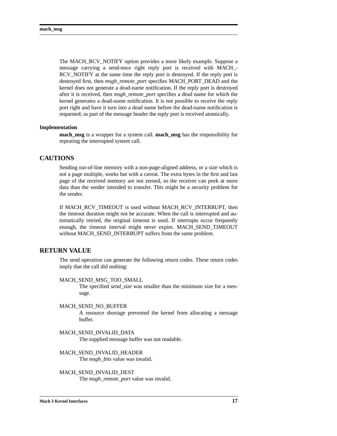The MACH\_RCV\_NOTIFY option provides a more likely example. Suppose a message carrying a send-once right reply port is received with MACH\_- RCV\_NOTIFY at the same time the reply port is destroyed. If the reply port is destroyed first, then *msgh\_remote\_port* specifies MACH\_PORT\_DEAD and the kernel does not generate a dead-name notification. If the reply port is destroyed after it is received, then *msgh\_remote\_port* specifies a dead name for which the kernel generates a dead-name notification. It is not possible to receive the reply port right and have it turn into a dead name before the dead-name notification is requested; as part of the message header the reply port is received atomically.

#### **Implementation**

**mach\_msg** is a wrapper for a system call. **mach\_msg** has the responsibility for repeating the interrupted system call.

#### **CAUTIONS**

Sending out-of-line memory with a non-page-aligned address, or a size which is not a page multiple, works but with a caveat. The extra bytes in the first and last page of the received memory are not zeroed, so the receiver can peek at more data than the sender intended to transfer. This might be a security problem for the sender.

If MACH\_RCV\_TIMEOUT is used without MACH\_RCV\_INTERRUPT, then the timeout duration might not be accurate. When the call is interrupted and automatically retried, the original timeout is used. If interrupts occur frequently enough, the timeout interval might never expire. MACH\_SEND\_TIMEOUT without MACH\_SEND\_INTERRUPT suffers from the same problem.

#### **RETURN VALUE**

The send operation can generate the following return codes. These return codes imply that the call did nothing:

MACH\_SEND\_MSG\_TOO\_SMALL

The specified *send\_size* was smaller than the minimum size for a message.

MACH\_SEND\_NO\_BUFFER

A resource shortage prevented the kernel from allocating a message buffer.

- MACH\_SEND\_INVALID\_DATA The supplied message buffer was not readable.
- MACH\_SEND\_INVALID\_HEADER The *msgh\_bits* value was invalid.

MACH\_SEND\_INVALID\_DEST The *msgh\_remote\_port* value was invalid.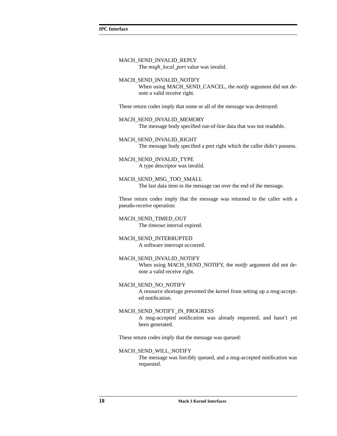| MACH SEND INVALID REPLY                       |  |
|-----------------------------------------------|--|
| The <i>msgh_local_port</i> value was invalid. |  |

MACH SEND INVALID NOTIFY When using MACH\_SEND\_CANCEL, the *notify* argument did not denote a valid receive right.

These return codes imply that some or all of the message was destroyed:

MACH\_SEND\_INVALID\_MEMORY The message body specified out-of-line data that was not readable.

MACH\_SEND\_INVALID\_RIGHT The message body specified a port right which the caller didn't possess.

MACH\_SEND\_INVALID\_TYPE A type descriptor was invalid.

MACH\_SEND\_MSG\_TOO\_SMALL The last data item in the message ran over the end of the message.

These return codes imply that the message was returned to the caller with a pseudo-receive operation:

MACH\_SEND\_TIMED\_OUT The *timeout* interval expired.

MACH\_SEND\_INTERRUPTED A software interrupt occurred.

MACH SEND INVALID NOTIFY When using MACH\_SEND\_NOTIFY, the *notify* argument did not denote a valid receive right.

#### MACH\_SEND\_NO\_NOTIFY

A resource shortage prevented the kernel from setting up a msg-accepted notification.

MACH\_SEND\_NOTIFY\_IN\_PROGRESS A msg-accepted notification was already requested, and hasn't yet been generated.

These return codes imply that the message was queued:

#### MACH\_SEND\_WILL\_NOTIFY

The message was forcibly queued, and a msg-accepted notification was requested.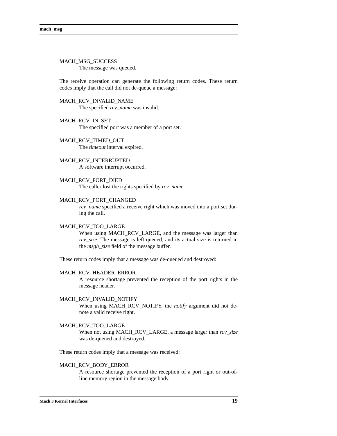MACH\_MSG\_SUCCESS The message was queued.

The receive operation can generate the following return codes. These return codes imply that the call did not de-queue a message:

MACH\_RCV\_INVALID\_NAME The specified *rcv\_name* was invalid.

- MACH\_RCV\_IN\_SET The specified port was a member of a port set.
- MACH\_RCV\_TIMED\_OUT The *timeout* interval expired.
- MACH\_RCV\_INTERRUPTED A software interrupt occurred.
- MACH\_RCV\_PORT\_DIED The caller lost the rights specified by *rcv\_name*.
- MACH\_RCV\_PORT\_CHANGED *rcv\_name* specified a receive right which was moved into a port set during the call.
- MACH\_RCV\_TOO\_LARGE When using MACH\_RCV\_LARGE, and the message was larger than *rcv* size. The message is left queued, and its actual size is returned in the *msgh\_size* field of the message buffer.

These return codes imply that a message was de-queued and destroyed:

MACH\_RCV\_HEADER\_ERROR

A resource shortage prevented the reception of the port rights in the message header.

MACH\_RCV\_INVALID\_NOTIFY

When using MACH\_RCV\_NOTIFY, the *notify* argument did not denote a valid receive right.

MACH\_RCV\_TOO\_LARGE

When not using MACH\_RCV\_LARGE, a message larger than *rcv\_size* was de-queued and destroyed.

These return codes imply that a message was received:

#### MACH\_RCV\_BODY\_ERROR

A resource shortage prevented the reception of a port right or out-ofline memory region in the message body.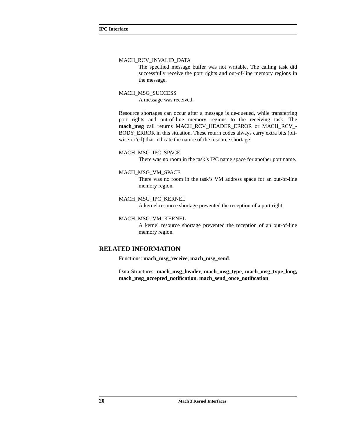#### MACH\_RCV\_INVALID\_DATA

The specified message buffer was not writable. The calling task did successfully receive the port rights and out-of-line memory regions in the message.

MACH\_MSG\_SUCCESS

A message was received.

Resource shortages can occur after a message is de-queued, while transferring port rights and out-of-line memory regions to the receiving task. The **mach msg** call returns MACH RCV HEADER ERROR or MACH RCV -BODY\_ERROR in this situation. These return codes always carry extra bits (bitwise-or'ed) that indicate the nature of the resource shortage:

#### MACH\_MSG\_IPC\_SPACE

There was no room in the task's IPC name space for another port name.

#### MACH\_MSG\_VM\_SPACE

There was no room in the task's VM address space for an out-of-line memory region.

#### MACH\_MSG\_IPC\_KERNEL

A kernel resource shortage prevented the reception of a port right.

#### MACH\_MSG\_VM\_KERNEL

A kernel resource shortage prevented the reception of an out-of-line memory region.

### **RELATED INFORMATION**

Functions: **mach\_msg\_receive**, **mach\_msg\_send**.

Data Structures: **mach\_msg\_header**, **mach\_msg\_type**, **mach\_msg\_type\_long, mach\_msg\_accepted\_notification**, **mach\_send\_once\_notification**.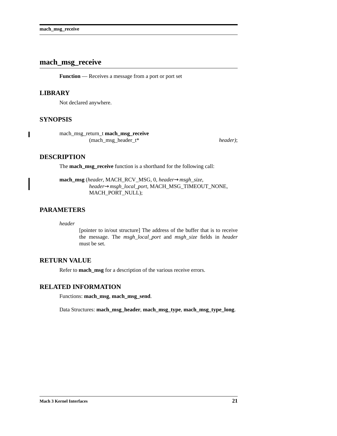## **mach\_msg\_receive**

**Function** — Receives a message from a port or port set

#### **LIBRARY**

Not declared anywhere.

#### **SYNOPSIS**

 $\mathbf{I}$ 

mach\_msg\_return\_t **mach\_msg\_receive** (mach\_msg\_header\_t\* *header)*;

#### **DESCRIPTION**

The **mach\_msg\_receive** function is a shorthand for the following call:

**mach\_msg** (*header*, MACH\_RCV\_MSG, 0, *header*→*msgh\_size*, *header*→*msgh\_local\_port*, MACH\_MSG\_TIMEOUT\_NONE, MACH\_PORT\_NULL);

## **PARAMETERS**

*header*

[pointer to in/out structure] The address of the buffer that is to receive the message. The *msgh\_local\_port* and *msgh\_size* fields in *header* must be set.

## **RETURN VALUE**

Refer to **mach\_msg** for a description of the various receive errors.

#### **RELATED INFORMATION**

Functions: **mach\_msg**, **mach\_msg\_send**.

Data Structures: **mach\_msg\_header**, **mach\_msg\_type**, **mach\_msg\_type\_long**.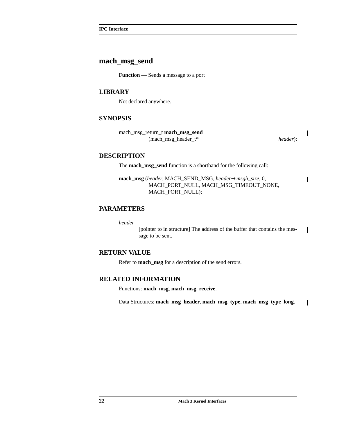## **mach\_msg\_send**

**Function** — Sends a message to a port

#### **LIBRARY**

Not declared anywhere.

## **SYNOPSIS**

mach\_msg\_return\_t **mach\_msg\_send** (mach\_msg\_header\_t\* *header*);

 $\mathbf I$ 

 $\mathbf I$ 

 $\blacksquare$ 

 $\blacksquare$ 

#### **DESCRIPTION**

The **mach\_msg\_send** function is a shorthand for the following call:

**mach\_msg** (*header*, MACH\_SEND\_MSG, *header*→*msgh\_size*, 0, MACH\_PORT\_NULL, MACH\_MSG\_TIMEOUT\_NONE, MACH\_PORT\_NULL);

## **PARAMETERS**

*header*

[pointer to in structure] The address of the buffer that contains the message to be sent.

## **RETURN VALUE**

Refer to **mach\_msg** for a description of the send errors.

#### **RELATED INFORMATION**

Functions: **mach\_msg**, **mach\_msg\_receive**.

Data Structures: **mach\_msg\_header**, **mach\_msg\_type**, **mach\_msg\_type\_long**.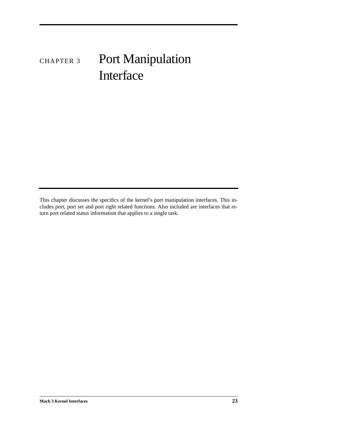# CHAPTER 3 Port Manipulation Interface

This chapter discusses the specifics of the kernel's port manipulation interfaces. This includes port, port set and port right related functions. Also included are interfaces that return port related status information that applies to a single task.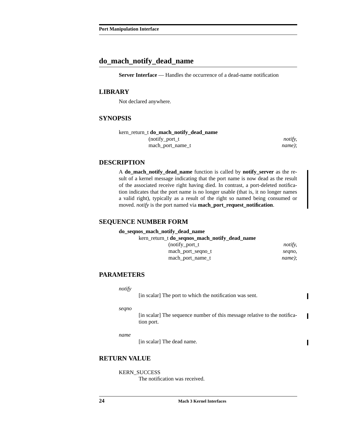## **do\_mach\_notify\_dead\_name**

**Server Interface** — Handles the occurrence of a dead-name notification

#### **LIBRARY**

Not declared anywhere.

## **SYNOPSIS**

| kern_return_t <b>do_mach_notify_dead_name</b> |           |
|-----------------------------------------------|-----------|
| (notify port t                                | notify,   |
| mach port name t                              | $name)$ : |

#### **DESCRIPTION**

A **do\_mach\_notify\_dead\_name** function is called by **notify\_server** as the result of a kernel message indicating that the port name is now dead as the result of the associated receive right having died. In contrast, a port-deleted notification indicates that the port name is no longer usable (that is, it no longer names a valid right), typically as a result of the right so named being consumed or moved. *notify* is the port named via **mach\_port\_request\_notification**.

#### **SEQUENCE NUMBER FORM**

#### **do\_seqnos\_mach\_notify\_dead\_name**

| kern_return_t do_seqnos_mach_notify_dead_name                                  |  |
|--------------------------------------------------------------------------------|--|
| $\sqrt{100}$ $\approx 4.2$ $\Omega_{\text{max}}$ $\approx 0.00$ $\approx 0.00$ |  |

| notify, |
|---------|
| segno,  |
| name);  |
|         |

 $\blacksquare$ 

 $\mathbf{I}$ 

#### **PARAMETERS**

*notify*

[in scalar] The port to which the notification was sent.

*seqno*

[in scalar] The sequence number of this message relative to the notification port.

*name*

[in scalar] The dead name.

## **RETURN VALUE**

#### KERN\_SUCCESS

The notification was received.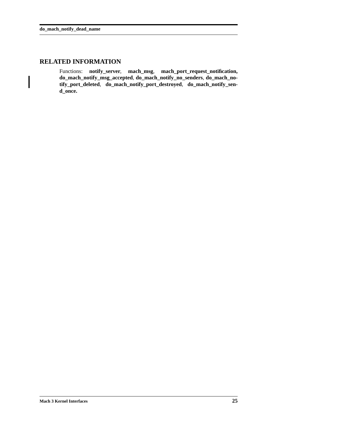## **RELATED INFORMATION**

Functions: **notify\_server**, **mach\_msg**, **mach\_port\_request\_notification, do\_mach\_notify\_msg\_accepted**, **do\_mach\_notify\_no\_senders**, **do\_mach\_notify\_port\_deleted**, **do\_mach\_notify\_port\_destroyed**, **do\_mach\_notify\_send\_once.**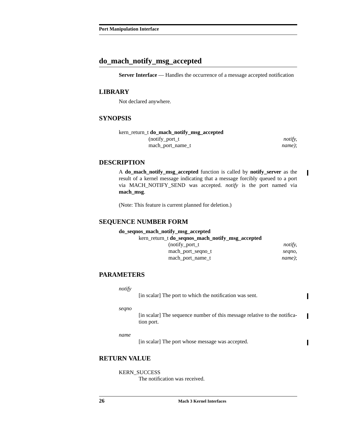## **do\_mach\_notify\_msg\_accepted**

**Server Interface** — Handles the occurrence of a message accepted notification

#### **LIBRARY**

Not declared anywhere.

## **SYNOPSIS**

| kern_return_t <b>do_mach_notify_msg_accepted</b> |           |
|--------------------------------------------------|-----------|
| (notify port t                                   | notify.   |
| mach_port_name_t                                 | $name)$ : |

#### **DESCRIPTION**

A **do\_mach\_notify\_msg\_accepted** function is called by **notify\_server** as the result of a kernel message indicating that a message forcibly queued to a port via MACH\_NOTIFY\_SEND was accepted. *notify* is the port named via **mach\_msg**.

(Note: This feature is current planned for deletion.)

### **SEQUENCE NUMBER FORM**

#### **do\_seqnos\_mach\_notify\_msg\_accepted**

kern\_return\_t **do\_seqnos\_mach\_notify\_msg\_accepted**

| notify, |
|---------|
| segno,  |
| name);  |
|         |

 $\mathbf I$ 

 $\blacksquare$ 

 $\mathbf{I}$ 

#### **PARAMETERS**

*notify*

[in scalar] The port to which the notification was sent.

*seqno*

[in scalar] The sequence number of this message relative to the notification port.

*name*

[in scalar] The port whose message was accepted.

## **RETURN VALUE**

#### KERN\_SUCCESS

The notification was received.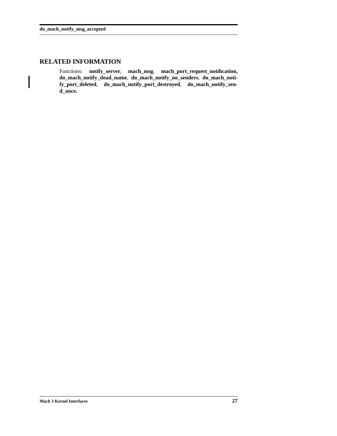## **RELATED INFORMATION**

Functions: **notify\_server**, **mach\_msg**, **mach\_port\_request\_notification, do\_mach\_notify\_dead\_name**, **do\_mach\_notify\_no\_senders**, **do\_mach\_notify\_port\_deleted**, **do\_mach\_notify\_port\_destroyed**, **do\_mach\_notify\_send\_once.**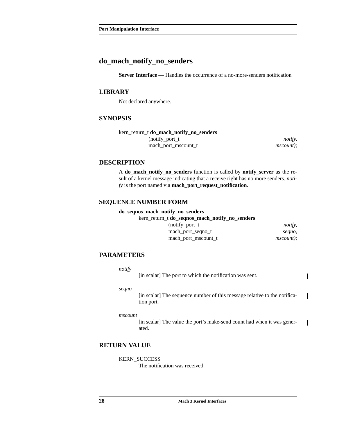## **do\_mach\_notify\_no\_senders**

**Server Interface** — Handles the occurrence of a no-more-senders notification

#### **LIBRARY**

Not declared anywhere.

## **SYNOPSIS**

| kern_return_t <b>do_mach_notify_no_senders</b> |              |
|------------------------------------------------|--------------|
| (notify port t                                 | notify,      |
| mach port mscount t                            | $mscount)$ : |

#### **DESCRIPTION**

A **do\_mach\_notify\_no\_senders** function is called by **notify\_server** as the result of a kernel message indicating that a receive right has no more senders. *notify* is the port named via **mach\_port\_request\_notification**.

#### **SEQUENCE NUMBER FORM**

**do\_seqnos\_mach\_notify\_no\_senders**

kern\_return\_t **do\_seqnos\_mach\_notify\_no\_senders**

| (notify_port_t      | notify,   |
|---------------------|-----------|
| mach_port_seqno_t   | segno,    |
| mach_port_mscount_t | mscount); |

 $\blacksquare$ 

 $\blacksquare$ 

 $\blacksquare$ 

## **PARAMETERS**

*notify*

[in scalar] The port to which the notification was sent.

*seqno*

[in scalar] The sequence number of this message relative to the notification port.

*mscount*

[in scalar] The value the port's make-send count had when it was generated.

## **RETURN VALUE**

#### KERN\_SUCCESS

The notification was received.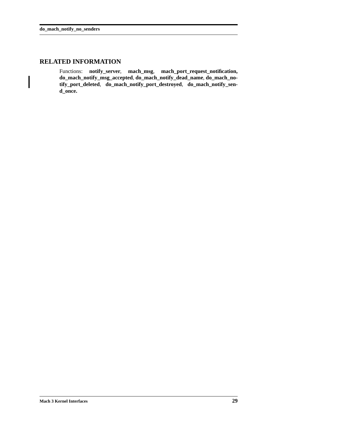# **RELATED INFORMATION**

Functions: **notify\_server**, **mach\_msg**, **mach\_port\_request\_notification, do\_mach\_notify\_msg\_accepted**, **do\_mach\_notify\_dead\_name**, **do\_mach\_notify\_port\_deleted**, **do\_mach\_notify\_port\_destroyed**, **do\_mach\_notify\_send\_once.**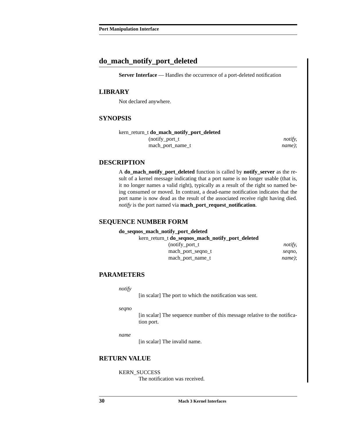# **do\_mach\_notify\_port\_deleted**

**Server Interface** — Handles the occurrence of a port-deleted notification

#### **LIBRARY**

Not declared anywhere.

# **SYNOPSIS**

| kern_return_t do_mach_notify_port_deleted |           |  |
|-------------------------------------------|-----------|--|
| (notify port t                            | notify,   |  |
| mach_port_name_t                          | $name)$ : |  |

### **DESCRIPTION**

A **do\_mach\_notify\_port\_deleted** function is called by **notify\_server** as the result of a kernel message indicating that a port name is no longer usable (that is, it no longer names a valid right), typically as a result of the right so named being consumed or moved. In contrast, a dead-name notification indicates that the port name is now dead as the result of the associated receive right having died. *notify* is the port named via **mach\_port\_request\_notification**.

# **SEQUENCE NUMBER FORM**

**do\_seqnos\_mach\_notify\_port\_deleted**

kern\_return\_t **do\_seqnos\_mach\_notify\_port\_deleted**

| <i>notify</i> , |
|-----------------|
| segno,          |
| name);          |
|                 |

#### **PARAMETERS**

*notify*

[in scalar] The port to which the notification was sent.

*seqno*

[in scalar] The sequence number of this message relative to the notification port.

*name*

[in scalar] The invalid name.

# **RETURN VALUE**

KERN\_SUCCESS

The notification was received.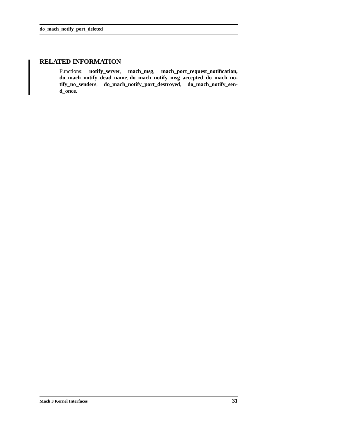# **RELATED INFORMATION**

Functions: **notify\_server**, **mach\_msg**, **mach\_port\_request\_notification, do\_mach\_notify\_dead\_name**, **do\_mach\_notify\_msg\_accepted**, **do\_mach\_notify\_no\_senders**, **do\_mach\_notify\_port\_destroyed**, **do\_mach\_notify\_send\_once.**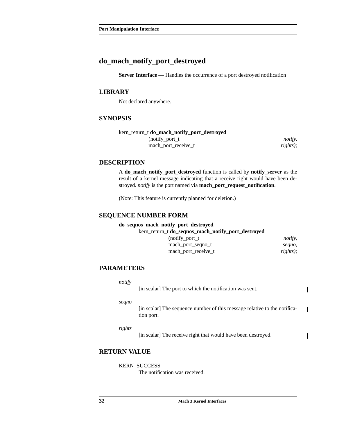# **do\_mach\_notify\_port\_destroyed**

**Server Interface** — Handles the occurrence of a port destroyed notification

#### **LIBRARY**

Not declared anywhere.

# **SYNOPSIS**

| kern_return_t <b>do_mach_notify_port_destroyed</b> |                |
|----------------------------------------------------|----------------|
| (notify port t                                     | <i>notify.</i> |
| mach_port_receive_t                                | rights);       |

#### **DESCRIPTION**

A **do\_mach\_notify\_port\_destroyed** function is called by **notify\_server** as the result of a kernel message indicating that a receive right would have been destroyed. *notify* is the port named via **mach\_port\_request\_notification**.

(Note: This feature is currently planned for deletion.)

#### **SEQUENCE NUMBER FORM**

**do\_seqnos\_mach\_notify\_port\_destroyed**

kern\_return\_t **do\_seqnos\_mach\_notify\_port\_destroyed** (notify\_port\_t *notify,* mach\_port\_seqno\_t *seqno*, mach\_port\_receive\_t *rights*);

 $\mathbf I$ 

 $\blacksquare$ 

 $\blacksquare$ 

## **PARAMETERS**

*notify*

[in scalar] The port to which the notification was sent.

*seqno*

[in scalar] The sequence number of this message relative to the notification port.

*rights*

[in scalar] The receive right that would have been destroyed.

# **RETURN VALUE**

#### KERN\_SUCCESS

The notification was received.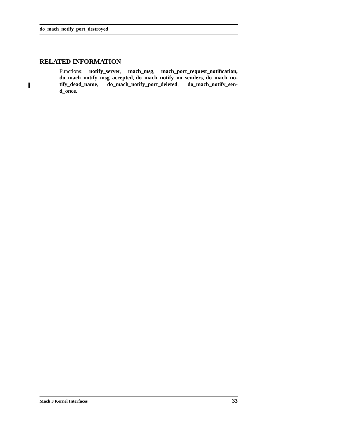# **RELATED INFORMATION**

 $\blacksquare$ 

Functions: **notify\_server**, **mach\_msg**, **mach\_port\_request\_notification, do\_mach\_notify\_msg\_accepted**, **do\_mach\_notify\_no\_senders**, **do\_mach\_notify\_dead\_name**, **do\_mach\_notify\_port\_deleted**, **do\_mach\_notify\_send\_once.**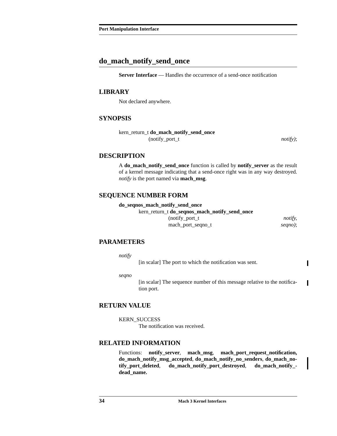# **do\_mach\_notify\_send\_once**

**Server Interface** — Handles the occurrence of a send-once notification

#### **LIBRARY**

Not declared anywhere.

## **SYNOPSIS**

kern\_return\_t **do\_mach\_notify\_send\_once** (notify\_port\_t *notify)*;

#### **DESCRIPTION**

A **do\_mach\_notify\_send\_once** function is called by **notify\_server** as the result of a kernel message indicating that a send-once right was in any way destroyed. *notify* is the port named via **mach\_msg**.

### **SEQUENCE NUMBER FORM**

**do\_seqnos\_mach\_notify\_send\_once**

kern\_return\_t **do\_seqnos\_mach\_notify\_send\_once** (notify\_port\_t *notify,*  $mach\_port\_seqno\_t$ 

| notify, |
|---------|
| seqno); |

 $\blacksquare$ 

 $\mathbf I$ 

## **PARAMETERS**

*notify*

[in scalar] The port to which the notification was sent.

*seqno*

[in scalar] The sequence number of this message relative to the notification port.

### **RETURN VALUE**

KERN\_SUCCESS The notification was received.

# **RELATED INFORMATION**

Functions: **notify\_server**, **mach\_msg**, **mach\_port\_request\_notification, do\_mach\_notify\_msg\_accepted**, **do\_mach\_notify\_no\_senders**, **do\_mach\_notify\_port\_deleted**, **do\_mach\_notify\_port\_destroyed**, **do\_mach\_notify\_ dead\_name.**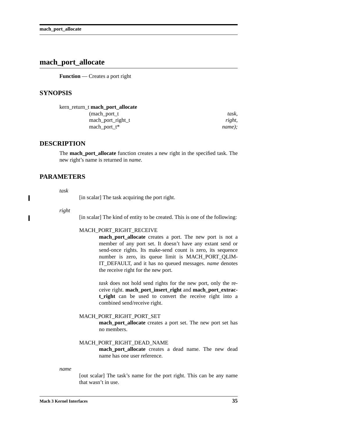# **mach\_port\_allocate**

**Function** — Creates a port right

#### **SYNOPSIS**

| kern return t <b>mach port allocate</b> |           |
|-----------------------------------------|-----------|
| (mach port t)                           | task.     |
| mach_port_right_t                       | right.    |
| mach port $t^*$                         | $name)$ : |

### **DESCRIPTION**

The **mach\_port\_allocate** function creates a new right in the specified task. The new right's name is returned in *name*.

### **PARAMETERS**

*task*

Γ

I

[in scalar] The task acquiring the port right.

*right*

[in scalar] The kind of entity to be created. This is one of the following:

#### MACH\_PORT\_RIGHT\_RECEIVE

**mach** port allocate creates a port. The new port is not a member of any port set. It doesn't have any extant send or send-once rights. Its make-send count is zero, its sequence number is zero, its queue limit is MACH\_PORT\_QLIM-IT\_DEFAULT, and it has no queued messages. *name* denotes the receive right for the new port.

*task* does not hold send rights for the new port, only the receive right. **mach\_port\_insert\_right** and **mach\_port\_extract\_right** can be used to convert the receive right into a combined send/receive right.

### MACH\_PORT\_RIGHT\_PORT\_SET

**mach\_port\_allocate** creates a port set. The new port set has no members.

#### MACH\_PORT\_RIGHT\_DEAD\_NAME

**mach\_port\_allocate** creates a dead name. The new dead name has one user reference.

#### *name*

[out scalar] The task's name for the port right. This can be any name that wasn't in use.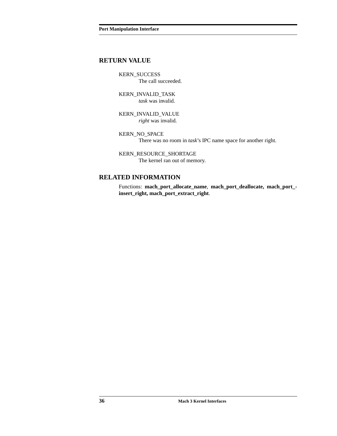# **RETURN VALUE**

KERN\_SUCCESS The call succeeded.

KERN\_INVALID\_TASK *task* was invalid.

KERN\_INVALID\_VALUE *right* was invalid.

KERN\_NO\_SPACE There was no room in *task*'s IPC name space for another right.

KERN\_RESOURCE\_SHORTAGE The kernel ran out of memory.

## **RELATED INFORMATION**

Functions: **mach\_port\_allocate\_name**, **mach\_port\_deallocate, mach\_port\_ insert\_right, mach\_port\_extract\_right**.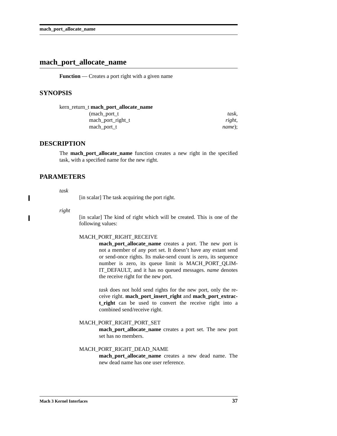# **mach\_port\_allocate\_name**

Function — Creates a port right with a given name

#### **SYNOPSIS**

| task.     |
|-----------|
| right,    |
| $name)$ : |
|           |

### **DESCRIPTION**

The **mach\_port\_allocate\_name** function creates a new right in the specified task, with a specified name for the new right.

# **PARAMETERS**

*task*

Γ

I

[in scalar] The task acquiring the port right.

*right*

[in scalar] The kind of right which will be created. This is one of the following values:

#### MACH\_PORT\_RIGHT\_RECEIVE

**mach\_port\_allocate\_name** creates a port. The new port is not a member of any port set. It doesn't have any extant send or send-once rights. Its make-send count is zero, its sequence number is zero, its queue limit is MACH\_PORT\_QLIM-IT\_DEFAULT, and it has no queued messages. *name* denotes the receive right for the new port.

*task* does not hold send rights for the new port, only the receive right. **mach\_port\_insert\_right** and **mach\_port\_extract\_right** can be used to convert the receive right into a combined send/receive right.

#### MACH\_PORT\_RIGHT\_PORT\_SET

**mach\_port\_allocate\_name** creates a port set. The new port set has no members.

#### MACH\_PORT\_RIGHT\_DEAD\_NAME

mach port allocate name creates a new dead name. The new dead name has one user reference.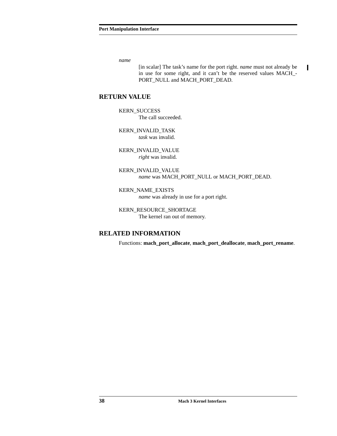*name*

[in scalar] The task's name for the port right. *name* must not already be in use for some right, and it can't be the reserved values MACH\_- PORT\_NULL and MACH\_PORT\_DEAD.

 $\mathbf I$ 

# **RETURN VALUE**

KERN\_SUCCESS The call succeeded.

KERN\_INVALID\_TASK *task* was invalid.

KERN\_INVALID\_VALUE *right* was invalid.

KERN\_INVALID\_VALUE *name* was MACH\_PORT\_NULL or MACH\_PORT\_DEAD.

KERN\_NAME\_EXISTS *name* was already in use for a port right.

KERN\_RESOURCE\_SHORTAGE The kernel ran out of memory.

# **RELATED INFORMATION**

Functions: **mach\_port\_allocate**, **mach\_port\_deallocate**, **mach\_port\_rename**.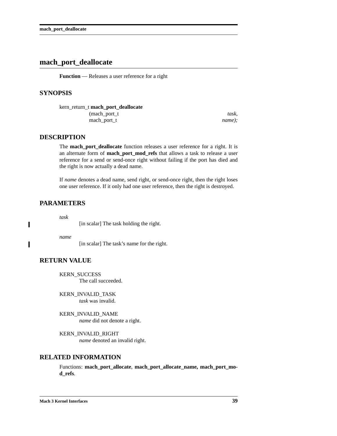# **mach\_port\_deallocate**

**Function** — Releases a user reference for a right

#### **SYNOPSIS**

| kern return t <b>mach port deallocate</b> |           |  |
|-------------------------------------------|-----------|--|
| (mach_port_t)                             | task.     |  |
| mach port t                               | $name)$ : |  |

name);

#### **DESCRIPTION**

The **mach\_port\_deallocate** function releases a user reference for a right. It is an alternate form of **mach\_port\_mod\_refs** that allows a task to release a user reference for a send or send-once right without failing if the port has died and the right is now actually a dead name.

If *name* denotes a dead name, send right, or send-once right, then the right loses one user reference. If it only had one user reference, then the right is destroyed.

# **PARAMETERS**

*task*

I

Г

[in scalar] The task holding the right.

*name*

[in scalar] The task's name for the right.

# **RETURN VALUE**

KERN\_SUCCESS The call succeeded.

KERN\_INVALID\_TASK *task* was invalid.

KERN\_INVALID\_NAME *name* did not denote a right.

KERN\_INVALID\_RIGHT *name* denoted an invalid right.

#### **RELATED INFORMATION**

Functions: **mach\_port\_allocate**, **mach\_port\_allocate\_name, mach\_port\_mod\_refs**.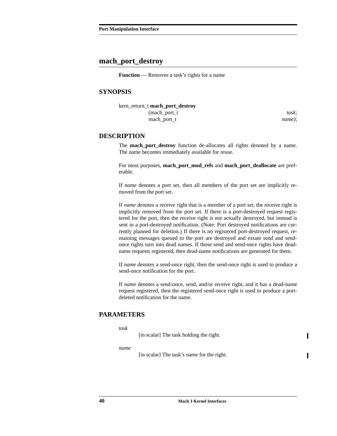# **mach\_port\_destroy**

**Function** — Removes a task's rights for a name

### **SYNOPSIS**

kern\_return\_t **mach\_port\_destroy** (mach\_port\_t *task*; mach\_port\_t *name*);

 $\blacksquare$ 

 $\mathbf I$ 

### **DESCRIPTION**

The **mach\_port\_destroy** function de-allocates all rights denoted by a name. The name becomes immediately available for reuse.

For most purposes, **mach\_port\_mod\_refs** and **mach\_port\_deallocate** are preferable.

If *name* denotes a port set, then all members of the port set are implicitly removed from the port set.

If *name* denotes a receive right that is a member of a port set, the receive right is implicitly removed from the port set. If there is a port-destroyed request registered for the port, then the receive right is not actually destroyed, but instead is sent in a port-destroyed notification. (Note: Port destroyed notifications are currently planned for deletion.) If there is no registered port-destroyed request, remaining messages queued to the port are destroyed and extant send and sendonce rights turn into dead names. If those send and send-once rights have deadname requests registered, then dead-name notifications are generated for them.

If *name* denotes a send-once right, then the send-once right is used to produce a send-once notification for the port.

If *name* denotes a send-once, send, and/or receive right, and it has a dead-name request registered, then the registered send-once right is used to produce a portdeleted notification for the name.

### **PARAMETERS**

```
task
```
[in scalar] The task holding the right.

*name*

[in scalar] The task's name for the right.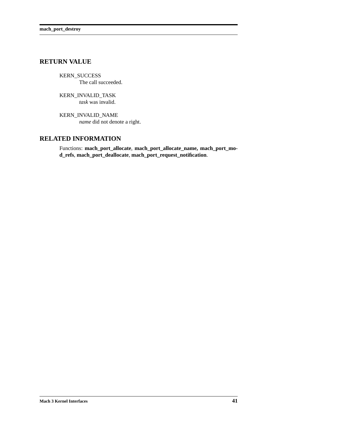# **RETURN VALUE**

KERN\_SUCCESS The call succeeded.

KERN\_INVALID\_TASK *task* was invalid.

KERN\_INVALID\_NAME *name* did not denote a right.

# **RELATED INFORMATION**

Functions: **mach\_port\_allocate**, **mach\_port\_allocate\_name, mach\_port\_mod\_refs**, **mach\_port\_deallocate**, **mach\_port\_request\_notification**.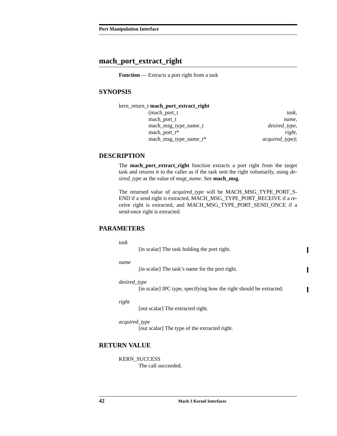# **mach\_port\_extract\_right**

**Function** — Extracts a port right from a task

## **SYNOPSIS**

kern\_return\_t **mach\_port\_extract\_right** (mach\_port\_t *task,* mach\_port\_t *name,* mach\_msg\_type\_name\_t *desired\_type,* mach\_port\_t\* *right,* mach\_msg\_type\_name\_t\* *acquired\_type)*;

 $\blacksquare$ 

 $\mathbf I$ 

#### **DESCRIPTION**

The **mach\_port\_extract\_right** function extracts a port right from the target task and returns it to the caller as if the task sent the right voluntarily, using *desired\_type* as the value of *msgt\_name*. See **mach\_msg**.

The returned value of *acquired\_type* will be MACH\_MSG\_TYPE\_PORT\_S-END if a send right is extracted, MACH\_MSG\_TYPE\_PORT\_RECEIVE if a receive right is extracted, and MACH\_MSG\_TYPE\_PORT\_SEND\_ONCE if a send-once right is extracted.

## **PARAMETERS**

*task*

[in scalar] The task holding the port right.

*name*

[in scalar] The task's name for the port right.

*desired\_type*

[in scalar] IPC type, specifying how the right should be extracted.

*right*

[out scalar] The extracted right.

*acquired\_type*

[out scalar] The type of the extracted right.

# **RETURN VALUE**

KERN\_SUCCESS

The call succeeded.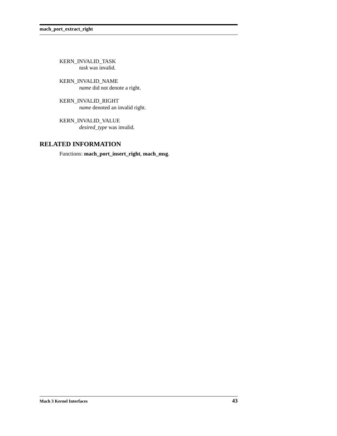KERN\_INVALID\_TASK *task* was invalid.

KERN\_INVALID\_NAME *name* did not denote a right.

KERN\_INVALID\_RIGHT *name* denoted an invalid right.

KERN\_INVALID\_VALUE *desired\_type* was invalid.

# **RELATED INFORMATION**

Functions: **mach\_port\_insert\_right**, **mach\_msg**.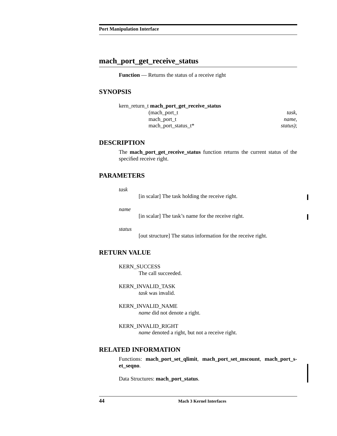# **mach\_port\_get\_receive\_status**

**Function** — Returns the status of a receive right

### **SYNOPSIS**

kern\_return\_t **mach\_port\_get\_receive\_status** (mach\_port\_t *task,* mach\_port\_t *name,* mach\_port\_status\_t\* *status*);

### **DESCRIPTION**

The **mach\_port\_get\_receive\_status** function returns the current status of the specified receive right.

 $\blacksquare$ 

# **PARAMETERS**

*task*

[in scalar] The task holding the receive right.

*name*

[in scalar] The task's name for the receive right.

*status*

[out structure] The status information for the receive right.

# **RETURN VALUE**

KERN\_SUCCESS The call succeeded.

KERN\_INVALID\_TASK *task* was invalid.

KERN\_INVALID\_NAME *name* did not denote a right.

KERN\_INVALID\_RIGHT *name* denoted a right, but not a receive right.

# **RELATED INFORMATION**

Functions: **mach\_port\_set\_qlimit**, **mach\_port\_set\_mscount**, **mach\_port\_set\_seqno**.

Data Structures: **mach\_port\_status**.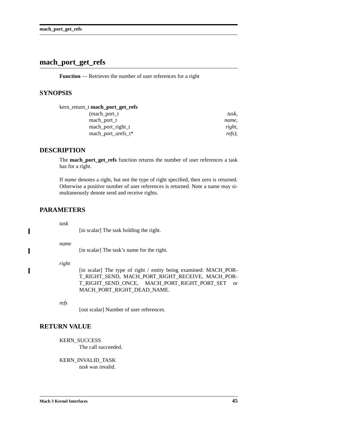# **mach\_port\_get\_refs**

**Function** — Retrieves the number of user references for a right

### **SYNOPSIS**

| kern_return_t <b>mach_port_get_refs</b> |        |
|-----------------------------------------|--------|
| (mach port t                            | task,  |
| mach_port_t                             | name,  |
| mach_port_right_t                       | right, |
| mach_port_urefs_ $t^*$                  | refs); |

#### **DESCRIPTION**

The **mach\_port\_get\_refs** function returns the number of user references a task has for a right.

If *name* denotes a right, but not the type of right specified, then zero is returned. Otherwise a positive number of user references is returned. Note a name may simultaneously denote send and receive rights.

### **PARAMETERS**

*task*

 $\blacksquare$ 

Ι

[in scalar] The task holding the right.

*name*

[in scalar] The task's name for the right.

*right*

[in scalar] The type of right / entity being examined: MACH\_POR-T\_RIGHT\_SEND, MACH\_PORT\_RIGHT\_RECEIVE, MACH\_POR-T\_RIGHT\_SEND\_ONCE, MACH\_PORT\_RIGHT\_PORT\_SET or MACH\_PORT\_RIGHT\_DEAD\_NAME.

### *refs*

[out scalar] Number of user references.

### **RETURN VALUE**

KERN\_SUCCESS The call succeeded.

KERN\_INVALID\_TASK *task* was invalid.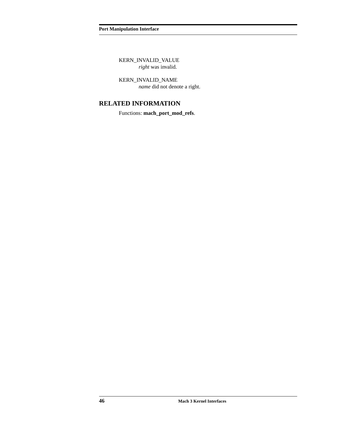KERN\_INVALID\_VALUE *right* was invalid.

KERN\_INVALID\_NAME *name* did not denote a right.

# **RELATED INFORMATION**

Functions: **mach\_port\_mod\_refs**.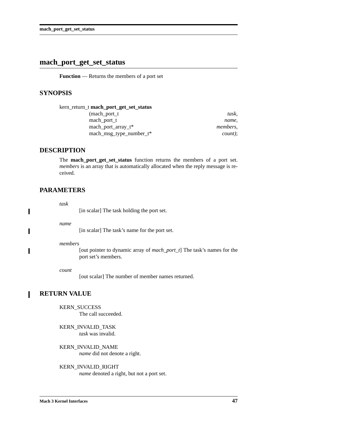# **mach\_port\_get\_set\_status**

**Function** — Returns the members of a port set

#### **SYNOPSIS**

|                 | kern_return_t mach_port_get_set_status |  |
|-----------------|----------------------------------------|--|
| task.           | (mach port t                           |  |
| name,           | mach port t                            |  |
| <i>members,</i> | mach_port_array_t*                     |  |
| $count$ :       | mach_msg_type_number_t*                |  |

### **DESCRIPTION**

The **mach\_port\_get\_set\_status** function returns the members of a port set. *members* is an array that is automatically allocated when the reply message is received.

### **PARAMETERS**

*task*

 $\blacksquare$ 

Ι

 $\blacksquare$ 

I

[in scalar] The task holding the port set.

*name*

[in scalar] The task's name for the port set.

*members*

[out pointer to dynamic array of *mach\_port\_t*] The task's names for the port set's members.

*count*

[out scalar] The number of member names returned.

# **RETURN VALUE**

KERN\_SUCCESS The call succeeded.

KERN\_INVALID\_TASK *task* was invalid.

KERN\_INVALID\_NAME *name* did not denote a right.

KERN\_INVALID\_RIGHT *name* denoted a right, but not a port set.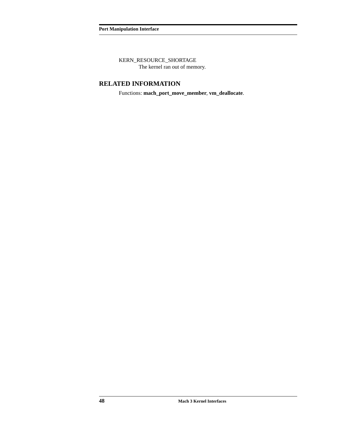KERN\_RESOURCE\_SHORTAGE The kernel ran out of memory.

## **RELATED INFORMATION**

Functions: **mach\_port\_move\_member**, **vm\_deallocate**.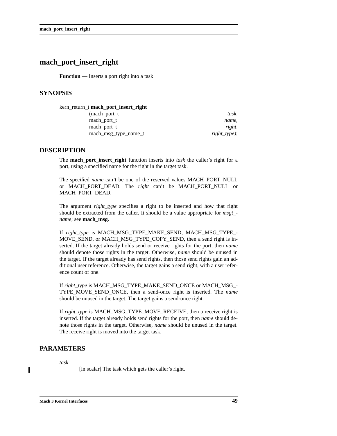# **mach\_port\_insert\_right**

**Function** — Inserts a port right into a task

### **SYNOPSIS**

| kern_return_t mach_port_insert_right |                |  |
|--------------------------------------|----------------|--|
| (mach port t                         | task,          |  |
| mach_port_t                          | name,          |  |
| mach_port_t                          | right,         |  |
| mach_msg_type_name_t                 | $right_type);$ |  |

### **DESCRIPTION**

The **mach\_port\_insert\_right** function inserts into *task* the caller's right for a port, using a specified name for the right in the target task.

The specified *name* can't be one of the reserved values MACH\_PORT\_NULL or MACH\_PORT\_DEAD. The *right* can't be MACH\_PORT\_NULL or MACH\_PORT\_DEAD.

The argument *right\_type* specifies a right to be inserted and how that right should be extracted from the caller. It should be a value appropriate for *msgt\_ name*; see **mach\_msg**.

If *right\_type* is MACH\_MSG\_TYPE\_MAKE\_SEND, MACH\_MSG\_TYPE\_- MOVE\_SEND, or MACH\_MSG\_TYPE\_COPY\_SEND, then a send right is inserted. If the target already holds send or receive rights for the port, then *name* should denote those rights in the target. Otherwise, *name* should be unused in the target. If the target already has send rights, then those send rights gain an additional user reference. Otherwise, the target gains a send right, with a user reference count of one.

If *right\_type* is MACH\_MSG\_TYPE\_MAKE\_SEND\_ONCE or MACH\_MSG\_- TYPE\_MOVE\_SEND\_ONCE, then a send-once right is inserted. The *name* should be unused in the target. The target gains a send-once right.

If *right\_type* is MACH\_MSG\_TYPE\_MOVE\_RECEIVE, then a receive right is inserted. If the target already holds send rights for the port, then *name* should denote those rights in the target. Otherwise, *name* should be unused in the target. The receive right is moved into the target task.

## **PARAMETERS**

*task*

I

[in scalar] The task which gets the caller's right.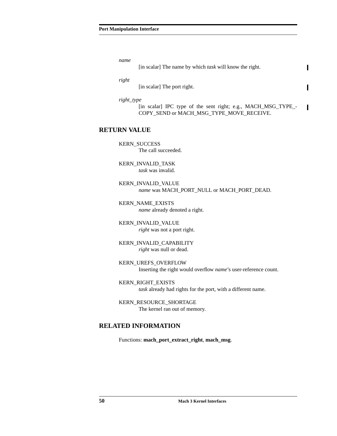*name*

[in scalar] The name by which *task* will know the right.

*right*

[in scalar] The port right.

*right\_type*

[in scalar] IPC type of the sent right; e.g., MACH\_MSG\_TYPE\_-COPY\_SEND or MACH\_MSG\_TYPE\_MOVE\_RECEIVE.

П

 $\mathbf I$ 

П

## **RETURN VALUE**

KERN\_SUCCESS The call succeeded.

KERN\_INVALID\_TASK *task* was invalid.

KERN\_INVALID\_VALUE *name* was MACH\_PORT\_NULL or MACH\_PORT\_DEAD.

KERN\_NAME\_EXISTS *name* already denoted a right.

KERN\_INVALID\_VALUE *right* was not a port right.

KERN\_INVALID\_CAPABILITY *right* was null or dead.

KERN\_UREFS\_OVERFLOW Inserting the right would overflow *name*'s user-reference count.

KERN\_RIGHT\_EXISTS *task* already had rights for the port, with a different name.

KERN\_RESOURCE\_SHORTAGE The kernel ran out of memory.

### **RELATED INFORMATION**

Functions: **mach\_port\_extract\_right**, **mach\_msg**.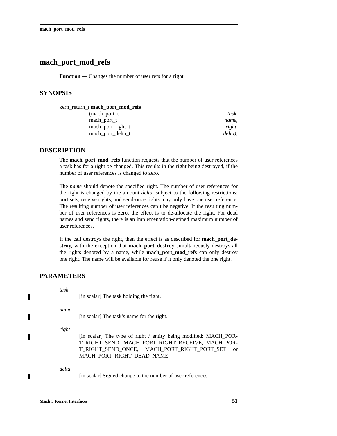# **mach\_port\_mod\_refs**

**Function** — Changes the number of user refs for a right

#### **SYNOPSIS**

| (mach port t      | task.     |  |
|-------------------|-----------|--|
| mach_port_t       | name,     |  |
| mach_port_right_t | right,    |  |
| mach_port_delta_t | $delta$ : |  |

### **DESCRIPTION**

The **mach\_port\_mod\_refs** function requests that the number of user references a task has for a right be changed. This results in the right being destroyed, if the number of user references is changed to zero.

The *name* should denote the specified right. The number of user references for the right is changed by the amount *delta*, subject to the following restrictions: port sets, receive rights, and send-once rights may only have one user reference. The resulting number of user references can't be negative. If the resulting number of user references is zero, the effect is to de-allocate the right. For dead names and send rights, there is an implementation-defined maximum number of user references.

If the call destroys the right, then the effect is as described for **mach\_port\_destroy**, with the exception that **mach\_port\_destroy** simultaneously destroys all the rights denoted by a name, while **mach\_port\_mod\_refs** can only destroy one right. The name will be available for reuse if it only denoted the one right.

# **PARAMETERS**

*task*

Ī

I

I

[in scalar] The task holding the right.

*name*

[in scalar] The task's name for the right.

*right*

[in scalar] The type of right / entity being modified: MACH\_POR-T\_RIGHT\_SEND, MACH\_PORT\_RIGHT\_RECEIVE, MACH\_POR-T\_RIGHT\_SEND\_ONCE, MACH\_PORT\_RIGHT\_PORT\_SET or MACH\_PORT\_RIGHT\_DEAD\_NAME.

#### *delta*

[in scalar] Signed change to the number of user references.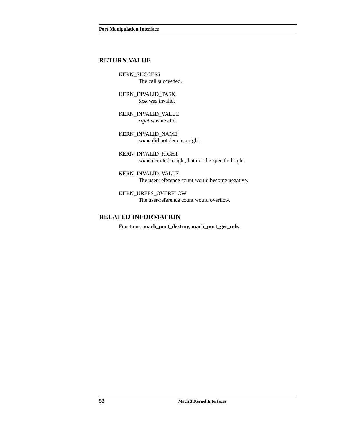# **RETURN VALUE**

KERN\_SUCCESS The call succeeded.

KERN\_INVALID\_TASK *task* was invalid.

KERN\_INVALID\_VALUE *right* was invalid.

KERN\_INVALID\_NAME *name* did not denote a right.

KERN\_INVALID\_RIGHT *name* denoted a right, but not the specified right.

KERN\_INVALID\_VALUE The user-reference count would become negative.

KERN\_UREFS\_OVERFLOW The user-reference count would overflow.

# **RELATED INFORMATION**

Functions: **mach\_port\_destroy**, **mach\_port\_get\_refs**.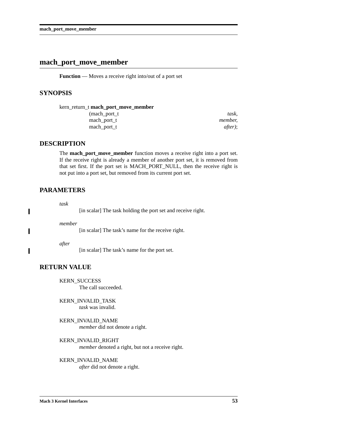# **mach\_port\_move\_member**

**Function** — Moves a receive right into/out of a port set

#### **SYNOPSIS**

|                | kern_return_t <b>mach_port_move_member</b> |  |
|----------------|--------------------------------------------|--|
| task.          | (mach port t                               |  |
| <i>member,</i> | mach port t                                |  |
| after);        | mach port t                                |  |

# **DESCRIPTION**

The **mach\_port\_move\_member** function moves a receive right into a port set. If the receive right is already a member of another port set, it is removed from that set first. If the port set is MACH\_PORT\_NULL, then the receive right is not put into a port set, but removed from its current port set.

### **PARAMETERS**

*task*

 $\blacksquare$ 

Π

 $\blacksquare$ 

[in scalar] The task holding the port set and receive right.

*member*

[in scalar] The task's name for the receive right.

*after*

[in scalar] The task's name for the port set.

# **RETURN VALUE**

KERN\_SUCCESS The call succeeded.

KERN\_INVALID\_TASK *task* was invalid.

KERN\_INVALID\_NAME *member* did not denote a right.

KERN\_INVALID\_RIGHT *member* denoted a right, but not a receive right.

KERN\_INVALID\_NAME *after* did not denote a right.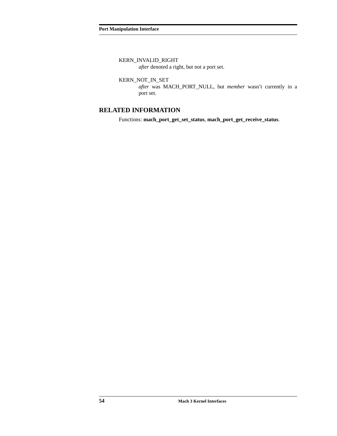#### KERN\_INVALID\_RIGHT *after* denoted a right, but not a port set.

KERN\_NOT\_IN\_SET

*after* was MACH\_PORT\_NULL, but *member* wasn't currently in a port set.

# **RELATED INFORMATION**

Functions: **mach\_port\_get\_set\_status**, **mach\_port\_get\_receive\_status**.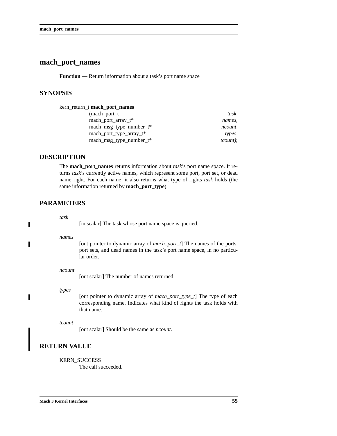# **mach\_port\_names**

**Function** — Return information about a task's port name space

### **SYNOPSIS**

| kern_return_t <b>mach_port_names</b> |          |
|--------------------------------------|----------|
| (mach port t                         | task,    |
| mach_port_array_t*                   | names,   |
| mach_msg_type_number_t*              | ncount,  |
| mach_port_type_array_t*              | types,   |
| mach_msg_type_number_t*              | tcount); |

#### **DESCRIPTION**

The **mach\_port\_names** returns information about *task*'s port name space. It returns *task*'s currently active names, which represent some port, port set, or dead name right. For each name, it also returns what type of rights *task* holds (the same information returned by **mach\_port\_type**).

## **PARAMETERS**

#### *task*

I

I

Ī

[in scalar] The task whose port name space is queried.

#### *names*

[out pointer to dynamic array of *mach\_port\_t*] The names of the ports, port sets, and dead names in the task's port name space, in no particular order.

*ncount*

[out scalar] The number of names returned.

*types*

[out pointer to dynamic array of *mach\_port\_type\_t*] The type of each corresponding name. Indicates what kind of rights the task holds with that name.

*tcount*

[out scalar] Should be the same as *ncount*.

# **RETURN VALUE**

### KERN\_SUCCESS

The call succeeded.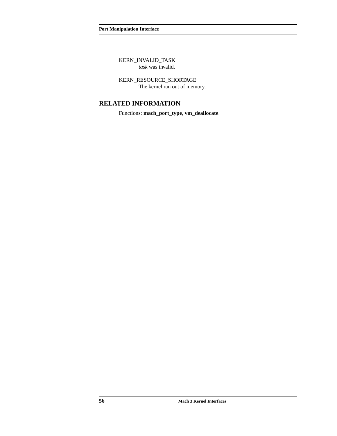KERN\_INVALID\_TASK *task* was invalid.

KERN\_RESOURCE\_SHORTAGE The kernel ran out of memory.

# **RELATED INFORMATION**

Functions: **mach\_port\_type**, **vm\_deallocate**.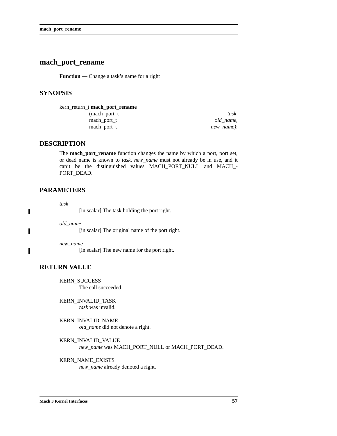# **mach\_port\_rename**

**Function** — Change a task's name for a right

#### **SYNOPSIS**

|              | kern return t <b>mach port rename</b> |
|--------------|---------------------------------------|
| task.        | (mach port t                          |
| old name,    | mach port t                           |
| $new_name);$ | mach port t                           |

# **DESCRIPTION**

The **mach\_port\_rename** function changes the name by which a port, port set, or dead name is known to *task*. *new\_name* must not already be in use, and it can't be the distinguished values MACH\_PORT\_NULL and MACH\_- PORT\_DEAD.

### **PARAMETERS**

*task*

 $\blacksquare$ 

Ι

 $\blacksquare$ 

[in scalar] The task holding the port right.

*old\_name*

[in scalar] The original name of the port right.

*new\_name*

[in scalar] The new name for the port right.

# **RETURN VALUE**

KERN\_SUCCESS The call succeeded.

KERN\_INVALID\_TASK *task* was invalid.

KERN\_INVALID\_NAME *old\_name* did not denote a right.

KERN\_INVALID\_VALUE *new\_name* was MACH\_PORT\_NULL or MACH\_PORT\_DEAD.

KERN\_NAME\_EXISTS *new\_name* already denoted a right.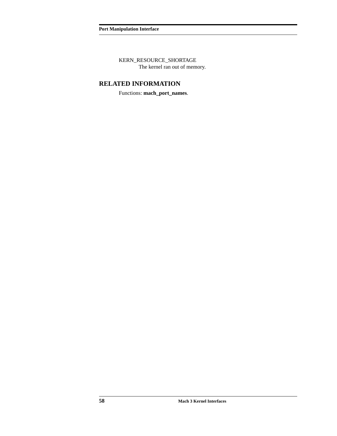KERN\_RESOURCE\_SHORTAGE The kernel ran out of memory.

## **RELATED INFORMATION**

Functions: **mach\_port\_names**.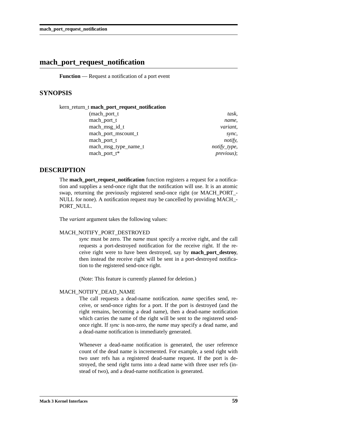# **mach\_port\_request\_notification**

**Function** — Request a notification of a port event

#### **SYNOPSIS**

kern\_return\_t **mach\_port\_request\_notification**

| mach_port_t<br>mach_msg_id_t<br>mach_port_mscount_t<br>mach_port_t<br>mach_msg_type_name_t<br>mach_port_t* | (mach_port_t) | task,              |
|------------------------------------------------------------------------------------------------------------|---------------|--------------------|
|                                                                                                            |               | name,              |
|                                                                                                            |               | <i>variant,</i>    |
|                                                                                                            |               | sync,              |
|                                                                                                            |               | notify,            |
|                                                                                                            |               | notify_type,       |
|                                                                                                            |               | <i>previous</i> ); |

### **DESCRIPTION**

The **mach\_port\_request\_notification** function registers a request for a notification and supplies a send-once right that the notification will use. It is an atomic swap, returning the previously registered send-once right (or MACH\_PORT\_- NULL for none). A notification request may be cancelled by providing MACH\_- PORT\_NULL.

The *variant* argument takes the following values:

#### MACH\_NOTIFY\_PORT\_DESTROYED

*sync* must be zero. The *name* must specify a receive right, and the call requests a port-destroyed notification for the receive right. If the receive right were to have been destroyed, say by **mach\_port\_destroy**, then instead the receive right will be sent in a port-destroyed notification to the registered send-once right.

(Note: This feature is currently planned for deletion.)

#### MACH\_NOTIFY\_DEAD\_NAME

The call requests a dead-name notification. *name* specifies send, receive, or send-once rights for a port. If the port is destroyed (and the right remains, becoming a dead name), then a dead-name notification which carries the name of the right will be sent to the registered sendonce right. If *sync* is non-zero, the *name* may specify a dead name, and a dead-name notification is immediately generated.

Whenever a dead-name notification is generated, the user reference count of the dead name is incremented. For example, a send right with two user refs has a registered dead-name request. If the port is destroyed, the send right turns into a dead name with three user refs (instead of two), and a dead-name notification is generated.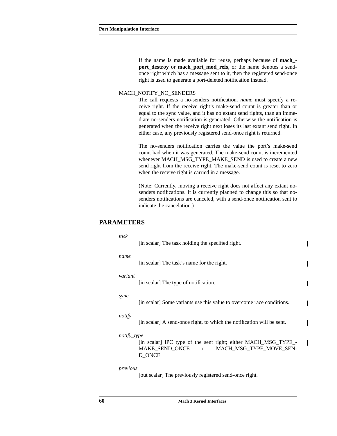If the name is made available for reuse, perhaps because of **mach\_ port\_destroy** or **mach\_port\_mod\_refs**, or the name denotes a sendonce right which has a message sent to it, then the registered send-once right is used to generate a port-deleted notification instead.

#### MACH\_NOTIFY\_NO\_SENDERS

The call requests a no-senders notification. *name* must specify a receive right. If the receive right's make-send count is greater than or equal to the sync value, and it has no extant send rights, than an immediate no-senders notification is generated. Otherwise the notification is generated when the receive right next loses its last extant send right. In either case, any previously registered send-once right is returned.

The no-senders notification carries the value the port's make-send count had when it was generated. The make-send count is incremented whenever MACH\_MSG\_TYPE\_MAKE\_SEND is used to create a new send right from the receive right. The make-send count is reset to zero when the receive right is carried in a message.

(Note: Currently, moving a receive right does not affect any extant nosenders notifications. It is currently planned to change this so that nosenders notifications are canceled, with a send-once notification sent to indicate the cancelation.)

I

I

Π

## **PARAMETERS**

#### *task*

[in scalar] The task holding the specified right.

#### *name*

[in scalar] The task's name for the right.

#### *variant*

[in scalar] The type of notification.

#### *sync*

[in scalar] Some variants use this value to overcome race conditions.

#### *notify*

[in scalar] A send-once right, to which the notification will be sent.

#### *notify\_type*

[in scalar] IPC type of the sent right; either MACH\_MSG\_TYPE\_-MAKE\_SEND\_ONCE or MACH\_MSG\_TYPE\_MOVE\_SEN-D\_ONCE.

#### *previous*

[out scalar] The previously registered send-once right.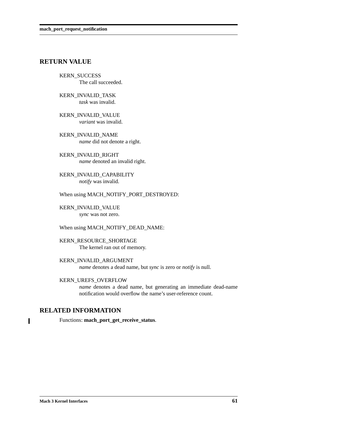# **RETURN VALUE**

KERN\_SUCCESS The call succeeded.

KERN\_INVALID\_TASK *task* was invalid.

KERN\_INVALID\_VALUE *variant* was invalid.

KERN\_INVALID\_NAME *name* did not denote a right.

KERN\_INVALID\_RIGHT *name* denoted an invalid right.

KERN\_INVALID\_CAPABILITY *notify* was invalid.

When using MACH\_NOTIFY\_PORT\_DESTROYED:

KERN\_INVALID\_VALUE *sync* was not zero.

When using MACH\_NOTIFY\_DEAD\_NAME:

KERN\_RESOURCE\_SHORTAGE The kernel ran out of memory.

KERN\_INVALID\_ARGUMENT *name* denotes a dead name, but *sync* is zero or *notify* is null.

KERN\_UREFS\_OVERFLOW *name* denotes a dead name, but generating an immediate dead-name notification would overflow the name's user-reference count.

# **RELATED INFORMATION**

Functions: **mach\_port\_get\_receive\_status**.

 $\blacksquare$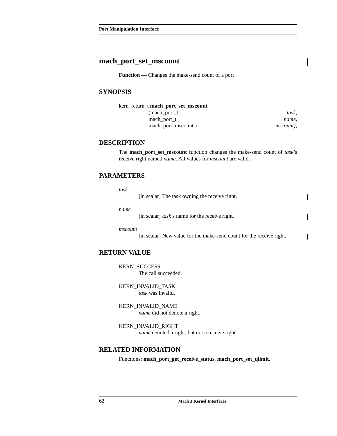# **mach\_port\_set\_mscount**

**Function** — Changes the make-send count of a port

### **SYNOPSIS**

kern\_return\_t **mach\_port\_set\_mscount** (mach\_port\_t *task,* mach\_port\_t *name,* mach\_port\_mscount\_t *mscount)*;

 $\blacksquare$ 

 $\blacksquare$ 

## **DESCRIPTION**

The **mach\_port\_set\_mscount** function changes the make-send count of *task*'s receive right named *name*. All values for *mscount* are valid.

# **PARAMETERS**

*task*

[in scalar] The task owning the receive right.

*name*

[in scalar] *task*'s name for the receive right.

*mscount*

[in scalar] New value for the make-send count for the receive right.

# **RETURN VALUE**

KERN\_SUCCESS The call succeeded.

KERN\_INVALID\_TASK *task* was invalid.

KERN\_INVALID\_NAME *name* did not denote a right.

KERN\_INVALID\_RIGHT *name* denoted a right, but not a receive right.

# **RELATED INFORMATION**

Functions: **mach\_port\_get\_receive\_status**, **mach\_port\_set\_qlimit**.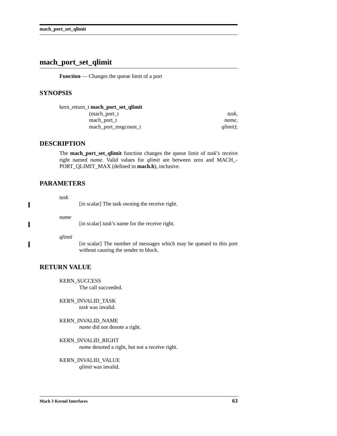# **mach\_port\_set\_qlimit**

**Function** — Changes the queue limit of a port

#### **SYNOPSIS**

|                  | kern_return_t <b>mach_port_set_qlimit</b> |
|------------------|-------------------------------------------|
| task.            | (mach port t                              |
| name,            | mach port t                               |
| <i>glimit</i> ); | mach_port_msgcount_t                      |

## **DESCRIPTION**

The **mach\_port\_set\_qlimit** function changes the queue limit of *task*'s receive right named *name*. Valid values for *qlimit* are between zero and MACH\_- PORT\_QLIMIT\_MAX (defined in **mach.h**), inclusive.

### **PARAMETERS**

*task*

 $\blacksquare$ 

Г

 $\blacksquare$ 

[in scalar] The task owning the receive right.

*name*

[in scalar] *task*'s name for the receive right.

*qlimit*

[in scalar] The number of messages which may be queued to this port without causing the sender to block.

# **RETURN VALUE**

KERN\_SUCCESS The call succeeded.

KERN\_INVALID\_TASK *task* was invalid.

KERN\_INVALID\_NAME *name* did not denote a right.

KERN\_INVALID\_RIGHT *name* denoted a right, but not a receive right.

KERN\_INVALID\_VALUE *qlimit* was invalid.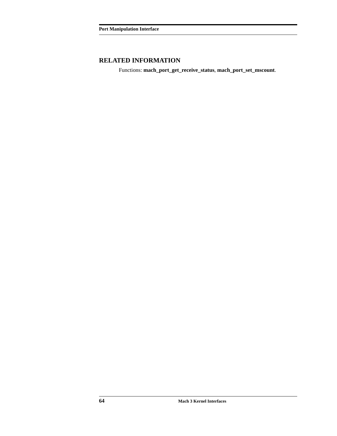# **RELATED INFORMATION**

Functions: **mach\_port\_get\_receive\_status**, **mach\_port\_set\_mscount**.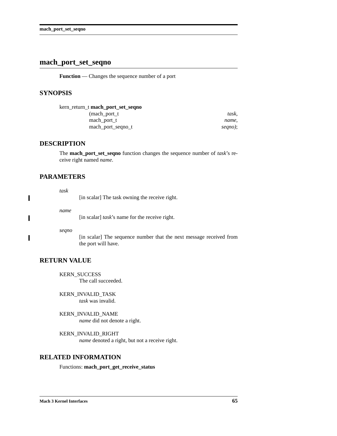# **mach\_port\_set\_seqno**

**Function** — Changes the sequence number of a port

### **SYNOPSIS**

| kern return t <b>mach port set seqno</b> |         |
|------------------------------------------|---------|
| (mach port t                             | task,   |
| mach port t                              | name,   |
| mach_port_seqno_t                        | segno); |

# **DESCRIPTION**

The **mach\_port\_set\_seqno** function changes the sequence number of *task*'s receive right named *name*.

# **PARAMETERS**

*task*

 $\mathbf{I}$ 

П

I

[in scalar] The task owning the receive right.

*name*

[in scalar] *task*'s name for the receive right.

*seqno*

[in scalar] The sequence number that the next message received from the port will have.

# **RETURN VALUE**

KERN\_SUCCESS The call succeeded.

KERN\_INVALID\_TASK *task* was invalid.

KERN\_INVALID\_NAME *name* did not denote a right.

KERN\_INVALID\_RIGHT *name* denoted a right, but not a receive right.

# **RELATED INFORMATION**

Functions: **mach\_port\_get\_receive\_status**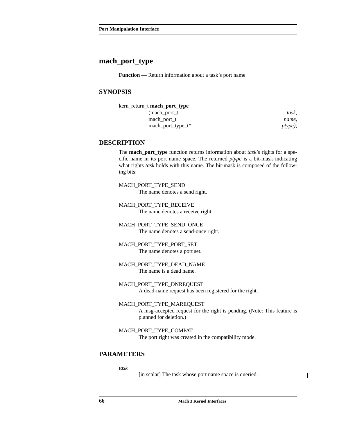# **mach\_port\_type**

**Function** — Return information about a task's port name

# **SYNOPSIS**

kern\_return\_t **mach\_port\_type** (mach\_port\_t *task,* mach\_port\_t *name,* mach\_port\_type\_t\* *ptype*);

 $\blacksquare$ 

# **DESCRIPTION**

The **mach** port type function returns information about *task*'s rights for a specific name in its port name space. The returned *ptype* is a bit-mask indicating what rights *task* holds with this name. The bit-mask is composed of the following bits:

MACH\_PORT\_TYPE\_SEND The name denotes a send right.

MACH\_PORT\_TYPE\_RECEIVE The name denotes a receive right.

MACH\_PORT\_TYPE\_SEND\_ONCE The name denotes a send-once right.

MACH\_PORT\_TYPE\_PORT\_SET The name denotes a port set.

- MACH\_PORT\_TYPE\_DEAD\_NAME The name is a dead name.
- MACH\_PORT\_TYPE\_DNREQUEST A dead-name request has been registered for the right.
- MACH\_PORT\_TYPE\_MAREQUEST A msg-accepted request for the right is pending. (Note: This feature is planned for deletion.)
- MACH\_PORT\_TYPE\_COMPAT The port right was created in the compatibility mode.

# **PARAMETERS**

*task*

[in scalar] The task whose port name space is queried.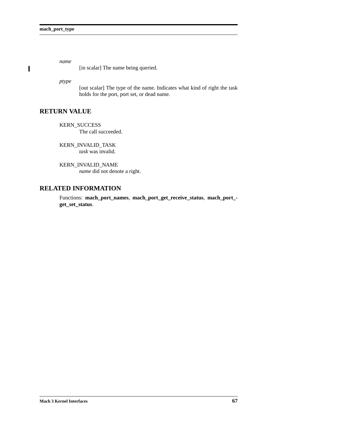$\mathbf I$ 

*name*

[in scalar] The name being queried.

*ptype*

[out scalar] The type of the name. Indicates what kind of right the task holds for the port, port set, or dead name.

# **RETURN VALUE**

KERN\_SUCCESS The call succeeded.

KERN\_INVALID\_TASK *task* was invalid.

KERN\_INVALID\_NAME *name* did not denote a right.

# **RELATED INFORMATION**

Functions: **mach\_port\_names**, **mach\_port\_get\_receive\_status**, **mach\_port\_ get\_set\_status**.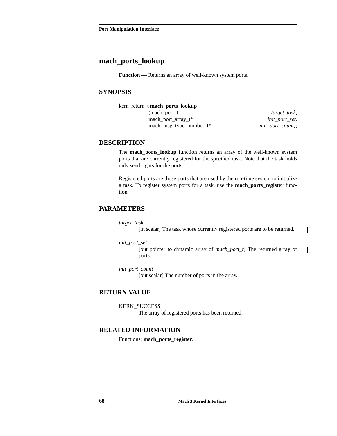# **mach\_ports\_lookup**

**Function** — Returns an array of well-known system ports.

# **SYNOPSIS**

kern\_return\_t **mach\_ports\_lookup**

(mach\_port\_t *target\_task,* mach\_port\_array\_t\* *init\_port\_set,* mach\_msg\_type\_number\_t\* *init\_port\_count)*;

 $\blacksquare$ 

 $\blacksquare$ 

# **DESCRIPTION**

The **mach ports lookup** function returns an array of the well-known system ports that are currently registered for the specified task. Note that the task holds only send rights for the ports.

Registered ports are those ports that are used by the run-time system to initialize a task. To register system ports for a task, use the **mach\_ports\_register** function.

# **PARAMETERS**

*target\_task*

[in scalar] The task whose currently registered ports are to be returned.

#### *init\_port\_set*

[out pointer to dynamic array of *mach\_port\_t*] The returned array of ports.

#### *init\_port\_count*

[out scalar] The number of ports in the array.

# **RETURN VALUE**

#### KERN\_SUCCESS

The array of registered ports has been returned.

## **RELATED INFORMATION**

Functions: **mach\_ports\_register**.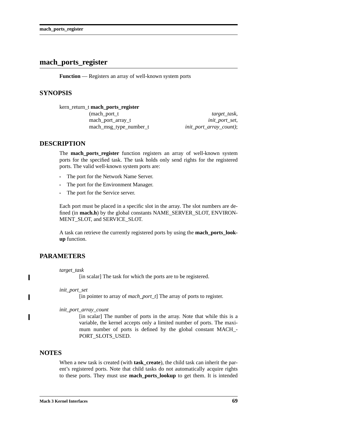# **mach\_ports\_register**

**Function** — Registers an array of well-known system ports

### **SYNOPSIS**

kern\_return\_t **mach\_ports\_register** (mach\_port\_t *target\_task,* mach\_port\_array\_t *init\_port\_set,* mach\_msg\_type\_number\_t *init\_port\_array\_count)*;

# **DESCRIPTION**

The **mach\_ports\_register** function registers an array of well-known system ports for the specified task. The task holds only send rights for the registered ports. The valid well-known system ports are:

- The port for the Network Name Server.
- The port for the Environment Manager.
- The port for the Service server.

Each port must be placed in a specific slot in the array. The slot numbers are defined (in **mach.h**) by the global constants NAME\_SERVER\_SLOT, ENVIRON-MENT\_SLOT, and SERVICE\_SLOT.

A task can retrieve the currently registered ports by using the **mach\_ports\_lookup** function.

### **PARAMETERS**

Ι

#### *target\_task*

[in scalar] The task for which the ports are to be registered.

#### *init\_port\_set*

[in pointer to array of *mach\_port\_t*] The array of ports to register.

*init\_port\_array\_count*

[in scalar] The number of ports in the array. Note that while this is a variable, the kernel accepts only a limited number of ports. The maximum number of ports is defined by the global constant MACH\_- PORT\_SLOTS\_USED.

# **NOTES**

When a new task is created (with **task\_create**), the child task can inherit the parent's registered ports. Note that child tasks do not automatically acquire rights to these ports. They must use **mach\_ports\_lookup** to get them. It is intended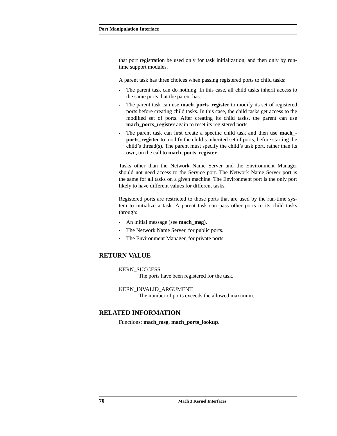that port registration be used only for task initialization, and then only by runtime support modules.

A parent task has three choices when passing registered ports to child tasks:

- The parent task can do nothing. In this case, all child tasks inherit access to the same ports that the parent has.
- The parent task can use **mach\_ports\_register** to modify its set of registered ports before creating child tasks. In this case, the child tasks get access to the modified set of ports. After creating its child tasks. the parent can use **mach\_ports\_register** again to reset its registered ports.
- The parent task can first create a specific child task and then use **mach\_ ports\_register** to modify the child's inherited set of ports, before starting the child's thread(s). The parent must specify the child's task port, rather than its own, on the call to **mach\_ports\_register**.

Tasks other than the Network Name Server and the Environment Manager should not need access to the Service port. The Network Name Server port is the same for all tasks on a given machine. The Environment port is the only port likely to have different values for different tasks.

Registered ports are restricted to those ports that are used by the run-time system to initialize a task. A parent task can pass other ports to its child tasks through:

- An initial message (see **mach\_msg**).
- The Network Name Server, for public ports.
- The Environment Manager, for private ports.

# **RETURN VALUE**

#### KERN\_SUCCESS

The ports have been registered for the task.

KERN\_INVALID\_ARGUMENT The number of ports exceeds the allowed maximum.

### **RELATED INFORMATION**

Functions: **mach\_msg**, **mach\_ports\_lookup**.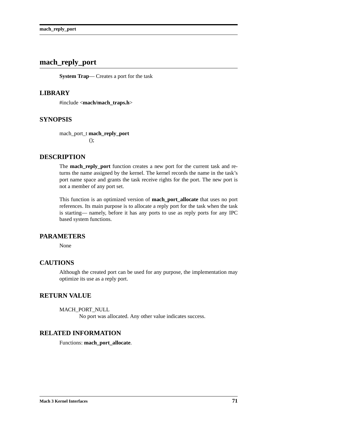# **mach\_reply\_port**

**System Trap**— Creates a port for the task

### **LIBRARY**

#include <**mach/mach\_traps.h**>

### **SYNOPSIS**

mach\_port\_t **mach\_reply\_port** ();

### **DESCRIPTION**

The **mach\_reply\_port** function creates a new port for the current task and returns the name assigned by the kernel. The kernel records the name in the task's port name space and grants the task receive rights for the port. The new port is not a member of any port set.

This function is an optimized version of **mach\_port\_allocate** that uses no port references. Its main purpose is to allocate a reply port for the task when the task is starting— namely, before it has any ports to use as reply ports for any IPC based system functions.

# **PARAMETERS**

None

# **CAUTIONS**

Although the created port can be used for any purpose, the implementation may optimize its use as a reply port.

## **RETURN VALUE**

MACH\_PORT\_NULL

No port was allocated. Any other value indicates success.

# **RELATED INFORMATION**

Functions: **mach\_port\_allocate**.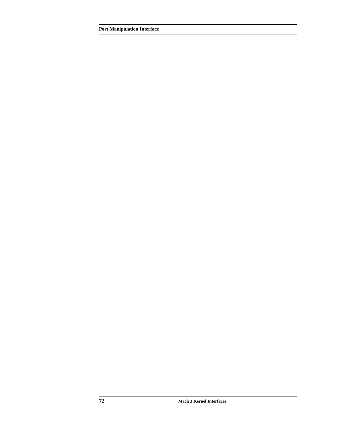**Port Manipulation Interface**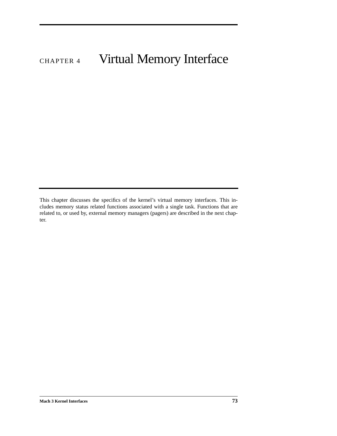# CHAPTER 4 Virtual Memory Interface

This chapter discusses the specifics of the kernel's virtual memory interfaces. This includes memory status related functions associated with a single task. Functions that are related to, or used by, external memory managers (pagers) are described in the next chapter.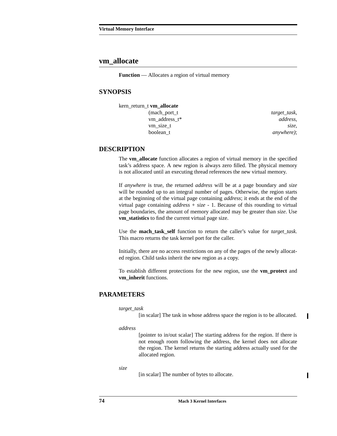# **vm\_allocate**

**Function** — Allocates a region of virtual memory

# **SYNOPSIS**

kern\_return\_t **vm\_allocate** (mach\_port\_t *target\_task,* vm\_address\_t\* *address*, vm size t size, boolean t anywhere);

 $\overline{\phantom{a}}$ 

### **DESCRIPTION**

The **vm\_allocate** function allocates a region of virtual memory in the specified task's address space. A new region is always zero filled. The physical memory is not allocated until an executing thread references the new virtual memory.

If *anywhere* is true, the returned *address* will be at a page boundary and *size* will be rounded up to an integral number of pages. Otherwise, the region starts at the beginning of the virtual page containing *address*; it ends at the end of the virtual page containing *address* + *size* - 1. Because of this rounding to virtual page boundaries, the amount of memory allocated may be greater than *size*. Use **vm\_statistics** to find the current virtual page size.

Use the **mach\_task\_self** function to return the caller's value for *target\_task*. This macro returns the task kernel port for the caller.

Initially, there are no access restrictions on any of the pages of the newly allocated region. Child tasks inherit the new region as a copy.

To establish different protections for the new region, use the **vm\_protect** and **vm\_inherit** functions.

### **PARAMETERS**

```
target_task
```
[in scalar] The task in whose address space the region is to be allocated.

```
address
```
[pointer to in/out scalar] The starting address for the region. If there is not enough room following the address, the kernel does not allocate the region. The kernel returns the starting address actually used for the allocated region.

*size*

[in scalar] The number of bytes to allocate.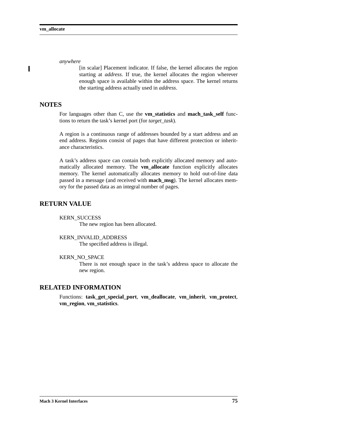*anywhere*

[in scalar] Placement indicator. If false, the kernel allocates the region starting at *address*. If true, the kernel allocates the region wherever enough space is available within the address space. The kernel returns the starting address actually used in *address*.

### **NOTES**

Ι

For languages other than C, use the **vm\_statistics** and **mach\_task\_self** functions to return the task's kernel port (for *target\_task*).

A region is a continuous range of addresses bounded by a start address and an end address. Regions consist of pages that have different protection or inheritance characteristics.

A task's address space can contain both explicitly allocated memory and automatically allocated memory. The **vm\_allocate** function explicitly allocates memory. The kernel automatically allocates memory to hold out-of-line data passed in a message (and received with **mach\_msg**). The kernel allocates memory for the passed data as an integral number of pages.

# **RETURN VALUE**

KERN\_SUCCESS

The new region has been allocated.

KERN\_INVALID\_ADDRESS

The specified address is illegal.

# KERN\_NO\_SPACE

There is not enough space in the task's address space to allocate the new region.

### **RELATED INFORMATION**

Functions: **task\_get\_special\_port**, **vm\_deallocate**, **vm\_inherit**, **vm\_protect**, **vm\_region**, **vm\_statistics**.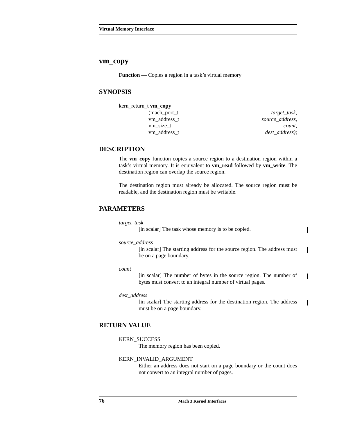# **vm\_copy**

Function — Copies a region in a task's virtual memory

# **SYNOPSIS**

kern\_return\_t **vm\_copy**

(mach\_port\_t *target\_task,* vm\_address\_t *source\_address*, vm\_size\_t *count,* vm\_address\_t *dest\_address)*;

 $\blacksquare$ 

 $\mathbf I$ 

 $\mathbf I$ 

# **DESCRIPTION**

The **vm\_copy** function copies a source region to a destination region within a task's virtual memory. It is equivalent to **vm\_read** followed by **vm\_write**. The destination region can overlap the source region.

The destination region must already be allocated. The source region must be readable, and the destination region must be writable.

# **PARAMETERS**

*target\_task*

[in scalar] The task whose memory is to be copied.

*source\_address*

[in scalar] The starting address for the source region. The address must be on a page boundary.

#### *count*

[in scalar] The number of bytes in the source region. The number of bytes must convert to an integral number of virtual pages.

#### *dest\_address*

[in scalar] The starting address for the destination region. The address must be on a page boundary.

# **RETURN VALUE**

#### KERN\_SUCCESS

The memory region has been copied.

#### KERN\_INVALID\_ARGUMENT

Either an address does not start on a page boundary or the count does not convert to an integral number of pages.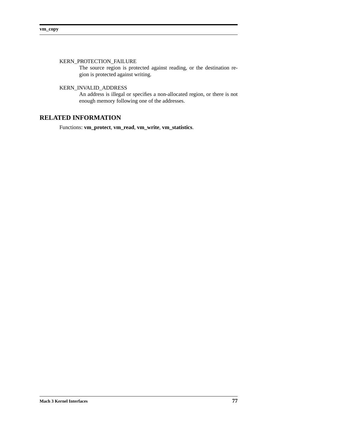# KERN\_PROTECTION\_FAILURE

The source region is protected against reading, or the destination region is protected against writing.

# KERN\_INVALID\_ADDRESS

An address is illegal or specifies a non-allocated region, or there is not enough memory following one of the addresses.

# **RELATED INFORMATION**

Functions: **vm\_protect**, **vm\_read**, **vm\_write**, **vm\_statistics**.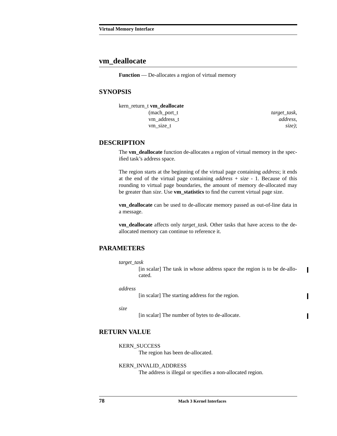# **vm\_deallocate**

**Function** — De-allocates a region of virtual memory

# **SYNOPSIS**

kern\_return\_t **vm\_deallocate** (mach\_port\_t *target\_task,* vm\_address\_t *address*,

vm\_size\_t *size)*;

 $\blacksquare$ 

 $\blacksquare$ 

# **DESCRIPTION**

The **vm\_deallocate** function de-allocates a region of virtual memory in the specified task's address space.

The region starts at the beginning of the virtual page containing *address*; it ends at the end of the virtual page containing *address* + *size* - 1. Because of this rounding to virtual page boundaries, the amount of memory de-allocated may be greater than *size*. Use **vm\_statistics** to find the current virtual page size.

**vm\_deallocate** can be used to de-allocate memory passed as out-of-line data in a message.

**vm** deallocate affects only *target task*. Other tasks that have access to the deallocated memory can continue to reference it.

# **PARAMETERS**

```
target_task
```
[in scalar] The task in whose address space the region is to be de-allocated.

*address*

[in scalar] The starting address for the region.

*size*

[in scalar] The number of bytes to de-allocate.

# **RETURN VALUE**

KERN\_SUCCESS

The region has been de-allocated.

#### KERN\_INVALID\_ADDRESS

The address is illegal or specifies a non-allocated region.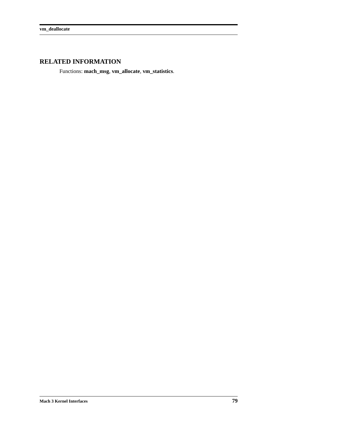# **RELATED INFORMATION**

Functions: **mach\_msg**, **vm\_allocate**, **vm\_statistics**.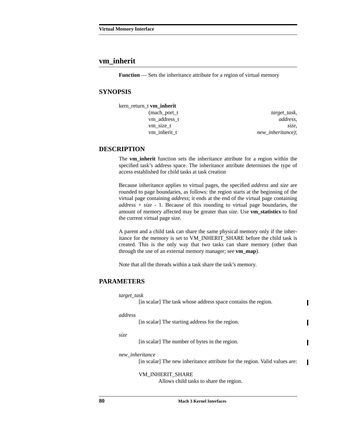# **vm\_inherit**

**Function** — Sets the inheritance attribute for a region of virtual memory

# **SYNOPSIS**

kern\_return\_t **vm\_inherit**

(mach\_port\_t *target\_task,* vm\_address\_t *address*, vm size t size, vm\_inherit\_t *new\_inheritance)*;

 $\blacksquare$ 

 $\blacksquare$ 

# **DESCRIPTION**

The **vm\_inherit** function sets the inheritance attribute for a region within the specified task's address space. The inheritance attribute determines the type of access established for child tasks at task creation

Because inheritance applies to virtual pages, the specified *address* and *size* are rounded to page boundaries, as follows: the region starts at the beginning of the virtual page containing *address*; it ends at the end of the virtual page containing *address* + *size* - 1. Because of this rounding to virtual page boundaries, the amount of memory affected may be greater than *size*. Use **vm\_statistics** to find the current virtual page size.

A parent and a child task can share the same physical memory only if the inheritance for the memory is set to VM\_INHERIT\_SHARE before the child task is created. This is the only way that two tasks can share memory (other than through the use of an external memory manager; see **vm\_map**).

Note that all the threads within a task share the task's memory.

# **PARAMETERS**

*target\_task*

[in scalar] The task whose address space contains the region.

*address*

[in scalar] The starting address for the region.

*size*

[in scalar] The number of bytes in the region.

*new\_inheritance*

[in scalar] The new inheritance attribute for the region. Valid values are:

VM\_INHERIT\_SHARE Allows child tasks to share the region.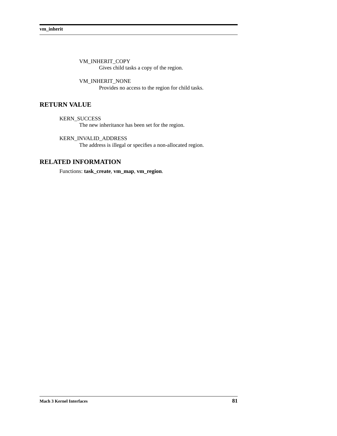VM\_INHERIT\_COPY Gives child tasks a copy of the region.

VM\_INHERIT\_NONE Provides no access to the region for child tasks.

# **RETURN VALUE**

KERN\_SUCCESS The new inheritance has been set for the region.

KERN\_INVALID\_ADDRESS The address is illegal or specifies a non-allocated region.

# **RELATED INFORMATION**

Functions: **task\_create**, **vm\_map**, **vm\_region**.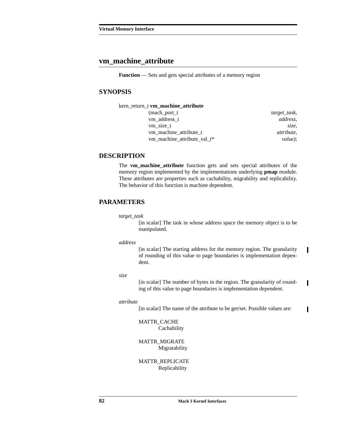# **vm\_machine\_attribute**

**Function** — Sets and gets special attributes of a memory region

# **SYNOPSIS**

kern\_return\_t **vm\_machine\_attribute** (mach\_port\_t *target\_task,* vm\_address\_t *address*, vm\_size\_t *size,* vm\_machine\_attribute\_t *attribute,* vm\_machine\_attribute\_val\_t\* *value)*;

### **DESCRIPTION**

The **vm\_machine\_attribute** function gets and sets special attributes of the memory region implemented by the implementations underlying **pmap** module. These attributes are properties such as cachability, migrability and replicability. The behavior of this function is machine dependent.

### **PARAMETERS**

#### *target\_task*

[in scalar] The task in whose address space the memory object is to be manipulated.

#### *address*

[in scalar] The starting address for the memory region. The granularity of rounding of this value to page boundaries is implementation dependent.

 $\blacksquare$ 

 $\blacksquare$ 

 $\blacksquare$ 

#### *size*

[in scalar] The number of bytes in the region. The granularity of rounding of this value to page boundaries is implementation dependent.

#### *attribute*

[in scalar] The name of the attribute to be get/set. Possible values are:

MATTR\_CACHE **Cachability** 

MATTR\_MIGRATE Migratability

MATTR\_REPLICATE Replicability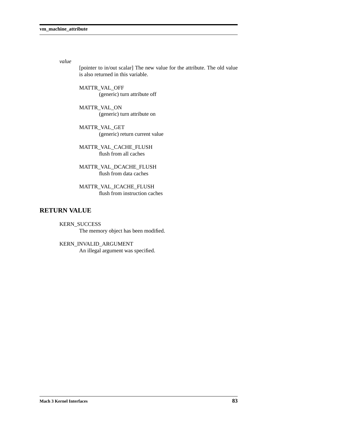*value*

[pointer to in/out scalar] The new value for the attribute. The old value is also returned in this variable.

MATTR\_VAL\_OFF (generic) turn attribute off

MATTR\_VAL\_ON (generic) turn attribute on

MATTR\_VAL\_GET (generic) return current value

MATTR\_VAL\_CACHE\_FLUSH flush from all caches

MATTR\_VAL\_DCACHE\_FLUSH flush from data caches

MATTR\_VAL\_ICACHE\_FLUSH flush from instruction caches

# **RETURN VALUE**

KERN\_SUCCESS The memory object has been modified.

KERN\_INVALID\_ARGUMENT An illegal argument was specified.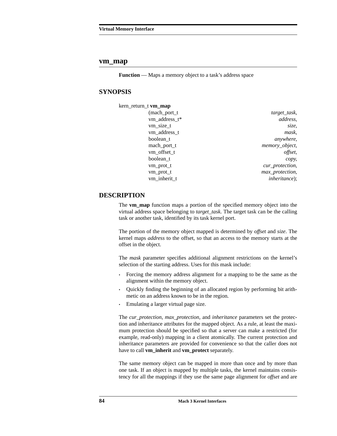# **vm\_map**

**Function** — Maps a memory object to a task's address space

# **SYNOPSIS**

| kern_return_t <b>vm_map</b> |                       |
|-----------------------------|-----------------------|
| (mach port t                | target task,          |
| vm address t*               | <i>address</i> .      |
| vm size t                   | size,                 |
| vm_address_t                | mask.                 |
| boolean t                   | <i>anywhere,</i>      |
| mach_port_t                 | <i>memory_object,</i> |
| vm_offset_t                 | offset,               |
| boolean t                   | copy,                 |
| vm_prot_t                   | cur_protection,       |
| vm_prot_t                   | max_protection,       |
| vm_inherit_t                | <i>inheritance</i> ); |

### **DESCRIPTION**

The **vm\_map** function maps a portion of the specified memory object into the virtual address space belonging to *target\_task*. The target task can be the calling task or another task, identified by its task kernel port.

The portion of the memory object mapped is determined by *offset* and *size*. The kernel maps *address* to the offset, so that an access to the memory starts at the offset in the object.

The *mask* parameter specifies additional alignment restrictions on the kernel's selection of the starting address. Uses for this mask include:

- Forcing the memory address alignment for a mapping to be the same as the alignment within the memory object.
- Quickly finding the beginning of an allocated region by performing bit arithmetic on an address known to be in the region.
- Emulating a larger virtual page size.

The *cur\_protection*, *max\_protection*, and *inheritance* parameters set the protection and inheritance attributes for the mapped object. As a rule, at least the maximum protection should be specified so that a server can make a restricted (for example, read-only) mapping in a client atomically. The current protection and inheritance parameters are provided for convenience so that the caller does not have to call **vm\_inherit** and **vm\_protect** separately.

The same memory object can be mapped in more than once and by more than one task. If an object is mapped by multiple tasks, the kernel maintains consistency for all the mappings if they use the same page alignment for *offset* and are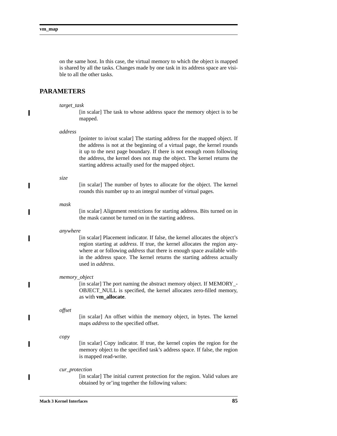I

I

I

Π

I

I

on the same host. In this case, the virtual memory to which the object is mapped is shared by all the tasks. Changes made by one task in its address space are visible to all the other tasks.

# **PARAMETERS**

#### *target\_task*

[in scalar] The task to whose address space the memory object is to be mapped.

#### *address*

[pointer to in/out scalar] The starting address for the mapped object. If the address is not at the beginning of a virtual page, the kernel rounds it up to the next page boundary. If there is not enough room following the address, the kernel does not map the object. The kernel returns the starting address actually used for the mapped object.

### *size*

[in scalar] The number of bytes to allocate for the object. The kernel rounds this number up to an integral number of virtual pages.

#### *mask*

[in scalar] Alignment restrictions for starting address. Bits turned on in the mask cannot be turned on in the starting address.

#### *anywhere*

[in scalar] Placement indicator. If false, the kernel allocates the object's region starting at *address*. If true, the kernel allocates the region anywhere at or following *address* that there is enough space available within the address space. The kernel returns the starting address actually used in *address*.

#### *memory\_object*

[in scalar] The port naming the abstract memory object. If MEMORY\_- OBJECT\_NULL is specified, the kernel allocates zero-filled memory, as with **vm\_allocate**.

#### *offset*

[in scalar] An offset within the memory object, in bytes. The kernel maps *address* to the specified offset.

#### *copy*

[in scalar] Copy indicator. If true, the kernel copies the region for the memory object to the specified task's address space. If false, the region is mapped read-write.

#### *cur\_protection*

[in scalar] The initial current protection for the region. Valid values are obtained by or'ing together the following values: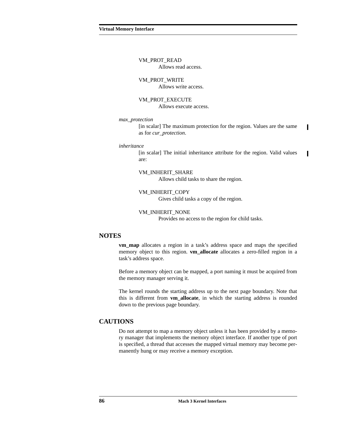VM\_PROT\_READ Allows read access.

VM\_PROT\_WRITE Allows write access.

VM\_PROT\_EXECUTE Allows execute access.

#### *max\_protection*

[in scalar] The maximum protection for the region. Values are the same as for *cur\_protection*.

 $\blacksquare$ 

П

### *inheritance*

[in scalar] The initial inheritance attribute for the region. Valid values are:

### VM\_INHERIT\_SHARE Allows child tasks to share the region.

### VM\_INHERIT\_COPY

Gives child tasks a copy of the region.

#### VM\_INHERIT\_NONE

Provides no access to the region for child tasks.

### **NOTES**

**vm\_map** allocates a region in a task's address space and maps the specified memory object to this region. **vm\_allocate** allocates a zero-filled region in a task's address space.

Before a memory object can be mapped, a port naming it must be acquired from the memory manager serving it.

The kernel rounds the starting address up to the next page boundary. Note that this is different from **vm\_allocate**, in which the starting address is rounded down to the previous page boundary.

### **CAUTIONS**

Do not attempt to map a memory object unless it has been provided by a memory manager that implements the memory object interface. If another type of port is specified, a thread that accesses the mapped virtual memory may become permanently hung or may receive a memory exception.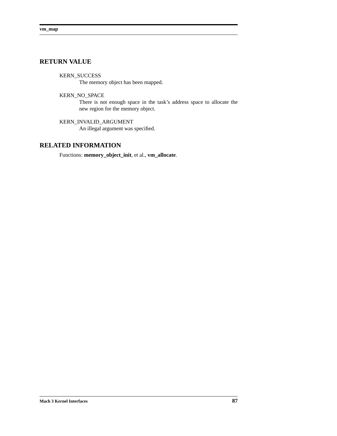# **RETURN VALUE**

# KERN\_SUCCESS

The memory object has been mapped.

# KERN\_NO\_SPACE

There is not enough space in the task's address space to allocate the new region for the memory object.

# KERN\_INVALID\_ARGUMENT An illegal argument was specified.

# **RELATED INFORMATION**

Functions: **memory\_object\_init**, et al., **vm\_allocate**.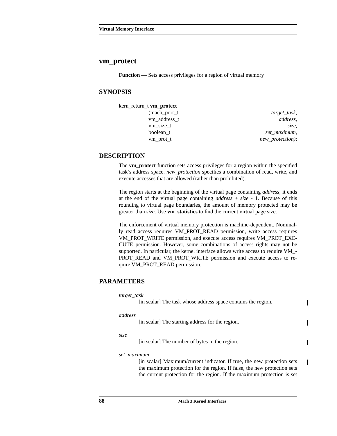# **vm\_protect**

**Function** — Sets access privileges for a region of virtual memory

# **SYNOPSIS**

|                  | kern_return_t vm_protect |
|------------------|--------------------------|
| target task,     | (mach_port_t)            |
| address.         | vm address t             |
| size.            | vm size t                |
| set maximum,     | boolean t                |
| new_protection); | vm_prot_t                |
|                  |                          |

## **DESCRIPTION**

The **vm** protect function sets access privileges for a region within the specified task's address space. *new\_protection* specifies a combination of read, write, and execute accesses that are allowed (rather than prohibited).

The region starts at the beginning of the virtual page containing *address*; it ends at the end of the virtual page containing *address* + *size* - 1. Because of this rounding to virtual page boundaries, the amount of memory protected may be greater than *size*. Use **vm\_statistics** to find the current virtual page size.

The enforcement of virtual memory protection is machine-dependent. Nominally read access requires VM\_PROT\_READ permission, write access requires VM\_PROT\_WRITE permission, and execute access requires VM\_PROT\_EXE-CUTE permission. However, some combinations of access rights may not be supported. In particular, the kernel interface allows write access to require VM\_- PROT\_READ and VM\_PROT\_WRITE permission and execute access to require VM\_PROT\_READ permission.

# **PARAMETERS**

#### *target\_task*

[in scalar] The task whose address space contains the region.

*address*

[in scalar] The starting address for the region.

#### *size*

[in scalar] The number of bytes in the region.

### *set\_maximum*

[in scalar] Maximum/current indicator. If true, the new protection sets the maximum protection for the region. If false, the new protection sets the current protection for the region. If the maximum protection is set  $\blacksquare$ 

 $\blacksquare$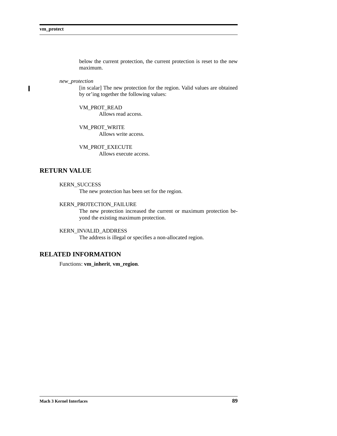Ι

below the current protection, the current protection is reset to the new maximum.

*new\_protection*

[in scalar] The new protection for the region. Valid values are obtained by or'ing together the following values:

VM\_PROT\_READ Allows read access.

VM\_PROT\_WRITE Allows write access.

VM\_PROT\_EXECUTE Allows execute access.

# **RETURN VALUE**

KERN\_SUCCESS The new protection has been set for the region.

# KERN\_PROTECTION\_FAILURE

The new protection increased the current or maximum protection beyond the existing maximum protection.

KERN\_INVALID\_ADDRESS The address is illegal or specifies a non-allocated region.

# **RELATED INFORMATION**

Functions: **vm\_inherit**, **vm\_region**.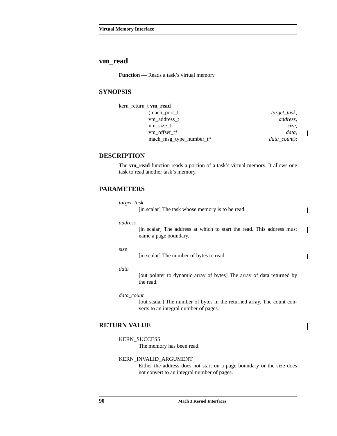# **vm\_read**

**Function** — Reads a task's virtual memory

# **SYNOPSIS**

| kern_return_t <b>vm_read</b> |              |
|------------------------------|--------------|
| (mach_port_t)                | target task, |
| vm address t                 | address.     |
| vm size t                    | size,        |
| vm offset t*                 | data,        |
| mach_msg_type_number_t*      | data count); |

 $\mathbf I$ 

 $\blacksquare$ 

 $\mathbf I$ 

 $\blacksquare$ 

### **DESCRIPTION**

The **vm\_read** function reads a portion of a task's virtual memory. It allows one task to read another task's memory.

# **PARAMETERS**

#### *target\_task*

[in scalar] The task whose memory is to be read.

### *address*

[in scalar] The address at which to start the read. This address must name a page boundary.

#### *size*

[in scalar] The number of bytes to read.

### *data*

[out pointer to dynamic array of bytes] The array of data returned by the read.

### *data\_count*

[out scalar] The number of bytes in the returned array. The count converts to an integral number of pages.

# **RETURN VALUE**

### KERN\_SUCCESS

The memory has been read.

#### KERN\_INVALID\_ARGUMENT

Either the address does not start on a page boundary or the size does not convert to an integral number of pages.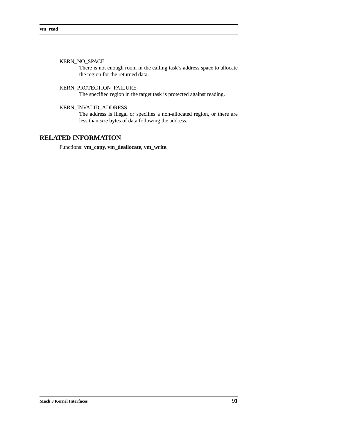### KERN\_NO\_SPACE

There is not enough room in the calling task's address space to allocate the region for the returned data.

# KERN\_PROTECTION\_FAILURE

The specified region in the target task is protected against reading.

### KERN\_INVALID\_ADDRESS

The address is illegal or specifies a non-allocated region, or there are less than *size* bytes of data following the address.

# **RELATED INFORMATION**

Functions: **vm\_copy**, **vm\_deallocate**, **vm\_write**.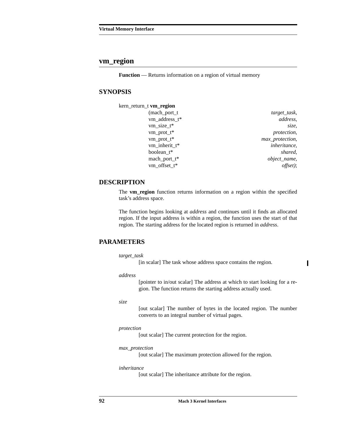# **vm\_region**

**Function** — Returns information on a region of virtual memory

# **SYNOPSIS**

|                    | kern_return_t vm_region |
|--------------------|-------------------------|
| target_task,       | (mach_port_t            |
| address,           | vm_address_t*           |
| size,              | vm size t*              |
| <i>protection,</i> | $vm\_prot_t*$           |
| max_protection,    | vm_prot_t*              |
| inheritance,       | vm inherit t*           |
| shared.            | boolean $_t^*$          |
| object_name,       | $mach\_port_t*$         |
| offset);           | vm_offset_t*            |

### **DESCRIPTION**

The **vm\_region** function returns information on a region within the specified task's address space.

The function begins looking at *address* and continues until it finds an allocated region. If the input address is within a region, the function uses the start of that region. The starting address for the located region is returned in *address*.

# **PARAMETERS**

#### *target\_task*

[in scalar] The task whose address space contains the region.

#### *address*

[pointer to in/out scalar] The address at which to start looking for a region. The function returns the starting address actually used.

 $\blacksquare$ 

#### *size*

[out scalar] The number of bytes in the located region. The number converts to an integral number of virtual pages.

#### *protection*

[out scalar] The current protection for the region.

### *max\_protection*

[out scalar] The maximum protection allowed for the region.

#### *inheritance*

[out scalar] The inheritance attribute for the region.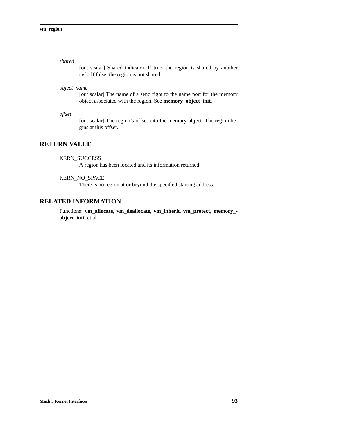#### *shared*

[out scalar] Shared indicator. If true, the region is shared by another task. If false, the region is not shared.

### *object\_name*

[out scalar] The name of a send right to the name port for the memory object associated with the region. See **memory\_object\_init**.

### *offset*

[out scalar] The region's offset into the memory object. The region begins at this offset.

### **RETURN VALUE**

### KERN\_SUCCESS

A region has been located and its information returned.

### KERN\_NO\_SPACE

There is no region at or beyond the specified starting address.

# **RELATED INFORMATION**

Functions: **vm\_allocate**, **vm\_deallocate**, **vm\_inherit**, **vm\_protect, memory\_ object\_init**, et al.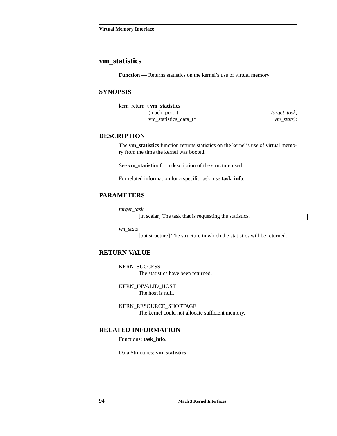# **vm\_statistics**

**Function** — Returns statistics on the kernel's use of virtual memory

### **SYNOPSIS**

kern\_return\_t **vm\_statistics** (mach\_port\_t *target\_task,* vm\_statistics\_data\_t\* *vm\_stats)*;

Π

# **DESCRIPTION**

The **vm** statistics function returns statistics on the kernel's use of virtual memory from the time the kernel was booted.

See **vm\_statistics** for a description of the structure used.

For related information for a specific task, use **task\_info**.

# **PARAMETERS**

*target\_task*

[in scalar] The task that is requesting the statistics.

*vm\_stats*

[out structure] The structure in which the statistics will be returned.

# **RETURN VALUE**

KERN\_SUCCESS The statistics have been returned.

KERN\_INVALID\_HOST The host is null.

KERN\_RESOURCE\_SHORTAGE The kernel could not allocate sufficient memory.

# **RELATED INFORMATION**

Functions: **task\_info**.

Data Structures: **vm\_statistics**.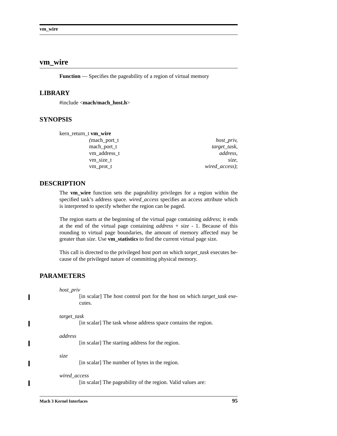# **vm\_wire**

**Function** — Specifies the pageability of a region of virtual memory

#### **LIBRARY**

#include <**mach/mach\_host.h**>

### **SYNOPSIS**

kern\_return\_t **vm\_wire**

| (mach port t | host_priv,     |
|--------------|----------------|
| mach_port_t  | target task,   |
| vm address t | address.       |
| vm size t    | size.          |
| vm prot t    | wired_access); |
|              |                |

### **DESCRIPTION**

The **vm\_wire** function sets the pageability privileges for a region within the specified task's address space. *wired\_access* specifies an access attribute which is interpreted to specify whether the region can be paged.

The region starts at the beginning of the virtual page containing *address*; it ends at the end of the virtual page containing *address* + *size* - 1. Because of this rounding to virtual page boundaries, the amount of memory affected may be greater than *size*. Use **vm\_statistics** to find the current virtual page size.

This call is directed to the privileged host port on which *target\_task* executes because of the privileged nature of committing physical memory.

# **PARAMETERS**

 $\mathbf{I}$ 

 $\blacksquare$ 

I

Г

*host\_priv*

[in scalar] The host control port for the host on which *target\_task* executes.

*target\_task*

[in scalar] The task whose address space contains the region.

### *address*

[in scalar] The starting address for the region.

*size*

[in scalar] The number of bytes in the region.

*wired\_access*

[in scalar] The pageability of the region. Valid values are: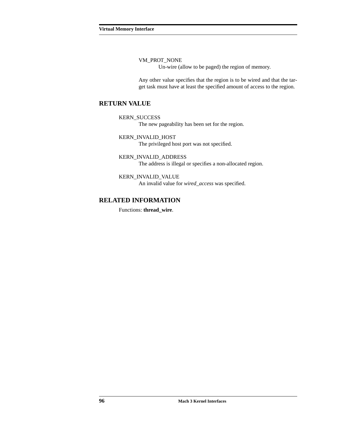### VM\_PROT\_NONE

Un-wire (allow to be paged) the region of memory.

Any other value specifies that the region is to be wired and that the target task must have at least the specified amount of access to the region.

# **RETURN VALUE**

KERN\_SUCCESS The new pageability has been set for the region.

KERN\_INVALID\_HOST The privileged host port was not specified.

KERN\_INVALID\_ADDRESS The address is illegal or specifies a non-allocated region.

KERN\_INVALID\_VALUE An invalid value for *wired\_access* was specified.

# **RELATED INFORMATION**

Functions: **thread\_wire**.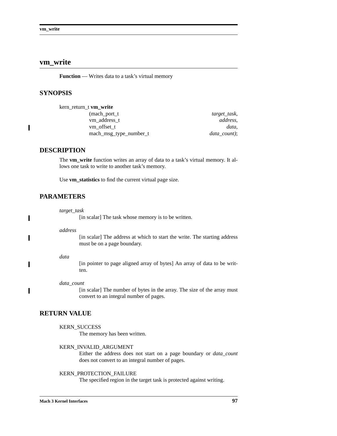# **vm\_write**

**Function** — Writes data to a task's virtual memory

### **SYNOPSIS**

 $\mathbf{I}$ 

 $\mathbf{I}$ 

Г

 $\mathbf{I}$ 

| kern_return_t <b>vm_write</b> |              |
|-------------------------------|--------------|
| (mach port t                  | target_task, |
| vm address t                  | address.     |
| vm offset t                   | data,        |
| mach_msg_type_number_t        | data count); |

### **DESCRIPTION**

The **vm\_write** function writes an array of data to a task's virtual memory. It allows one task to write to another task's memory.

Use **vm\_statistics** to find the current virtual page size.

# **PARAMETERS**

#### *target\_task*

[in scalar] The task whose memory is to be written.

#### *address*

[in scalar] The address at which to start the write. The starting address must be on a page boundary.

#### *data*

[in pointer to page aligned array of bytes] An array of data to be written.

#### *data\_count*

[in scalar] The number of bytes in the array. The size of the array must convert to an integral number of pages.

# **RETURN VALUE**

### KERN\_SUCCESS

The memory has been written.

#### KERN\_INVALID\_ARGUMENT

Either the address does not start on a page boundary or *data\_count* does not convert to an integral number of pages.

#### KERN\_PROTECTION\_FAILURE

The specified region in the target task is protected against writing.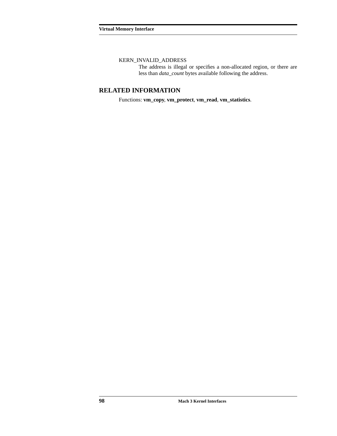### KERN\_INVALID\_ADDRESS

The address is illegal or specifies a non-allocated region, or there are less than *data\_count* bytes available following the address.

# **RELATED INFORMATION**

Functions: **vm\_copy**, **vm\_protect**, **vm\_read**, **vm\_statistics**.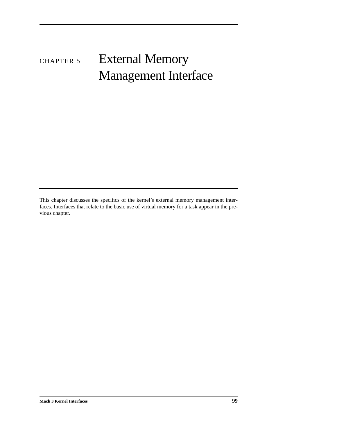# CHAPTER 5 External Memory Management Interface

This chapter discusses the specifics of the kernel's external memory management interfaces. Interfaces that relate to the basic use of virtual memory for a task appear in the previous chapter.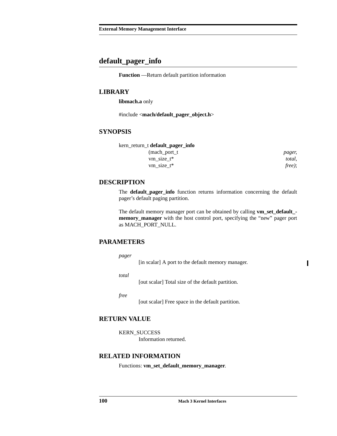# **default\_pager\_info**

**Function** —Return default partition information

### **LIBRARY**

**libmach.a** only

#include <**mach/default\_pager\_object.h**>

# **SYNOPSIS**

kern\_return\_t **default\_pager\_info** (mach\_port\_t *pager,* vm\_size\_t\* *total,* vm\_size\_t\* *free*);

# **DESCRIPTION**

The **default\_pager\_info** function returns information concerning the default pager's default paging partition.

The default memory manager port can be obtained by calling **vm\_set\_default\_ memory\_manager** with the host control port, specifying the "new" pager port as MACH\_PORT\_NULL.

 $\blacksquare$ 

### **PARAMETERS**

*pager*

[in scalar] A port to the default memory manager.

*total*

[out scalar] Total size of the default partition.

*free*

[out scalar] Free space in the default partition.

# **RETURN VALUE**

KERN\_SUCCESS Information returned.

### **RELATED INFORMATION**

Functions: **vm\_set\_default\_memory\_manager**.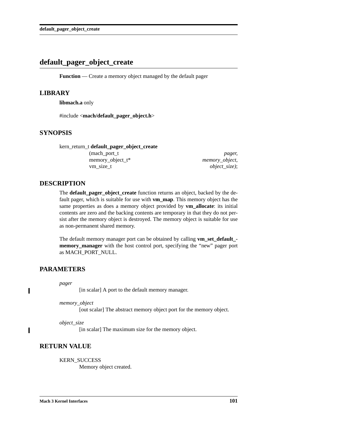# **default\_pager\_object\_create**

**Function** — Create a memory object managed by the default pager

#### **LIBRARY**

**libmach.a** only

#include <**mach/default\_pager\_object.h**>

# **SYNOPSIS**

kern\_return\_t **default\_pager\_object\_create**

memory\_object\_t\* *memory\_object,* vm\_size\_t *object\_size)*;

(mach\_port\_t *pager,*

# **DESCRIPTION**

The **default\_pager\_object\_create** function returns an object, backed by the default pager, which is suitable for use with **vm\_map**. This memory object has the same properties as does a memory object provided by **vm\_allocate**: its initial contents are zero and the backing contents are temporary in that they do not persist after the memory object is destroyed. The memory object is suitable for use as non-permanent shared memory.

The default memory manager port can be obtained by calling **vm\_set\_default\_ memory\_manager** with the host control port, specifying the "new" pager port as MACH\_PORT\_NULL.

# **PARAMETERS**

 $\blacksquare$ 

Г

*pager*

[in scalar] A port to the default memory manager.

*memory\_object*

[out scalar] The abstract memory object port for the memory object.

*object\_size*

[in scalar] The maximum size for the memory object.

# **RETURN VALUE**

KERN\_SUCCESS

Memory object created.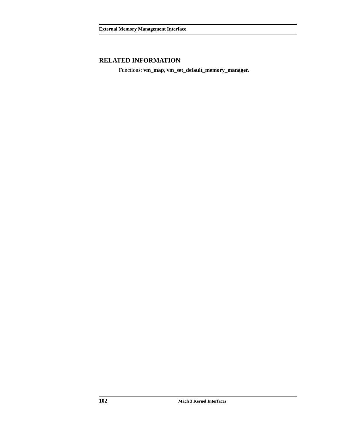# **RELATED INFORMATION**

Functions: **vm\_map**, **vm\_set\_default\_memory\_manager**.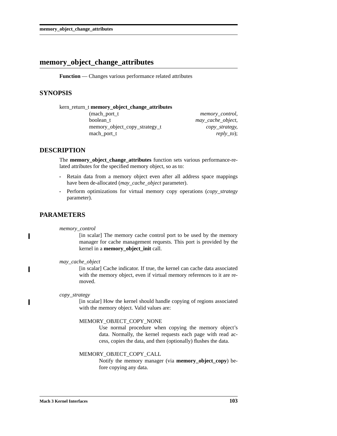# **memory\_object\_change\_attributes**

**Function** — Changes various performance related attributes

### **SYNOPSIS**

kern\_return\_t **memory\_object\_change\_attributes** (mach\_port\_t *memory\_control,*

> boolean\_t *may\_cache\_object,* memory\_object\_copy\_strategy\_t *copy\_strategy,* mach\_port\_t *reply\_to*);

### **DESCRIPTION**

The **memory\_object\_change\_attributes** function sets various performance-related attributes for the specified memory object, so as to:

- Retain data from a memory object even after all address space mappings have been de-allocated (*may\_cache\_object* parameter).
- Perform optimizations for virtual memory copy operations (*copy\_strategy* parameter).

# **PARAMETERS**

I

Г

I

# *memory\_control*

[in scalar] The memory cache control port to be used by the memory manager for cache management requests. This port is provided by the kernel in a **memory\_object\_init** call.

*may\_cache\_object*

[in scalar] Cache indicator. If true, the kernel can cache data associated with the memory object, even if virtual memory references to it are removed.

#### *copy\_strategy*

[in scalar] How the kernel should handle copying of regions associated with the memory object. Valid values are:

### MEMORY\_OBJECT\_COPY\_NONE

Use normal procedure when copying the memory object's data. Normally, the kernel requests each page with read access, copies the data, and then (optionally) flushes the data.

### MEMORY\_OBJECT\_COPY\_CALL

Notify the memory manager (via **memory\_object\_copy**) before copying any data.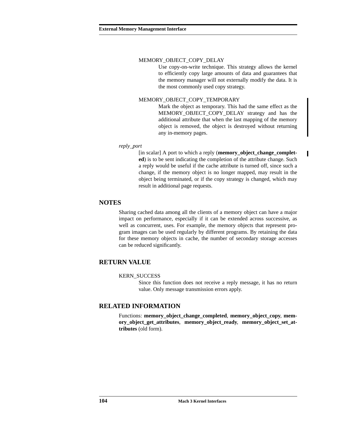### MEMORY\_OBJECT\_COPY\_DELAY

Use copy-on-write technique. This strategy allows the kernel to efficiently copy large amounts of data and guarantees that the memory manager will not externally modify the data. It is the most commonly used copy strategy.

### MEMORY\_OBJECT\_COPY\_TEMPORARY

Mark the object as temporary. This had the same effect as the MEMORY OBJECT COPY DELAY strategy and has the additional attribute that when the last mapping of the memory object is removed, the object is destroyed without returning any in-memory pages.

П

### *reply\_port*

[in scalar] A port to which a reply (**memory** object change complet**ed**) is to be sent indicating the completion of the attribute change. Such a reply would be useful if the cache attribute is turned off, since such a change, if the memory object is no longer mapped, may result in the object being terminated, or if the copy strategy is changed, which may result in additional page requests.

### **NOTES**

Sharing cached data among all the clients of a memory object can have a major impact on performance, especially if it can be extended across successive, as well as concurrent, uses. For example, the memory objects that represent program images can be used regularly by different programs. By retaining the data for these memory objects in cache, the number of secondary storage accesses can be reduced significantly.

# **RETURN VALUE**

#### KERN\_SUCCESS

Since this function does not receive a reply message, it has no return value. Only message transmission errors apply.

# **RELATED INFORMATION**

Functions: **memory\_object\_change\_completed**, **memory\_object\_copy**, **memory\_object\_get\_attributes**, **memory\_object\_ready**, **memory\_object\_set\_attributes** (old form).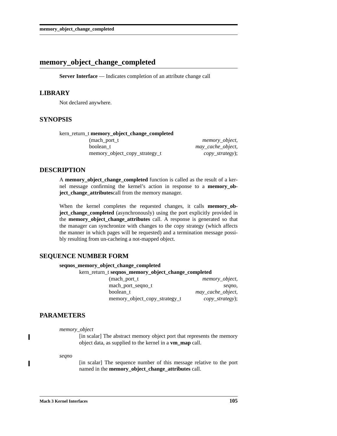# **memory\_object\_change\_completed**

**Server Interface** — Indicates completion of an attribute change call

#### **LIBRARY**

Not declared anywhere.

# **SYNOPSIS**

kern\_return\_t **memory\_object\_change\_completed** (mach\_port\_t *memory\_object,* boolean\_t *may\_cache\_object,* memory\_object\_copy\_strategy\_t *copy\_strategy*);

### **DESCRIPTION**

A **memory\_object\_change\_completed** function is called as the result of a kernel message confirming the kernel's action in response to a **memory\_object\_change\_attributes**call from the memory manager.

When the kernel completes the requested changes, it calls **memory\_object\_change\_completed** (asynchronously) using the port explicitly provided in the **memory\_object\_change\_attributes** call. A response is generated so that the manager can synchronize with changes to the copy strategy (which affects the manner in which pages will be requested) and a termination message possibly resulting from un-cacheing a not-mapped object.

# **SEQUENCE NUMBER FORM**

#### **seqnos\_memory\_object\_change\_completed**

#### kern\_return\_t **seqnos\_memory\_object\_change\_completed**

| memory_object,    |
|-------------------|
| segno,            |
| may_cache_object, |
| copy_strategy);   |
|                   |

### **PARAMETERS**

Ī

 $\blacksquare$ 

*memory\_object*

[in scalar] The abstract memory object port that represents the memory object data, as supplied to the kernel in a **vm\_map** call.

*seqno*

[in scalar] The sequence number of this message relative to the port named in the **memory\_object\_change\_attributes** call.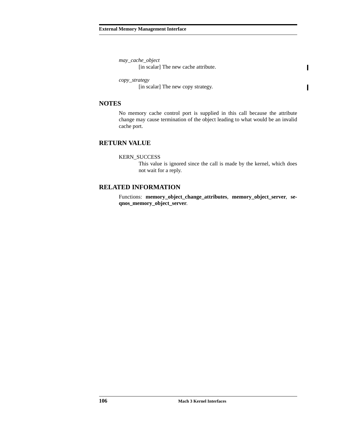*may\_cache\_object*

[in scalar] The new cache attribute.

*copy\_strategy* [in scalar] The new copy strategy.

# $\blacksquare$

 $\blacksquare$ 

# **NOTES**

No memory cache control port is supplied in this call because the attribute change may cause termination of the object leading to what would be an invalid cache port.

# **RETURN VALUE**

### KERN\_SUCCESS

This value is ignored since the call is made by the kernel, which does not wait for a reply.

# **RELATED INFORMATION**

Functions: **memory\_object\_change\_attributes**, **memory\_object\_server**, **seqnos\_memory\_object\_server**.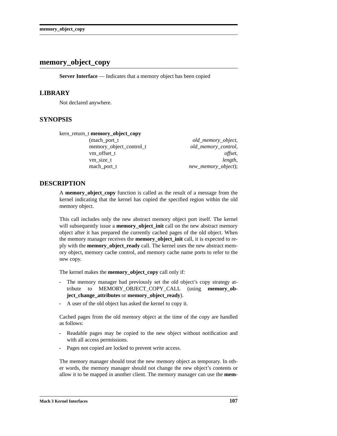# **memory\_object\_copy**

**Server Interface** — Indicates that a memory object has been copied

#### **LIBRARY**

Not declared anywhere.

## **SYNOPSIS**

kern\_return\_t **memory\_object\_copy**

| old_memory_object,  | (mach port t)           |
|---------------------|-------------------------|
| old_memory_control, | memory_object_control_t |
| offset,             | vm_offset_t             |
| length,             | vm size t               |
| new_memory_object); | mach_port_t             |
|                     |                         |

#### **DESCRIPTION**

A **memory\_object\_copy** function is called as the result of a message from the kernel indicating that the kernel has copied the specified region within the old memory object.

This call includes only the new abstract memory object port itself. The kernel will subsequently issue a **memory\_object\_init** call on the new abstract memory object after it has prepared the currently cached pages of the old object. When the memory manager receives the **memory\_object\_init** call, it is expected to reply with the **memory\_object\_ready** call. The kernel uses the new abstract memory object, memory cache control, and memory cache name ports to refer to the new copy.

The kernel makes the **memory\_object\_copy** call only if:

- The memory manager had previously set the old object's copy strategy attribute to MEMORY\_OBJECT\_COPY\_CALL (using **memory\_object\_change\_attributes** or **memory\_object\_ready**).
- A user of the old object has asked the kernel to copy it.

Cached pages from the old memory object at the time of the copy are handled as follows:

- Readable pages may be copied to the new object without notification and with all access permissions.
- Pages not copied are locked to prevent write access.

The memory manager should treat the new memory object as temporary. In other words, the memory manager should not change the new object's contents or allow it to be mapped in another client. The memory manager can use the **mem-**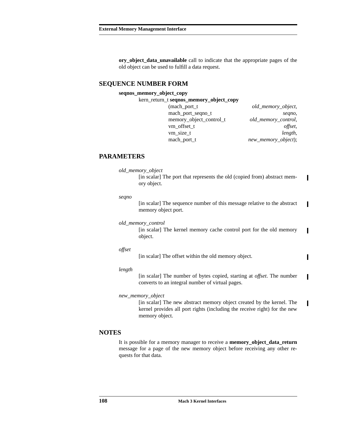**ory\_object\_data\_unavailable** call to indicate that the appropriate pages of the old object can be used to fulfill a data request.

### **SEQUENCE NUMBER FORM**

#### **seqnos\_memory\_object\_copy**

kern\_return\_t **seqnos\_memory\_object\_copy**

(mach\_port\_t *old\_memory\_object,* mach port seqnot **sequot** *seqno*, memory\_object\_control\_t *old\_memory\_control,* vm\_offset\_t *offset*, vm\_size\_t *length,* mach\_port\_t *new\_memory\_object*);

П

Π

Π

Π

 $\mathbf I$ 

Π

### **PARAMETERS**

*old\_memory\_object*

[in scalar] The port that represents the old (copied from) abstract memory object.

#### *seqno*

[in scalar] The sequence number of this message relative to the abstract memory object port.

#### *old\_memory\_control*

[in scalar] The kernel memory cache control port for the old memory object.

#### *offset*

[in scalar] The offset within the old memory object.

#### *length*

[in scalar] The number of bytes copied, starting at *offset*. The number converts to an integral number of virtual pages.

#### *new\_memory\_object*

[in scalar] The new abstract memory object created by the kernel. The kernel provides all port rights (including the receive right) for the new memory object.

### **NOTES**

It is possible for a memory manager to receive a **memory\_object\_data\_return** message for a page of the new memory object before receiving any other requests for that data.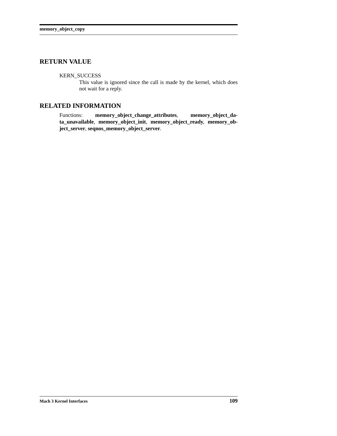# **RETURN VALUE**

# KERN\_SUCCESS

This value is ignored since the call is made by the kernel, which does not wait for a reply.

# **RELATED INFORMATION**

Functions: **memory\_object\_change\_attributes**, **memory\_object\_data\_unavailable**, **memory\_object\_init**, **memory\_object\_ready**, **memory\_object\_server**, **seqnos\_memory\_object\_server**.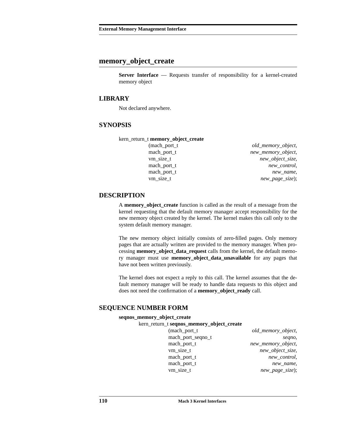# **memory\_object\_create**

**Server Interface** — Requests transfer of responsibility for a kernel-created memory object

### **LIBRARY**

Not declared anywhere.

### **SYNOPSIS**

#### kern\_return\_t **memory\_object\_create**

(mach\_port\_t *old\_memory\_object,* mach port t *new memory object,* vm\_size\_t *new\_object\_size,* mach port t *new control,* mach\_port\_t *new\_name,* vm\_size\_t *new\_page\_size*);

### **DESCRIPTION**

A **memory\_object\_create** function is called as the result of a message from the kernel requesting that the default memory manager accept responsibility for the new memory object created by the kernel. The kernel makes this call only to the system default memory manager.

The new memory object initially consists of zero-filled pages. Only memory pages that are actually written are provided to the memory manager. When processing **memory\_object\_data\_request** calls from the kernel, the default memory manager must use **memory\_object\_data\_unavailable** for any pages that have not been written previously.

The kernel does not expect a reply to this call. The kernel assumes that the default memory manager will be ready to handle data requests to this object and does not need the confirmation of a **memory\_object\_ready** call.

### **SEQUENCE NUMBER FORM**

#### **seqnos\_memory\_object\_create**

kern\_return\_t **seqnos\_memory\_object\_create**

(mach\_port\_t *old\_memory\_object,* mach\_port\_seqno\_t *seqno*, mach\_port\_t *new\_memory\_object,* vm\_size\_t *new\_object\_size,* mach\_port\_t *new\_control,* mach\_port\_t *new\_name,* vm\_size\_t *new\_page\_size*);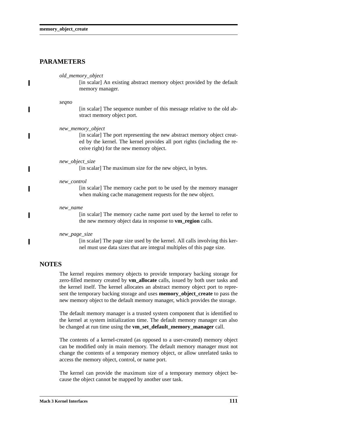# **PARAMETERS**

Г

I

Г

I

#### *old\_memory\_object*

[in scalar] An existing abstract memory object provided by the default memory manager.

*seqno*

[in scalar] The sequence number of this message relative to the old abstract memory object port.

#### *new\_memory\_object*

[in scalar] The port representing the new abstract memory object created by the kernel. The kernel provides all port rights (including the receive right) for the new memory object.

#### *new\_object\_size*

[in scalar] The maximum size for the new object, in bytes.

#### *new\_control*

[in scalar] The memory cache port to be used by the memory manager when making cache management requests for the new object.

#### *new\_name*

[in scalar] The memory cache name port used by the kernel to refer to the new memory object data in response to **vm\_region** calls.

#### *new\_page\_size*

[in scalar] The page size used by the kernel. All calls involving this kernel must use data sizes that are integral multiples of this page size.

# **NOTES**

The kernel requires memory objects to provide temporary backing storage for zero-filled memory created by **vm\_allocate** calls, issued by both user tasks and the kernel itself. The kernel allocates an abstract memory object port to represent the temporary backing storage and uses **memory\_object\_create** to pass the new memory object to the default memory manager, which provides the storage.

The default memory manager is a trusted system component that is identified to the kernel at system initialization time. The default memory manager can also be changed at run time using the **vm\_set\_default\_memory\_manager** call.

The contents of a kernel-created (as opposed to a user-created) memory object can be modified only in main memory. The default memory manager must not change the contents of a temporary memory object, or allow unrelated tasks to access the memory object, control, or name port.

The kernel can provide the maximum size of a temporary memory object because the object cannot be mapped by another user task.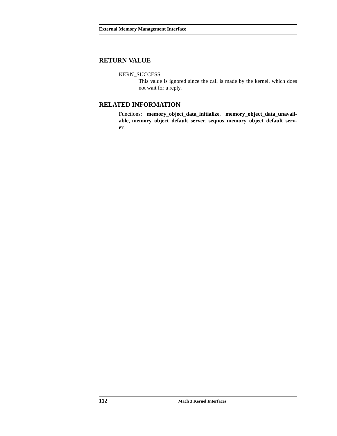# **RETURN VALUE**

### KERN\_SUCCESS

This value is ignored since the call is made by the kernel, which does not wait for a reply.

## **RELATED INFORMATION**

Functions: **memory\_object\_data\_initialize**, **memory\_object\_data\_unavailable**, **memory\_object\_default\_server**, **seqnos\_memory\_object\_default\_server**.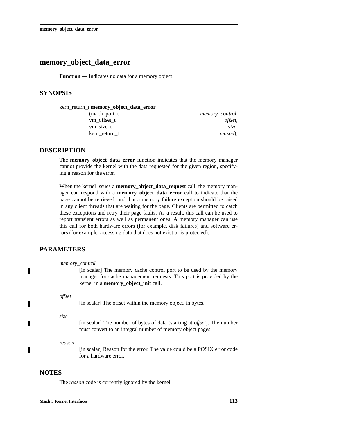# **memory\_object\_data\_error**

**Function** — Indicates no data for a memory object

### **SYNOPSIS**

| kern_return_t <b>memory_object_data_error</b> |                 |
|-----------------------------------------------|-----------------|
| (mach port t)                                 | memory_control, |
| vm offset t                                   | offset,         |
| vm size t                                     | size.           |
| kern return t                                 | reason);        |
|                                               |                 |

## **DESCRIPTION**

The **memory\_object\_data\_error** function indicates that the memory manager cannot provide the kernel with the data requested for the given region, specifying a reason for the error.

When the kernel issues a **memory\_object\_data\_request** call, the memory manager can respond with a **memory\_object\_data\_error** call to indicate that the page cannot be retrieved, and that a memory failure exception should be raised in any client threads that are waiting for the page. Clients are permitted to catch these exceptions and retry their page faults. As a result, this call can be used to report transient errors as well as permanent ones. A memory manager can use this call for both hardware errors (for example, disk failures) and software errors (for example, accessing data that does not exist or is protected).

# **PARAMETERS**

I

I

Ī

 $\overline{\phantom{a}}$ 

|               | memory control<br>[in scalar] The memory cache control port to be used by the memory<br>manager for cache management requests. This port is provided by the<br>kernel in a memory_object_init call. |
|---------------|-----------------------------------------------------------------------------------------------------------------------------------------------------------------------------------------------------|
| <i>offset</i> | [in scalar] The offset within the memory object, in bytes.                                                                                                                                          |
| size          | [in scalar] The number of bytes of data (starting at <i>offset</i> ). The number<br>must convert to an integral number of memory object pages.                                                      |
| reason        |                                                                                                                                                                                                     |

[in scalar] Reason for the error. The value could be a POSIX error code for a hardware error.

# **NOTES**

The *reason* code is currently ignored by the kernel.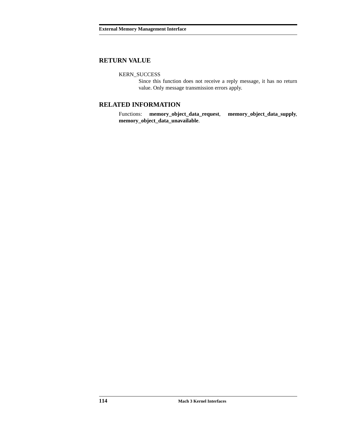# **RETURN VALUE**

### KERN\_SUCCESS

Since this function does not receive a reply message, it has no return value. Only message transmission errors apply.

# **RELATED INFORMATION**

Functions: **memory\_object\_data\_request**, **memory\_object\_data\_supply**, **memory\_object\_data\_unavailable**.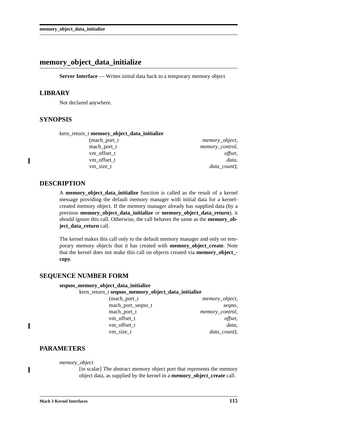# **memory\_object\_data\_initialize**

**Server Interface** — Writes initial data back to a temporary memory object

#### **LIBRARY**

Not declared anywhere.

# **SYNOPSIS**

 $\mathbf{I}$ 

 $\blacksquare$ 

 $\mathbf{I}$ 

kern\_return\_t **memory\_object\_data\_initialize**

| memory_object,  | (mach_port_t) |
|-----------------|---------------|
| memory control, | mach_port_t   |
| offset,         | vm offset t   |
| data,           | vm offset t   |
| data count);    | vm size t     |
|                 |               |

#### **DESCRIPTION**

A **memory\_object\_data\_initialize** function is called as the result of a kernel message providing the default memory manager with initial data for a kernelcreated memory object. If the memory manager already has supplied data (by a previous **memory\_object\_data\_initialize** or **memory\_object\_data\_return**), it should ignore this call. Otherwise, the call behaves the same as the **memory\_object\_data\_return** call.

The kernel makes this call only to the default memory manager and only on temporary memory objects that it has created with **memory\_object\_create**. Note that the kernel does not make this call on objects created via **memory\_object\_ copy**.

# **SEQUENCE NUMBER FORM**

#### **seqnos\_memory\_object\_data\_initialize**

kern\_return\_t **seqnos\_memory\_object\_data\_initialize**

| (mach_port_t)     | memory_object,  |
|-------------------|-----------------|
| mach_port_seqno_t | segno,          |
| mach_port_t       | memory control, |
| vm offset t       | offset,         |
| vm offset t       | data,           |
| vm size t         | data count);    |

# **PARAMETERS**

*memory\_object*

[in scalar] The abstract memory object port that represents the memory object data, as supplied by the kernel in a **memory\_object\_create** call.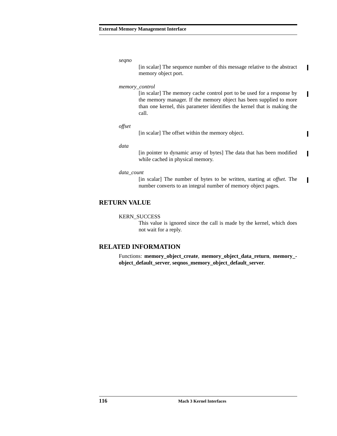*seqno*

[in scalar] The sequence number of this message relative to the abstract memory object port.

 $\mathbf I$ 

 $\blacksquare$ 

 $\mathbf I$ 

П

 $\blacksquare$ 

#### *memory\_control*

[in scalar] The memory cache control port to be used for a response by the memory manager. If the memory object has been supplied to more than one kernel, this parameter identifies the kernel that is making the call.

#### *offset*

[in scalar] The offset within the memory object.

#### *data*

[in pointer to dynamic array of bytes] The data that has been modified while cached in physical memory.

#### *data\_count*

[in scalar] The number of bytes to be written, starting at *offset*. The number converts to an integral number of memory object pages.

# **RETURN VALUE**

#### KERN\_SUCCESS

This value is ignored since the call is made by the kernel, which does not wait for a reply.

## **RELATED INFORMATION**

Functions: **memory\_object\_create**, **memory\_object\_data\_return**, **memory\_ object\_default\_server**, **seqnos\_memory\_object\_default\_server**.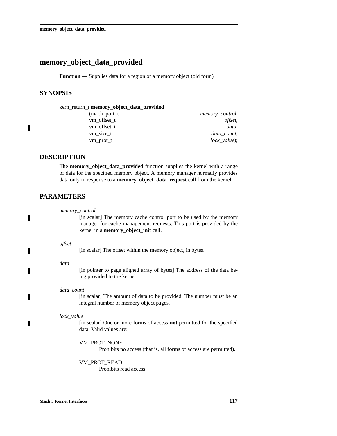# **memory\_object\_data\_provided**

Function — Supplies data for a region of a memory object (old form)

#### **SYNOPSIS**

 $\mathbf{I}$ 

 $\mathbf{I}$ 

 $\blacksquare$ 

Г

 $\blacksquare$ 

| kern_return_t memory_object_data_provided |                 |
|-------------------------------------------|-----------------|
| (mach port t)                             | memory control, |
| vm offset t                               | offset,         |
| vm offset t                               | data,           |
| vm size t                                 | data count,     |
| vm_prot_t                                 | $lock_value);$  |

# **DESCRIPTION**

The **memory\_object\_data\_provided** function supplies the kernel with a range of data for the specified memory object. A memory manager normally provides data only in response to a **memory\_object\_data\_request** call from the kernel.

# **PARAMETERS**

```
memory_control
```
[in scalar] The memory cache control port to be used by the memory manager for cache management requests. This port is provided by the kernel in a **memory\_object\_init** call.

#### *offset*

[in scalar] The offset within the memory object, in bytes.

#### *data*

[in pointer to page aligned array of bytes] The address of the data being provided to the kernel.

#### *data\_count*

[in scalar] The amount of data to be provided. The number must be an integral number of memory object pages.

#### *lock\_value*

[in scalar] One or more forms of access **not** permitted for the specified data. Valid values are:

#### VM\_PROT\_NONE

Prohibits no access (that is, all forms of access are permitted).

#### VM\_PROT\_READ

Prohibits read access.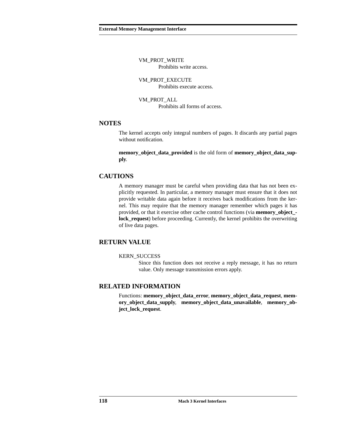VM\_PROT\_WRITE Prohibits write access.

VM\_PROT\_EXECUTE Prohibits execute access.

VM\_PROT\_ALL Prohibits all forms of access.

#### **NOTES**

The kernel accepts only integral numbers of pages. It discards any partial pages without notification.

**memory\_object\_data\_provided** is the old form of **memory\_object\_data\_supply**.

# **CAUTIONS**

A memory manager must be careful when providing data that has not been explicitly requested. In particular, a memory manager must ensure that it does not provide writable data again before it receives back modifications from the kernel. This may require that the memory manager remember which pages it has provided, or that it exercise other cache control functions (via **memory\_object\_ lock\_request**) before proceeding. Currently, the kernel prohibits the overwriting of live data pages.

# **RETURN VALUE**

#### KERN\_SUCCESS

Since this function does not receive a reply message, it has no return value. Only message transmission errors apply.

### **RELATED INFORMATION**

Functions: **memory\_object\_data\_error**, **memory\_object\_data\_request**, **memory\_object\_data\_supply**, **memory\_object\_data\_unavailable**, **memory\_object\_lock\_request**.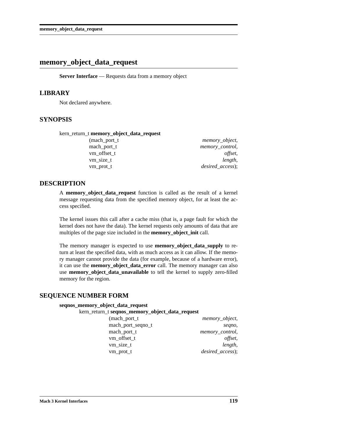# **memory\_object\_data\_request**

**Server Interface** — Requests data from a memory object

#### **LIBRARY**

Not declared anywhere.

# **SYNOPSIS**

kern\_return\_t **memory\_object\_data\_request**

| memory_object,   | (mach port t) |
|------------------|---------------|
| memory control,  | mach_port_t   |
| offset,          | vm offset t   |
| length,          | $vm\_size_t$  |
| desired_access); | vm prot t     |
|                  |               |

# **DESCRIPTION**

A **memory\_object\_data\_request** function is called as the result of a kernel message requesting data from the specified memory object, for at least the access specified.

The kernel issues this call after a cache miss (that is, a page fault for which the kernel does not have the data). The kernel requests only amounts of data that are multiples of the page size included in the **memory\_object\_init** call.

The memory manager is expected to use **memory\_object\_data\_supply** to return at least the specified data, with as much access as it can allow. If the memory manager cannot provide the data (for example, because of a hardware error), it can use the **memory\_object\_data\_error** call. The memory manager can also use **memory\_object\_data\_unavailable** to tell the kernel to supply zero-filled memory for the region.

### **SEQUENCE NUMBER FORM**

# **seqnos\_memory\_object\_data\_request**

#### kern\_return\_t **seqnos\_memory\_object\_data\_request**

| (mach_port_t      | memory_object,   |
|-------------------|------------------|
| mach_port_seqno_t | segno,           |
| mach_port_t       | memory_control,  |
| vm offset t       | offset,          |
| vm_size_t         | length,          |
| vm prot t         | desired_access); |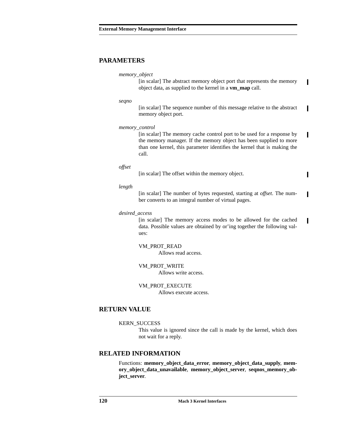# **PARAMETERS**

#### *memory\_object*

[in scalar] The abstract memory object port that represents the memory object data, as supplied to the kernel in a **vm\_map** call.

 $\blacksquare$ 

 $\mathbf I$ 

I

Π

 $\mathbf I$ 

Π

*seqno*

[in scalar] The sequence number of this message relative to the abstract memory object port.

#### *memory\_control*

[in scalar] The memory cache control port to be used for a response by the memory manager. If the memory object has been supplied to more than one kernel, this parameter identifies the kernel that is making the call.

#### *offset*

[in scalar] The offset within the memory object.

#### *length*

[in scalar] The number of bytes requested, starting at *offset*. The number converts to an integral number of virtual pages.

#### *desired\_access*

[in scalar] The memory access modes to be allowed for the cached data. Possible values are obtained by or'ing together the following values:

VM\_PROT\_READ Allows read access.

### VM\_PROT\_WRITE Allows write access.

VM\_PROT\_EXECUTE

Allows execute access.

# **RETURN VALUE**

### KERN\_SUCCESS

This value is ignored since the call is made by the kernel, which does not wait for a reply.

### **RELATED INFORMATION**

Functions: **memory\_object\_data\_error**, **memory\_object\_data\_supply**, **memory\_object\_data\_unavailable**, **memory\_object\_server**, **seqnos\_memory\_object\_server**.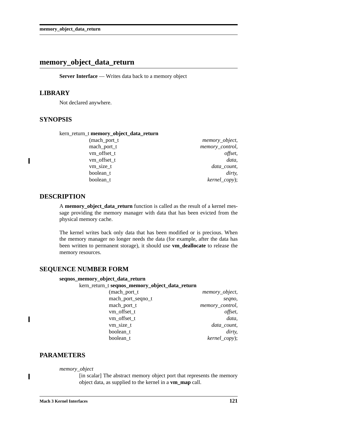# **memory\_object\_data\_return**

**Server Interface** — Writes data back to a memory object

#### **LIBRARY**

Not declared anywhere.

## **SYNOPSIS**

 $\mathbf{I}$ 

 $\blacksquare$ 

 $\mathbf I$ 

|  |  | kern_return_t memory_object_data_return |  |  |  |
|--|--|-----------------------------------------|--|--|--|
|--|--|-----------------------------------------|--|--|--|

| memory_object,  | (mach_port_t |
|-----------------|--------------|
| memory_control, | mach_port_t  |
| offset,         | vm offset t  |
| data,           | vm_offset_t  |
| data count.     | vm_size_t    |
| dirty,          | boolean_t    |
| kernel_copy);   | boolean_t    |
|                 |              |

## **DESCRIPTION**

A **memory\_object\_data\_return** function is called as the result of a kernel message providing the memory manager with data that has been evicted from the physical memory cache.

The kernel writes back only data that has been modified or is precious. When the memory manager no longer needs the data (for example, after the data has been written to permanent storage), it should use **vm\_deallocate** to release the memory resources.

# **SEQUENCE NUMBER FORM**

#### **seqnos\_memory\_object\_data\_return**

# kern\_return\_t **seqnos\_memory\_object\_data\_return** (mach\_port\_t *memory\_object,* mach\_port\_seqno\_t *seqno*, mach\_port\_t *memory\_control,* vm\_offset\_t *offset,* vm\_offset\_t *data,* vm\_size\_t *data\_count*, boolean\_t *dirty*, boolean\_t *kernel\_copy*);

# **PARAMETERS**

#### *memory\_object*

[in scalar] The abstract memory object port that represents the memory object data, as supplied to the kernel in a **vm\_map** call.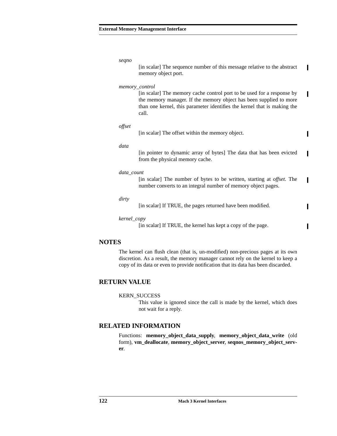*seqno*

[in scalar] The sequence number of this message relative to the abstract memory object port.

Π

 $\mathbf I$ 

 $\blacksquare$ 

П

Π

I

Π

#### *memory\_control*

[in scalar] The memory cache control port to be used for a response by the memory manager. If the memory object has been supplied to more than one kernel, this parameter identifies the kernel that is making the call.

```
offset
```
[in scalar] The offset within the memory object.

#### *data*

[in pointer to dynamic array of bytes] The data that has been evicted from the physical memory cache.

#### *data\_count*

[in scalar] The number of bytes to be written, starting at *offset*. The number converts to an integral number of memory object pages.

#### *dirty*

[in scalar] If TRUE, the pages returned have been modified.

*kernel\_copy*

[in scalar] If TRUE, the kernel has kept a copy of the page.

# **NOTES**

The kernel can flush clean (that is, un-modified) non-precious pages at its own discretion. As a result, the memory manager cannot rely on the kernel to keep a copy of its data or even to provide notification that its data has been discarded.

# **RETURN VALUE**

#### KERN\_SUCCESS

This value is ignored since the call is made by the kernel, which does not wait for a reply.

## **RELATED INFORMATION**

Functions: **memory\_object\_data\_supply**, **memory\_object\_data\_write** (old form), **vm\_deallocate**, **memory\_object\_server**, **seqnos\_memory\_object\_server**.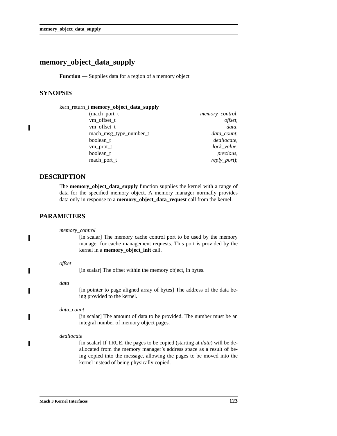# **memory\_object\_data\_supply**

**Function** — Supplies data for a region of a memory object

## **SYNOPSIS**

 $\mathbf{I}$ 

 $\blacksquare$ 

I

Ī

I

Г

| memory_control, |
|-----------------|
| offset,         |
| data,           |
| data count,     |
| deallocate,     |
| lock value,     |
| precious,       |
| $reply\_port);$ |
|                 |

# **DESCRIPTION**

The **memory\_object\_data\_supply** function supplies the kernel with a range of data for the specified memory object. A memory manager normally provides data only in response to a **memory\_object\_data\_request** call from the kernel.

# **PARAMETERS**

#### *memory\_control*

[in scalar] The memory cache control port to be used by the memory manager for cache management requests. This port is provided by the kernel in a **memory\_object\_init** call.

#### *offset*

[in scalar] The offset within the memory object, in bytes.

#### *data*

[in pointer to page aligned array of bytes] The address of the data being provided to the kernel.

#### *data\_count*

[in scalar] The amount of data to be provided. The number must be an integral number of memory object pages.

#### *deallocate*

[in scalar] If TRUE, the pages to be copied (starting at *data*) will be deallocated from the memory manager's address space as a result of being copied into the message, allowing the pages to be moved into the kernel instead of being physically copied.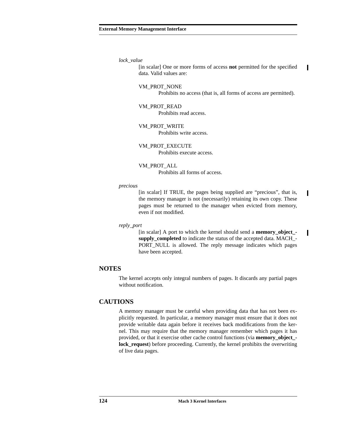#### **External Memory Management Interface**

*lock\_value*

[in scalar] One or more forms of access **not** permitted for the specified data. Valid values are:

#### VM\_PROT\_NONE

Prohibits no access (that is, all forms of access are permitted).

Π

 $\mathbf I$ 

Π

VM\_PROT\_READ Prohibits read access.

VM\_PROT\_WRITE Prohibits write access.

VM\_PROT\_EXECUTE Prohibits execute access.

VM\_PROT\_ALL Prohibits all forms of access.

#### *precious*

[in scalar] If TRUE, the pages being supplied are "precious", that is, the memory manager is not (necessarily) retaining its own copy. These pages must be returned to the manager when evicted from memory, even if not modified.

*reply\_port*

[in scalar] A port to which the kernel should send a **memory\_object\_ supply\_completed** to indicate the status of the accepted data. MACH\_- PORT\_NULL is allowed. The reply message indicates which pages have been accepted.

#### **NOTES**

The kernel accepts only integral numbers of pages. It discards any partial pages without notification.

### **CAUTIONS**

A memory manager must be careful when providing data that has not been explicitly requested. In particular, a memory manager must ensure that it does not provide writable data again before it receives back modifications from the kernel. This may require that the memory manager remember which pages it has provided, or that it exercise other cache control functions (via **memory\_object\_ lock\_request**) before proceeding. Currently, the kernel prohibits the overwriting of live data pages.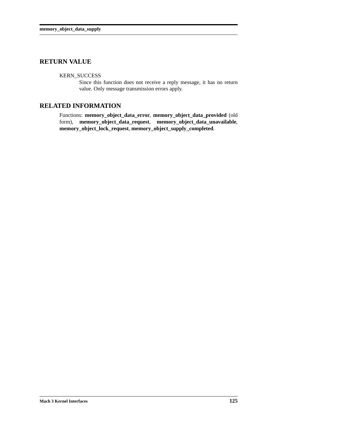# **RETURN VALUE**

### KERN\_SUCCESS

Since this function does not receive a reply message, it has no return value. Only message transmission errors apply.

# **RELATED INFORMATION**

Functions: **memory\_object\_data\_error**, **memory\_object\_data\_provided** (old form), **memory\_object\_data\_request**, **memory\_object\_data\_unavailable**, **memory\_object\_lock\_request**, **memory\_object\_supply\_completed**.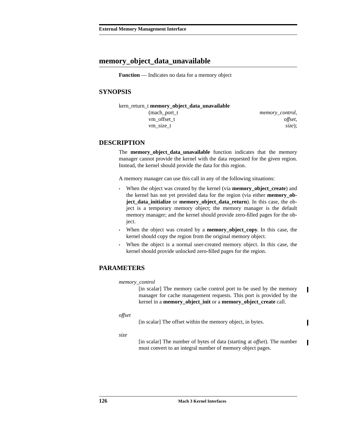# **memory\_object\_data\_unavailable**

**Function** — Indicates no data for a memory object

# **SYNOPSIS**

kern\_return\_t **memory\_object\_data\_unavailable** (mach\_port\_t *memory\_control,* vm\_offset\_t *offset,* vm\_size\_t *size*);

 $\mathbf I$ 

 $\mathbf I$ 

 $\mathbf I$ 

# **DESCRIPTION**

The **memory object data unavailable** function indicates that the memory manager cannot provide the kernel with the data requested for the given region. Instead, the kernel should provide the data for this region.

A memory manager can use this call in any of the following situations:

- When the object was created by the kernel (via **memory\_object\_create**) and the kernel has not yet provided data for the region (via either **memory\_object data initialize** or **memory** object data return). In this case, the object is a temporary memory object; the memory manager is the default memory manager; and the kernel should provide zero-filled pages for the object.
- When the object was created by a **memory\_object\_copy**. In this case, the kernel should copy the region from the original memory object.
- When the object is a normal user-created memory object. In this case, the kernel should provide unlocked zero-filled pages for the region.

# **PARAMETERS**

#### *memory\_control*

[in scalar] The memory cache control port to be used by the memory manager for cache management requests. This port is provided by the kernel in a **memory\_object\_init** or a **memory\_object\_create** call.

*offset*

[in scalar] The offset within the memory object, in bytes.

*size*

[in scalar] The number of bytes of data (starting at *offset*). The number must convert to an integral number of memory object pages.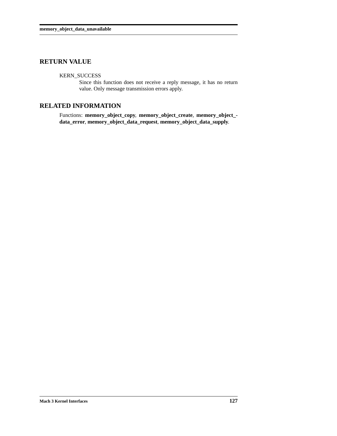# **RETURN VALUE**

### KERN\_SUCCESS

Since this function does not receive a reply message, it has no return value. Only message transmission errors apply.

# **RELATED INFORMATION**

Functions: **memory\_object\_copy**, **memory\_object\_create**, **memory\_object\_ data\_error**, **memory\_object\_data\_request**, **memory\_object\_data\_supply**.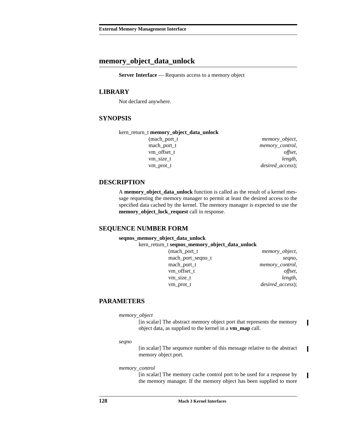# **memory\_object\_data\_unlock**

**Server Interface** — Requests access to a memory object

### **LIBRARY**

Not declared anywhere.

# **SYNOPSIS**

#### kern\_return\_t **memory\_object\_data\_unlock**

(mach\_port\_t *memory\_object,* mach\_port\_t *memory\_control,* vm\_offset\_t *offset*, vm\_size\_t *length,* vm\_prot\_t *desired\_access*);

 $\mathbf I$ 

 $\blacksquare$ 

 $\blacksquare$ 

### **DESCRIPTION**

A **memory\_object\_data\_unlock** function is called as the result of a kernel message requesting the memory manager to permit at least the desired access to the specified data cached by the kernel. The memory manager is expected to use the **memory\_object\_lock\_request** call in response.

# **SEQUENCE NUMBER FORM**

#### **seqnos\_memory\_object\_data\_unlock**

kern\_return\_t **seqnos\_memory\_object\_data\_unlock**

| (mach_port_t      | memory object,   |
|-------------------|------------------|
| mach_port_seqno_t | segno,           |
| mach_port_t       | memory_control,  |
| vm offset t       | offset,          |
| vm size t         | length,          |
| vm_prot_t         | desired_access); |

# **PARAMETERS**

*memory\_object*

[in scalar] The abstract memory object port that represents the memory object data, as supplied to the kernel in a **vm\_map** call.

#### *seqno*

[in scalar] The sequence number of this message relative to the abstract memory object port.

#### *memory\_control*

[in scalar] The memory cache control port to be used for a response by the memory manager. If the memory object has been supplied to more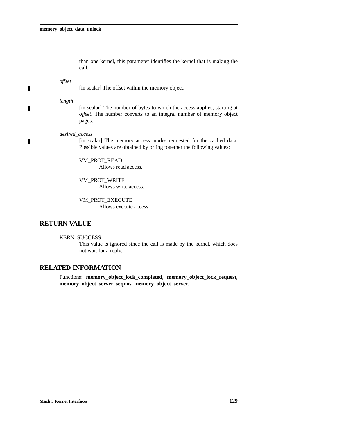than one kernel, this parameter identifies the kernel that is making the call.

#### *offset*

 $\mathbf I$ 

I

 $\mathbf I$ 

[in scalar] The offset within the memory object.

#### *length*

[in scalar] The number of bytes to which the access applies, starting at *offset*. The number converts to an integral number of memory object pages.

#### *desired\_access*

[in scalar] The memory access modes requested for the cached data. Possible values are obtained by or'ing together the following values:

VM\_PROT\_READ Allows read access.

VM\_PROT\_WRITE Allows write access.

VM\_PROT\_EXECUTE Allows execute access.

# **RETURN VALUE**

#### KERN\_SUCCESS

This value is ignored since the call is made by the kernel, which does not wait for a reply.

# **RELATED INFORMATION**

Functions: **memory\_object\_lock\_completed**, **memory\_object\_lock\_request**, **memory\_object\_server**, **seqnos\_memory\_object\_server**.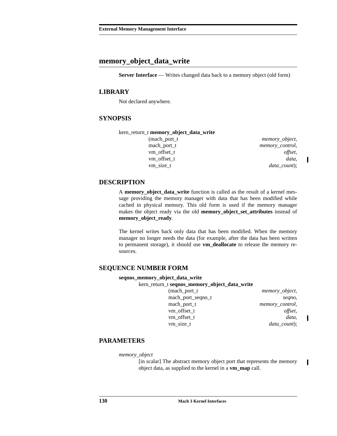# **memory\_object\_data\_write**

**Server Interface** — Writes changed data back to a memory object (old form)

#### **LIBRARY**

Not declared anywhere.

# **SYNOPSIS**

#### kern\_return\_t **memory\_object\_data\_write**

(mach\_port\_t *memory\_object,* mach\_port\_t *memory\_control,* vm\_offset\_t *offset*, vm\_offset\_t *data,* vm\_size\_t data\_count);

I

 $\mathbf I$ 

### **DESCRIPTION**

A **memory\_object\_data\_write** function is called as the result of a kernel message providing the memory manager with data that has been modified while cached in physical memory. This old form is used if the memory manager makes the object ready via the old **memory\_object\_set\_attributes** instead of **memory\_object\_ready**.

The kernel writes back only data that has been modified. When the memory manager no longer needs the data (for example, after the data has been written to permanent storage), it should use **vm\_deallocate** to release the memory resources.

### **SEQUENCE NUMBER FORM**

#### **seqnos\_memory\_object\_data\_write**

kern\_return\_t **seqnos\_memory\_object\_data\_write**

(mach\_port\_t *memory\_object,* mach port seqno<sub>t</sub> *seqno*, mach\_port\_t *memory\_control,* vm\_offset\_t *offset,* vm\_offset\_t *data,* vm\_size\_t *data\_count*);

## **PARAMETERS**

*memory\_object*

[in scalar] The abstract memory object port that represents the memory object data, as supplied to the kernel in a **vm\_map** call.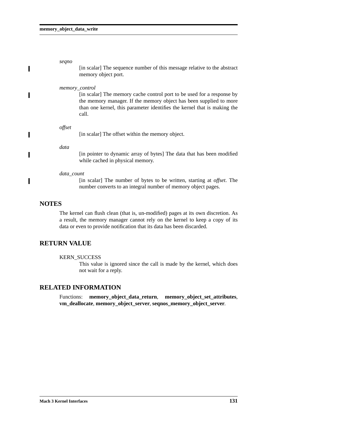#### *seqno*

 $\mathbf I$ 

Ι

I

I

 $\mathbf I$ 

[in scalar] The sequence number of this message relative to the abstract memory object port.

#### *memory\_control*

[in scalar] The memory cache control port to be used for a response by the memory manager. If the memory object has been supplied to more than one kernel, this parameter identifies the kernel that is making the call.

#### *offset*

[in scalar] The offset within the memory object.

#### *data*

[in pointer to dynamic array of bytes] The data that has been modified while cached in physical memory.

#### *data\_count*

[in scalar] The number of bytes to be written, starting at *offset*. The number converts to an integral number of memory object pages.

# **NOTES**

The kernel can flush clean (that is, un-modified) pages at its own discretion. As a result, the memory manager cannot rely on the kernel to keep a copy of its data or even to provide notification that its data has been discarded.

### **RETURN VALUE**

### KERN\_SUCCESS

This value is ignored since the call is made by the kernel, which does not wait for a reply.

## **RELATED INFORMATION**

Functions: **memory\_object\_data\_return**, **memory\_object\_set\_attributes**, **vm\_deallocate**, **memory\_object\_server**, **seqnos\_memory\_object\_server**.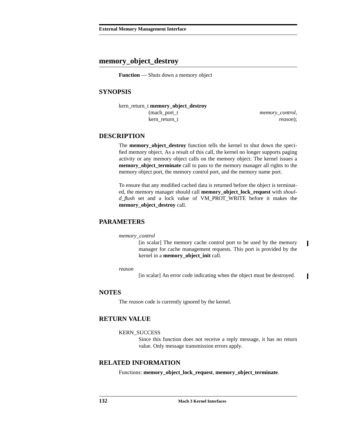# **memory\_object\_destroy**

**Function** — Shuts down a memory object

## **SYNOPSIS**

kern\_return\_t **memory\_object\_destroy** (mach\_port\_t *memory\_control,* kern return t *reason*);

Π

 $\blacksquare$ 

# **DESCRIPTION**

The **memory\_object\_destroy** function tells the kernel to shut down the specified memory object. As a result of this call, the kernel no longer supports paging activity or any memory object calls on the memory object. The kernel issues a **memory** object terminate call to pass to the memory manager all rights to the memory object port, the memory control port, and the memory name port.

To ensure that any modified cached data is returned before the object is terminated, the memory manager should call **memory\_object\_lock\_request** with *should\_flush* set and a lock value of VM\_PROT\_WRITE before it makes the **memory\_object\_destroy** call.

# **PARAMETERS**

*memory\_control*

[in scalar] The memory cache control port to be used by the memory manager for cache management requests. This port is provided by the kernel in a **memory\_object\_init** call.

*reason*

[in scalar] An error code indicating when the object must be destroyed.

### **NOTES**

The *reason* code is currently ignored by the kernel.

# **RETURN VALUE**

#### KERN\_SUCCESS

Since this function does not receive a reply message, it has no return value. Only message transmission errors apply.

# **RELATED INFORMATION**

Functions: **memory\_object\_lock\_request**, **memory\_object\_terminate**.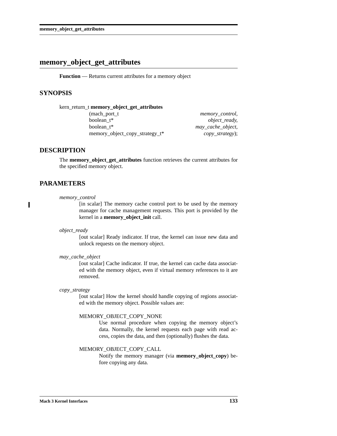# **memory\_object\_get\_attributes**

**Function** — Returns current attributes for a memory object

### **SYNOPSIS**

kern\_return\_t **memory\_object\_get\_attributes** (mach\_port\_t *memory\_control,* boolean\_t\* *object\_ready,* boolean\_t\* *may\_cache\_object,* memory\_object\_copy\_strategy\_t\* *copy\_strategy*);

# **DESCRIPTION**

The **memory\_object\_get\_attributes** function retrieves the current attributes for the specified memory object.

# **PARAMETERS**

ı

#### *memory\_control*

[in scalar] The memory cache control port to be used by the memory manager for cache management requests. This port is provided by the kernel in a **memory\_object\_init** call.

#### *object\_ready*

[out scalar] Ready indicator. If true, the kernel can issue new data and unlock requests on the memory object.

*may\_cache\_object*

[out scalar] Cache indicator. If true, the kernel can cache data associated with the memory object, even if virtual memory references to it are removed.

*copy\_strategy*

[out scalar] How the kernel should handle copying of regions associated with the memory object. Possible values are:

### MEMORY\_OBJECT\_COPY\_NONE

Use normal procedure when copying the memory object's data. Normally, the kernel requests each page with read access, copies the data, and then (optionally) flushes the data.

### MEMORY\_OBJECT\_COPY\_CALL

Notify the memory manager (via **memory\_object\_copy**) before copying any data.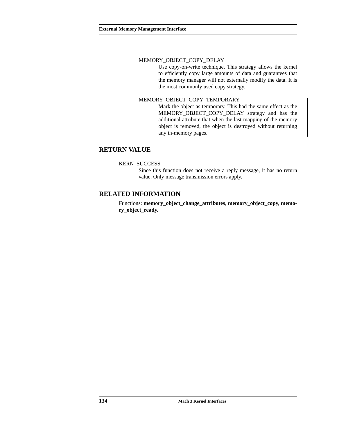### MEMORY\_OBJECT\_COPY\_DELAY

Use copy-on-write technique. This strategy allows the kernel to efficiently copy large amounts of data and guarantees that the memory manager will not externally modify the data. It is the most commonly used copy strategy.

### MEMORY\_OBJECT\_COPY\_TEMPORARY

Mark the object as temporary. This had the same effect as the MEMORY\_OBJECT\_COPY\_DELAY strategy and has the additional attribute that when the last mapping of the memory object is removed, the object is destroyed without returning any in-memory pages.

# **RETURN VALUE**

#### KERN\_SUCCESS

Since this function does not receive a reply message, it has no return value. Only message transmission errors apply.

# **RELATED INFORMATION**

Functions: **memory\_object\_change\_attributes**, **memory\_object\_copy**, **memory\_object\_ready**.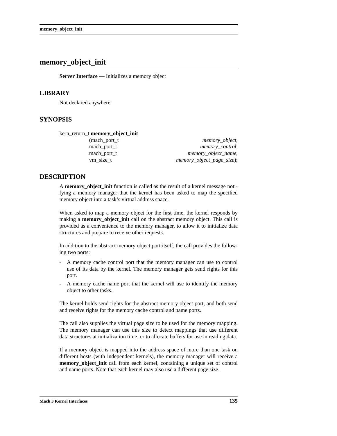# **memory\_object\_init**

**Server Interface** — Initializes a memory object

#### **LIBRARY**

Not declared anywhere.

# **SYNOPSIS**

kern\_return\_t **memory\_object\_init**

| (mach port t) | memory_object,            |
|---------------|---------------------------|
| mach_port_t   | memory_control,           |
| mach_port_t   | memory_object_name,       |
| vm size t     | memory_object_page_size); |

# **DESCRIPTION**

A **memory\_object\_init** function is called as the result of a kernel message notifying a memory manager that the kernel has been asked to map the specified memory object into a task's virtual address space.

When asked to map a memory object for the first time, the kernel responds by making a **memory\_object\_init** call on the abstract memory object. This call is provided as a convenience to the memory manager, to allow it to initialize data structures and prepare to receive other requests.

In addition to the abstract memory object port itself, the call provides the following two ports:

- A memory cache control port that the memory manager can use to control use of its data by the kernel. The memory manager gets send rights for this port.
- A memory cache name port that the kernel will use to identify the memory object to other tasks.

The kernel holds send rights for the abstract memory object port, and both send and receive rights for the memory cache control and name ports.

The call also supplies the virtual page size to be used for the memory mapping. The memory manager can use this size to detect mappings that use different data structures at initialization time, or to allocate buffers for use in reading data.

If a memory object is mapped into the address space of more than one task on different hosts (with independent kernels), the memory manager will receive a **memory\_object\_init** call from each kernel, containing a unique set of control and name ports. Note that each kernel may also use a different page size.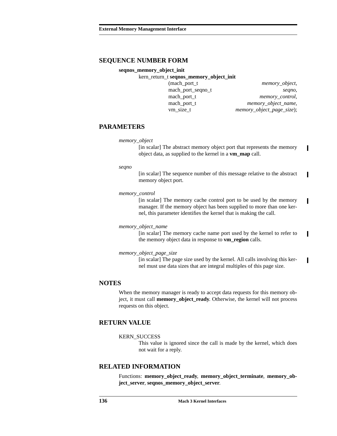# **SEQUENCE NUMBER FORM**

**seqnos\_memory\_object\_init**

kern return t **seqnos** memory object init

(mach\_port\_t *memory\_object,* mach\_port\_seqno\_t *seqno*, mach\_port\_t *memory\_control,* mach\_port\_t *memory\_object\_name,* vm\_size\_t *memory\_object\_page\_size*);

Π

П

I

Π

# **PARAMETERS**

#### *memory\_object*

[in scalar] The abstract memory object port that represents the memory object data, as supplied to the kernel in a **vm\_map** call.

*seqno*

[in scalar] The sequence number of this message relative to the abstract memory object port.

#### *memory\_control*

[in scalar] The memory cache control port to be used by the memory manager. If the memory object has been supplied to more than one kernel, this parameter identifies the kernel that is making the call.

#### *memory\_object\_name*

[in scalar] The memory cache name port used by the kernel to refer to the memory object data in response to **vm\_region** calls.

*memory\_object\_page\_size*

[in scalar] The page size used by the kernel. All calls involving this kernel must use data sizes that are integral multiples of this page size.

# **NOTES**

When the memory manager is ready to accept data requests for this memory object, it must call **memory\_object\_ready**. Otherwise, the kernel will not process requests on this object.

# **RETURN VALUE**

#### KERN\_SUCCESS

This value is ignored since the call is made by the kernel, which does not wait for a reply.

# **RELATED INFORMATION**

Functions: **memory\_object\_ready**, **memory\_object\_terminate**, **memory\_object\_server**, **seqnos\_memory\_object\_server**.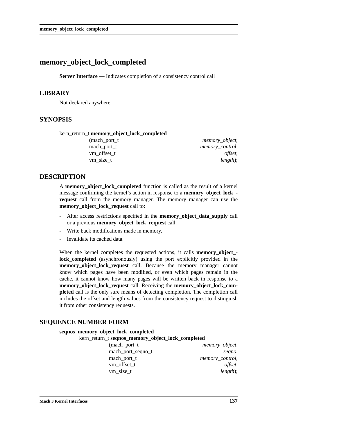# **memory\_object\_lock\_completed**

**Server Interface** — Indicates completion of a consistency control call

#### **LIBRARY**

Not declared anywhere.

## **SYNOPSIS**

kern\_return\_t **memory\_object\_lock\_completed**

| memory_object,  | (mach port t) |
|-----------------|---------------|
| memory control, | mach port t   |
| offset,         | ym offset t   |
| length);        | vm size t     |
|                 |               |

## **DESCRIPTION**

A **memory\_object\_lock\_completed** function is called as the result of a kernel message confirming the kernel's action in response to a **memory\_object\_lock\_ request** call from the memory manager. The memory manager can use the **memory\_object\_lock\_request** call to:

- Alter access restrictions specified in the **memory\_object\_data\_supply** call or a previous **memory\_object\_lock\_request** call.
- Write back modifications made in memory.
- Invalidate its cached data.

When the kernel completes the requested actions, it calls **memory\_object\_ lock\_completed** (asynchronously) using the port explicitly provided in the **memory\_object\_lock\_request** call. Because the memory manager cannot know which pages have been modified, or even which pages remain in the cache, it cannot know how many pages will be written back in response to a **memory\_object\_lock\_request** call. Receiving the **memory\_object\_lock\_completed** call is the only sure means of detecting completion. The completion call includes the offset and length values from the consistency request to distinguish it from other consistency requests.

## **SEQUENCE NUMBER FORM**

#### **seqnos\_memory\_object\_lock\_completed**

kern\_return\_t **seqnos\_memory\_object\_lock\_completed**

| (mach port t      | memory_object,  |
|-------------------|-----------------|
| mach port segno t | segno,          |
| mach port t       | memory_control, |
| vm offset t       | offset,         |
| vm size t         | length);        |
|                   |                 |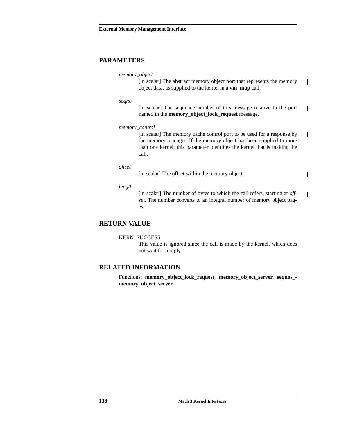# **PARAMETERS**

#### *memory\_object*

[in scalar] The abstract memory object port that represents the memory object data, as supplied to the kernel in a **vm\_map** call.

 $\blacksquare$ 

 $\mathbf I$ 

 $\mathbf I$ 

Π

Π

*seqno*

[in scalar] The sequence number of this message relative to the port named in the **memory\_object\_lock\_request** message.

#### *memory\_control*

[in scalar] The memory cache control port to be used for a response by the memory manager. If the memory object has been supplied to more than one kernel, this parameter identifies the kernel that is making the call.

*offset*

[in scalar] The offset within the memory object.

*length*

[in scalar] The number of bytes to which the call refers, starting at *offset*. The number converts to an integral number of memory object pages.

## **RETURN VALUE**

#### KERN\_SUCCESS

This value is ignored since the call is made by the kernel, which does not wait for a reply.

## **RELATED INFORMATION**

Functions: **memory\_object\_lock\_request**, **memory\_object\_server**, **seqnos\_ memory\_object\_server**.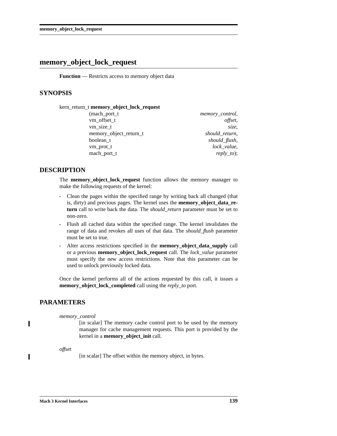# **memory\_object\_lock\_request**

**Function** — Restricts access to memory object data

#### **SYNOPSIS**

kern\_return\_t **memory\_object\_lock\_request**

| (mach_port_t                  | memory_control, |
|-------------------------------|-----------------|
| vm_offset_t                   | offset,         |
| vm size t                     | size.           |
| <i>memory_object_return_t</i> | should return,  |
| boolean t                     | should_flush,   |
| vm_prot_t                     | lock value.     |
| mach_port_t                   | $reply_to);$    |
|                               |                 |

## **DESCRIPTION**

The **memory\_object\_lock\_request** function allows the memory manager to make the following requests of the kernel:

- Clean the pages within the specified range by writing back all changed (that is, dirty) and precious pages. The kernel uses the **memory\_object\_data\_return** call to write back the data. The *should\_return* parameter must be set to non-zero.
- Flush all cached data within the specified range. The kernel invalidates the range of data and revokes all uses of that data. The *should\_flush* parameter must be set to true.
- Alter access restrictions specified in the **memory\_object\_data\_supply** call or a previous **memory\_object\_lock\_request** call. The *lock\_value* parameter must specify the new access restrictions. Note that this parameter can be used to unlock previously locked data.

Once the kernel performs all of the actions requested by this call, it issues a **memory\_object\_lock\_completed** call using the *reply\_to* port.

#### **PARAMETERS**

 $\blacksquare$ 

Π

*memory\_control*

[in scalar] The memory cache control port to be used by the memory manager for cache management requests. This port is provided by the kernel in a **memory\_object\_init** call.

#### *offset*

[in scalar] The offset within the memory object, in bytes.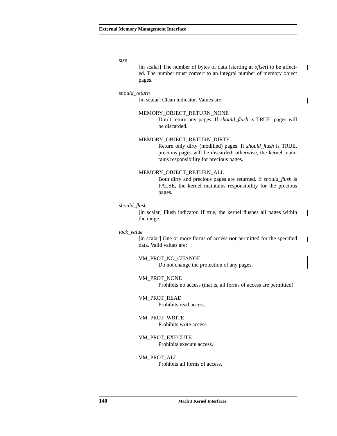#### *size*

[in scalar] The number of bytes of data (starting at *offset*) to be affected. The number must convert to an integral number of memory object pages.

П

I

 $\mathbf I$ 

 $\mathbf I$ 

#### *should\_return*

[in scalar] Clean indicator. Values are:

#### MEMORY OBJECT RETURN NONE

Don't return any pages. If *should\_flush* is TRUE, pages will be discarded.

#### MEMORY\_OBJECT\_RETURN\_DIRTY

Return only dirty (modified) pages. If *should\_flush* is TRUE, precious pages will be discarded; otherwise, the kernel maintains responsibility for precious pages.

#### MEMORY\_OBJECT\_RETURN\_ALL

Both dirty and precious pages are returned. If *should\_flush* is FALSE, the kernel maintains responsibility for the precious pages.

#### *should\_flush*

[in scalar] Flush indicator. If true, the kernel flushes all pages within the range.

#### *lock\_value*

[in scalar] One or more forms of access **not** permitted for the specified data. Valid values are:

#### VM\_PROT\_NO\_CHANGE

Do not change the protection of any pages.

#### VM\_PROT\_NONE

Prohibits no access (that is, all forms of access are permitted).

# VM\_PROT\_READ

Prohibits read access.

# VM\_PROT\_WRITE

Prohibits write access.

#### VM\_PROT\_EXECUTE

Prohibits execute access.

## VM\_PROT\_ALL Prohibits all forms of access.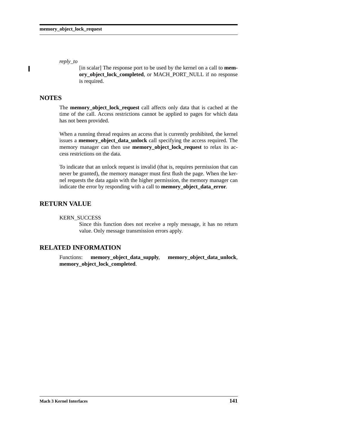*reply\_to*

[in scalar] The response port to be used by the kernel on a call to **memory\_object\_lock\_completed**, or MACH\_PORT\_NULL if no response is required.

# **NOTES**

 $\mathbf I$ 

The **memory** object lock request call affects only data that is cached at the time of the call. Access restrictions cannot be applied to pages for which data has not been provided.

When a running thread requires an access that is currently prohibited, the kernel issues a **memory\_object\_data\_unlock** call specifying the access required. The memory manager can then use **memory\_object\_lock\_request** to relax its access restrictions on the data.

To indicate that an unlock request is invalid (that is, requires permission that can never be granted), the memory manager must first flush the page. When the kernel requests the data again with the higher permission, the memory manager can indicate the error by responding with a call to **memory\_object\_data\_error**.

## **RETURN VALUE**

KERN\_SUCCESS

Since this function does not receive a reply message, it has no return value. Only message transmission errors apply.

## **RELATED INFORMATION**

Functions: **memory\_object\_data\_supply**, **memory\_object\_data\_unlock**, **memory\_object\_lock\_completed**.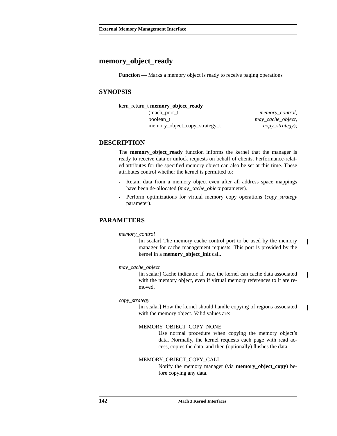# **memory\_object\_ready**

**Function** — Marks a memory object is ready to receive paging operations

## **SYNOPSIS**

kern\_return\_t **memory\_object\_ready**

(mach port t *memory control,* boolean\_t *may\_cache\_object,* memory\_object\_copy\_strategy\_t *copy\_strategy*);

 $\mathbf I$ 

 $\blacksquare$ 

## **DESCRIPTION**

The **memory** object ready function informs the kernel that the manager is ready to receive data or unlock requests on behalf of clients. Performance-related attributes for the specified memory object can also be set at this time. These attributes control whether the kernel is permitted to:

- Retain data from a memory object even after all address space mappings have been de-allocated (*may\_cache\_object* parameter).
- Perform optimizations for virtual memory copy operations (*copy\_strategy* parameter).

## **PARAMETERS**

*memory\_control*

[in scalar] The memory cache control port to be used by the memory manager for cache management requests. This port is provided by the kernel in a **memory\_object\_init** call.

*may\_cache\_object*

[in scalar] Cache indicator. If true, the kernel can cache data associated with the memory object, even if virtual memory references to it are removed.

#### *copy\_strategy*

[in scalar] How the kernel should handle copying of regions associated with the memory object. Valid values are:

#### MEMORY\_OBJECT\_COPY\_NONE

Use normal procedure when copying the memory object's data. Normally, the kernel requests each page with read access, copies the data, and then (optionally) flushes the data.

#### MEMORY\_OBJECT\_COPY\_CALL

Notify the memory manager (via **memory\_object\_copy**) before copying any data.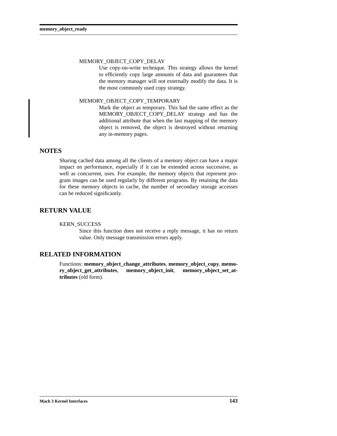#### MEMORY\_OBJECT\_COPY\_DELAY

Use copy-on-write technique. This strategy allows the kernel to efficiently copy large amounts of data and guarantees that the memory manager will not externally modify the data. It is the most commonly used copy strategy.

#### MEMORY\_OBJECT\_COPY\_TEMPORARY

Mark the object as temporary. This had the same effect as the MEMORY\_OBJECT\_COPY\_DELAY strategy and has the additional attribute that when the last mapping of the memory object is removed, the object is destroyed without returning any in-memory pages.

#### **NOTES**

Sharing cached data among all the clients of a memory object can have a major impact on performance, especially if it can be extended across successive, as well as concurrent, uses. For example, the memory objects that represent program images can be used regularly by different programs. By retaining the data for these memory objects in cache, the number of secondary storage accesses can be reduced significantly.

## **RETURN VALUE**

#### KERN\_SUCCESS

Since this function does not receive a reply message, it has no return value. Only message transmission errors apply.

## **RELATED INFORMATION**

Functions: **memory\_object\_change\_attributes**, **memory\_object\_copy**, **memory\_object\_get\_attributes**, **memory\_object\_init**, **memory\_object\_set\_attributes** (old form).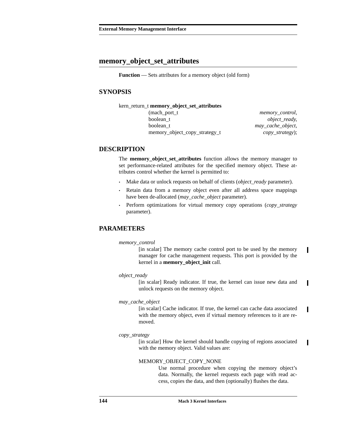# **memory\_object\_set\_attributes**

**Function** — Sets attributes for a memory object (old form)

## **SYNOPSIS**

kern\_return\_t **memory\_object\_set\_attributes**

(mach port t *memory control,* boolean\_t *object\_ready,* boolean\_t *may\_cache\_object,* memory\_object\_copy\_strategy\_t *copy\_strategy*);

 $\blacksquare$ 

Π

 $\blacksquare$ 

#### **DESCRIPTION**

The **memory\_object\_set\_attributes** function allows the memory manager to set performance-related attributes for the specified memory object. These attributes control whether the kernel is permitted to:

- Make data or unlock requests on behalf of clients (*object\_ready* parameter).
- Retain data from a memory object even after all address space mappings have been de-allocated (*may\_cache\_object* parameter).
- Perform optimizations for virtual memory copy operations (*copy\_strategy* parameter).

## **PARAMETERS**

*memory\_control*

[in scalar] The memory cache control port to be used by the memory manager for cache management requests. This port is provided by the kernel in a **memory\_object\_init** call.

#### *object\_ready*

[in scalar] Ready indicator. If true, the kernel can issue new data and unlock requests on the memory object.

#### *may\_cache\_object*

[in scalar] Cache indicator. If true, the kernel can cache data associated with the memory object, even if virtual memory references to it are removed.

#### *copy\_strategy*

[in scalar] How the kernel should handle copying of regions associated with the memory object. Valid values are:

#### MEMORY\_OBJECT\_COPY\_NONE

Use normal procedure when copying the memory object's data. Normally, the kernel requests each page with read access, copies the data, and then (optionally) flushes the data.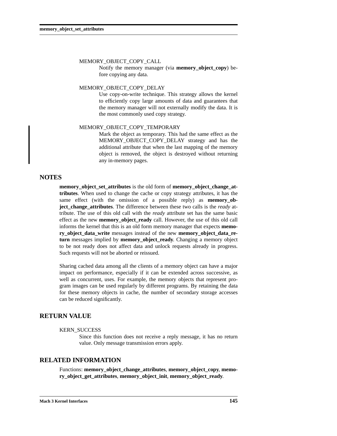#### MEMORY\_OBJECT\_COPY\_CALL

Notify the memory manager (via **memory\_object\_copy**) before copying any data.

#### MEMORY\_OBJECT\_COPY\_DELAY

Use copy-on-write technique. This strategy allows the kernel to efficiently copy large amounts of data and guarantees that the memory manager will not externally modify the data. It is the most commonly used copy strategy.

#### MEMORY\_OBJECT\_COPY\_TEMPORARY

Mark the object as temporary. This had the same effect as the MEMORY OBJECT COPY DELAY strategy and has the additional attribute that when the last mapping of the memory object is removed, the object is destroyed without returning any in-memory pages.

#### **NOTES**

**memory** object set attributes is the old form of **memory** object change at**tributes**. When used to change the cache or copy strategy attributes, it has the same effect (with the omission of a possible reply) as **memory\_object** change attributes. The difference between these two calls is the *ready* attribute. The use of this old call with the *ready* attribute set has the same basic effect as the new **memory\_object\_ready** call. However, the use of this old call informs the kernel that this is an old form memory manager that expects **memory\_object\_data\_write** messages instead of the new **memory\_object\_data\_return** messages implied by **memory\_object\_ready**. Changing a memory object to be not ready does not affect data and unlock requests already in progress. Such requests will not be aborted or reissued.

Sharing cached data among all the clients of a memory object can have a major impact on performance, especially if it can be extended across successive, as well as concurrent, uses. For example, the memory objects that represent program images can be used regularly by different programs. By retaining the data for these memory objects in cache, the number of secondary storage accesses can be reduced significantly.

## **RETURN VALUE**

#### KERN\_SUCCESS

Since this function does not receive a reply message, it has no return value. Only message transmission errors apply.

## **RELATED INFORMATION**

Functions: **memory\_object\_change\_attributes**, **memory\_object\_copy**, **memory\_object\_get\_attributes**, **memory\_object\_init**, **memory\_object\_ready**.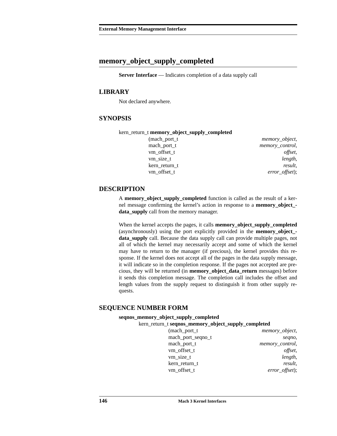# **memory\_object\_supply\_completed**

**Server Interface** — Indicates completion of a data supply call

#### **LIBRARY**

Not declared anywhere.

## **SYNOPSIS**

#### kern\_return\_t **memory\_object\_supply\_completed**

(mach\_port\_t *memory\_object,* mach\_port\_t *memory\_control,* vm\_offset\_t *offset*, vm\_size\_t *length*, kern return t *result*, vm\_offset\_t *error\_offset*);

#### **DESCRIPTION**

A **memory\_object\_supply\_completed** function is called as the result of a kernel message confirming the kernel's action in response to a **memory\_object\_ data\_supply** call from the memory manager.

When the kernel accepts the pages, it calls **memory** object supply completed (asynchronously) using the port explicitly provided in the **memory\_object\_ data\_supply** call. Because the data supply call can provide multiple pages, not all of which the kernel may necessarily accept and some of which the kernel may have to return to the manager (if precious), the kernel provides this response. If the kernel does not accept all of the pages in the data supply message, it will indicate so in the completion response. If the pages not accepted are precious, they will be returned (in **memory\_object\_data\_return** messages) before it sends this completion message. The completion call includes the offset and length values from the supply request to distinguish it from other supply requests.

#### **SEQUENCE NUMBER FORM**

#### **seqnos\_memory\_object\_supply\_completed**

kern\_return\_t **seqnos\_memory\_object\_supply\_completed**

(mach\_port\_t *memory\_object,* mach\_port\_seqno\_t *seqno*, mach\_port\_t *memory\_control,* vm\_offset\_t *offset*, vm\_size\_t *length*, kern\_return\_t *result*, vm\_offset\_t *error\_offset*);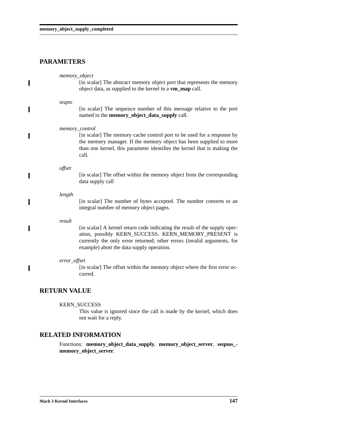## **PARAMETERS**

Ī

Г

I

 $\blacksquare$ 

Ι

Г

I

#### *memory\_object*

[in scalar] The abstract memory object port that represents the memory object data, as supplied to the kernel in a **vm\_map** call.

#### *seqno*

[in scalar] The sequence number of this message relative to the port named in the **memory\_object\_data\_supply** call.

#### *memory\_control*

[in scalar] The memory cache control port to be used for a response by the memory manager. If the memory object has been supplied to more than one kernel, this parameter identifies the kernel that is making the call.

#### *offset*

[in scalar] The offset within the memory object from the corresponding data supply call

#### *length*

[in scalar] The number of bytes accepted. The number converts to an integral number of memory object pages.

#### *result*

[in scalar] A kernel return code indicating the result of the supply operation, possibly KERN\_SUCCESS. KERN\_MEMORY\_PRESENT is currently the only error returned; other errors (invalid arguments, for example) abort the data supply operation.

#### *error\_offset*

[in scalar] The offset within the memory object where the first error occurred.

# **RETURN VALUE**

#### KERN\_SUCCESS

This value is ignored since the call is made by the kernel, which does not wait for a reply.

## **RELATED INFORMATION**

Functions: **memory\_object\_data\_supply**, **memory\_object\_server**, **seqnos\_ memory\_object\_server**.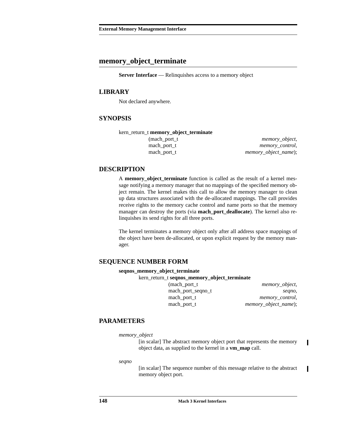## **memory\_object\_terminate**

**Server Interface** — Relinquishes access to a memory object

#### **LIBRARY**

Not declared anywhere.

## **SYNOPSIS**

kern\_return\_t **memory\_object\_terminate**

(mach\_port\_t *memory\_object,* mach\_port\_t *memory\_control,* mach\_port\_t *memory\_object\_name*);

## **DESCRIPTION**

A **memory\_object\_terminate** function is called as the result of a kernel message notifying a memory manager that no mappings of the specified memory object remain. The kernel makes this call to allow the memory manager to clean up data structures associated with the de-allocated mappings. The call provides receive rights to the memory cache control and name ports so that the memory manager can destroy the ports (via **mach\_port\_deallocate**). The kernel also relinquishes its send rights for all three ports.

The kernel terminates a memory object only after all address space mappings of the object have been de-allocated, or upon explicit request by the memory manager.

## **SEQUENCE NUMBER FORM**

#### **seqnos\_memory\_object\_terminate**

kern\_return\_t **seqnos\_memory\_object\_terminate**

(mach\_port\_t *memory\_object,* mach\_port\_seqno\_t *seqno,* mach port t *memory control,* mach\_port\_t *memory\_object\_name*);

 $\blacksquare$ 

 $\blacksquare$ 

## **PARAMETERS**

*memory\_object*

[in scalar] The abstract memory object port that represents the memory object data, as supplied to the kernel in a **vm\_map** call.

*seqno*

[in scalar] The sequence number of this message relative to the abstract memory object port.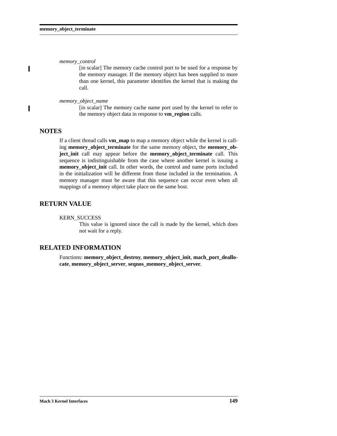#### *memory\_control*

[in scalar] The memory cache control port to be used for a response by the memory manager. If the memory object has been supplied to more than one kernel, this parameter identifies the kernel that is making the call.

#### *memory\_object\_name*

[in scalar] The memory cache name port used by the kernel to refer to the memory object data in response to **vm\_region** calls.

## **NOTES**

 $\mathbf I$ 

 $\mathbf I$ 

If a client thread calls **vm\_map** to map a memory object while the kernel is calling **memory\_object\_terminate** for the same memory object, the **memory\_object\_init** call may appear before the **memory\_object\_terminate** call. This sequence is indistinguishable from the case where another kernel is issuing a **memory** object init call. In other words, the control and name ports included in the initialization will be different from those included in the termination. A memory manager must be aware that this sequence can occur even when all mappings of a memory object take place on the same host.

## **RETURN VALUE**

#### KERN\_SUCCESS

This value is ignored since the call is made by the kernel, which does not wait for a reply.

## **RELATED INFORMATION**

Functions: **memory\_object\_destroy**, **memory\_object\_init**, **mach\_port\_deallocate**, **memory\_object\_server**, **seqnos\_memory\_object\_server**.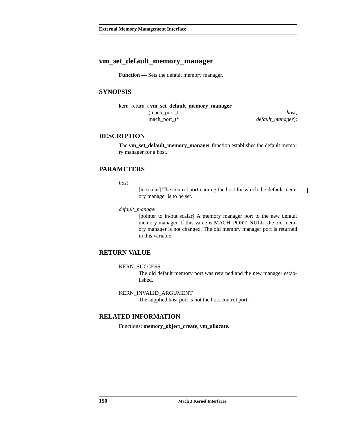# **vm\_set\_default\_memory\_manager**

**Function** — Sets the default memory manager.

## **SYNOPSIS**

kern\_return\_t **vm\_set\_default\_memory\_manager** (mach\_port\_t *host,* mach\_port\_t\* *default\_manager*);

 $\blacksquare$ 

## **DESCRIPTION**

The **vm\_set\_default\_memory\_manager** function establishes the default memory manager for a host.

## **PARAMETERS**

*host*

[in scalar] The control port naming the host for which the default memory manager is to be set.

#### *default\_manager*

[pointer to in/out scalar] A memory manager port to the new default memory manager. If this value is MACH\_PORT\_NULL, the old memory manager is not changed. The old memory manager port is returned in this variable.

# **RETURN VALUE**

## KERN\_SUCCESS

The old default memory port was returned and the new manager established.

#### KERN\_INVALID\_ARGUMENT

The supplied host port is not the host control port.

## **RELATED INFORMATION**

Functions: **memory\_object\_create**, **vm\_allocate**.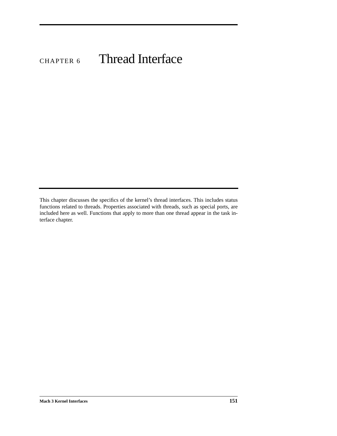# CHAPTER 6 Thread Interface

This chapter discusses the specifics of the kernel's thread interfaces. This includes status functions related to threads. Properties associated with threads, such as special ports, are included here as well. Functions that apply to more than one thread appear in the task interface chapter.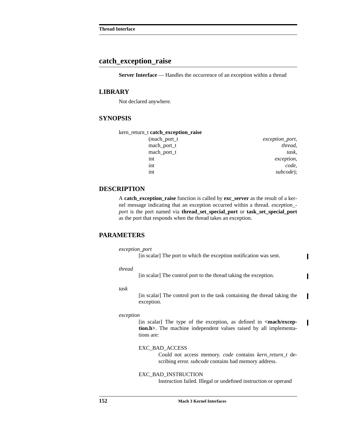# **catch\_exception\_raise**

**Server Interface** — Handles the occurrence of an exception within a thread

#### **LIBRARY**

Not declared anywhere.

# **SYNOPSIS**

|  | kern_return_t catch_exception_raise |  |
|--|-------------------------------------|--|
|  |                                     |  |

| exception_port, | (mach_port_t |
|-----------------|--------------|
| thread,         | mach_port_t  |
| task,           | mach_port_t  |
| exception,      | int          |
| code,           | int          |
| subcode);       | int          |

## **DESCRIPTION**

A **catch\_exception\_raise** function is called by **exc\_server** as the result of a kernel message indicating that an exception occurred within a thread. *exception\_ port* is the port named via **thread\_set\_special\_port** or **task\_set\_special\_port** as the port that responds when the thread takes an exception.

## **PARAMETERS**

*exception\_port*

[in scalar] The port to which the exception notification was sent.

#### *thread*

[in scalar] The control port to the thread taking the exception.

#### *task*

[in scalar] The control port to the task containing the thread taking the exception.

 $\blacksquare$ 

 $\blacksquare$ 

 $\blacksquare$ 

 $\mathbf I$ 

#### *exception*

[in scalar] The type of the exception, as defined in **<mach/exception.h>**. The machine independent values raised by all implementations are:

#### EXC\_BAD\_ACCESS

Could not access memory. *code* contains *kern\_return\_t* describing error. *subcode* contains bad memory address.

#### EXC\_BAD\_INSTRUCTION

Instruction failed. Illegal or undefined instruction or operand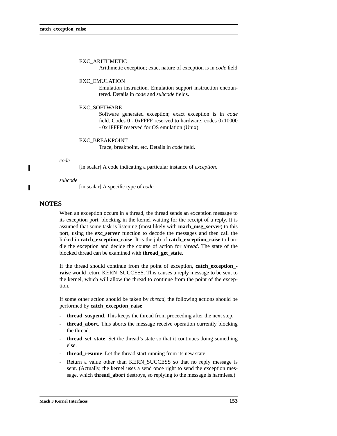#### EXC\_ARITHMETIC

Arithmetic exception; exact nature of exception is in *code* field

#### EXC\_EMULATION

Emulation instruction. Emulation support instruction encountered. Details in *code* and *subcode* fields.

#### EXC\_SOFTWARE

Software generated exception; exact exception is in *code* field. Codes 0 - 0xFFFF reserved to hardware; codes 0x10000 - 0x1FFFF reserved for OS emulation (Unix).

#### EXC\_BREAKPOINT

Trace, breakpoint, etc. Details in *code* field.

#### *code*

[in scalar] A code indicating a particular instance of *exception*.

#### *subcode*

[in scalar] A specific type of *code*.

## **NOTES**

Ι

ı

When an exception occurs in a thread, the thread sends an exception message to its exception port, blocking in the kernel waiting for the receipt of a reply. It is assumed that some task is listening (most likely with **mach\_msg\_server**) to this port, using the **exc\_server** function to decode the messages and then call the linked in **catch\_exception\_raise**. It is the job of **catch\_exception\_raise** to handle the exception and decide the course of action for *thread*. The state of the blocked thread can be examined with **thread\_get\_state**.

If the thread should continue from the point of exception, **catch\_exception\_ raise** would return KERN\_SUCCESS. This causes a reply message to be sent to the kernel, which will allow the thread to continue from the point of the exception.

If some other action should be taken by *thread*, the following actions should be performed by **catch\_exception\_raise**:

- **thread\_suspend**. This keeps the thread from proceeding after the next step.
- **thread\_abort**. This aborts the message receive operation currently blocking the thread.
- **thread\_set\_state**. Set the thread's state so that it continues doing something else.
- **thread\_resume**. Let the thread start running from its new state.
- Return a value other than KERN\_SUCCESS so that no reply message is sent. (Actually, the kernel uses a send once right to send the exception message, which **thread\_abort** destroys, so replying to the message is harmless.)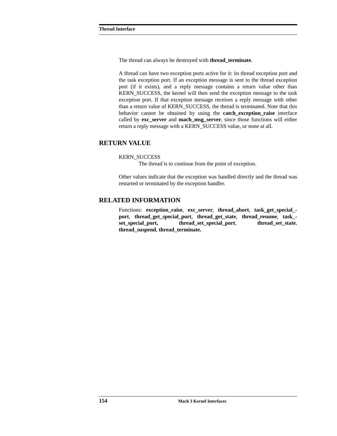The thread can always be destroyed with **thread\_terminate**.

A thread can have two exception ports active for it: its thread exception port and the task exception port. If an exception message is sent to the thread exception port (if it exists), and a reply message contains a return value other than KERN\_SUCCESS, the kernel will then send the exception message to the task exception port. If that exception message receives a reply message with other than a return value of KERN\_SUCCESS, the thread is terminated. Note that this behavior cannot be obtained by using the **catch\_exception\_raise** interface called by **exc\_server** and **mach\_msg\_server**, since those functions will either return a reply message with a KERN\_SUCCESS value, or none at all.

## **RETURN VALUE**

#### KERN\_SUCCESS

The thread is to continue from the point of exception.

Other values indicate that the exception was handled directly and the thread was restarted or terminated by the exception handler.

#### **RELATED INFORMATION**

Functions: **exception\_raise**, **exc\_server**, **thread\_abort**, **task\_get\_special\_ port**, **thread\_get\_special\_port**, **thread\_get\_state**, **thread\_resume**, **task\_ set\_special\_port, thread\_set\_special\_port**, **thread\_set\_state**, **thread\_suspend**, **thread\_terminate.**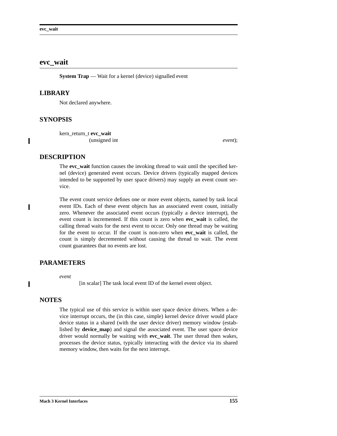# **evc\_wait**

**System Trap** — Wait for a kernel (device) signalled event

#### **LIBRARY**

Not declared anywhere.

#### **SYNOPSIS**

Г

kern\_return\_t **evc\_wait** (unsigned int *event*);

#### **DESCRIPTION**

The **evc\_wait** function causes the invoking thread to wait until the specified kernel (device) generated event occurs. Device drivers (typically mapped devices intended to be supported by user space drivers) may supply an event count service.

The event count service defines one or more event objects, named by task local event IDs. Each of these event objects has an associated event count, initially zero. Whenever the associated event occurs (typically a device interrupt), the event count is incremented. If this count is zero when **evc\_wait** is called, the calling thread waits for the next event to occur. Only one thread may be waiting for the event to occur. If the count is non-zero when **evc\_wait** is called, the count is simply decremented without causing the thread to wait. The event count guarantees that no events are lost.

## **PARAMETERS**

*event*

[in scalar] The task local event ID of the kernel event object.

## **NOTES**

Π

The typical use of this service is within user space device drivers. When a device interrupt occurs, the (in this case, simple) kernel device driver would place device status in a shared (with the user device driver) memory window (established by **device\_map**) and signal the associated event. The user space device driver would normally be waiting with **evc\_wait**. The user thread then wakes, processes the device status, typically interacting with the device via its shared memory window, then waits for the next interrupt.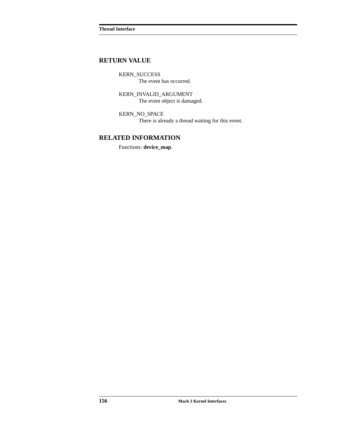# **RETURN VALUE**

KERN\_SUCCESS The event has occurred.

KERN\_INVALID\_ARGUMENT The event object is damaged.

KERN\_NO\_SPACE There is already a thread waiting for this event.

# **RELATED INFORMATION**

Functions: **device\_map**.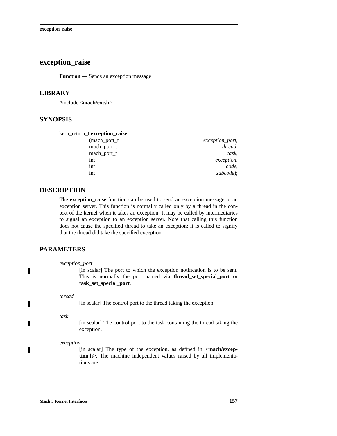# **exception\_raise**

**Function** — Sends an exception message

#### **LIBRARY**

#include <**mach/exc.h**>

#### **SYNOPSIS**

kern\_return\_t **exception\_raise**

| (mach_port_t |
|--------------|
| mach_port_t  |
| mach_port_t  |
| int          |
| int          |
| int          |
|              |

#### **DESCRIPTION**

The **exception\_raise** function can be used to send an exception message to an exception server. This function is normally called only by a thread in the context of the kernel when it takes an exception. It may be called by intermediaries to signal an exception to an exception server. Note that calling this function does not cause the specified thread to take an exception; it is called to signify that the thread did take the specified exception.

## **PARAMETERS**

```
exception_port
```
[in scalar] The port to which the exception notification is to be sent. This is normally the port named via **thread\_set\_special\_port** or **task\_set\_special\_port**.

#### *thread*

[in scalar] The control port to the thread taking the exception.

#### *task*

Ī

Ī

Γ

[in scalar] The control port to the task containing the thread taking the exception.

*exception*

[in scalar] The type of the exception, as defined in **<mach/exception.h>**. The machine independent values raised by all implementations are: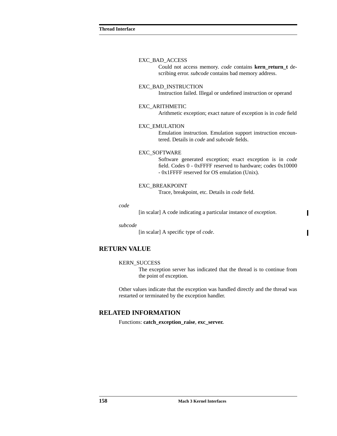#### EXC\_BAD\_ACCESS

Could not access memory. *code* contains **kern\_return\_t** describing error. *subcode* contains bad memory address.

#### EXC\_BAD\_INSTRUCTION

Instruction failed. Illegal or undefined instruction or operand

#### EXC\_ARITHMETIC

Arithmetic exception; exact nature of exception is in *code* field

#### EXC\_EMULATION

Emulation instruction. Emulation support instruction encountered. Details in *code* and *subcode* fields.

#### EXC\_SOFTWARE

Software generated exception; exact exception is in *code* field. Codes 0 - 0xFFFF reserved to hardware; codes 0x10000 - 0x1FFFF reserved for OS emulation (Unix).

 $\mathbf I$ 

Π

#### EXC\_BREAKPOINT

Trace, breakpoint, etc. Details in *code* field.

*code*

[in scalar] A code indicating a particular instance of *exception*.

#### *subcode*

[in scalar] A specific type of *code*.

#### **RETURN VALUE**

#### KERN\_SUCCESS

The exception server has indicated that the thread is to continue from the point of exception.

Other values indicate that the exception was handled directly and the thread was restarted or terminated by the exception handler.

## **RELATED INFORMATION**

Functions: **catch\_exception\_raise**, **exc\_server.**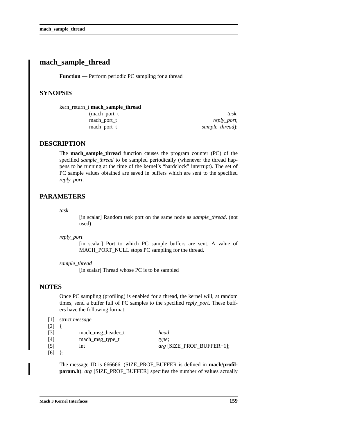# **mach\_sample\_thread**

**Function** — Perform periodic PC sampling for a thread

## **SYNOPSIS**

| task.           |
|-----------------|
| reply_port,     |
| sample_thread); |
|                 |

## **DESCRIPTION**

The **mach\_sample\_thread** function causes the program counter (PC) of the specified *sample\_thread* to be sampled periodically (whenever the thread happens to be running at the time of the kernel's "hardclock" interrupt). The set of PC sample values obtained are saved in buffers which are sent to the specified *reply\_port*.

# **PARAMETERS**

*task*

[in scalar] Random task port on the same node as *sample\_thread*. (not used)

*reply\_port*

[in scalar] Port to which PC sample buffers are sent. A value of MACH\_PORT\_NULL stops PC sampling for the thread.

*sample\_thread*

[in scalar] Thread whose PC is to be sampled

## **NOTES**

Once PC sampling (profiling) is enabled for a thread, the kernel will, at random times, send a buffer full of PC samples to the specified *reply\_port*. These buffers have the following format:

```
[1] struct message
```

```
[2] {
```

| .        |                   |                           |
|----------|-------------------|---------------------------|
| $[3]$    | mach_msg_header_t | head;                     |
| [4]      | mach_msg_type_t   | type:                     |
| $[5]$    | 1nt               | arg [SIZE_PROF_BUFFER+1]; |
| $[6]$ }; |                   |                           |

The message ID is 666666. (SIZE\_PROF\_BUFFER is defined in **mach/profilparam.h**). *arg* [SIZE\_PROF\_BUFFER] specifies the number of values actually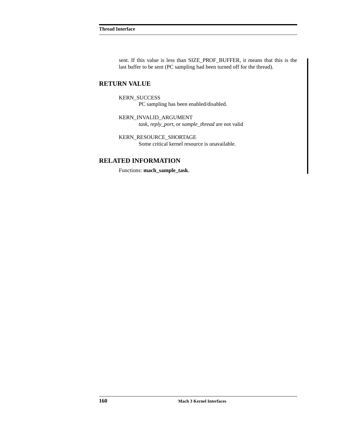sent. If this value is less than SIZE\_PROF\_BUFFER, it means that this is the last buffer to be sent (PC sampling had been turned off for the thread).

## **RETURN VALUE**

KERN\_SUCCESS PC sampling has been enabled/disabled.

KERN\_INVALID\_ARGUMENT *task*, *reply\_port*, or *sample\_thread* are not valid

KERN\_RESOURCE\_SHORTAGE Some critical kernel resource is unavailable.

# **RELATED INFORMATION**

Functions: **mach\_sample\_task**.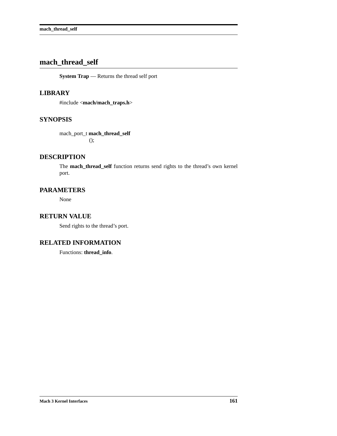# **mach\_thread\_self**

**System Trap** — Returns the thread self port

#### **LIBRARY**

#include <**mach/mach\_traps.h**>

## **SYNOPSIS**

mach\_port\_t **mach\_thread\_self** ();

## **DESCRIPTION**

The **mach\_thread\_self** function returns send rights to the thread's own kernel port.

## **PARAMETERS**

None

# **RETURN VALUE**

Send rights to the thread's port.

# **RELATED INFORMATION**

Functions: **thread\_info**.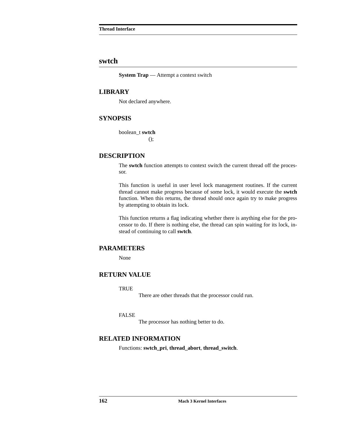## **swtch**

**System Trap** — Attempt a context switch

#### **LIBRARY**

Not declared anywhere.

## **SYNOPSIS**

boolean\_t **swtch** ();

#### **DESCRIPTION**

The **swtch** function attempts to context switch the current thread off the processor.

This function is useful in user level lock management routines. If the current thread cannot make progress because of some lock, it would execute the **swtch** function. When this returns, the thread should once again try to make progress by attempting to obtain its lock.

This function returns a flag indicating whether there is anything else for the processor to do. If there is nothing else, the thread can spin waiting for its lock, instead of continuing to call **swtch**.

## **PARAMETERS**

None

#### **RETURN VALUE**

**TRUE** 

There are other threads that the processor could run.

FALSE

The processor has nothing better to do.

## **RELATED INFORMATION**

Functions: **swtch\_pri**, **thread\_abort**, **thread\_switch**.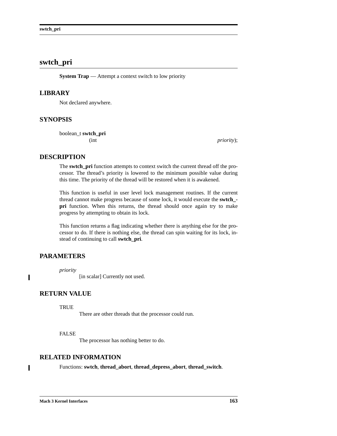# **swtch\_pri**

**System Trap** — Attempt a context switch to low priority

#### **LIBRARY**

Not declared anywhere.

#### **SYNOPSIS**

boolean\_t **swtch\_pri** (int *priority*);

# **DESCRIPTION**

The **swtch\_pri** function attempts to context switch the current thread off the processor. The thread's priority is lowered to the minimum possible value during this time. The priority of the thread will be restored when it is awakened.

This function is useful in user level lock management routines. If the current thread cannot make progress because of some lock, it would execute the **swtch\_ pri** function. When this returns, the thread should once again try to make progress by attempting to obtain its lock.

This function returns a flag indicating whether there is anything else for the processor to do. If there is nothing else, the thread can spin waiting for its lock, instead of continuing to call **swtch\_pri**.

## **PARAMETERS**

Π

ı

*priority*

[in scalar] Currently not used.

#### **RETURN VALUE**

**TRUE** 

There are other threads that the processor could run.

#### FALSE

The processor has nothing better to do.

#### **RELATED INFORMATION**

Functions: **swtch**, **thread\_abort**, **thread\_depress\_abort**, **thread\_switch**.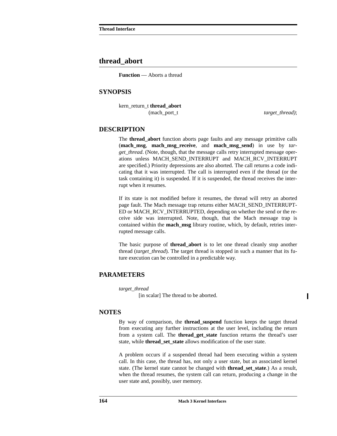# **thread\_abort**

**Function** — Aborts a thread

## **SYNOPSIS**

kern\_return\_t **thread\_abort** (mach port t *target thread)*;

#### **DESCRIPTION**

The **thread\_abort** function aborts page faults and any message primitive calls (**mach\_msg**, **mach\_msg\_receive**, and **mach\_msg\_send**) in use by *target thread*. (Note, though, that the message calls retry interrupted message operations unless MACH\_SEND\_INTERRUPT and MACH\_RCV\_INTERRUPT are specified.) Priority depressions are also aborted. The call returns a code indicating that it was interrupted. The call is interrupted even if the thread (or the task containing it) is suspended. If it is suspended, the thread receives the interrupt when it resumes.

If its state is not modified before it resumes, the thread will retry an aborted page fault. The Mach message trap returns either MACH\_SEND\_INTERRUPT-ED or MACH\_RCV\_INTERRUPTED, depending on whether the send or the receive side was interrupted. Note, though, that the Mach message trap is contained within the **mach\_msg** library routine, which, by default, retries interrupted message calls.

The basic purpose of **thread\_abort** is to let one thread cleanly stop another thread (*target\_thread*). The target thread is stopped in such a manner that its future execution can be controlled in a predictable way.

#### **PARAMETERS**

*target\_thread*

[in scalar] The thread to be aborted.

 $\blacksquare$ 

#### **NOTES**

By way of comparison, the **thread\_suspend** function keeps the target thread from executing any further instructions at the user level, including the return from a system call. The **thread\_get\_state** function returns the thread's user state, while **thread\_set\_state** allows modification of the user state.

A problem occurs if a suspended thread had been executing within a system call. In this case, the thread has, not only a user state, but an associated kernel state. (The kernel state cannot be changed with **thread\_set\_state**.) As a result, when the thread resumes, the system call can return, producing a change in the user state and, possibly, user memory.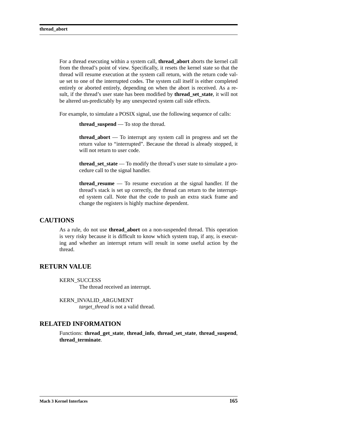For a thread executing within a system call, **thread\_abort** aborts the kernel call from the thread's point of view. Specifically, it resets the kernel state so that the thread will resume execution at the system call return, with the return code value set to one of the interrupted codes. The system call itself is either completed entirely or aborted entirely, depending on when the abort is received. As a result, if the thread's user state has been modified by **thread\_set\_state**, it will not be altered un-predictably by any unexpected system call side effects.

For example, to simulate a POSIX signal, use the following sequence of calls:

**thread\_suspend** — To stop the thread.

**thread abort** — To interrupt any system call in progress and set the return value to "interrupted". Because the thread is already stopped, it will not return to user code.

**thread\_set\_state** — To modify the thread's user state to simulate a procedure call to the signal handler.

**thread\_resume** — To resume execution at the signal handler. If the thread's stack is set up correctly, the thread can return to the interrupted system call. Note that the code to push an extra stack frame and change the registers is highly machine dependent.

#### **CAUTIONS**

As a rule, do not use **thread\_abort** on a non-suspended thread. This operation is very risky because it is difficult to know which system trap, if any, is executing and whether an interrupt return will result in some useful action by the thread.

## **RETURN VALUE**

KERN\_SUCCESS

The thread received an interrupt.

KERN\_INVALID\_ARGUMENT *target\_thread* is not a valid thread.

## **RELATED INFORMATION**

Functions: **thread\_get\_state**, **thread\_info**, **thread\_set\_state**, **thread\_suspend**, **thread\_terminate**.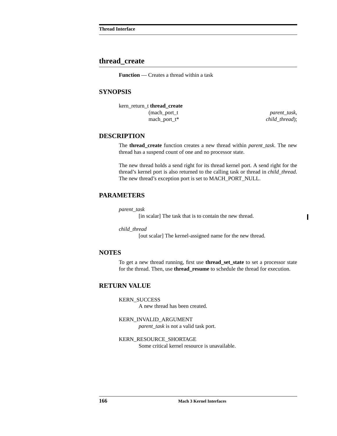# **thread\_create**

**Function** — Creates a thread within a task

## **SYNOPSIS**

kern\_return\_t **thread\_create** (mach\_port\_t *parent\_task,*

mach\_port\_t\* *child\_thread*);

 $\mathbf I$ 

# **DESCRIPTION**

The **thread\_create** function creates a new thread within *parent\_task*. The new thread has a suspend count of one and no processor state.

The new thread holds a send right for its thread kernel port. A send right for the thread's kernel port is also returned to the calling task or thread in *child\_thread*. The new thread's exception port is set to MACH\_PORT\_NULL.

## **PARAMETERS**

*parent\_task*

[in scalar] The task that is to contain the new thread.

*child\_thread*

[out scalar] The kernel-assigned name for the new thread.

## **NOTES**

To get a new thread running, first use **thread\_set\_state** to set a processor state for the thread. Then, use **thread\_resume** to schedule the thread for execution.

# **RETURN VALUE**

KERN\_SUCCESS A new thread has been created.

KERN\_INVALID\_ARGUMENT *parent\_task* is not a valid task port.

KERN\_RESOURCE\_SHORTAGE Some critical kernel resource is unavailable.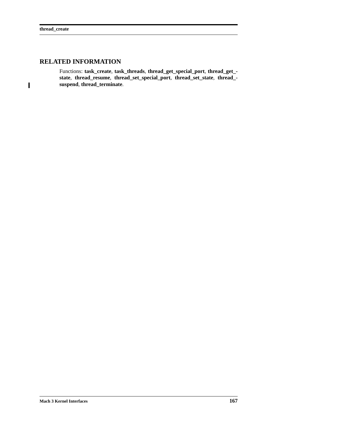$\blacksquare$ 

# **RELATED INFORMATION**

Functions: **task\_create**, **task\_threads**, **thread\_get\_special\_port**, **thread\_get\_ state**, **thread\_resume**, **thread\_set\_special\_port**, **thread\_set\_state**, **thread\_ suspend**, **thread\_terminate**.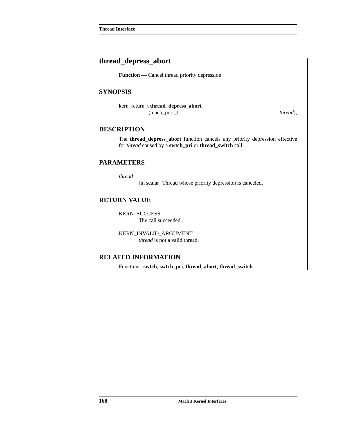# **thread\_depress\_abort**

**Function** — Cancel thread priority depression

## **SYNOPSIS**

kern\_return\_t **thread\_depress\_abort** (mach\_port\_t *thread*);

#### **DESCRIPTION**

The **thread\_depress\_abort** function cancels any priority depression effective for *thread* caused by a **swtch\_pri** or **thread\_switch** call.

## **PARAMETERS**

*thread*

[in scalar] Thread whose priority depression is canceled.

# **RETURN VALUE**

KERN\_SUCCESS The call succeeded.

KERN\_INVALID\_ARGUMENT *thread* is not a valid thread.

#### **RELATED INFORMATION**

Functions: **swtch**, **swtch\_pri**, **thread\_abort**, **thread\_switch**.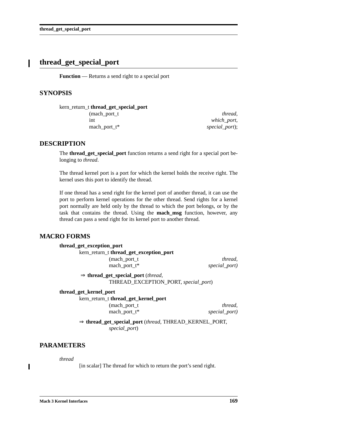# **thread\_get\_special\_port**

**Function** — Returns a send right to a special port

#### **SYNOPSIS**

 $\mathbf I$ 

|                | kern_return_t thread_get_special_port |
|----------------|---------------------------------------|
| thread,        | (mach port t                          |
| which port,    | 1nt                                   |
| special_port); | mach port $t^*$                       |

## **DESCRIPTION**

The **thread\_get\_special\_port** function returns a send right for a special port belonging to *thread*.

The thread kernel port is a port for which the kernel holds the receive right. The kernel uses this port to identify the thread.

If one thread has a send right for the kernel port of another thread, it can use the port to perform kernel operations for the other thread. Send rights for a kernel port normally are held only by the thread to which the port belongs, or by the task that contains the thread. Using the **mach\_msg** function, however, any thread can pass a send right for its kernel port to another thread.

# **MACRO FORMS**

| thread_get_exception_port                                          |               |
|--------------------------------------------------------------------|---------------|
| kern_return_t thread_get_exception_port                            |               |
| (mach port t                                                       | thread.       |
| mach_port_t*                                                       | special_port) |
| $\Rightarrow$ thread_get_special_port (thread,                     |               |
| THREAD_EXCEPTION_PORT, special_port)                               |               |
| thread get kernel port                                             |               |
| kern_return_t thread_get_kernel_port                               |               |
| (mach port t                                                       | thread.       |
| mach_port_t*                                                       | special_port) |
| $\Rightarrow$ thread_get_special_port (thread, THREAD_KERNEL_PORT, |               |
| special_port)                                                      |               |

## **PARAMETERS**

 $\mathbf{I}$ 

*thread*

[in scalar] The thread for which to return the port's send right.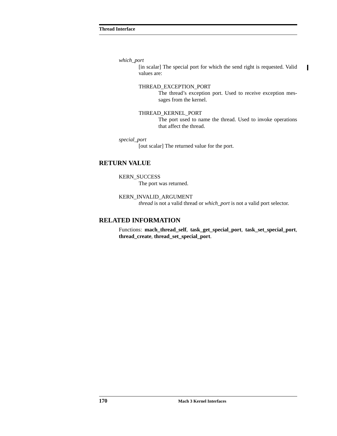#### *which\_port*

[in scalar] The special port for which the send right is requested. Valid values are:

#### THREAD\_EXCEPTION\_PORT

The thread's exception port. Used to receive exception messages from the kernel.

 $\blacksquare$ 

#### THREAD\_KERNEL\_PORT

The port used to name the thread. Used to invoke operations that affect the thread.

#### *special\_port*

[out scalar] The returned value for the port.

## **RETURN VALUE**

KERN\_SUCCESS The port was returned.

#### KERN\_INVALID\_ARGUMENT

*thread* is not a valid thread or *which\_port* is not a valid port selector.

## **RELATED INFORMATION**

Functions: **mach\_thread\_self**, **task\_get\_special\_port**, **task\_set\_special\_port**, **thread\_create**, **thread\_set\_special\_port**.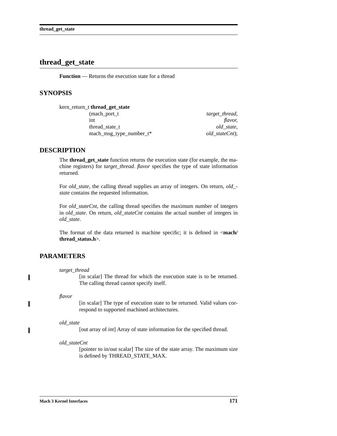# **thread\_get\_state**

**Function** — Returns the execution state for a thread

## **SYNOPSIS**

| kern_return_t <b>thread_get_state</b> |                |
|---------------------------------------|----------------|
| (mach port t                          | target_thread, |
| int                                   | flavor,        |
| thread state t                        | old state.     |
| mach_msg_type_number_t*               | old stateCnt); |

## **DESCRIPTION**

The **thread\_get\_state** function returns the execution state (for example, the machine registers) for *target\_thread*. *flavor* specifies the type of state information returned.

For *old\_state*, the calling thread supplies an array of integers. On return, *old\_ state* contains the requested information.

For *old\_stateCnt*, the calling thread specifies the maximum number of integers in *old\_state*. On return, *old\_stateCnt* contains the actual number of integers in *old\_state*.

The format of the data returned is machine specific; it is defined in <**mach/ thread\_status.h**>.

## **PARAMETERS**

Ι

Г

I

#### *target\_thread*

[in scalar] The thread for which the execution state is to be returned. The calling thread cannot specify itself.

#### *flavor*

[in scalar] The type of execution state to be returned. Valid values correspond to supported machined architectures.

#### *old\_state*

[out array of *int*] Array of state information for the specified thread.

#### *old\_stateCnt*

[pointer to in/out scalar] The size of the state array. The maximum size is defined by THREAD\_STATE\_MAX.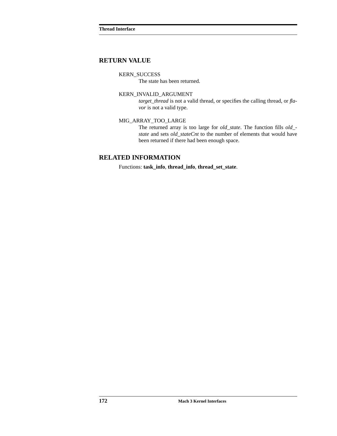# **RETURN VALUE**

## KERN\_SUCCESS

The state has been returned.

#### KERN\_INVALID\_ARGUMENT

*target\_thread* is not a valid thread, or specifies the calling thread, or *flavor* is not a valid type.

## MIG\_ARRAY\_TOO\_LARGE

The returned array is too large for *old\_state*. The function fills *old\_ state* and sets *old\_stateCnt* to the number of elements that would have been returned if there had been enough space.

# **RELATED INFORMATION**

Functions: **task\_info**, **thread\_info**, **thread\_set\_state**.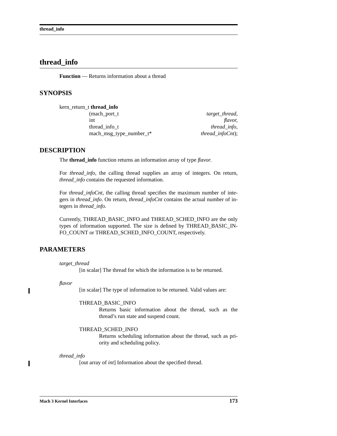# **thread\_info**

**Function** — Returns information about a thread

### **SYNOPSIS**

| kern_return_t thread_info |                    |
|---------------------------|--------------------|
| (mach port t)             | target_thread,     |
| int                       | flavor,            |
| thread info t             | thread_info,       |
| mach_msg_type_number_t*   | $thread_infoCnt);$ |

### **DESCRIPTION**

The **thread\_info** function returns an information array of type *flavor*.

For *thread\_info*, the calling thread supplies an array of integers. On return, *thread\_info* contains the requested information.

For *thread\_infoCnt*, the calling thread specifies the maximum number of integers in *thread\_info*. On return, *thread\_infoCnt* contains the actual number of integers in *thread\_info*.

Currently, THREAD\_BASIC\_INFO and THREAD\_SCHED\_INFO are the only types of information supported. The size is defined by THREAD\_BASIC\_IN-FO\_COUNT or THREAD\_SCHED\_INFO\_COUNT, respectively.

## **PARAMETERS**

[in scalar] The thread for which the information is to be returned.

*flavor*

 $\blacksquare$ 

 $\blacksquare$ 

[in scalar] The type of information to be returned. Valid values are:

### THREAD\_BASIC\_INFO

Returns basic information about the thread, such as the thread's run state and suspend count.

### THREAD\_SCHED\_INFO

Returns scheduling information about the thread, such as priority and scheduling policy.

### *thread\_info*

[out array of *int*] Information about the specified thread.

*target\_thread*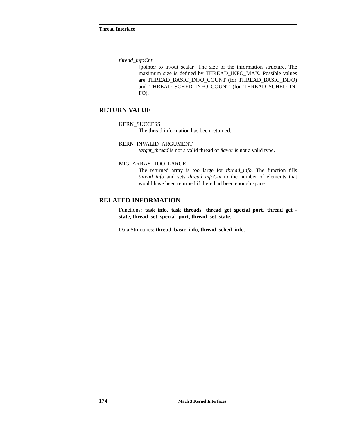*thread\_infoCnt*

[pointer to in/out scalar] The size of the information structure. The maximum size is defined by THREAD\_INFO\_MAX. Possible values are THREAD\_BASIC\_INFO\_COUNT (for THREAD\_BASIC\_INFO) and THREAD\_SCHED\_INFO\_COUNT (for THREAD\_SCHED\_IN-FO).

# **RETURN VALUE**

### KERN\_SUCCESS

The thread information has been returned.

### KERN\_INVALID\_ARGUMENT

*target\_thread* is not a valid thread or *flavor* is not a valid type.

### MIG\_ARRAY\_TOO\_LARGE

The returned array is too large for *thread\_info*. The function fills *thread\_info* and sets *thread\_infoCnt* to the number of elements that would have been returned if there had been enough space.

## **RELATED INFORMATION**

Functions: **task\_info**, **task\_threads**, **thread\_get\_special\_port**, **thread\_get\_ state**, **thread\_set\_special\_port**, **thread\_set\_state**.

Data Structures: **thread\_basic\_info**, **thread\_sched\_info**.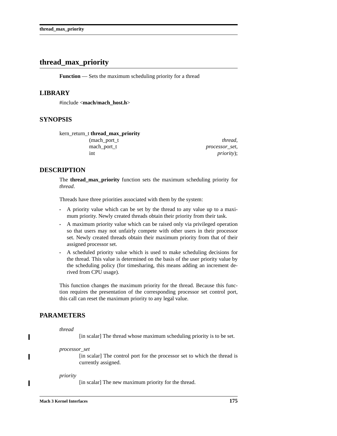# **thread\_max\_priority**

**Function** — Sets the maximum scheduling priority for a thread

### **LIBRARY**

#include <**mach/mach\_host.h**>

## **SYNOPSIS**

kern\_return\_t **thread\_max\_priority**

(mach\_port\_t *thread,* mach\_port\_t *processor\_set,* int *priority*);

## **DESCRIPTION**

The **thread\_max\_priority** function sets the maximum scheduling priority for *thread*.

Threads have three priorities associated with them by the system:

- A priority value which can be set by the thread to any value up to a maximum priority. Newly created threads obtain their priority from their task.
- A maximum priority value which can be raised only via privileged operation so that users may not unfairly compete with other users in their processor set. Newly created threads obtain their maximum priority from that of their assigned processor set.
- A scheduled priority value which is used to make scheduling decisions for the thread. This value is determined on the basis of the user priority value by the scheduling policy (for timesharing, this means adding an increment derived from CPU usage).

This function changes the maximum priority for the thread. Because this function requires the presentation of the corresponding processor set control port, this call can reset the maximum priority to any legal value.

### **PARAMETERS**

Ī

Π

Г

*thread*

[in scalar] The thread whose maximum scheduling priority is to be set.

### *processor\_set*

[in scalar] The control port for the processor set to which the thread is currently assigned.

### *priority*

[in scalar] The new maximum priority for the thread.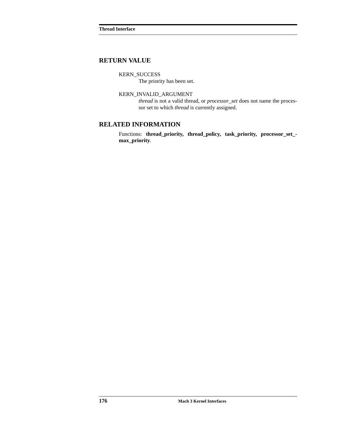# **RETURN VALUE**

### KERN\_SUCCESS

The priority has been set.

KERN\_INVALID\_ARGUMENT *thread* is not a valid thread, or *processor\_set* does not name the processor set to which *thread* is currently assigned.

# **RELATED INFORMATION**

Functions: **thread\_priority, thread\_policy, task\_priority, processor\_set\_ max\_priority**.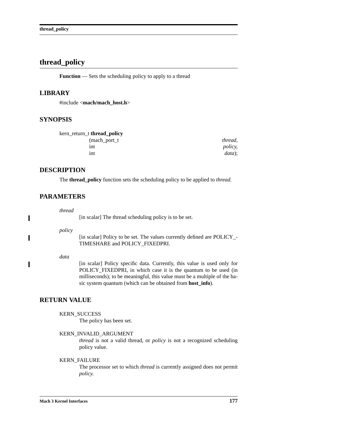# **thread\_policy**

**Function** — Sets the scheduling policy to apply to a thread

### **LIBRARY**

#include <**mach/mach\_host.h**>

### **SYNOPSIS**

kern\_return\_t **thread\_policy**

| (mach_port_t) | thread, |
|---------------|---------|
| int           | policy, |
| int           | data);  |

### **DESCRIPTION**

The **thread\_policy** function sets the scheduling policy to be applied to *thread*.

## **PARAMETERS**

 $\mathbf{I}$ 

Π

Π

#### *thread*

[in scalar] The thread scheduling policy is to be set.

*policy*

[in scalar] Policy to be set. The values currently defined are POLICY -TIMESHARE and POLICY\_FIXEDPRI.

### *data*

[in scalar] Policy specific data. Currently, this value is used only for POLICY\_FIXEDPRI, in which case it is the quantum to be used (in milliseconds); to be meaningful, this value must be a multiple of the basic system quantum (which can be obtained from **host\_info**).

# **RETURN VALUE**

### KERN\_SUCCESS

The policy has been set.

### KERN\_INVALID\_ARGUMENT

*thread* is not a valid thread, or *policy* is not a recognized scheduling policy value.

### KERN\_FAILURE

The processor set to which *thread* is currently assigned does not permit *policy*.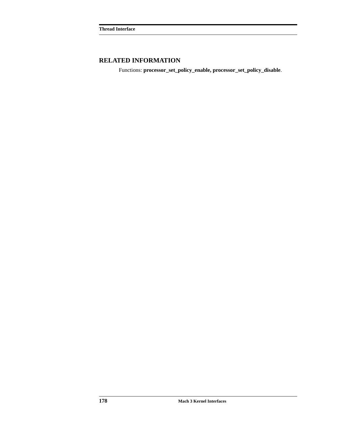# **RELATED INFORMATION**

Functions: **processor\_set\_policy\_enable, processor\_set\_policy\_disable**.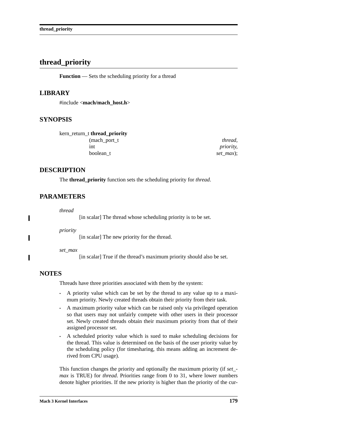# **thread\_priority**

Function — Sets the scheduling priority for a thread

### **LIBRARY**

#include <**mach/mach\_host.h**>

### **SYNOPSIS**

kern\_return\_t **thread\_priority**

| (mach_port_t) | thread,          |
|---------------|------------------|
| int           | <i>priority,</i> |
| boolean t     | $set\_max);$     |

### **DESCRIPTION**

The **thread\_priority** function sets the scheduling priority for *thread*.

## **PARAMETERS**

*thread*

[in scalar] The thread whose scheduling priority is to be set.

*priority*

[in scalar] The new priority for the thread.

*set\_max*

[in scalar] True if the thread's maximum priority should also be set.

## **NOTES**

 $\mathbf{I}$ 

I

Г

Threads have three priorities associated with them by the system:

- A priority value which can be set by the thread to any value up to a maximum priority. Newly created threads obtain their priority from their task.
- A maximum priority value which can be raised only via privileged operation so that users may not unfairly compete with other users in their processor set. Newly created threads obtain their maximum priority from that of their assigned processor set.
- A scheduled priority value which is sued to make scheduling decisions for the thread. This value is determined on the basis of the user priority value by the scheduling policy (for timesharing, this means adding an increment derived from CPU usage).

This function changes the priority and optionally the maximum priority (if *set\_ max* is TRUE) for *thread*. Priorities range from 0 to 31, where lower numbers denote higher priorities. If the new priority is higher than the priority of the cur-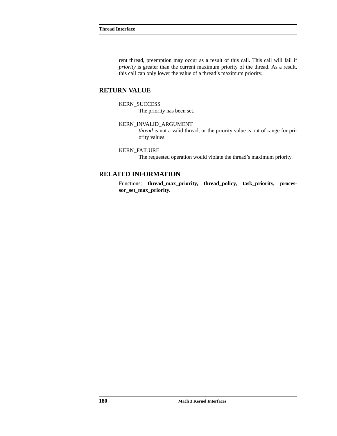rent thread, preemption may occur as a result of this call. This call will fail if *priority* is greater than the current maximum priority of the thread. As a result, this call can only lower the value of a thread's maximum priority.

## **RETURN VALUE**

### KERN\_SUCCESS

The priority has been set.

### KERN\_INVALID\_ARGUMENT

*thread* is not a valid thread, or the priority value is out of range for priority values.

### KERN\_FAILURE

The requested operation would violate the thread's maximum priority.

## **RELATED INFORMATION**

Functions: **thread\_max\_priority, thread\_policy, task\_priority, processor\_set\_max\_priority**.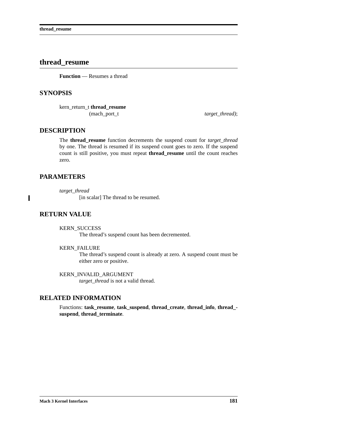# **thread\_resume**

**Function** — Resumes a thread

### **SYNOPSIS**

kern\_return\_t **thread\_resume** (mach\_port\_t *target\_thread)*;

# **DESCRIPTION**

The **thread\_resume** function decrements the suspend count for *target\_thread* by one. The thread is resumed if its suspend count goes to zero. If the suspend count is still positive, you must repeat **thread\_resume** until the count reaches zero.

## **PARAMETERS**

ľ

*target\_thread* [in scalar] The thread to be resumed.

## **RETURN VALUE**

KERN\_SUCCESS The thread's suspend count has been decremented.

KERN\_FAILURE

The thread's suspend count is already at zero. A suspend count must be either zero or positive.

KERN\_INVALID\_ARGUMENT *target\_thread* is not a valid thread.

# **RELATED INFORMATION**

Functions: **task\_resume**, **task\_suspend**, **thread\_create**, **thread\_info**, **thread\_ suspend**, **thread\_terminate**.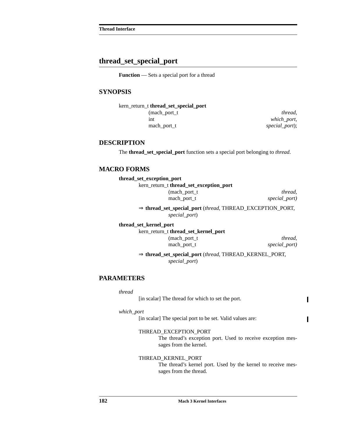# **thread\_set\_special\_port**

**Function** — Sets a special port for a thread

### **SYNOPSIS**

kern\_return\_t **thread\_set\_special\_port** (mach\_port\_t *thread,* int *which port,* mach\_port\_t *special\_port*);

### **DESCRIPTION**

The **thread\_set\_special\_port** function sets a special port belonging to *thread*.

## **MACRO FORMS**

**thread\_set\_exception\_port** kern\_return\_t **thread\_set\_exception\_port** (mach\_port\_t *thread,* mach\_port\_t *special\_port)*

⇒ **thread\_set\_special\_port** (*thread*, THREAD\_EXCEPTION\_PORT, *special\_port*)

**thread\_set\_kernel\_port** kern\_return\_t **thread\_set\_kernel\_port** (mach\_port\_t *thread,* mach\_port\_t *special\_port)*

 $\mathbf I$ 

 $\mathbf I$ 

⇒ **thread\_set\_special\_port** (*thread*, THREAD\_KERNEL\_PORT, *special\_port*)

## **PARAMETERS**

### *thread*

[in scalar] The thread for which to set the port.

*which\_port*

[in scalar] The special port to be set. Valid values are:

### THREAD\_EXCEPTION\_PORT

The thread's exception port. Used to receive exception messages from the kernel.

### THREAD\_KERNEL\_PORT

The thread's kernel port. Used by the kernel to receive messages from the thread.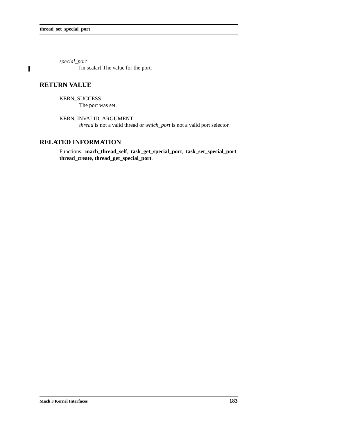*special\_port* [in scalar] The value for the port.

# **RETURN VALUE**

 $\blacksquare$ 

KERN\_SUCCESS The port was set.

KERN\_INVALID\_ARGUMENT *thread* is not a valid thread or *which\_port* is not a valid port selector.

## **RELATED INFORMATION**

Functions: **mach\_thread\_self**, **task\_get\_special\_port**, **task\_set\_special\_port**, **thread\_create**, **thread\_get\_special\_port**.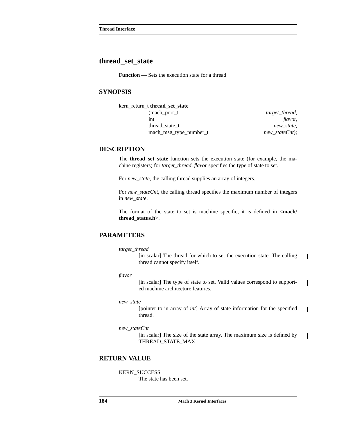# **thread\_set\_state**

**Function** — Sets the execution state for a thread

## **SYNOPSIS**

kern\_return\_t **thread\_set\_state** (mach\_port\_t *target\_thread,* int *flavor,* thread\_state\_t *new\_state,* mach\_msg\_type\_number\_t *new\_stateCnt*);

 $\mathbf I$ 

 $\blacksquare$ 

 $\blacksquare$ 

 $\blacksquare$ 

### **DESCRIPTION**

The **thread\_set\_state** function sets the execution state (for example, the machine registers) for *target\_thread*. *flavor* specifies the type of state to set.

For *new\_state*, the calling thread supplies an array of integers.

For *new\_stateCnt*, the calling thread specifies the maximum number of integers in *new\_state*.

The format of the state to set is machine specific; it is defined in <**mach/ thread\_status.h**>.

## **PARAMETERS**

### *target\_thread*

[in scalar] The thread for which to set the execution state. The calling thread cannot specify itself.

### *flavor*

[in scalar] The type of state to set. Valid values correspond to supported machine architecture features.

### *new\_state*

[pointer to in array of *int*] Array of state information for the specified thread.

### *new\_stateCnt*

[in scalar] The size of the state array. The maximum size is defined by THREAD\_STATE\_MAX.

## **RETURN VALUE**

### KERN\_SUCCESS

The state has been set.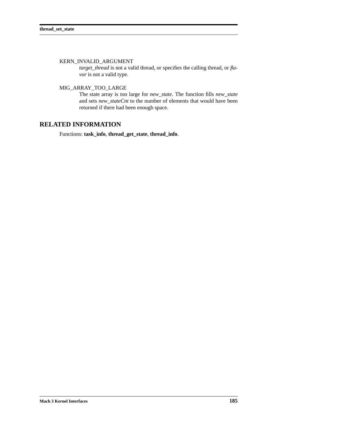### KERN\_INVALID\_ARGUMENT

*target\_thread* is not a valid thread, or specifies the calling thread, or *flavor* is not a valid type.

## MIG\_ARRAY\_TOO\_LARGE

The state array is too large for *new\_state*. The function fills *new\_state* and sets *new\_stateCnt* to the number of elements that would have been returned if there had been enough space.

# **RELATED INFORMATION**

Functions: **task\_info**, **thread\_get\_state**, **thread\_info**.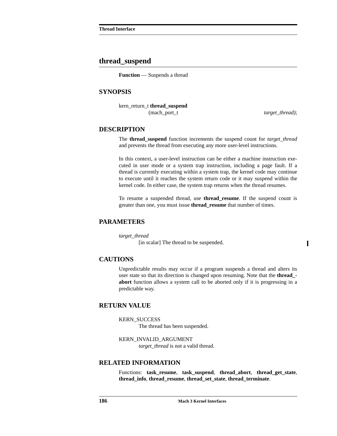# **thread\_suspend**

**Function** — Suspends a thread

### **SYNOPSIS**

kern\_return\_t **thread\_suspend** (mach\_port\_t *target\_thread)*;

 $\blacksquare$ 

### **DESCRIPTION**

The **thread\_suspend** function increments the suspend count for *target\_thread* and prevents the thread from executing any more user-level instructions.

In this context, a user-level instruction can be either a machine instruction executed in user mode or a system trap instruction, including a page fault. If a thread is currently executing within a system trap, the kernel code may continue to execute until it reaches the system return code or it may suspend within the kernel code. In either case, the system trap returns when the thread resumes.

To resume a suspended thread, use **thread\_resume**. If the suspend count is greater than one, you must issue **thread\_resume** that number of times.

## **PARAMETERS**

*target\_thread* [in scalar] The thread to be suspended.

### **CAUTIONS**

Unpredictable results may occur if a program suspends a thread and alters its user state so that its direction is changed upon resuming. Note that the **thread\_ abort** function allows a system call to be aborted only if it is progressing in a predictable way.

### **RETURN VALUE**

KERN\_SUCCESS The thread has been suspended.

KERN\_INVALID\_ARGUMENT *target thread* is not a valid thread.

# **RELATED INFORMATION**

Functions: **task\_resume**, **task\_suspend**, **thread\_abort**, **thread\_get\_state**, **thread\_info**, **thread\_resume**, **thread\_set\_state**, **thread\_terminate**.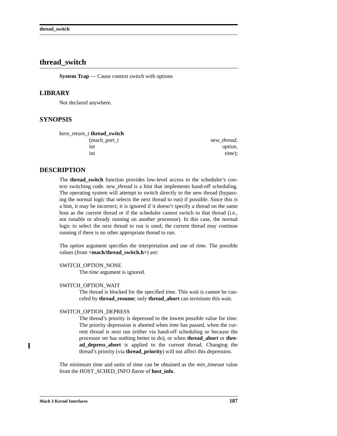# **thread\_switch**

**System Trap** — Cause context switch with options

### **LIBRARY**

Not declared anywhere.

## **SYNOPSIS**

kern\_return\_t **thread\_switch**

| new_thread, |
|-------------|
| option,     |
| time);      |
|             |

### **DESCRIPTION**

The **thread\_switch** function provides low-level access to the scheduler's context switching code. *new\_thread* is a hint that implements hand-off scheduling. The operating system will attempt to switch directly to the new thread (bypassing the normal logic that selects the next thread to run) if possible. Since this is a hint, it may be incorrect; it is ignored if it doesn't specify a thread on the same host as the current thread or if the scheduler cannot switch to that thread (i.e., not runable or already running on another processor). In this case, the normal logic to select the next thread to run is used; the current thread may continue running if there is no other appropriate thread to run.

The *option* argument specifies the interpretation and use of *time*. The possible values (from **<mach/thread\_switch.h>**) are:

### SWITCH\_OPTION\_NONE

The *time* argument is ignored.

### SWITCH\_OPTION\_WAIT

The thread is blocked for the specified *time*. This wait is cannot be canceled by **thread\_resume**; only **thread\_abort** can terminate this wait.

### SWITCH\_OPTION\_DEPRESS

The thread's priority is depressed to the lowest possible value for *time*. The priority depression is aborted when *time* has passed, when the current thread is next run (either via hand-off scheduling or because the processor set has nothing better to do), or when **thread\_abort** or **thread\_depress\_abort** is applied to the current thread. Changing the thread's priority (via **thread\_priority**) will not affect this depression.

The minimum time and units of time can be obtained as the *min\_timeout* value from the HOST\_SCHED\_INFO flavor of **host\_info**.

 $\blacksquare$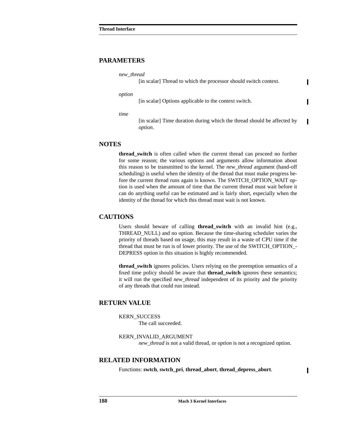## **PARAMETERS**

*new\_thread*

[in scalar] Thread to which the processor should switch context.

*option*

[in scalar] Options applicable to the context switch.

*time*

[in scalar] Time duration during which the thread should be affected by *option*.

 $\mathbf I$ 

Π

Π

### **NOTES**

**thread\_switch** is often called when the current thread can proceed no further for some reason; the various options and arguments allow information about this reason to be transmitted to the kernel. The *new\_thread* argument (hand-off scheduling) is useful when the identity of the thread that must make progress before the current thread runs again is known. The SWITCH\_OPTION\_WAIT option is used when the amount of time that the current thread must wait before it can do anything useful can be estimated and is fairly short, especially when the identity of the thread for which this thread must wait is not known.

### **CAUTIONS**

Users should beware of calling **thread\_switch** with an invalid hint (e.g., THREAD\_NULL) and no option. Because the time-sharing scheduler varies the priority of threads based on usage, this may result in a waste of CPU time if the thread that must be run is of lower priority. The use of the SWITCH\_OPTION\_- DEPRESS option in this situation is highly recommended.

**thread\_switch** ignores policies. Users relying on the preemption semantics of a fixed time policy should be aware that **thread\_switch** ignores these semantics; it will run the specified *new\_thread* independent of its priority and the priority of any threads that could run instead.

### **RETURN VALUE**

KERN\_SUCCESS The call succeeded.

### KERN\_INVALID\_ARGUMENT

*new\_thread* is not a valid thread, or *option* is not a recognized option.

## **RELATED INFORMATION**

Functions: **swtch**, **swtch\_pri**, **thread\_abort**, **thread\_depress\_abort**.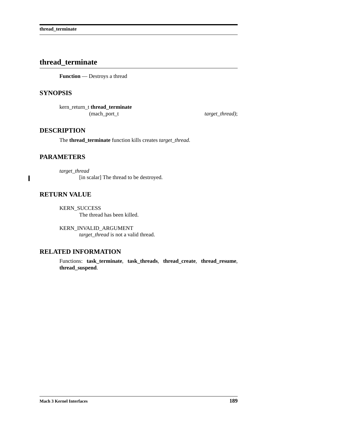# **thread\_terminate**

**Function** — Destroys a thread

### **SYNOPSIS**

kern\_return\_t **thread\_terminate** (mach\_port\_t *target\_thread)*;

## **DESCRIPTION**

The **thread\_terminate** function kills creates *target\_thread*.

## **PARAMETERS**

 $\mathbf{I}$ 

*target\_thread* [in scalar] The thread to be destroyed.

# **RETURN VALUE**

KERN\_SUCCESS The thread has been killed.

KERN\_INVALID\_ARGUMENT *target\_thread* is not a valid thread.

## **RELATED INFORMATION**

Functions: **task\_terminate**, **task\_threads**, **thread\_create**, **thread\_resume**, **thread\_suspend**.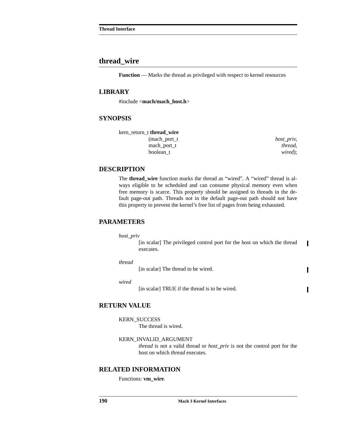# **thread\_wire**

Function — Marks the thread as privileged with respect to kernel resources

### **LIBRARY**

#include <**mach/mach\_host.h**>

## **SYNOPSIS**

kern\_return\_t **thread\_wire**

(mach\_port\_t *host\_priv*, mach\_port\_t *thread,* boolean t wired);

 $\blacksquare$ 

 $\blacksquare$ 

 $\blacksquare$ 

### **DESCRIPTION**

The **thread** wire function marks the thread as "wired". A "wired" thread is always eligible to be scheduled and can consume physical memory even when free memory is scarce. This property should be assigned to threads in the default page-out path. Threads not in the default page-out path should not have this property to prevent the kernel's free list of pages from being exhausted.

## **PARAMETERS**

*host\_priv*

[in scalar] The privileged control port for the host on which the thread executes.

### *thread*

[in scalar] The thread to be wired.

*wired*

[in scalar] TRUE if the thread is to be wired.

## **RETURN VALUE**

### KERN\_SUCCESS

The thread is wired.

### KERN\_INVALID\_ARGUMENT

*thread* is not a valid thread or *host\_priv* is not the control port for the host on which *thread* executes.

### **RELATED INFORMATION**

Functions: **vm\_wire**.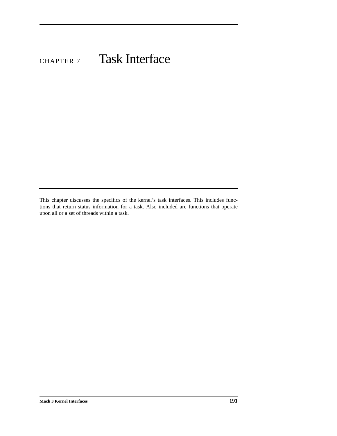# CHAPTER 7 Task Interface

This chapter discusses the specifics of the kernel's task interfaces. This includes functions that return status information for a task. Also included are functions that operate upon all or a set of threads within a task.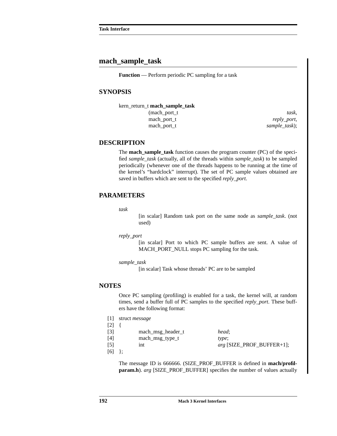# **mach\_sample\_task**

**Function** — Perform periodic PC sampling for a task

## **SYNOPSIS**

kern\_return\_t **mach\_sample\_task** (mach\_port\_t *task,* mach\_port\_t *reply\_port*,

mach\_port\_t *sample\_task*);

## **DESCRIPTION**

The **mach** sample task function causes the program counter (PC) of the speci-fied *sample\_task* (actually, all of the threads within *sample\_task*) to be sampled periodically (whenever one of the threads happens to be running at the time of the kernel's "hardclock" interrupt). The set of PC sample values obtained are saved in buffers which are sent to the specified *reply\_port*.

## **PARAMETERS**

```
task
```
[in scalar] Random task port on the same node as *sample\_task*. (not used)

*reply\_port*

[in scalar] Port to which PC sample buffers are sent. A value of MACH\_PORT\_NULL stops PC sampling for the task.

### *sample\_task*

[in scalar] Task whose threads' PC are to be sampled

### **NOTES**

Once PC sampling (profiling) is enabled for a task, the kernel will, at random times, send a buffer full of PC samples to the specified *reply\_port*. These buffers have the following format:

- [1] struct *message*
- $[2]$  {

| $\lceil 3 \rceil$ | mach msg header t | head;                       |
|-------------------|-------------------|-----------------------------|
| - [4]             | mach_msg_type_t   | type:                       |
| [5]               | int               | $arg$ [SIZE_PROF_BUFFER+1]; |
| $[6]$ :           |                   |                             |

The message ID is 666666. (SIZE\_PROF\_BUFFER is defined in **mach/profilparam.h**). *arg* [SIZE\_PROF\_BUFFER] specifies the number of values actually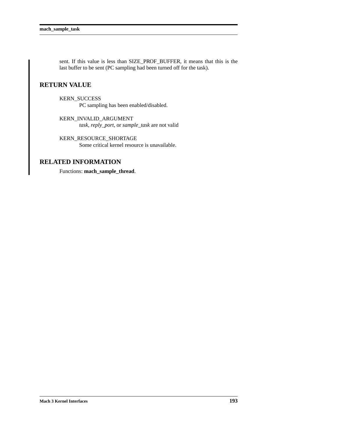sent. If this value is less than SIZE\_PROF\_BUFFER, it means that this is the last buffer to be sent (PC sampling had been turned off for the task).

# **RETURN VALUE**

KERN\_SUCCESS PC sampling has been enabled/disabled.

KERN\_INVALID\_ARGUMENT *task*, *reply\_port*, or *sample\_task* are not valid

KERN\_RESOURCE\_SHORTAGE Some critical kernel resource is unavailable.

# **RELATED INFORMATION**

Functions: **mach\_sample\_thread**.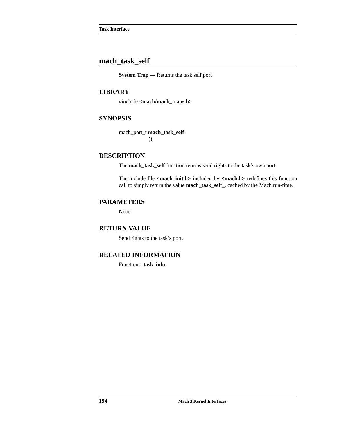# **mach\_task\_self**

**System Trap** — Returns the task self port

## **LIBRARY**

#include <**mach/mach\_traps.h**>

## **SYNOPSIS**

mach\_port\_t **mach\_task\_self** ();

### **DESCRIPTION**

The **mach\_task\_self** function returns send rights to the task's own port.

The include file **<mach\_init.h>** included by **<mach.h>** redefines this function call to simply return the value **mach\_task\_self\_**, cached by the Mach run-time.

### **PARAMETERS**

None

## **RETURN VALUE**

Send rights to the task's port.

## **RELATED INFORMATION**

Functions: **task\_info**.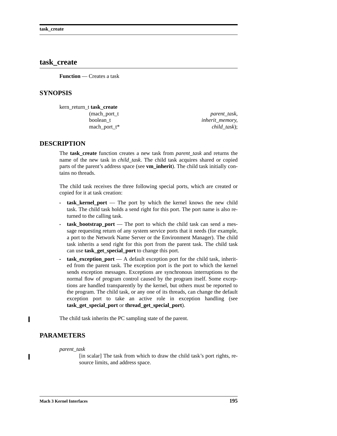# **task\_create**

**Function** — Creates a task

### **SYNOPSIS**

kern\_return\_t **task\_create** (mach\_port\_t *parent\_task,*

boolean\_t *inherit\_memory,* mach\_port\_t\* *child\_task*);

### **DESCRIPTION**

The **task\_create** function creates a new task from *parent\_task* and returns the name of the new task in *child\_task*. The child task acquires shared or copied parts of the parent's address space (see **vm\_inherit**). The child task initially contains no threads.

The child task receives the three following special ports, which are created or copied for it at task creation:

- **task\_kernel\_port** The port by which the kernel knows the new child task. The child task holds a send right for this port. The port name is also returned to the calling task.
- **task\_bootstrap\_port** The port to which the child task can send a message requesting return of any system service ports that it needs (for example, a port to the Network Name Server or the Environment Manager). The child task inherits a send right for this port from the parent task. The child task can use **task\_get\_special\_port** to change this port.
- **task\_exception\_port** A default exception port for the child task, inherited from the parent task. The exception port is the port to which the kernel sends exception messages. Exceptions are synchronous interruptions to the normal flow of program control caused by the program itself. Some exceptions are handled transparently by the kernel, but others must be reported to the program. The child task, or any one of its threads, can change the default exception port to take an active role in exception handling (see **task\_get\_special\_port** or **thread\_get\_special\_port**).
- The child task inherits the PC sampling state of the parent.

### **PARAMETERS**

Ī

Π

*parent\_task*

[in scalar] The task from which to draw the child task's port rights, resource limits, and address space.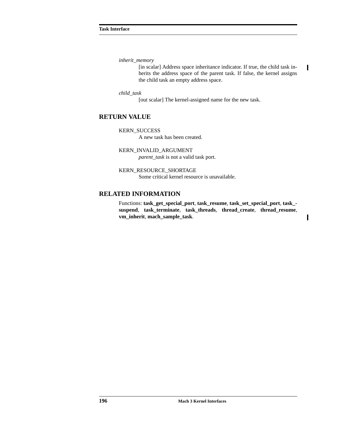*inherit\_memory*

[in scalar] Address space inheritance indicator. If true, the child task inherits the address space of the parent task. If false, the kernel assigns the child task an empty address space.

 $\mathbf I$ 

 $\mathbf I$ 

*child\_task*

[out scalar] The kernel-assigned name for the new task.

## **RETURN VALUE**

### KERN\_SUCCESS

A new task has been created.

KERN\_INVALID\_ARGUMENT *parent\_task* is not a valid task port.

KERN\_RESOURCE\_SHORTAGE Some critical kernel resource is unavailable.

## **RELATED INFORMATION**

Functions: **task\_get\_special\_port**, **task\_resume**, **task\_set\_special\_port**, **task\_ suspend**, **task\_terminate**, **task\_threads**, **thread\_create**, **thread\_resume**, **vm\_inherit**, **mach\_sample\_task**.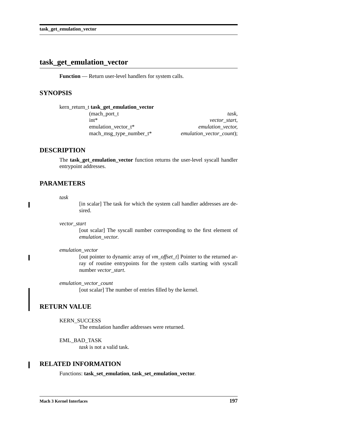# **task\_get\_emulation\_vector**

**Function** — Return user-level handlers for system calls.

### **SYNOPSIS**

| task.                    | (mach port t                    |
|--------------------------|---------------------------------|
| vector start.            | $int*$                          |
| emulation vector,        | emulation vector t <sup>*</sup> |
| emulation vector count); | mach_msg_type_number_t*         |

### **DESCRIPTION**

The **task\_get\_emulation\_vector** function returns the user-level syscall handler entrypoint addresses.

## **PARAMETERS**

*task*

 $\mathbf I$ 

 $\overline{\phantom{a}}$ 

I

[in scalar] The task for which the system call handler addresses are desired.

*vector\_start*

[out scalar] The syscall number corresponding to the first element of *emulation\_vector*.

*emulation\_vector*

[out pointer to dynamic array of *vm\_offset\_t*] Pointer to the returned array of routine entrypoints for the system calls starting with syscall number *vector\_start*.

*emulation\_vector\_count*

[out scalar] The number of entries filled by the kernel.

# **RETURN VALUE**

KERN\_SUCCESS The emulation handler addresses were returned.

EML\_BAD\_TASK *task* is not a valid task.

# **RELATED INFORMATION**

Functions: **task\_set\_emulation**, **task\_set\_emulation\_vector**.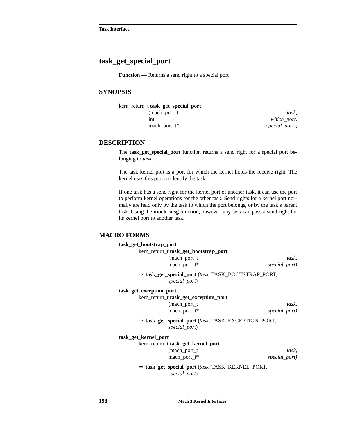# **task\_get\_special\_port**

**Function** — Returns a send right to a special port

## **SYNOPSIS**

kern\_return\_t **task\_get\_special\_port** (mach\_port\_t *task,* int *which port,* mach\_port\_t\* *special\_port*);

### **DESCRIPTION**

The **task\_get\_special\_port** function returns a send right for a special port belonging to *task*.

The task kernel port is a port for which the kernel holds the receive right. The kernel uses this port to identify the task.

If one task has a send right for the kernel port of another task, it can use the port to perform kernel operations for the other task. Send rights for a kernel port normally are held only by the task to which the port belongs, or by the task's parent task. Using the **mach\_msg** function, however, any task can pass a send right for its kernel port to another task.

## **MACRO FORMS**

| task_get_bootstrap_port                                                          |               |
|----------------------------------------------------------------------------------|---------------|
| kern_return_t task_get_bootstrap_port                                            |               |
| (mach port t                                                                     | task,         |
| mach_port_t*                                                                     | special_port) |
| $\Rightarrow$ task_get_special_port (task, TASK_BOOTSTRAP_PORT,<br>special port) |               |
| task_get_exception_port                                                          |               |
| kern_return_t task_get_exception_port                                            |               |
| (mach port t                                                                     | task,         |
| mach_port_t*                                                                     | special_port) |
| $\Rightarrow$ task_get_special_port (task, TASK_EXCEPTION_PORT,                  |               |
| special port)                                                                    |               |
| task_get_kernel_port                                                             |               |
| kern_return_t task_get_kernel_port                                               |               |
| (mach port t                                                                     | task,         |
| mach_port_t*                                                                     | special_port) |
| $\Rightarrow$ task_get_special_port (task, TASK_KERNEL_PORT,<br>special port)    |               |
|                                                                                  |               |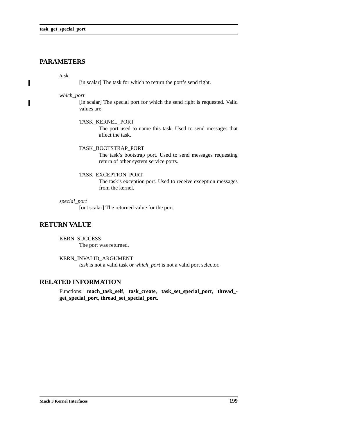# **PARAMETERS**

*task*

 $\blacksquare$ 

 $\blacksquare$ 

[in scalar] The task for which to return the port's send right.

*which\_port*

[in scalar] The special port for which the send right is requested. Valid values are:

TASK\_KERNEL\_PORT

The port used to name this task. Used to send messages that affect the task.

TASK\_BOOTSTRAP\_PORT

The task's bootstrap port. Used to send messages requesting return of other system service ports.

### TASK\_EXCEPTION\_PORT

The task's exception port. Used to receive exception messages from the kernel.

### *special\_port*

[out scalar] The returned value for the port.

## **RETURN VALUE**

KERN\_SUCCESS The port was returned.

KERN\_INVALID\_ARGUMENT *task* is not a valid task or *which\_port* is not a valid port selector.

## **RELATED INFORMATION**

Functions: **mach\_task\_self**, **task\_create**, **task\_set\_special\_port**, **thread\_ get\_special\_port**, **thread\_set\_special\_port**.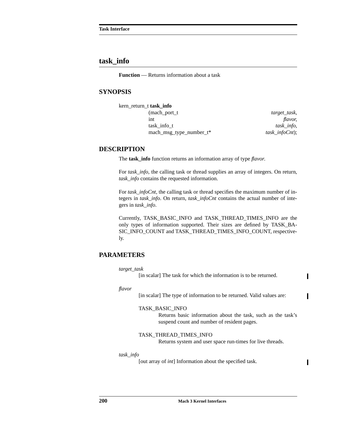# **task\_info**

**Function** — Returns information about a task

## **SYNOPSIS**

kern\_return\_t **task\_info** (mach\_port\_t *target\_task,* int *flavor,* task\_info\_t *task\_info,* mach\_msg\_type\_number\_t\* *task\_infoCnt*);

 $\mathbf I$ 

 $\mathbf I$ 

 $\mathbf I$ 

### **DESCRIPTION**

The **task\_info** function returns an information array of type *flavor*.

For *task\_info*, the calling task or thread supplies an array of integers. On return, *task\_info* contains the requested information.

For *task\_infoCnt*, the calling task or thread specifies the maximum number of integers in *task\_info*. On return, *task\_infoCnt* contains the actual number of integers in *task\_info*.

Currently, TASK\_BASIC\_INFO and TASK\_THREAD\_TIMES\_INFO are the only types of information supported. Their sizes are defined by TASK\_BA-SIC\_INFO\_COUNT and TASK\_THREAD\_TIMES\_INFO\_COUNT, respectively.

## **PARAMETERS**

### *target\_task*

[in scalar] The task for which the information is to be returned.

### *flavor*

[in scalar] The type of information to be returned. Valid values are:

### TASK\_BASIC\_INFO

Returns basic information about the task, such as the task's suspend count and number of resident pages.

### TASK\_THREAD\_TIMES\_INFO

Returns system and user space run-times for live threads.

### *task\_info*

[out array of *int*] Information about the specified task.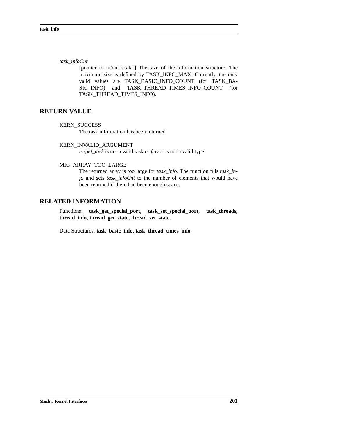*task\_infoCnt*

[pointer to in/out scalar] The size of the information structure. The maximum size is defined by TASK\_INFO\_MAX. Currently, the only valid values are TASK\_BASIC\_INFO\_COUNT (for TASK\_BA-SIC\_INFO) and TASK\_THREAD\_TIMES\_INFO\_COUNT (for TASK\_THREAD\_TIMES\_INFO).

### **RETURN VALUE**

### KERN\_SUCCESS

The task information has been returned.

### KERN\_INVALID\_ARGUMENT

*target\_task* is not a valid task or *flavor* is not a valid type.

### MIG\_ARRAY\_TOO\_LARGE

The returned array is too large for *task\_info*. The function fills *task\_info* and sets *task\_infoCnt* to the number of elements that would have been returned if there had been enough space.

### **RELATED INFORMATION**

Functions: **task\_get\_special\_port**, **task\_set\_special\_port**, **task\_threads**, **thread\_info**, **thread\_get\_state**, **thread\_set\_state**.

Data Structures: **task\_basic\_info**, **task\_thread\_times\_info**.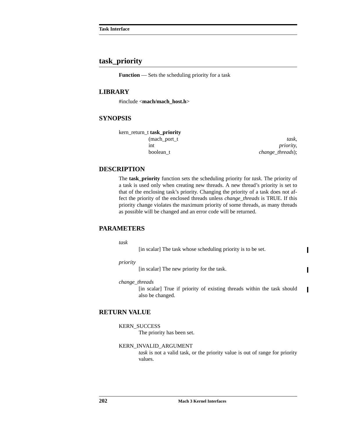# **task\_priority**

**Function** — Sets the scheduling priority for a task

### **LIBRARY**

#include <**mach/mach\_host.h**>

# **SYNOPSIS**

kern\_return\_t **task\_priority**

(mach\_port\_t *task,* int *priority,* boolean t *change threads*);

 $\blacksquare$ 

 $\blacksquare$ 

 $\mathbf I$ 

## **DESCRIPTION**

The **task\_priority** function sets the scheduling priority for *task*. The priority of a task is used only when creating new threads. A new thread's priority is set to that of the enclosing task's priority. Changing the priority of a task does not affect the priority of the enclosed threads unless *change\_threads* is TRUE. If this priority change violates the maximum priority of some threads, as many threads as possible will be changed and an error code will be returned.

## **PARAMETERS**

*task*

[in scalar] The task whose scheduling priority is to be set.

### *priority*

[in scalar] The new priority for the task.

### *change\_threads*

[in scalar] True if priority of existing threads within the task should also be changed.

# **RETURN VALUE**

### KERN\_SUCCESS

The priority has been set.

### KERN\_INVALID\_ARGUMENT

*task* is not a valid task, or the priority value is out of range for priority values.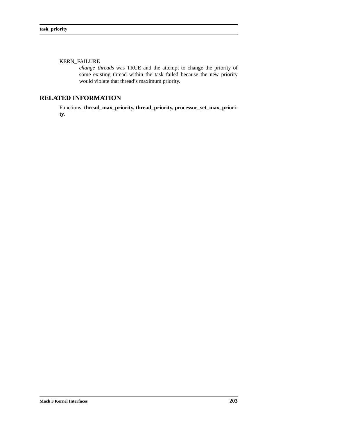### KERN\_FAILURE

*change\_threads* was TRUE and the attempt to change the priority of some existing thread within the task failed because the new priority would violate that thread's maximum priority.

# **RELATED INFORMATION**

Functions: **thread\_max\_priority, thread\_priority, processor\_set\_max\_priority**.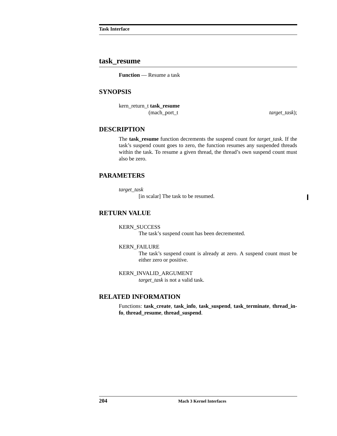# **task\_resume**

**Function** — Resume a task

## **SYNOPSIS**

kern\_return\_t **task\_resume** (mach\_port\_t *target\_task*);

### **DESCRIPTION**

The **task\_resume** function decrements the suspend count for *target\_task*. If the task's suspend count goes to zero, the function resumes any suspended threads within the task. To resume a given thread, the thread's own suspend count must also be zero.

# **PARAMETERS**

*target\_task*

[in scalar] The task to be resumed.

 $\blacksquare$ 

# **RETURN VALUE**

## KERN\_SUCCESS

The task's suspend count has been decremented.

### KERN\_FAILURE

The task's suspend count is already at zero. A suspend count must be either zero or positive.

### KERN\_INVALID\_ARGUMENT

*target\_task* is not a valid task.

## **RELATED INFORMATION**

Functions: **task\_create**, **task\_info**, **task\_suspend**, **task\_terminate**, **thread\_info**, **thread\_resume**, **thread\_suspend**.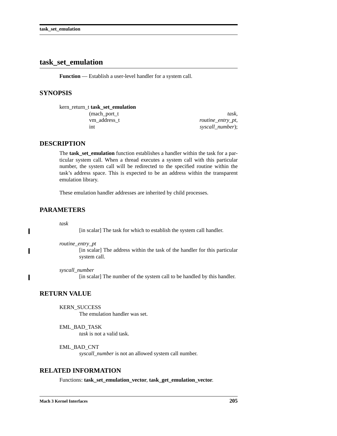# **task\_set\_emulation**

**Function** — Establish a user-level handler for a system call.

### **SYNOPSIS**

kern\_return\_t **task\_set\_emulation** (mach\_port\_t *task,* vm\_address\_t *routine\_entry\_pt,* int *syscall\_number*);

## **DESCRIPTION**

The **task\_set\_emulation** function establishes a handler within the task for a particular system call. When a thread executes a system call with this particular number, the system call will be redirected to the specified routine within the task's address space. This is expected to be an address within the transparent emulation library.

These emulation handler addresses are inherited by child processes.

## **PARAMETERS**

*task*

 $\blacksquare$ 

I

Г

[in scalar] The task for which to establish the system call handler.

*routine\_entry\_pt*

[in scalar] The address within the task of the handler for this particular system call.

*syscall\_number*

[in scalar] The number of the system call to be handled by this handler.

## **RETURN VALUE**

KERN\_SUCCESS The emulation handler was set.

EML\_BAD\_TASK *task* is not a valid task.

EML\_BAD\_CNT *syscall\_number* is not an allowed system call number.

### **RELATED INFORMATION**

Functions: **task\_set\_emulation\_vector**, **task\_get\_emulation\_vector**.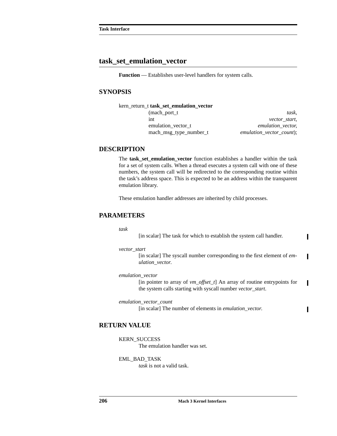# **task\_set\_emulation\_vector**

**Function** — Establishes user-level handlers for system calls.

## **SYNOPSIS**

kern\_return\_t **task\_set\_emulation\_vector** (mach\_port\_t *task,* int *vector\_start*, emulation\_vector\_t *emulation\_vector,* mach\_msg\_type\_number\_t *emulation\_vector\_count*);

 $\blacksquare$ 

 $\mathbf I$ 

 $\blacksquare$ 

 $\blacksquare$ 

## **DESCRIPTION**

The **task\_set\_emulation\_vector** function establishes a handler within the task for a set of system calls. When a thread executes a system call with one of these numbers, the system call will be redirected to the corresponding routine within the task's address space. This is expected to be an address within the transparent emulation library.

These emulation handler addresses are inherited by child processes.

## **PARAMETERS**

*task*

[in scalar] The task for which to establish the system call handler.

### *vector\_start*

[in scalar] The syscall number corresponding to the first element of *emulation\_vector*.

### *emulation\_vector*

[in pointer to array of *vm\_offset\_t*] An array of routine entrypoints for the system calls starting with syscall number *vector\_start*.

*emulation\_vector\_count*

[in scalar] The number of elements in *emulation\_vector*.

# **RETURN VALUE**

KERN\_SUCCESS The emulation handler was set.

EML\_BAD\_TASK *task* is not a valid task.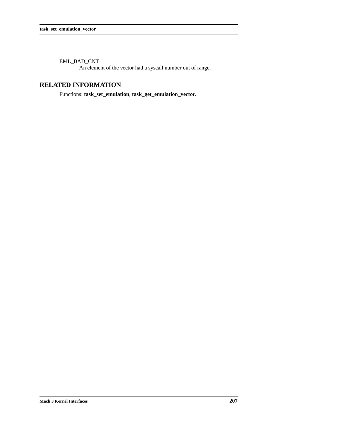EML\_BAD\_CNT

An element of the vector had a syscall number out of range.

# **RELATED INFORMATION**

Functions: **task\_set\_emulation**, **task\_get\_emulation\_vector**.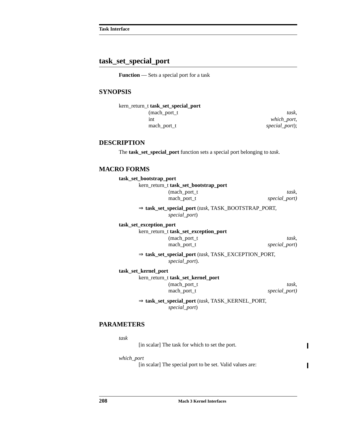# **task\_set\_special\_port**

**Function** — Sets a special port for a task

# **SYNOPSIS**

kern\_return\_t **task\_set\_special\_port** (mach\_port\_t *task,* int *which\_port,* mach\_port\_t *special\_port*);

 $\blacksquare$ 

 $\blacksquare$ 

## **DESCRIPTION**

The **task\_set\_special\_port** function sets a special port belonging to *task*.

### **MACRO FORMS**

| task_set_bootstrap_port                                                           |               |
|-----------------------------------------------------------------------------------|---------------|
| kern_return_t task_set_bootstrap_port                                             |               |
| (mach port t                                                                      | task,         |
| mach port t                                                                       | special port) |
| $\Rightarrow$ task_set_special_port (task, TASK_BOOTSTRAP_PORT,<br>special port)  |               |
| task_set_exception_port                                                           |               |
| kern_return_t task_set_exception_port                                             |               |
| (mach_port_t)                                                                     | task,         |
| mach_port_t                                                                       | special_port) |
| $\Rightarrow$ task_set_special_port (task, TASK_EXCEPTION_PORT,<br>special_port). |               |
| task set kernel port                                                              |               |
| kern_return_t task_set_kernel_port                                                |               |
| (mach port t                                                                      | task.         |
| mach_port_t                                                                       | special_port) |
| $\Rightarrow$ task_set_special_port (task, TASK_KERNEL_PORT,<br>special port)     |               |

## **PARAMETERS**

*task*

[in scalar] The task for which to set the port.

*which\_port*

[in scalar] The special port to be set. Valid values are: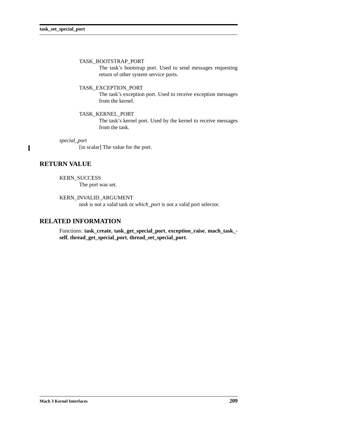#### TASK\_BOOTSTRAP\_PORT

The task's bootstrap port. Used to send messages requesting return of other system service ports.

# TASK\_EXCEPTION\_PORT

The task's exception port. Used to receive exception messages from the kernel.

# TASK\_KERNEL\_PORT

The task's kernel port. Used by the kernel to receive messages from the task.

#### *special\_port*

[in scalar] The value for the port.

# **RETURN VALUE**

 $\mathbf I$ 

KERN\_SUCCESS The port was set.

#### KERN\_INVALID\_ARGUMENT

*task* is not a valid task or *which\_port* is not a valid port selector.

# **RELATED INFORMATION**

Functions: **task\_create**, **task\_get\_special\_port**, **exception\_raise**, **mach\_task\_ self**, **thread\_get\_special\_port**, **thread\_set\_special\_port**.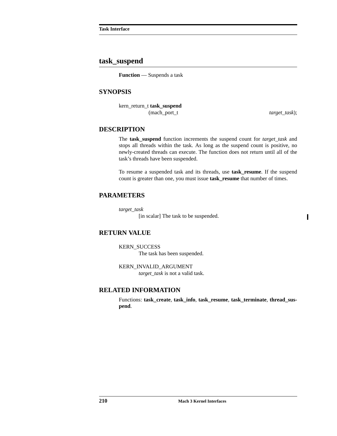# **task\_suspend**

**Function** — Suspends a task

# **SYNOPSIS**

kern\_return\_t **task\_suspend** (mach\_port\_t *target\_task*);

 $\blacksquare$ 

### **DESCRIPTION**

The **task\_suspend** function increments the suspend count for *target\_task* and stops all threads within the task. As long as the suspend count is positive, no newly-created threads can execute. The function does not return until all of the task's threads have been suspended.

To resume a suspended task and its threads, use **task\_resume**. If the suspend count is greater than one, you must issue **task\_resume** that number of times.

# **PARAMETERS**

*target\_task*

[in scalar] The task to be suspended.

# **RETURN VALUE**

KERN\_SUCCESS The task has been suspended.

KERN\_INVALID\_ARGUMENT *target\_task* is not a valid task.

# **RELATED INFORMATION**

Functions: **task\_create**, **task\_info**, **task\_resume**, **task\_terminate**, **thread\_suspend**.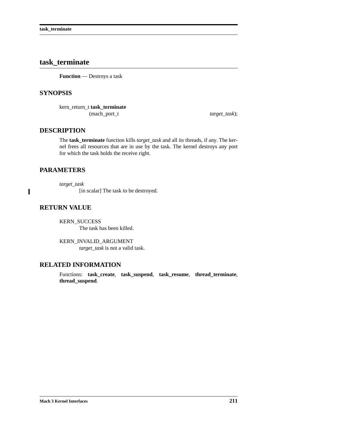# **task\_terminate**

**Function** — Destroys a task

### **SYNOPSIS**

kern\_return\_t **task\_terminate** (mach\_port\_t *target\_task*);

# **DESCRIPTION**

The **task\_terminate** function kills *target\_task* and all its threads, if any. The kernel frees all resources that are in use by the task. The kernel destroys any port for which the task holds the receive right.

# **PARAMETERS**

 $\blacksquare$ 

*target\_task*

[in scalar] The task to be destroyed.

# **RETURN VALUE**

KERN\_SUCCESS The task has been killed.

KERN\_INVALID\_ARGUMENT *target\_task* is not a valid task.

### **RELATED INFORMATION**

Functions: **task\_create**, **task\_suspend**, **task\_resume**, **thread\_terminate**, **thread\_suspend**.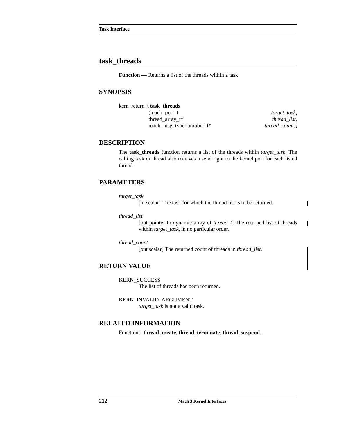# **task\_threads**

**Function** — Returns a list of the threads within a task

# **SYNOPSIS**

kern\_return\_t **task\_threads** (mach\_port\_t *target\_task,* thread\_array\_t\* *thread\_list,* mach\_msg\_type\_number\_t\* *thread\_count*);

 $\blacksquare$ 

 $\mathbf I$ 

# **DESCRIPTION**

The **task\_threads** function returns a list of the threads within *target\_task*. The calling task or thread also receives a send right to the kernel port for each listed thread.

# **PARAMETERS**

```
target_task
```
[in scalar] The task for which the thread list is to be returned.

#### *thread\_list*

[out pointer to dynamic array of *thread\_t*] The returned list of threads within *target\_task*, in no particular order.

*thread\_count*

[out scalar] The returned count of threads in *thread\_list*.

#### **RETURN VALUE**

KERN\_SUCCESS

The list of threads has been returned.

KERN\_INVALID\_ARGUMENT *target\_task* is not a valid task.

# **RELATED INFORMATION**

Functions: **thread\_create**, **thread\_terminate**, **thread\_suspend**.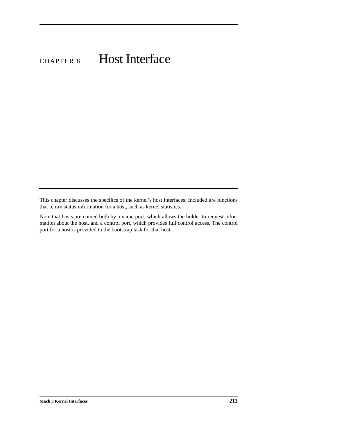# CHAPTER 8 Host Interface

This chapter discusses the specifics of the kernel's host interfaces. Included are functions that return status information for a host, such as kernel statistics.

Note that hosts are named both by a name port, which allows the holder to request information about the host, and a control port, which provides full control access. The control port for a host is provided to the bootstrap task for that host.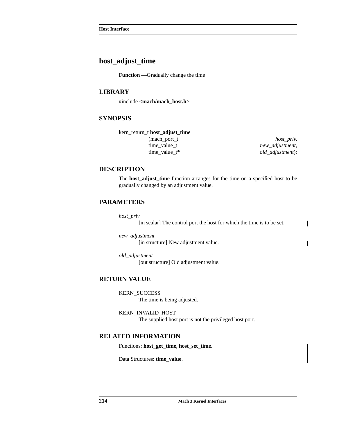# **host\_adjust\_time**

**Function** —Gradually change the time

### **LIBRARY**

#include <**mach/mach\_host.h**>

# **SYNOPSIS**

kern\_return\_t **host\_adjust\_time**

time\_value\_t *new\_adjustment,* time\_value\_t\* *old\_adjustment*);

(mach\_port\_t *host\_priv,*

 $\blacksquare$ 

 $\mathbf I$ 

# **DESCRIPTION**

The **host\_adjust\_time** function arranges for the time on a specified host to be gradually changed by an adjustment value.

### **PARAMETERS**

*host\_priv*

[in scalar] The control port the host for which the time is to be set.

*new\_adjustment* [in structure] New adjustment value.

*old\_adjustment* [out structure] Old adjustment value.

# **RETURN VALUE**

KERN\_SUCCESS

The time is being adjusted.

KERN\_INVALID\_HOST The supplied host port is not the privileged host port.

# **RELATED INFORMATION**

Functions: **host\_get\_time**, **host\_set\_time**.

Data Structures: **time\_value**.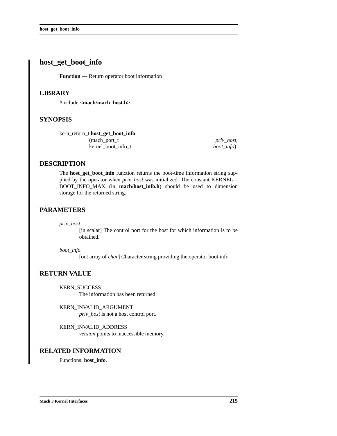# **host\_get\_boot\_info**

**Function** — Return operator boot information

#### **LIBRARY**

#include <**mach/mach\_host.h**>

# **SYNOPSIS**

kern\_return\_t **host\_get\_boot\_info** (mach\_port\_t *priv\_host,* kernel\_boot\_info\_t *boot\_info*);

# **DESCRIPTION**

The **host\_get\_boot\_info** function returns the boot-time information string supplied by the operator when *priv\_host* was initialized. The constant KERNEL\_- BOOT\_INFO\_MAX (in **mach/host\_info.h**) should be used to dimension storage for the returned string.

# **PARAMETERS**

*priv\_host*

[in scalar] The control port for the host for which information is to be obtained.

*boot\_info*

[out array of *char*] Character string providing the operator boot info

# **RETURN VALUE**

KERN\_SUCCESS

The information has been returned.

KERN\_INVALID\_ARGUMENT *priv\_host* is not a host control port.

KERN\_INVALID\_ADDRESS *version* points to inaccessible memory.

# **RELATED INFORMATION**

Functions: **host\_info**.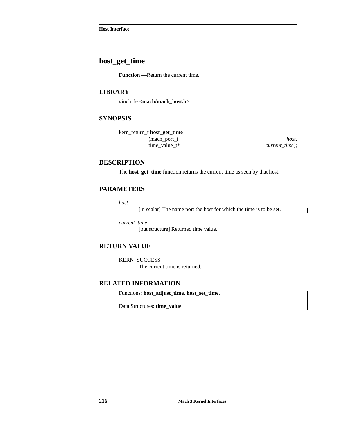# **host\_get\_time**

**Function** —Return the current time.

# **LIBRARY**

#include <**mach/mach\_host.h**>

# **SYNOPSIS**

kern\_return\_t **host\_get\_time** (mach\_port\_t *host,* time\_value\_t\* *current\_time*);

 $\blacksquare$ 

#### **DESCRIPTION**

The **host\_get\_time** function returns the current time as seen by that host.

# **PARAMETERS**

*host*

[in scalar] The name port the host for which the time is to be set.

*current\_time*

[out structure] Returned time value.

# **RETURN VALUE**

KERN\_SUCCESS The current time is returned.

### **RELATED INFORMATION**

Functions: **host\_adjust\_time**, **host\_set\_time**.

Data Structures: **time\_value**.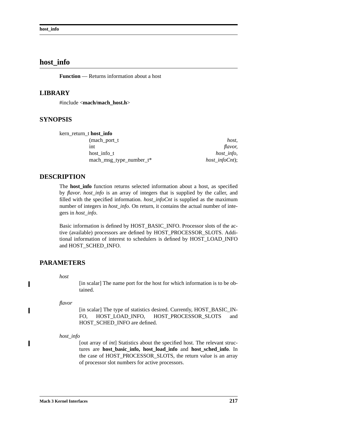# **host\_info**

**Function** — Returns information about a host

#### **LIBRARY**

#include <**mach/mach\_host.h**>

### **SYNOPSIS**

kern\_return\_t **host\_info**

| (mach port t)           | host.             |
|-------------------------|-------------------|
| int                     | flavor,           |
| host info t             | $host\_info$ ,    |
| mach_msg_type_number_t* | $host\_infoCnt);$ |

# **DESCRIPTION**

The **host\_info** function returns selected information about a host, as specified by *flavor*. *host\_info* is an array of integers that is supplied by the caller, and filled with the specified information. *host\_infoCnt* is supplied as the maximum number of integers in *host\_info*. On return, it contains the actual number of integers in *host\_info*.

Basic information is defined by HOST\_BASIC\_INFO. Processor slots of the active (available) processors are defined by HOST\_PROCESSOR\_SLOTS. Additional information of interest to schedulers is defined by HOST\_LOAD\_INFO and HOST\_SCHED\_INFO.

# **PARAMETERS**

*host*

Ī

[in scalar] The name port for the host for which information is to be obtained.

*flavor*

[in scalar] The type of statistics desired. Currently, HOST\_BASIC\_IN-FO, HOST\_LOAD\_INFO, HOST\_PROCESSOR\_SLOTS and HOST\_SCHED\_INFO are defined.

*host\_info*

[out array of *int*] Statistics about the specified host. The relevant structures are **host\_basic\_info, host\_load\_info** and **host\_sched\_info**. In the case of HOST\_PROCESSOR\_SLOTS, the return value is an array of processor slot numbers for active processors.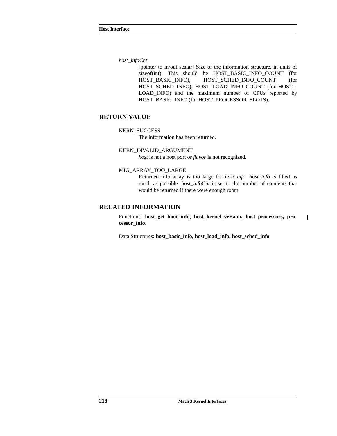*host\_infoCnt*

[pointer to in/out scalar] Size of the information structure, in units of sizeof(int). This should be HOST\_BASIC\_INFO\_COUNT (for HOST\_BASIC\_INFO), HOST\_SCHED\_INFO\_COUNT (for HOST\_SCHED\_INFO), HOST\_LOAD\_INFO\_COUNT (for HOST\_- LOAD\_INFO) and the maximum number of CPUs reported by HOST\_BASIC\_INFO (for HOST\_PROCESSOR\_SLOTS).

# **RETURN VALUE**

#### KERN\_SUCCESS

The information has been returned.

#### KERN\_INVALID\_ARGUMENT

*host* is not a host port or *flavor* is not recognized.

### MIG\_ARRAY\_TOO\_LARGE

Returned info array is too large for *host\_info. host\_info* is filled as much as possible*. host\_infoCnt* is set to the number of elements that would be returned if there were enough room.

 $\mathbf I$ 

# **RELATED INFORMATION**

Functions: **host\_get\_boot\_info**, **host\_kernel\_version, host\_processors, processor\_info**.

Data Structures: **host\_basic\_info, host\_load\_info, host\_sched\_info**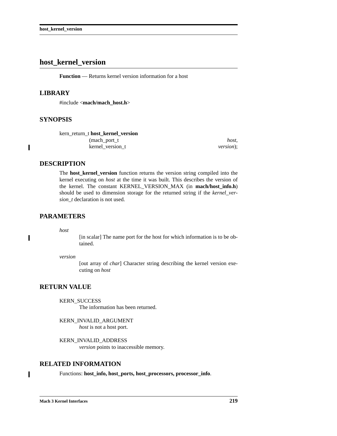# **host\_kernel\_version**

**Function** — Returns kernel version information for a host

#### **LIBRARY**

#include <**mach/mach\_host.h**>

### **SYNOPSIS**

Π

Г

 $\mathbf I$ 

| kern return t <b>host kernel version</b> |                   |
|------------------------------------------|-------------------|
| (mach port t                             | host.             |
| kernel version t                         | <i>version</i> ); |

# **DESCRIPTION**

The **host\_kernel\_version** function returns the version string compiled into the kernel executing on *host* at the time it was built. This describes the version of the kernel. The constant KERNEL\_VERSION\_MAX (in **mach/host\_info.h**) should be used to dimension storage for the returned string if the *kernel\_version\_t* declaration is not used.

# **PARAMETERS**

*host*

[in scalar] The name port for the host for which information is to be obtained.

#### *version*

[out array of *char*] Character string describing the kernel version executing on *host*

# **RETURN VALUE**

KERN\_SUCCESS

The information has been returned.

KERN\_INVALID\_ARGUMENT *host* is not a host port.

KERN\_INVALID\_ADDRESS *version* points to inaccessible memory.

# **RELATED INFORMATION**

Functions: **host\_info, host\_ports, host\_processors, processor\_info**.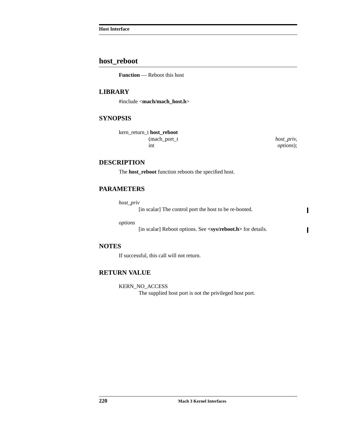# **host\_reboot**

**Function** — Reboot this host

# **LIBRARY**

#include <**mach/mach\_host.h**>

# **SYNOPSIS**

kern\_return\_t **host\_reboot** (mach\_port\_t *host\_priv,* int *options*);

 $\blacksquare$ 

 $\mathbf I$ 

# **DESCRIPTION**

The **host\_reboot** function reboots the specified host.

# **PARAMETERS**

*host\_priv*

[in scalar] The control port the host to be re-booted.

*options*

[in scalar] Reboot options. See **<sys/reboot.h>** for details.

# **NOTES**

If successful, this call will not return.

# **RETURN VALUE**

KERN\_NO\_ACCESS

The supplied host port is not the privileged host port.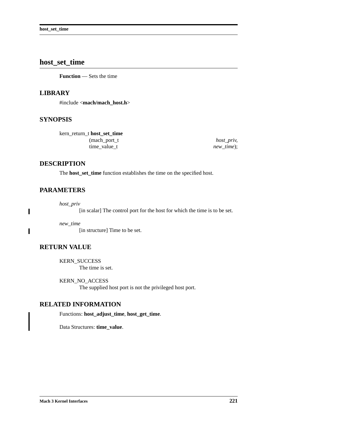# **host\_set\_time**

**Function** — Sets the time

#### **LIBRARY**

#include <**mach/mach\_host.h**>

# **SYNOPSIS**

kern\_return\_t **host\_set\_time** (mach\_port\_t *host\_priv,* time\_value\_t *new\_time*);

# **DESCRIPTION**

The **host\_set\_time** function establishes the time on the specified host.

# **PARAMETERS**

 $\mathbf{I}$ 

 $\blacksquare$ 

*host\_priv*

[in scalar] The control port for the host for which the time is to be set.

*new\_time*

[in structure] Time to be set.

### **RETURN VALUE**

KERN\_SUCCESS The time is set.

KERN\_NO\_ACCESS The supplied host port is not the privileged host port.

### **RELATED INFORMATION**

Functions: **host\_adjust\_time**, **host\_get\_time**.

Data Structures: **time\_value**.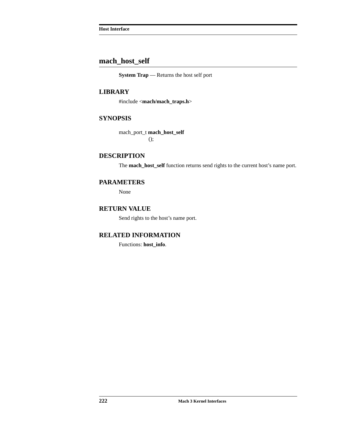# **mach\_host\_self**

**System Trap** — Returns the host self port

# **LIBRARY**

#include <**mach/mach\_traps.h**>

# **SYNOPSIS**

mach\_port\_t **mach\_host\_self** ();

# **DESCRIPTION**

The **mach\_host\_self** function returns send rights to the current host's name port.

# **PARAMETERS**

None

# **RETURN VALUE**

Send rights to the host's name port.

# **RELATED INFORMATION**

Functions: **host\_info**.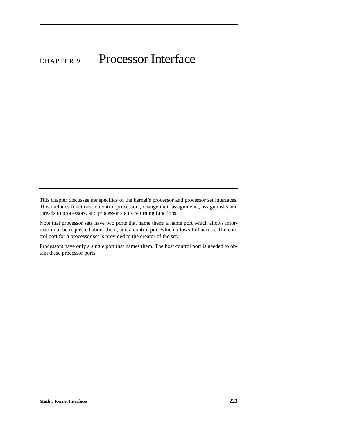# CHAPTER 9 Processor Interface

This chapter discusses the specifics of the kernel's processor and processor set interfaces. This includes functions to control processors, change their assignments, assign tasks and threads to processors, and processor status returning functions.

Note that processor sets have two ports that name them: a name port which allows information to be requested about them, and a control port which allows full access. The control port for a processor set is provided to the creator of the set.

Processors have only a single port that names them. The host control port is needed to obtain these processor ports.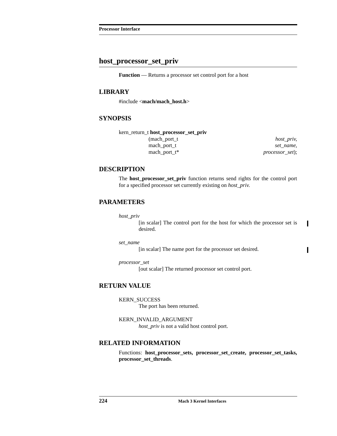# **host\_processor\_set\_priv**

**Function** — Returns a processor set control port for a host

### **LIBRARY**

#include <**mach/mach\_host.h**>

# **SYNOPSIS**

kern\_return\_t **host\_processor\_set\_priv**

mach\_port\_t *set\_name,* mach port  $t^*$  *processor set*);

(mach\_port\_t *host\_priv,*

 $\mathbf I$ 

 $\mathbf I$ 

### **DESCRIPTION**

The **host\_processor\_set\_priv** function returns send rights for the control port for a specified processor set currently existing on *host\_priv*.

# **PARAMETERS**

*host\_priv*

[in scalar] The control port for the host for which the processor set is desired.

*set\_name*

[in scalar] The name port for the processor set desired.

#### *processor\_set*

[out scalar] The returned processor set control port.

# **RETURN VALUE**

KERN\_SUCCESS The port has been returned.

KERN\_INVALID\_ARGUMENT *host\_priv* is not a valid host control port.

# **RELATED INFORMATION**

Functions: **host\_processor\_sets, processor\_set\_create, processor\_set\_tasks, processor\_set\_threads**.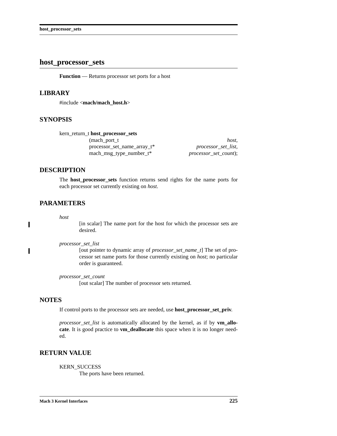# **host\_processor\_sets**

**Function** — Returns processor set ports for a host

#### **LIBRARY**

#include <**mach/mach\_host.h**>

### **SYNOPSIS**

kern\_return\_t **host\_processor\_sets**

| (mach_port_t)                           | host.                 |
|-----------------------------------------|-----------------------|
| processor set name array t <sup>*</sup> | processor set list,   |
| mach_msg_type_number_t*                 | processor_set_count); |

### **DESCRIPTION**

The **host\_processor\_sets** function returns send rights for the name ports for each processor set currently existing on *host*.

# **PARAMETERS**

*host*

I

I

[in scalar] The name port for the host for which the processor sets are desired.

*processor\_set\_list*

[out pointer to dynamic array of *processor\_set\_name\_t*] The set of processor set name ports for those currently existing on *host*; no particular order is guaranteed.

*processor\_set\_count*

[out scalar] The number of processor sets returned.

# **NOTES**

If control ports to the processor sets are needed, use **host\_processor\_set\_priv**.

*processor\_set\_list* is automatically allocated by the kernel, as if by **vm\_allocate**. It is good practice to **vm\_deallocate** this space when it is no longer needed.

# **RETURN VALUE**

#### KERN\_SUCCESS

The ports have been returned.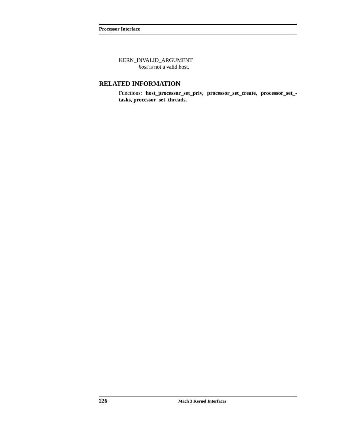KERN\_INVALID\_ARGUMENT *host* is not a valid host.

# **RELATED INFORMATION**

Functions: **host\_processor\_set\_priv, processor\_set\_create, processor\_set\_ tasks, processor\_set\_threads**.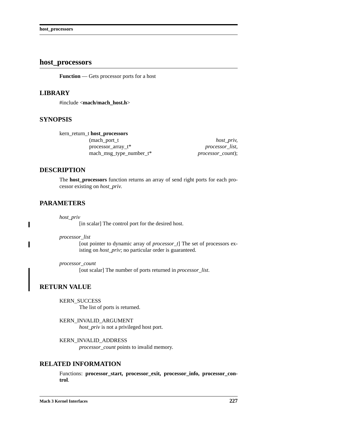# **host\_processors**

**Function** — Gets processor ports for a host

#### **LIBRARY**

#include <**mach/mach\_host.h**>

### **SYNOPSIS**

kern\_return\_t **host\_processors**

(mach\_port\_t *host\_priv,* processor\_array\_t\* *processor\_list,* mach\_msg\_type\_number\_t\* *processor\_count*);

# **DESCRIPTION**

The **host\_processors** function returns an array of send right ports for each processor existing on *host\_priv*.

# **PARAMETERS**

I

Г

*host\_priv*

[in scalar] The control port for the desired host.

#### *processor\_list*

[out pointer to dynamic array of *processor\_t*] The set of processors existing on *host\_priv*; no particular order is guaranteed.

#### *processor\_count*

[out scalar] The number of ports returned in *processor\_list*.

# **RETURN VALUE**

KERN\_SUCCESS The list of ports is returned.

KERN\_INVALID\_ARGUMENT *host\_priv* is not a privileged host port.

KERN\_INVALID\_ADDRESS *processor\_count* points to invalid memory.

# **RELATED INFORMATION**

Functions: **processor\_start, processor\_exit, processor\_info, processor\_control**.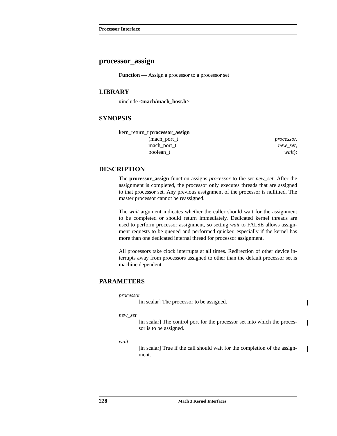# **processor\_assign**

**Function** — Assign a processor to a processor set

### **LIBRARY**

#include <**mach/mach\_host.h**>

# **SYNOPSIS**

kern\_return\_t **processor\_assign**

(mach\_port\_t *processor,* mach\_port\_t *new\_set,* boolean t wait);

 $\blacksquare$ 

 $\mathbf I$ 

 $\blacksquare$ 

# **DESCRIPTION**

The **processor\_assign** function assigns *processor* to the set *new\_set*. After the assignment is completed, the processor only executes threads that are assigned to that processor set. Any previous assignment of the processor is nullified. The master processor cannot be reassigned.

The *wait* argument indicates whether the caller should wait for the assignment to be completed or should return immediately. Dedicated kernel threads are used to perform processor assignment, so setting *wait* to FALSE allows assignment requests to be queued and performed quicker, especially if the kernel has more than one dedicated internal thread for processor assignment.

All processors take clock interrupts at all times. Redirection of other device interrupts away from processors assigned to other than the default processor set is machine dependent.

# **PARAMETERS**

#### *processor*

[in scalar] The processor to be assigned.

#### *new\_set*

[in scalar] The control port for the processor set into which the processor is to be assigned.

#### *wait*

[in scalar] True if the call should wait for the completion of the assignment.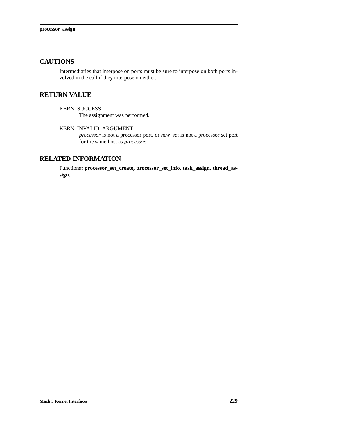# **CAUTIONS**

Intermediaries that interpose on ports must be sure to interpose on both ports involved in the call if they interpose on either.

# **RETURN VALUE**

### KERN\_SUCCESS The assignment was performed.

### KERN\_INVALID\_ARGUMENT

*processor* is not a processor port, or *new\_set* is not a processor set port for the same host as *processor.*

# **RELATED INFORMATION**

Functions**: processor\_set\_create, processor\_set\_info, task\_assign**, **thread\_assign**.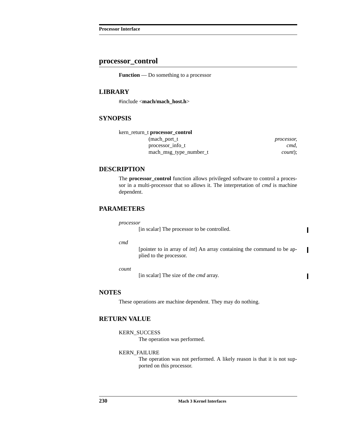# **processor\_control**

**Function** — Do something to a processor

### **LIBRARY**

#include <**mach/mach\_host.h**>

# **SYNOPSIS**

kern\_return\_t **processor\_control**

| (mach_port_t)          | processor, |
|------------------------|------------|
| processor_info_t       | cmd.       |
| mach_msg_type_number_t | count);    |

### **DESCRIPTION**

The **processor\_control** function allows privileged software to control a processor in a multi-processor that so allows it. The interpretation of *cmd* is machine dependent.

# **PARAMETERS**

```
processor
```
[in scalar] The processor to be controlled.

*cmd*

[pointer to in array of *int*] An array containing the command to be applied to the processor.

#### *count*

[in scalar] The size of the *cmd* array.

 $\blacksquare$ 

 $\blacksquare$ 

 $\mathbf I$ 

# **NOTES**

These operations are machine dependent. They may do nothing.

# **RETURN VALUE**

#### KERN\_SUCCESS

The operation was performed.

#### KERN\_FAILURE

The operation was not performed. A likely reason is that it is not supported on this processor.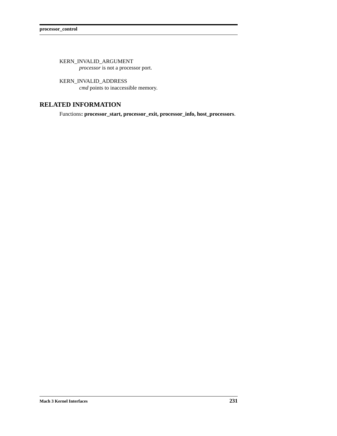KERN\_INVALID\_ARGUMENT *processor* is not a processor port.

KERN\_INVALID\_ADDRESS *cmd* points to inaccessible memory.

# **RELATED INFORMATION**

Functions**: processor\_start, processor\_exit, processor\_info, host\_processors**.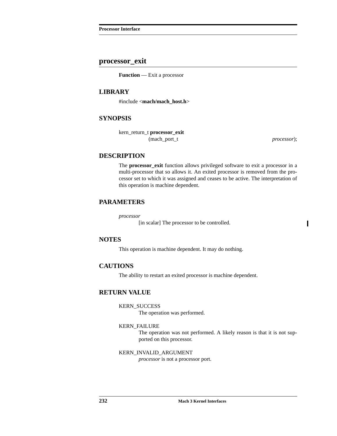# **processor\_exit**

**Function** — Exit a processor

### **LIBRARY**

#include <**mach/mach\_host.h**>

# **SYNOPSIS**

kern\_return\_t **processor\_exit** (mach\_port\_t *processor*);

### **DESCRIPTION**

The **processor\_exit** function allows privileged software to exit a processor in a multi-processor that so allows it. An exited processor is removed from the processor set to which it was assigned and ceases to be active. The interpretation of this operation is machine dependent.

### **PARAMETERS**

*processor*

[in scalar] The processor to be controlled.

# **NOTES**

This operation is machine dependent. It may do nothing.

#### **CAUTIONS**

The ability to restart an exited processor is machine dependent.

# **RETURN VALUE**

#### KERN\_SUCCESS

The operation was performed.

#### KERN\_FAILURE

The operation was not performed. A likely reason is that it is not supported on this processor.

# KERN\_INVALID\_ARGUMENT

*processor* is not a processor port.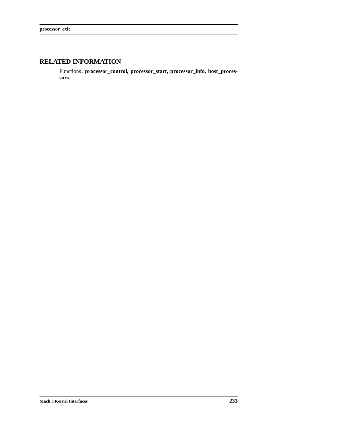# **RELATED INFORMATION**

Functions**: processor\_control, processor\_start, processor\_info, host\_processors**.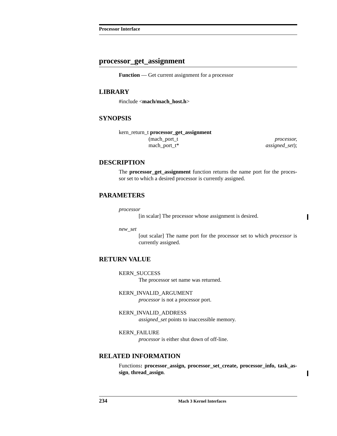# **processor\_get\_assignment**

**Function** — Get current assignment for a processor

### **LIBRARY**

#include <**mach/mach\_host.h**>

# **SYNOPSIS**

kern\_return\_t **processor\_get\_assignment** (mach\_port\_t *processor,* mach\_port\_t\* *assigned\_set*);

Π

 $\blacksquare$ 

### **DESCRIPTION**

The **processor\_get\_assignment** function returns the name port for the processor set to which a desired processor is currently assigned.

# **PARAMETERS**

*processor*

[in scalar] The processor whose assignment is desired.

*new\_set*

[out scalar] The name port for the processor set to which *processor* is currently assigned.

# **RETURN VALUE**

KERN\_SUCCESS

The processor set name was returned.

KERN\_INVALID\_ARGUMENT *processor* is not a processor port.

KERN\_INVALID\_ADDRESS *assigned\_set* points to inaccessible memory.

#### KERN\_FAILURE

*processor* is either shut down of off-line.

### **RELATED INFORMATION**

Functions**: processor\_assign, processor\_set\_create, processor\_info, task\_assign**, **thread\_assign**.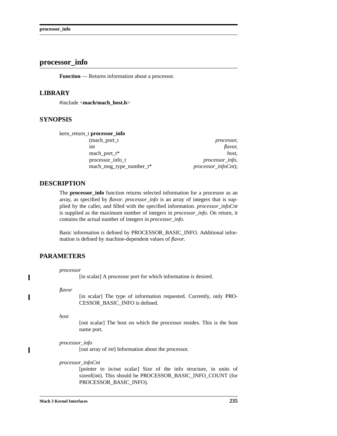# **processor\_info**

**Function** — Returns information about a processor.

#### **LIBRARY**

#include <**mach/mach\_host.h**>

### **SYNOPSIS**

kern\_return\_t **processor\_info**

| $(mach\_port_t$         | processor,          |
|-------------------------|---------------------|
| int                     | flavor,             |
| $mach\_port_t*$         | host,               |
| processor_info_t        | processor_info,     |
| mach_msg_type_number_t* | processor_infoCnt); |

### **DESCRIPTION**

The **processor\_info** function returns selected information for a processor as an array, as specified by *flavor*. *processor\_info* is an array of integers that is supplied by the caller, and filled with the specified information. *processor\_infoCnt* is supplied as the maximum number of integers in *processor\_info*. On return, it contains the actual number of integers in *processor\_info*.

Basic information is defined by PROCESSOR\_BASIC\_INFO. Additional information is defined by machine-dependent values of *flavor*.

#### **PARAMETERS**

Ι

Г

ı

*processor*

[in scalar] A processor port for which information is desired.

#### *flavor*

[in scalar] The type of information requested. Currently, only PRO-CESSOR\_BASIC\_INFO is defined.

#### *host*

[out scalar] The host on which the processor resides. This is the host name port.

#### *processor\_info*

[out array of *int*] Information about the processor.

*processor\_infoCnt*

[pointer to in/out scalar] Size of the info structure, in units of sizeof(int). This should be PROCESSOR\_BASIC\_INFO\_COUNT (for PROCESSOR\_BASIC\_INFO).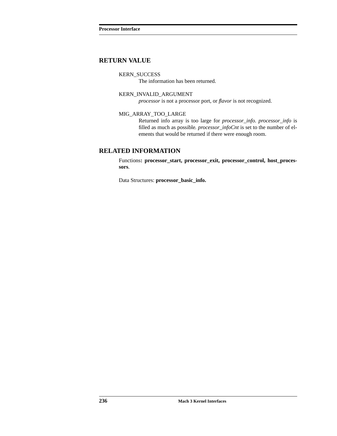# **RETURN VALUE**

### KERN\_SUCCESS

The information has been returned.

KERN\_INVALID\_ARGUMENT *processor* is not a processor port, or *flavor* is not recognized.

### MIG\_ARRAY\_TOO\_LARGE

Returned info array is too large for *processor\_info. processor\_info* is filled as much as possible*. processor\_infoCnt* is set to the number of elements that would be returned if there were enough room.

# **RELATED INFORMATION**

Functions**: processor\_start, processor\_exit, processor\_control, host\_processors**.

Data Structures: **processor\_basic\_info.**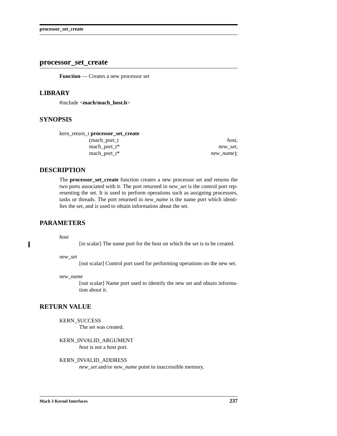# **processor\_set\_create**

**Function** — Creates a new processor set

# **LIBRARY**

#include <**mach/mach\_host.h**>

### **SYNOPSIS**

kern\_return\_t **processor\_set\_create**

mach\_port\_t\* *new\_set,* mach\_port\_t\* *new\_name*);

(mach\_port\_t *host,*

### **DESCRIPTION**

The **processor\_set\_create** function creates a new processor set and returns the two ports associated with it. The port returned in *new\_set* is the control port representing the set. It is used to perform operations such as assigning processors, tasks or threads. The port returned in *new\_name* is the name port which identifies the set, and is used to obtain information about the set.

### **PARAMETERS**

*host*

Ī

[in scalar] The name port for the host on which the set is to be created.

*new\_set*

[out scalar] Control port used for performing operations on the new set.

*new\_name*

[out scalar] Name port used to identify the new set and obtain information about it.

### **RETURN VALUE**

KERN\_SUCCESS The set was created.

KERN\_INVALID\_ARGUMENT *host* is not a host port.

#### KERN\_INVALID\_ADDRESS

*new\_set* and/or *new\_name* point to inaccessible memory.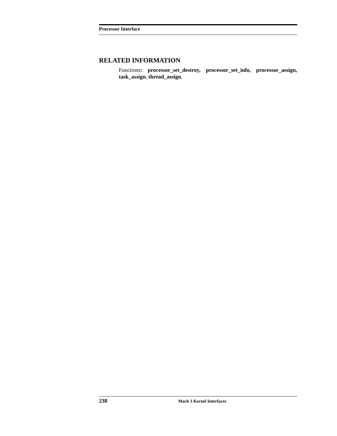# **RELATED INFORMATION**

Functions**: processor\_set\_destroy, processor\_set\_info, processor\_assign, task\_assign**, **thread\_assign**.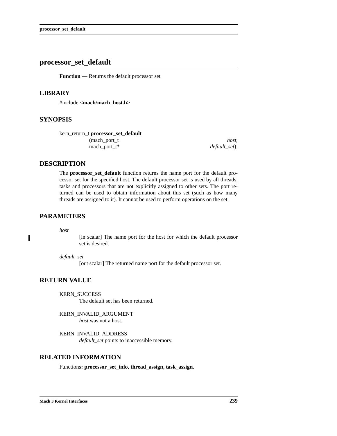# **processor\_set\_default**

**Function** — Returns the default processor set

#### **LIBRARY**

#include <**mach/mach\_host.h**>

#### **SYNOPSIS**

kern\_return\_t **processor\_set\_default** (mach\_port\_t *host,* mach\_port\_t\* *default\_set*);

# **DESCRIPTION**

The **processor\_set\_default** function returns the name port for the default processor set for the specified host. The default processor set is used by all threads, tasks and processors that are not explicitly assigned to other sets. The port returned can be used to obtain information about this set (such as how many threads are assigned to it). It cannot be used to perform operations on the set.

# **PARAMETERS**

*host*

Г

[in scalar] The name port for the host for which the default processor set is desired.

*default\_set*

[out scalar] The returned name port for the default processor set.

# **RETURN VALUE**

KERN\_SUCCESS

The default set has been returned.

KERN\_INVALID\_ARGUMENT *host* was not a host.

KERN\_INVALID\_ADDRESS *default\_set* points to inaccessible memory.

### **RELATED INFORMATION**

Functions**: processor\_set\_info, thread\_assign, task\_assign**.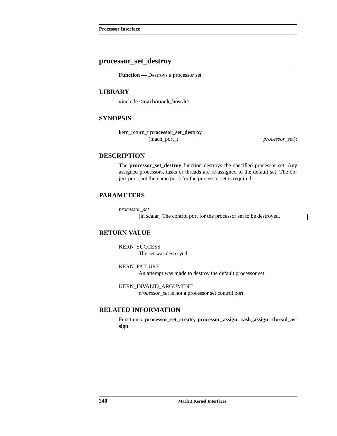# **processor\_set\_destroy**

**Function** — Destroys a processor set

### **LIBRARY**

#include <**mach/mach\_host.h**>

# **SYNOPSIS**

kern\_return\_t **processor\_set\_destroy** (mach\_port\_t *processor\_set*);

### **DESCRIPTION**

The **processor\_set\_destroy** function destroys the specified processor set. Any assigned processors, tasks or threads are re-assigned to the default set. The object port (not the name port) for the processor set is required.

# **PARAMETERS**

```
processor_set
```
[in scalar] The control port for the processor set to be destroyed.

# **RETURN VALUE**

### KERN\_SUCCESS

The set was destroyed.

### KERN\_FAILURE

An attempt was made to destroy the default processor set.

#### KERN\_INVALID\_ARGUMENT

*processor\_set* is not a processor set control port.

# **RELATED INFORMATION**

Functions**: processor\_set\_create, processor\_assign, task\_assign**, **thread\_assign**.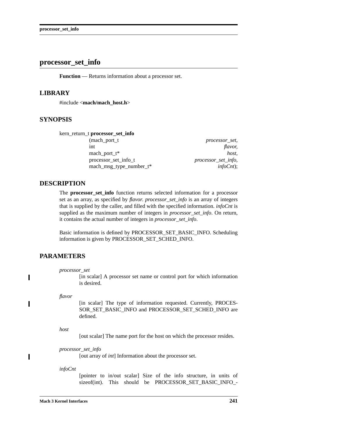# **processor\_set\_info**

**Function** — Returns information about a processor set.

#### **LIBRARY**

#include <**mach/mach\_host.h**>

### **SYNOPSIS**

kern\_return\_t **processor\_set\_info**

| (mach port t)           | processor set,      |
|-------------------------|---------------------|
| int                     | <i>flavor,</i>      |
| mach port $t^*$         | host,               |
| processor_set_info_t    | processor_set_info, |
| mach_msg_type_number_t* | infoCnt);           |

### **DESCRIPTION**

The **processor\_set\_info** function returns selected information for a processor set as an array, as specified by *flavor*. *processor\_set\_info* is an array of integers that is supplied by the caller, and filled with the specified information. *infoCnt* is supplied as the maximum number of integers in *processor\_set\_info*. On return, it contains the actual number of integers in *processor\_set\_info*.

Basic information is defined by PROCESSOR\_SET\_BASIC\_INFO. Scheduling information is given by PROCESSOR\_SET\_SCHED\_INFO.

# **PARAMETERS**

Π

Г

Π

```
processor_set
```
[in scalar] A processor set name or control port for which information is desired.

#### *flavor*

[in scalar] The type of information requested. Currently, PROCES-SOR\_SET\_BASIC\_INFO and PROCESSOR\_SET\_SCHED\_INFO are defined.

*host*

[out scalar] The name port for the host on which the processor resides.

#### *processor\_set\_info*

[out array of *int*] Information about the processor set.

#### *infoCnt*

[pointer to in/out scalar] Size of the info structure, in units of sizeof(int). This should be PROCESSOR\_SET\_BASIC\_INFO\_-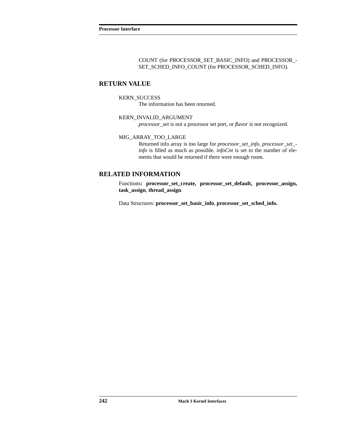# COUNT (for PROCESSOR\_SET\_BASIC\_INFO) and PROCESSOR\_- SET\_SCHED\_INFO\_COUNT (for PROCESSOR\_SCHED\_INFO).

# **RETURN VALUE**

#### KERN\_SUCCESS

The information has been returned.

KERN\_INVALID\_ARGUMENT *processor\_set* is not a processor set port, or *flavor* is not recognized.

#### MIG\_ARRAY\_TOO\_LARGE

Returned info array is too large for *processor\_set\_info. processor\_set\_ info* is filled as much as possible*. infoCnt* is set to the number of elements that would be returned if there were enough room.

# **RELATED INFORMATION**

Functions**: processor\_set\_create, processor\_set\_default, processor\_assign, task\_assign**, **thread\_assign**.

Data Structures: **processor\_set\_basic\_info**, **processor\_set\_sched\_info.**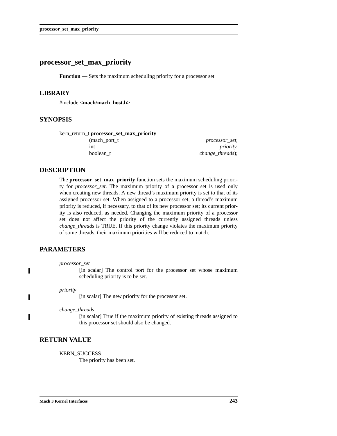# **processor\_set\_max\_priority**

**Function** — Sets the maximum scheduling priority for a processor set

#### **LIBRARY**

#include <**mach/mach\_host.h**>

### **SYNOPSIS**

| kern return t <b>processor set max priority</b> |                          |
|-------------------------------------------------|--------------------------|
| (mach port t                                    | processor_set,           |
| int                                             | <i>priority.</i>         |
| boolean t                                       | <i>change threads</i> ); |

### **DESCRIPTION**

The **processor\_set\_max\_priority** function sets the maximum scheduling priority for *processor\_set*. The maximum priority of a processor set is used only when creating new threads. A new thread's maximum priority is set to that of its assigned processor set. When assigned to a processor set, a thread's maximum priority is reduced, if necessary, to that of its new processor set; its current priority is also reduced, as needed. Changing the maximum priority of a processor set does not affect the priority of the currently assigned threads unless *change\_threads* is TRUE. If this priority change violates the maximum priority of some threads, their maximum priorities will be reduced to match.

# **PARAMETERS**

*processor\_set*

[in scalar] The control port for the processor set whose maximum scheduling priority is to be set.

*priority*

I

Г

[in scalar] The new priority for the processor set.

*change\_threads*

[in scalar] True if the maximum priority of existing threads assigned to this processor set should also be changed.

# **RETURN VALUE**

KERN\_SUCCESS

The priority has been set.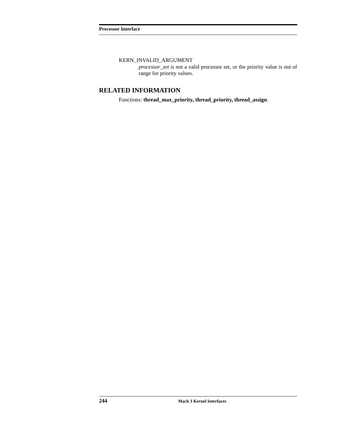#### KERN\_INVALID\_ARGUMENT

*processor\_set* is not a valid processor set, or the priority value is out of range for priority values.

# **RELATED INFORMATION**

Functions: **thread\_max\_priority, thread\_priority, thread\_assign**.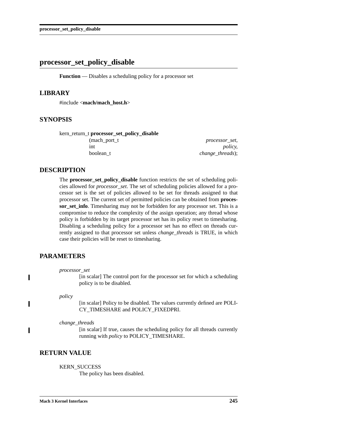## **processor\_set\_policy\_disable**

**Function** — Disables a scheduling policy for a processor set

#### **LIBRARY**

#include <**mach/mach\_host.h**>

## **SYNOPSIS**

| kern return t <b>processor set policy disable</b> |                          |
|---------------------------------------------------|--------------------------|
| (mach port t                                      | processor set,           |
| int                                               | <i>policy</i> ,          |
| boolean t                                         | <i>change threads</i> ); |

## **DESCRIPTION**

The **processor\_set\_policy\_disable** function restricts the set of scheduling policies allowed for *processor\_set*. The set of scheduling policies allowed for a processor set is the set of policies allowed to be set for threads assigned to that processor set. The current set of permitted policies can be obtained from **processor\_set\_info**. Timesharing may not be forbidden for any processor set. This is a compromise to reduce the complexity of the assign operation; any thread whose policy is forbidden by its target processor set has its policy reset to timesharing. Disabling a scheduling policy for a processor set has no effect on threads currently assigned to that processor set unless *change\_threads* is TRUE, in which case their policies will be reset to timesharing.

#### **PARAMETERS**

Π

Г

I

```
processor_set
```
[in scalar] The control port for the processor set for which a scheduling policy is to be disabled.

#### *policy*

[in scalar] Policy to be disabled. The values currently defined are POLI-CY\_TIMESHARE and POLICY\_FIXEDPRI.

#### *change\_threads*

[in scalar] If true, causes the scheduling policy for all threads currently running with *policy* to POLICY\_TIMESHARE.

## **RETURN VALUE**

#### KERN\_SUCCESS

The policy has been disabled.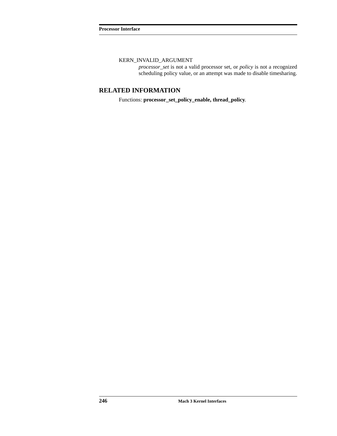#### KERN\_INVALID\_ARGUMENT

*processor\_set* is not a valid processor set, or *policy* is not a recognized scheduling policy value, or an attempt was made to disable timesharing.

## **RELATED INFORMATION**

Functions: **processor\_set\_policy\_enable, thread\_policy**.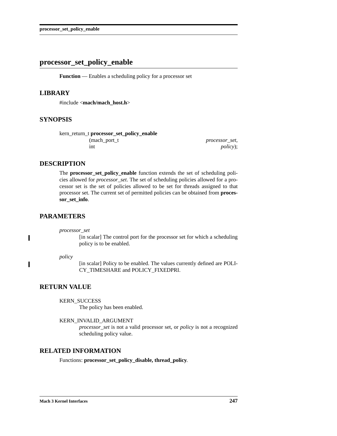## **processor\_set\_policy\_enable**

**Function** — Enables a scheduling policy for a processor set

#### **LIBRARY**

#include <**mach/mach\_host.h**>

### **SYNOPSIS**

| (mach_port_t) | processor set,  |
|---------------|-----------------|
| int           | <i>policy</i> : |

## **DESCRIPTION**

The **processor\_set\_policy\_enable** function extends the set of scheduling policies allowed for *processor\_set*. The set of scheduling policies allowed for a processor set is the set of policies allowed to be set for threads assigned to that processor set. The current set of permitted policies can be obtained from **processor\_set\_info**.

## **PARAMETERS**

I

Г

*processor\_set*

[in scalar] The control port for the processor set for which a scheduling policy is to be enabled.

*policy*

[in scalar] Policy to be enabled. The values currently defined are POLI-CY\_TIMESHARE and POLICY\_FIXEDPRI.

## **RETURN VALUE**

```
KERN_SUCCESS
```
The policy has been enabled.

## KERN\_INVALID\_ARGUMENT

*processor\_set* is not a valid processor set, or *policy* is not a recognized scheduling policy value.

## **RELATED INFORMATION**

Functions: **processor\_set\_policy\_disable, thread\_policy**.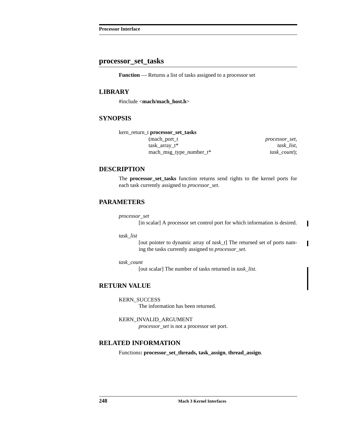## **processor\_set\_tasks**

**Function** — Returns a list of tasks assigned to a processor set

#### **LIBRARY**

#include <**mach/mach\_host.h**>

## **SYNOPSIS**

kern\_return\_t **processor\_set\_tasks**

(mach\_port\_t *processor\_set,* task\_array\_t\* *task\_list,* mach\_msg\_type\_number\_t\* *task\_count*);

### **DESCRIPTION**

The **processor\_set\_tasks** function returns send rights to the kernel ports for each task currently assigned to *processor\_set*.

## **PARAMETERS**

*processor\_set*

[in scalar] A processor set control port for which information is desired.

 $\blacksquare$ 

*task\_list*

[out pointer to dynamic array of *task\_t*] The returned set of ports naming the tasks currently assigned to *processor\_set*.

#### *task\_count*

[out scalar] The number of tasks returned in *task\_list*.

## **RETURN VALUE**

KERN\_SUCCESS The information has been returned.

KERN\_INVALID\_ARGUMENT *processor\_set* is not a processor set port.

## **RELATED INFORMATION**

Functions**: processor\_set\_threads, task\_assign**, **thread\_assign**.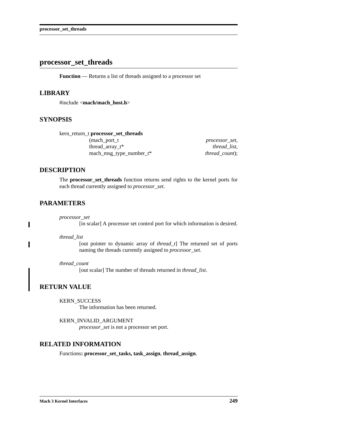## **processor\_set\_threads**

**Function** — Returns a list of threads assigned to a processor set

#### **LIBRARY**

#include <**mach/mach\_host.h**>

## **SYNOPSIS**

| kern_return_t processor_set_threads |                        |
|-------------------------------------|------------------------|
| (mach port t                        | processor set,         |
| thread array $t^*$                  | <i>thread list.</i>    |
| $mach_msg_type_number_t*$           | <i>thread count</i> ); |

### **DESCRIPTION**

The **processor\_set\_threads** function returns send rights to the kernel ports for each thread currently assigned to *processor\_set*.

## **PARAMETERS**

I

Г

*processor\_set*

[in scalar] A processor set control port for which information is desired.

*thread\_list*

[out pointer to dynamic array of *thread\_t*] The returned set of ports naming the threads currently assigned to *processor\_set*.

*thread\_count*

[out scalar] The number of threads returned in *thread\_list*.

## **RETURN VALUE**

KERN\_SUCCESS The information has been returned.

KERN\_INVALID\_ARGUMENT *processor\_set* is not a processor set port.

### **RELATED INFORMATION**

Functions**: processor\_set\_tasks, task\_assign**, **thread\_assign**.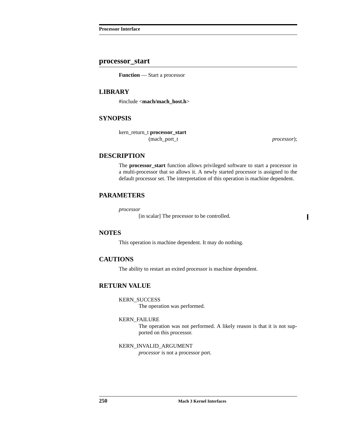## **processor\_start**

**Function** — Start a processor

## **LIBRARY**

#include <**mach/mach\_host.h**>

## **SYNOPSIS**

kern\_return\_t **processor\_start** (mach\_port\_t *processor*);

Π

### **DESCRIPTION**

The **processor\_start** function allows privileged software to start a processor in a multi-processor that so allows it. A newly started processor is assigned to the default processor set. The interpretation of this operation is machine dependent.

## **PARAMETERS**

*processor*

[in scalar] The processor to be controlled.

#### **NOTES**

This operation is machine dependent. It may do nothing.

#### **CAUTIONS**

The ability to restart an exited processor is machine dependent.

## **RETURN VALUE**

#### KERN\_SUCCESS

The operation was performed.

### KERN\_FAILURE

The operation was not performed. A likely reason is that it is not supported on this processor.

#### KERN\_INVALID\_ARGUMENT

*processor* is not a processor port.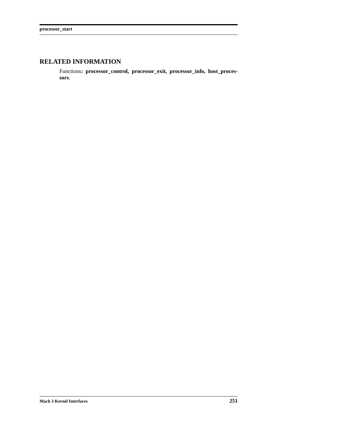## **RELATED INFORMATION**

Functions**: processor\_control, processor\_exit, processor\_info, host\_processors**.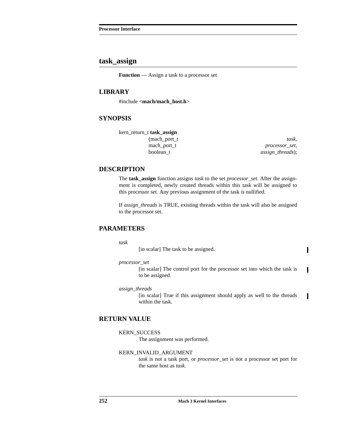## **task\_assign**

**Function** — Assign a task to a processor set

### **LIBRARY**

#include <**mach/mach\_host.h**>

## **SYNOPSIS**

kern\_return\_t **task\_assign**

(mach\_port\_t *task,* mach\_port\_t *processor\_set,* boolean\_t *assign\_threads*);

 $\blacksquare$ 

 $\mathbf I$ 

 $\blacksquare$ 

## **DESCRIPTION**

The **task\_assign** function assigns *task* to the set *processor\_set*. After the assignment is completed, newly created threads within this task will be assigned to this processor set. Any previous assignment of the task is nullified.

If *assign\_threads* is TRUE, existing threads within the task will also be assigned to the processor set.

## **PARAMETERS**

*task*

[in scalar] The task to be assigned.

*processor\_set*

[in scalar] The control port for the processor set into which the task is to be assigned.

*assign\_threads*

[in scalar] True if this assignment should apply as well to the threads within the task.

## **RETURN VALUE**

### KERN\_SUCCESS

The assignment was performed.

#### KERN\_INVALID\_ARGUMENT

*task* is not a task port, or *processor\_set* is not a processor set port for the same host as *task.*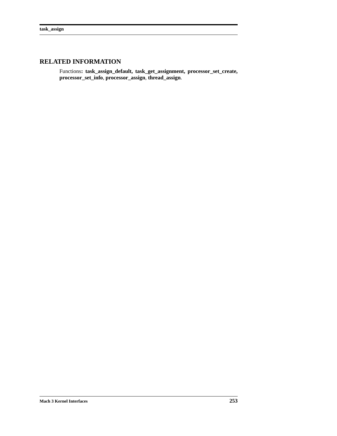## **RELATED INFORMATION**

Functions**: task\_assign\_default, task\_get\_assignment, processor\_set\_create, processor\_set\_info**, **processor\_assign**, **thread\_assign**.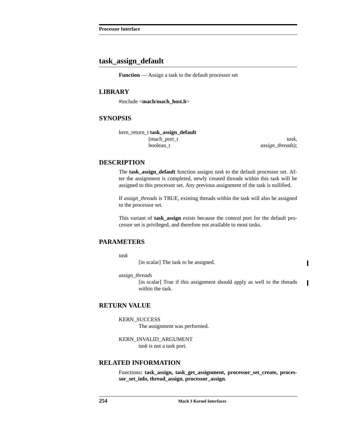## **task\_assign\_default**

**Function** — Assign a task to the default processor set

### **LIBRARY**

#include <**mach/mach\_host.h**>

## **SYNOPSIS**

kern\_return\_t **task\_assign\_default** (mach\_port\_t *task,* boolean\_t *assign\_threads*);

 $\blacksquare$ 

 $\mathbf I$ 

### **DESCRIPTION**

The **task\_assign\_default** function assigns *task* to the default processor set. After the assignment is completed, newly created threads within this task will be assigned to this processor set. Any previous assignment of the task is nullified.

If *assign\_threads* is TRUE, existing threads within the task will also be assigned to the processor set.

This variant of **task\_assign** exists because the control port for the default processor set is privileged, and therefore not available to most tasks.

## **PARAMETERS**

*task*

[in scalar] The task to be assigned.

#### *assign\_threads*

[in scalar] True if this assignment should apply as well to the threads within the task.

## **RETURN VALUE**

KERN\_SUCCESS The assignment was performed.

KERN\_INVALID\_ARGUMENT *task* is not a task port.

## **RELATED INFORMATION**

Functions**: task\_assign, task\_get\_assignment, processor\_set\_create, processor\_set\_info, thread\_assign**, **processor\_assign**.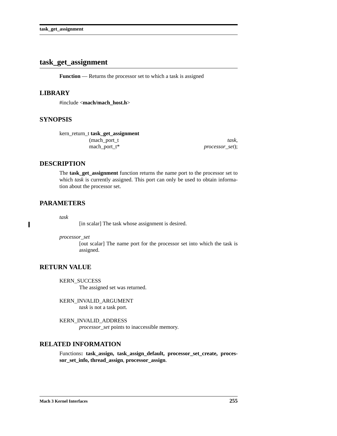## **task\_get\_assignment**

**Function** — Returns the processor set to which a task is assigned

#### **LIBRARY**

#include <**mach/mach\_host.h**>

## **SYNOPSIS**

| (mach port t    | task.                   |
|-----------------|-------------------------|
| $mach\_port_t*$ | <i>processor set</i> ); |

## **DESCRIPTION**

The **task\_get\_assignment** function returns the name port to the processor set to which *task* is currently assigned. This port can only be used to obtain information about the processor set.

## **PARAMETERS**

*task*

Г

[in scalar] The task whose assignment is desired.

*processor\_set*

[out scalar] The name port for the processor set into which the task is assigned.

## **RETURN VALUE**

KERN\_SUCCESS The assigned set was returned.

KERN\_INVALID\_ARGUMENT *task* is not a task port.

KERN\_INVALID\_ADDRESS *processor\_set* points to inaccessible memory.

## **RELATED INFORMATION**

Functions**: task\_assign, task\_assign\_default, processor\_set\_create, processor\_set\_info, thread\_assign**, **processor\_assign**.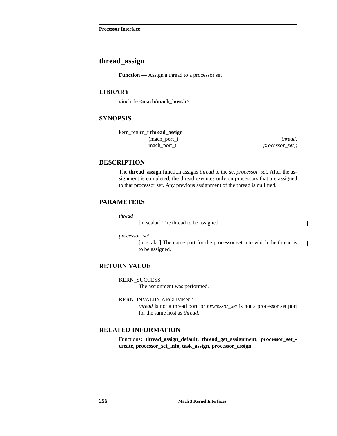## **thread\_assign**

**Function** — Assign a thread to a processor set

### **LIBRARY**

#include <**mach/mach\_host.h**>

## **SYNOPSIS**

kern\_return\_t **thread\_assign** (mach\_port\_t *thread,* mach\_port\_t *processor\_set*);

 $\blacksquare$ 

 $\mathbf I$ 

### **DESCRIPTION**

The **thread\_assign** function assigns *thread* to the set *processor\_set*. After the assignment is completed, the thread executes only on processors that are assigned to that processor set. Any previous assignment of the thread is nullified.

## **PARAMETERS**

*thread*

[in scalar] The thread to be assigned.

*processor\_set*

[in scalar] The name port for the processor set into which the thread is to be assigned.

## **RETURN VALUE**

#### KERN\_SUCCESS

The assignment was performed.

#### KERN\_INVALID\_ARGUMENT

*thread* is not a thread port, or *processor\_set* is not a processor set port for the same host as *thread.*

## **RELATED INFORMATION**

Functions**: thread\_assign\_default, thread\_get\_assignment, processor\_set\_ create, processor\_set\_info, task\_assign**, **processor\_assign**.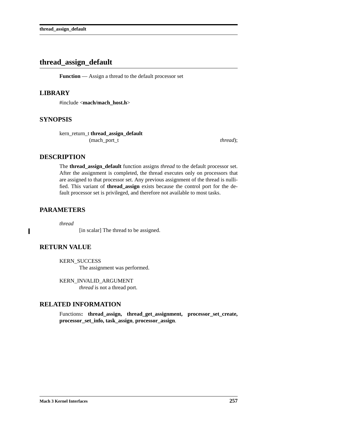## **thread\_assign\_default**

**Function** — Assign a thread to the default processor set

#### **LIBRARY**

#include <**mach/mach\_host.h**>

## **SYNOPSIS**

kern\_return\_t **thread\_assign\_default** (mach\_port\_t *thread*);

## **DESCRIPTION**

The **thread\_assign\_default** function assigns *thread* to the default processor set. After the assignment is completed, the thread executes only on processors that are assigned to that processor set. Any previous assignment of the thread is nullified. This variant of **thread\_assign** exists because the control port for the default processor set is privileged, and therefore not available to most tasks.

## **PARAMETERS**

 $\mathbf I$ 

*thread*

[in scalar] The thread to be assigned.

### **RETURN VALUE**

KERN\_SUCCESS The assignment was performed.

KERN\_INVALID\_ARGUMENT *thread* is not a thread port.

### **RELATED INFORMATION**

Functions**: thread\_assign, thread\_get\_assignment, processor\_set\_create, processor\_set\_info, task\_assign**, **processor\_assign**.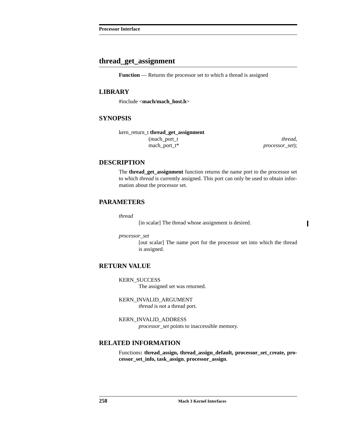## **thread\_get\_assignment**

**Function** — Returns the processor set to which a thread is assigned

### **LIBRARY**

#include <**mach/mach\_host.h**>

## **SYNOPSIS**

|                 | kern_return_t thread_get_assignment |
|-----------------|-------------------------------------|
| thread.         | (mach_port_t)                       |
| processor_set); | mach port $t^*$                     |

 $\blacksquare$ 

### **DESCRIPTION**

The **thread\_get\_assignment** function returns the name port to the processor set to which *thread* is currently assigned. This port can only be used to obtain information about the processor set.

## **PARAMETERS**

*thread*

[in scalar] The thread whose assignment is desired.

*processor\_set*

[out scalar] The name port for the processor set into which the thread is assigned.

## **RETURN VALUE**

KERN\_SUCCESS The assigned set was returned.

KERN\_INVALID\_ARGUMENT *thread* is not a thread port.

KERN\_INVALID\_ADDRESS *processor\_set* points to inaccessible memory.

## **RELATED INFORMATION**

Functions**: thread\_assign, thread\_assign\_default, processor\_set\_create, processor\_set\_info, task\_assign**, **processor\_assign**.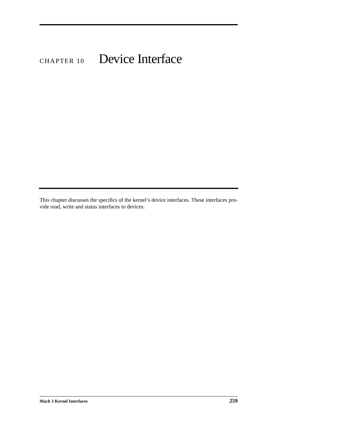# CHAPTER 10 Device Interface

This chapter discusses the specifics of the kernel's device interfaces. These interfaces provide read, write and status interfaces to devices.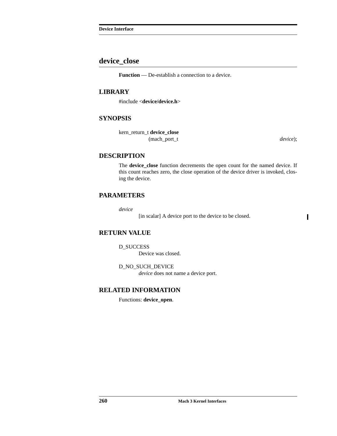## **device\_close**

**Function** — De-establish a connection to a device.

## **LIBRARY**

#include <**device/device.h**>

## **SYNOPSIS**

kern\_return\_t **device\_close** (mach\_port\_t *device*);

 $\blacksquare$ 

### **DESCRIPTION**

The **device\_close** function decrements the open count for the named device. If this count reaches zero, the close operation of the device driver is invoked, closing the device.

## **PARAMETERS**

*device*

[in scalar] A device port to the device to be closed.

## **RETURN VALUE**

D\_SUCCESS Device was closed.

D\_NO\_SUCH\_DEVICE *device* does not name a device port.

## **RELATED INFORMATION**

Functions: **device\_open**.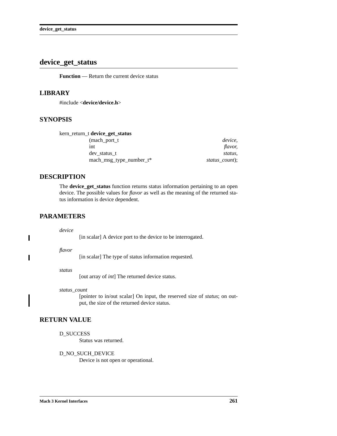## **device\_get\_status**

**Function** — Return the current device status

#### **LIBRARY**

#include <**device/device.h**>

## **SYNOPSIS**

kern\_return\_t **device\_get\_status**

| (mach port t)           | device.        |
|-------------------------|----------------|
| int                     | flavor,        |
| dev status t            | status.        |
| mach_msg_type_number_t* | status count); |

## **DESCRIPTION**

The **device\_get\_status** function returns status information pertaining to an open device. The possible values for *flavor* as well as the meaning of the returned status information is device dependent.

## **PARAMETERS**

 $\blacksquare$ 

Г

*device*

[in scalar] A device port to the device to be interrogated.

#### *flavor*

[in scalar] The type of status information requested.

*status*

[out array of *int*] The returned device status.

## *status\_count*

[pointer to in/out scalar] On input, the reserved size of *status*; on output, the size of the returned device status.

#### **RETURN VALUE**

D\_SUCCESS

Status was returned.

#### D\_NO\_SUCH\_DEVICE

Device is not open or operational.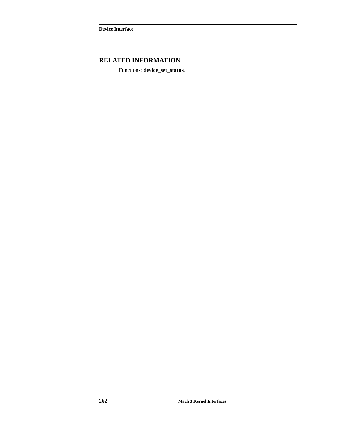## **RELATED INFORMATION**

Functions: **device\_set\_status**.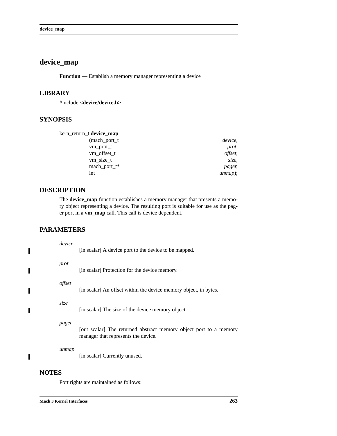## **device\_map**

Function — Establish a memory manager representing a device

#### **LIBRARY**

#include <**device/device.h**>

## **SYNOPSIS**

kern\_return\_t **device\_map**

| (mach_port_t    | device. |
|-----------------|---------|
| vm prot t       | prot,   |
| vm offset t     | offset, |
| $vm\_size_t$    | size,   |
| $mach\_port_t*$ | pager,  |
| int             | unmap); |

## **DESCRIPTION**

The **device\_map** function establishes a memory manager that presents a memory object representing a device. The resulting port is suitable for use as the pager port in a **vm\_map** call. This call is device dependent.

## **PARAMETERS**

 $\blacksquare$ 

 $\mathbf I$ 

 $\blacksquare$ 

 $\blacksquare$ 

 $\blacksquare$ 

| device        | [in scalar] A device port to the device to be mapped.                                                    |
|---------------|----------------------------------------------------------------------------------------------------------|
| prot          | [in scalar] Protection for the device memory.                                                            |
| <i>offset</i> | [in scalar] An offset within the device memory object, in bytes.                                         |
| size          | [in scalar] The size of the device memory object.                                                        |
| pager         | [out scalar] The returned abstract memory object port to a memory<br>manager that represents the device. |
| unmap         | [in scalar] Currently unused.                                                                            |

## **NOTES**

Port rights are maintained as follows: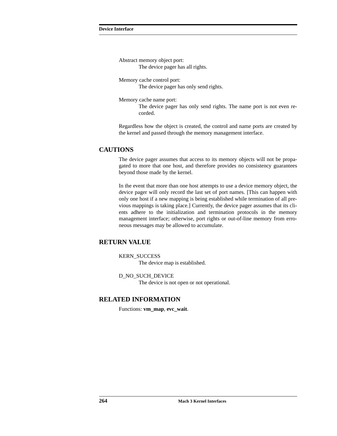Abstract memory object port: The device pager has all rights.

Memory cache control port: The device pager has only send rights.

Memory cache name port: The device pager has only send rights. The name port is not even recorded.

Regardless how the object is created, the control and name ports are created by the kernel and passed through the memory management interface.

## **CAUTIONS**

The device pager assumes that access to its memory objects will not be propagated to more that one host, and therefore provides no consistency guarantees beyond those made by the kernel.

In the event that more than one host attempts to use a device memory object, the device pager will only record the last set of port names. [This can happen with only one host if a new mapping is being established while termination of all previous mappings is taking place.] Currently, the device pager assumes that its clients adhere to the initialization and termination protocols in the memory management interface; otherwise, port rights or out-of-line memory from erroneous messages may be allowed to accumulate.

## **RETURN VALUE**

KERN\_SUCCESS The device map is established.

D\_NO\_SUCH\_DEVICE The device is not open or not operational.

## **RELATED INFORMATION**

Functions: **vm\_map**, **evc\_wait**.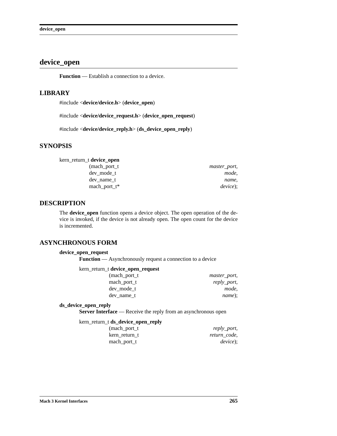## **device\_open**

**Function** — Establish a connection to a device.

### **LIBRARY**

#include <**device/device.h**> (**device\_open**)

#include <**device/device\_request.h**> (**device\_open\_request**)

#include <**device/device\_reply.h**> (**ds\_device\_open\_reply**)

## **SYNOPSIS**

|              | kern_return_t device_open |
|--------------|---------------------------|
| master port, | (mach port t)             |
| mode,        | dev mode t                |
| name,        | dev name t                |
| device);     | $mach\_port_t*$           |

## **DESCRIPTION**

The **device\_open** function opens a device object. The open operation of the device is invoked, if the device is not already open. The open count for the device is incremented.

## **ASYNCHRONOUS FORM**

#### **device\_open\_request**

Function — Asynchronously request a connection to a device

#### kern\_return\_t **device\_open\_request**

| (mach port t) | master port, |
|---------------|--------------|
| mach port t   | reply port,  |
| dev mode t    | mode,        |
| dev name t    | $name)$ :    |

#### **ds\_device\_open\_reply**

**Server Interface** — Receive the reply from an asynchronous open

#### kern\_return\_t **ds\_device\_open\_reply**

| (mach port t  | reply_port,  |
|---------------|--------------|
| kern return t | return code, |
| mach_port_t   | device);     |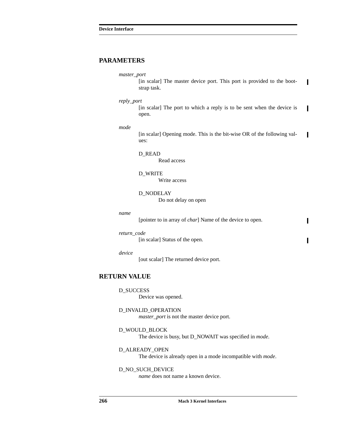## **PARAMETERS**

#### *master\_port*

[in scalar] The master device port. This port is provided to the bootstrap task.

 $\mathbf I$ 

 $\mathbf I$ 

I

 $\mathbf I$ 

 $\mathbf I$ 

#### *reply\_port*

[in scalar] The port to which a reply is to be sent when the device is open.

#### *mode*

[in scalar] Opening mode. This is the bit-wise OR of the following values:

#### D\_READ

Read access

### D\_WRITE

Write access

## D\_NODELAY

Do not delay on open

#### *name*

[pointer to in array of *char*] Name of the device to open.

#### *return\_code*

[in scalar] Status of the open.

#### *device*

[out scalar] The returned device port.

## **RETURN VALUE**

#### D\_SUCCESS

Device was opened.

## D\_INVALID\_OPERATION

*master\_port* is not the master device port.

### D\_WOULD\_BLOCK

The device is busy, but D\_NOWAIT was specified in *mode*.

#### D\_ALREADY\_OPEN

The device is already open in a mode incompatible with *mode*.

#### D\_NO\_SUCH\_DEVICE

*name* does not name a known device.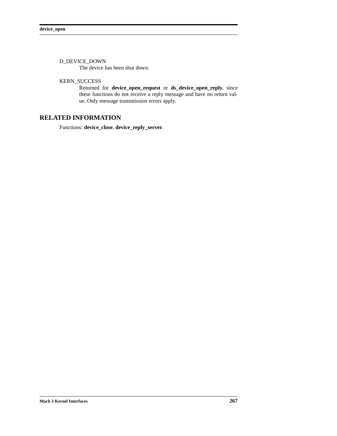## D\_DEVICE\_DOWN

The device has been shut down.

## KERN\_SUCCESS

Returned for **device\_open\_request** or **ds\_device\_open\_reply**, since these functions do not receive a reply message and have no return value. Only message transmission errors apply.

## **RELATED INFORMATION**

Functions: **device\_close**, **device\_reply\_server**.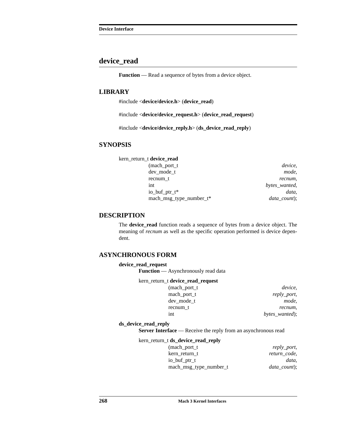## **device\_read**

**Function** — Read a sequence of bytes from a device object.

#### **LIBRARY**

#include <**device/device.h**> (**device\_read**)

#include <**device/device\_request.h**> (**device\_read\_request**)

#include <**device/device\_reply.h**> (**ds\_device\_read\_reply**)

### **SYNOPSIS**

kern\_return\_t **device\_read** (mach\_port\_t *device,* dev\_mode\_t *mode,* recnum\_t *recnum,* int *bytes wanted,* io buf ptr t<sup>\*</sup> *data,* mach\_msg\_type\_number\_t\* *data\_count*);

## **DESCRIPTION**

The **device read** function reads a sequence of bytes from a device object. The meaning of *recnum* as well as the specific operation performed is device dependent.

## **ASYNCHRONOUS FORM**

**device\_read\_request Function** — Asynchronously read data

kern\_return\_t **device\_read\_request**

(mach\_port\_t *device,* mach\_port\_t *reply\_port,* dev mode t mode, recnum\_t *recnum,* int *bytes\_wanted*);

#### **ds\_device\_read\_reply**

**Server Interface** — Receive the reply from an asynchronous read

#### kern\_return\_t **ds\_device\_read\_reply**

(mach\_port\_t *reply\_port,* kern\_return\_t *return\_code,* io\_buf\_ptr\_t *data,* mach\_msg\_type\_number\_t *data\_count*);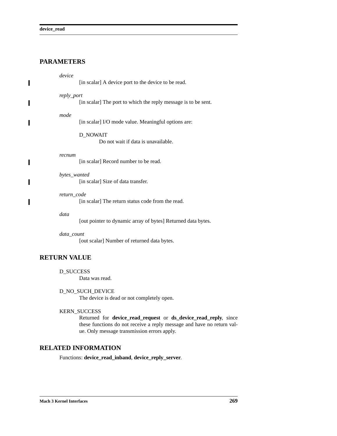$\blacksquare$ 

П

 $\blacksquare$ 

Π

## **PARAMETERS**

#### *device*

[in scalar] A device port to the device to be read.

#### *reply\_port*

[in scalar] The port to which the reply message is to be sent.

#### *mode*

[in scalar] I/O mode value. Meaningful options are:

D\_NOWAIT

Do not wait if data is unavailable.

#### *recnum*

[in scalar] Record number to be read.

#### *bytes\_wanted*

[in scalar] Size of data transfer.

#### *return\_code*

[in scalar] The return status code from the read.

#### *data*

[out pointer to dynamic array of bytes] Returned data bytes.

#### *data\_count*

[out scalar] Number of returned data bytes.

## **RETURN VALUE**

D\_SUCCESS

Data was read.

#### D\_NO\_SUCH\_DEVICE

The device is dead or not completely open.

#### KERN\_SUCCESS

Returned for **device\_read\_request** or **ds\_device\_read\_reply**, since these functions do not receive a reply message and have no return value. Only message transmission errors apply.

## **RELATED INFORMATION**

Functions: **device\_read\_inband**, **device\_reply\_server**.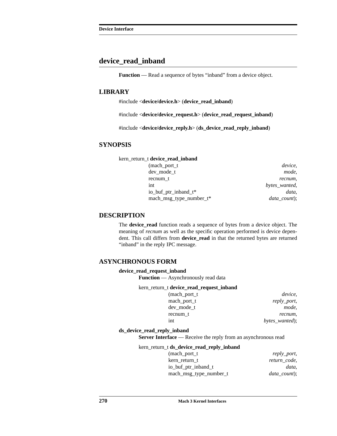## **device\_read\_inband**

**Function** — Read a sequence of bytes "inband" from a device object.

### **LIBRARY**

#include <**device/device.h**> (**device\_read\_inband**)

#include <**device/device\_request.h**> (**device\_read\_request\_inband**)

#include <**device/device\_reply.h**> (**ds\_device\_read\_reply\_inband**)

## **SYNOPSIS**

| kern_return_t device_read_inband |                      |
|----------------------------------|----------------------|
| (mach_port_t                     | device,              |
| dev_mode_t                       | mode,                |
| recnum t                         | recnum,              |
| int                              | bytes wanted,        |
| io_buf_ptr_inband_t*             | data,                |
| mach_msg_type_number_t*          | <i>data count</i> ); |

### **DESCRIPTION**

The **device read** function reads a sequence of bytes from a device object. The meaning of *recnum* as well as the specific operation performed is device dependent. This call differs from **device\_read** in that the returned bytes are returned "inband" in the reply IPC message.

## **ASYNCHRONOUS FORM**

#### **device\_read\_request\_inband**

**Function** — Asynchronously read data

#### kern\_return\_t **device\_read\_request\_inband**

(mach\_port\_t *device,* mach\_port\_t *reply\_port,* dev\_mode\_t *mode,* recnum t int *bytes\_wanted*);

### **ds\_device\_read\_reply\_inband**

**Server Interface** — Receive the reply from an asynchronous read

#### kern\_return\_t **ds\_device\_read\_reply\_inband**

(mach\_port\_t *reply\_port,* kern\_return\_t *return\_code,* io\_buf\_ptr\_inband\_t *data,* mach\_msg\_type\_number\_t *data\_count*);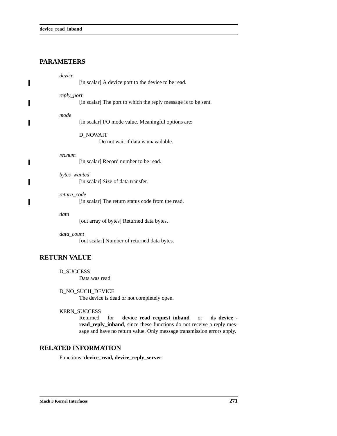## **PARAMETERS**

 $\blacksquare$ 

П

 $\blacksquare$ 

Π

#### *device*

[in scalar] A device port to the device to be read.

#### *reply\_port*

[in scalar] The port to which the reply message is to be sent.

#### *mode*

[in scalar] I/O mode value. Meaningful options are:

D\_NOWAIT

Do not wait if data is unavailable.

#### *recnum*

[in scalar] Record number to be read.

#### *bytes\_wanted*

[in scalar] Size of data transfer.

#### *return\_code*

[in scalar] The return status code from the read.

### *data*

[out array of bytes] Returned data bytes.

#### *data\_count*

[out scalar] Number of returned data bytes.

## **RETURN VALUE**

D\_SUCCESS

Data was read.

D\_NO\_SUCH\_DEVICE

The device is dead or not completely open.

### KERN\_SUCCESS

Returned for **device\_read\_request\_inband** or **ds\_device\_ read\_reply\_inband**, since these functions do not receive a reply message and have no return value. Only message transmission errors apply.

## **RELATED INFORMATION**

Functions: **device\_read, device\_reply\_server**.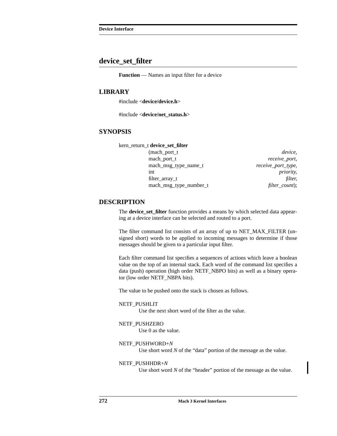## **device\_set\_filter**

**Function** — Names an input filter for a device

### **LIBRARY**

#include <**device/device.h**>

#include <**device/net\_status.h**>

## **SYNOPSIS**

|                    | kern_return_t device_set_filter |
|--------------------|---------------------------------|
| device.            | (mach_port_t                    |
| receive_port,      | mach_port_t                     |
| receive_port_type, | mach_msg_type_name_t            |
| <i>priority,</i>   | int                             |
| filter,            | filter array t                  |
| filter_count);     | mach_msg_type_number_t          |

#### **DESCRIPTION**

The **device\_set\_filter** function provides a means by which selected data appearing at a device interface can be selected and routed to a port.

The filter command list consists of an array of up to NET\_MAX\_FILTER (unsigned short) words to be applied to incoming messages to determine if those messages should be given to a particular input filter.

Each filter command list specifies a sequences of actions which leave a boolean value on the top of an internal stack. Each word of the command list specifies a data (push) operation (high order NETF\_NBPO bits) as well as a binary operator (low order NETF\_NBPA bits).

The value to be pushed onto the stack is chosen as follows.

#### NETF\_PUSHLIT

Use the next short word of the filter as the value.

#### NETF\_PUSHZERO

Use 0 as the value.

#### NETF\_PUSHWORD+*N*

Use short word *N* of the "data" portion of the message as the value.

### NETF\_PUSHHDR+*N*

Use short word *N* of the "header" portion of the message as the value.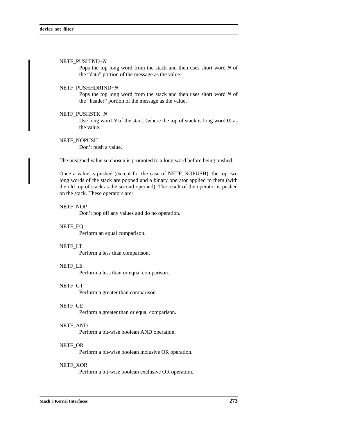#### NETF\_PUSHIND+*N*

Pops the top long word from the stack and then uses short word *N* of the "data" portion of the message as the value.

#### NETF\_PUSHHDRIND+*N*

Pops the top long word from the stack and then uses short word *N* of the "header" portion of the message as the value.

#### NETF\_PUSHSTK+*N*

Use long word  $N$  of the stack (where the top of stack is long word  $0$ ) as the value.

#### NETF\_NOPUSH

Don't push a value.

The unsigned value so chosen is promoted to a long word before being pushed.

Once a value is pushed (except for the case of NETF\_NOPUSH), the top two long words of the stack are popped and a binary operator applied to them (with the old top of stack as the second operand). The result of the operator is pushed on the stack. These operators are:

#### NETF\_NOP

Don't pop off any values and do no operation.

#### NETF\_EQ

Perform an equal comparison.

#### NETF\_LT

Perform a less than comparison.

#### NETF\_LE

Perform a less than or equal comparison.

#### NETF\_GT

Perform a greater than comparison.

#### NETF\_GE

Perform a greater than or equal comparison.

#### NETF\_AND

Perform a bit-wise boolean AND operation.

#### NETF\_OR

Perform a bit-wise boolean inclusive OR operation.

#### NETF\_XOR

Perform a bit-wise boolean exclusive OR operation.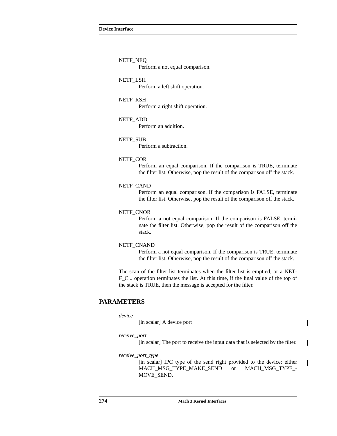#### NETF\_NEQ

Perform a not equal comparison.

#### NETF\_LSH

Perform a left shift operation.

#### NETF\_RSH

Perform a right shift operation.

#### NETF\_ADD

Perform an addition.

#### NETF\_SUB

Perform a subtraction.

#### NETF\_COR

Perform an equal comparison. If the comparison is TRUE, terminate the filter list. Otherwise, pop the result of the comparison off the stack.

#### NETF\_CAND

Perform an equal comparison. If the comparison is FALSE, terminate the filter list. Otherwise, pop the result of the comparison off the stack.

#### NETF\_CNOR

Perform a not equal comparison. If the comparison is FALSE, terminate the filter list. Otherwise, pop the result of the comparison off the stack.

#### NETF\_CNAND

Perform a not equal comparison. If the comparison is TRUE, terminate the filter list. Otherwise, pop the result of the comparison off the stack.

The scan of the filter list terminates when the filter list is emptied, or a NET-F\_C... operation terminates the list. At this time, if the final value of the top of the stack is TRUE, then the message is accepted for the filter.

## **PARAMETERS**

*device*

[in scalar] A device port

#### *receive\_port*

[in scalar] The port to receive the input data that is selected by the filter.

 $\mathbf I$ 

 $\mathbf I$ 

П

#### *receive\_port\_type*

[in scalar] IPC type of the send right provided to the device; either MACH\_MSG\_TYPE\_MAKE\_SEND or MACH\_MSG\_TYPE\_- MOVE\_SEND.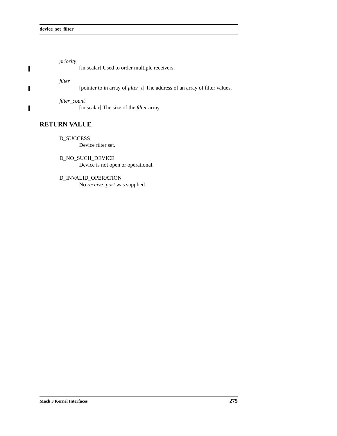$\mathbf{I}$ 

 $\mathbf I$ 

 $\mathbf I$ 

*priority*

[in scalar] Used to order multiple receivers.

*filter*

[pointer to in array of *filter\_t*] The address of an array of filter values.

*filter\_count*

[in scalar] The size of the *filter* array.

## **RETURN VALUE**

D\_SUCCESS Device filter set.

D\_NO\_SUCH\_DEVICE Device is not open or operational.

D\_INVALID\_OPERATION No *receive\_port* was supplied.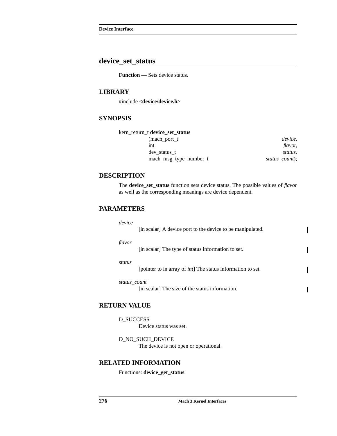## **device\_set\_status**

**Function** — Sets device status.

## **LIBRARY**

#include <**device/device.h**>

## **SYNOPSIS**

kern\_return\_t **device\_set\_status**

| (mach port t)          | device.        |
|------------------------|----------------|
| int                    | <i>flavor.</i> |
| dev status t           | status.        |
| mach_msg_type_number_t | status count); |

 $\blacksquare$ 

 $\mathbf I$ 

## **DESCRIPTION**

The **device\_set\_status** function sets device status. The possible values of *flavor* as well as the corresponding meanings are device dependent.

## **PARAMETERS**

*device*

[in scalar] A device port to the device to be manipulated.

*flavor*

[in scalar] The type of status information to set.

*status*

[pointer to in array of *int*] The status information to set.

*status\_count*

[in scalar] The size of the status information.

## **RETURN VALUE**

#### D\_SUCCESS

Device status was set.

#### D\_NO\_SUCH\_DEVICE

The device is not open or operational.

## **RELATED INFORMATION**

Functions: **device\_get\_status**.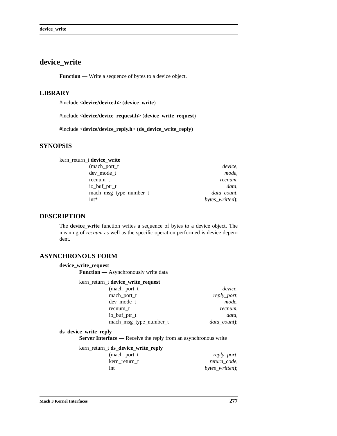## **device\_write**

**Function** — Write a sequence of bytes to a device object.

### **LIBRARY**

#include <**device/device.h**> (**device\_write**)

#include <**device/device\_request.h**> (**device\_write\_request**)

#include <**device/device\_reply.h**> (**ds\_device\_write\_reply**)

## **SYNOPSIS**

| kern_return_t device_write |                 |
|----------------------------|-----------------|
| (mach port t               | device.         |
| dev mode t                 | mode,           |
| recnum t                   | recnum,         |
| io_buf_ptr_t               | data,           |
| mach_msg_type_number_t     | data count,     |
| $int*$                     | bytes_written); |

## **DESCRIPTION**

The **device\_write** function writes a sequence of bytes to a device object. The meaning of *recnum* as well as the specific operation performed is device dependent.

## **ASYNCHRONOUS FORM**

## **device\_write\_request**

**Function** — Asynchronously write data

#### kern\_return\_t **device\_write\_request**

| (mach_port_t           | device.      |
|------------------------|--------------|
| mach_port_t            | reply_port,  |
| dev mode t             | mode,        |
| recnum t               | recnum,      |
| io_buf_ptr_t           | data,        |
| mach_msg_type_number_t | data count); |

#### **ds\_device\_write\_reply**

**Server Interface** — Receive the reply from an asynchronous write

#### kern\_return\_t **ds\_device\_write\_reply**

| (mach_port_t) | reply port,     |
|---------------|-----------------|
| kern return t | return code.    |
| int           | bytes_written); |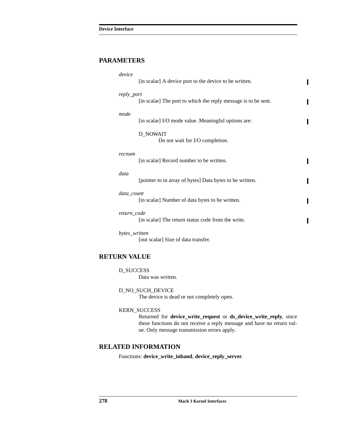## **PARAMETERS**

#### *device*

[in scalar] A device port to the device to be written.

#### *reply\_port*

[in scalar] The port to which the reply message is to be sent.

 $\blacksquare$ 

Π

П

П

#### *mode*

[in scalar] I/O mode value. Meaningful options are:

D\_NOWAIT Do not wait for I/O completion.

#### *recnum*

[in scalar] Record number to be written.

#### *data*

[pointer to in array of bytes] Data bytes to be written.

#### *data\_count*

[in scalar] Number of data bytes to be written.

#### *return\_code*

[in scalar] The return status code from the write.

#### *bytes\_written*

[out scalar] Size of data transfer.

## **RETURN VALUE**

#### D\_SUCCESS

Data was written.

#### D\_NO\_SUCH\_DEVICE

The device is dead or not completely open.

#### KERN\_SUCCESS

Returned for **device\_write\_request** or **ds\_device\_write\_reply**, since these functions do not receive a reply message and have no return value. Only message transmission errors apply.

## **RELATED INFORMATION**

Functions: **device\_write\_inband**, **device\_reply\_server**.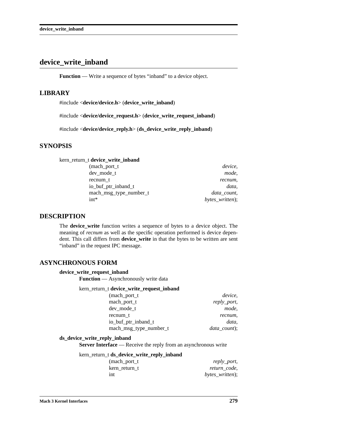## **device\_write\_inband**

Function — Write a sequence of bytes "inband" to a device object.

### **LIBRARY**

#include <**device/device.h**> (**device\_write\_inband**)

#include <**device/device\_request.h**> (**device\_write\_request\_inband**)

#include <**device/device\_reply.h**> (**ds\_device\_write\_reply\_inband**)

## **SYNOPSIS**

|                 | kern_return_t device_write_inband |
|-----------------|-----------------------------------|
| device.         | (mach_port_t                      |
| mode,           | dev_mode_t                        |
| recnum,         | recnum t                          |
| data,           | io_buf_ptr_inband_t               |
| data count,     | mach_msg_type_number_t            |
| bytes_written); | $int^*$                           |

### **DESCRIPTION**

The **device\_write** function writes a sequence of bytes to a device object. The meaning of *recnum* as well as the specific operation performed is device dependent. This call differs from **device\_write** in that the bytes to be written are sent "inband" in the request IPC message.

### **ASYNCHRONOUS FORM**

| device_write_request_inband |  |  |  |
|-----------------------------|--|--|--|
|-----------------------------|--|--|--|

**Function** — Asynchronously write data

#### kern\_return\_t **device\_write\_request\_inband**

| (mach_port_t           | device.         |
|------------------------|-----------------|
| mach_port_t            | reply port,     |
| dev mode t             | mode,           |
| recnum t               | recnum,         |
| io_buf_ptr_inband_t    | data,           |
| mach_msg_type_number_t | $data\_count);$ |

#### **ds\_device\_write\_reply\_inband**

**Server Interface** — Receive the reply from an asynchronous write

#### kern\_return\_t **ds\_device\_write\_reply\_inband**

| (mach port t) | reply_port,     |
|---------------|-----------------|
| kern return t | return code.    |
| int           | bytes_written); |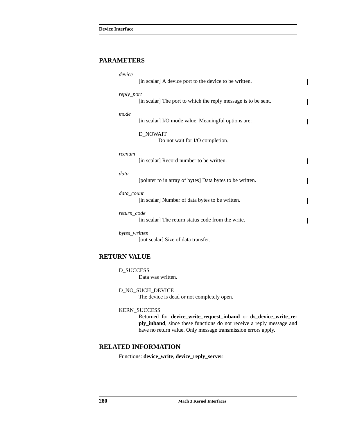## **PARAMETERS**

#### *device*

[in scalar] A device port to the device to be written.

#### *reply\_port*

[in scalar] The port to which the reply message is to be sent.

 $\blacksquare$ 

Π

П

#### *mode*

[in scalar] I/O mode value. Meaningful options are:

D\_NOWAIT Do not wait for I/O completion.

#### *recnum*

[in scalar] Record number to be written.

#### *data*

[pointer to in array of bytes] Data bytes to be written.

#### *data\_count*

[in scalar] Number of data bytes to be written.

#### *return\_code*

[in scalar] The return status code from the write.

#### *bytes\_written*

[out scalar] Size of data transfer.

## **RETURN VALUE**

#### D\_SUCCESS

Data was written.

#### D\_NO\_SUCH\_DEVICE

The device is dead or not completely open.

### KERN\_SUCCESS

Returned for **device\_write\_request\_inband** or **ds\_device\_write\_reply\_inband**, since these functions do not receive a reply message and have no return value. Only message transmission errors apply.

## **RELATED INFORMATION**

Functions: **device\_write**, **device\_reply\_server**.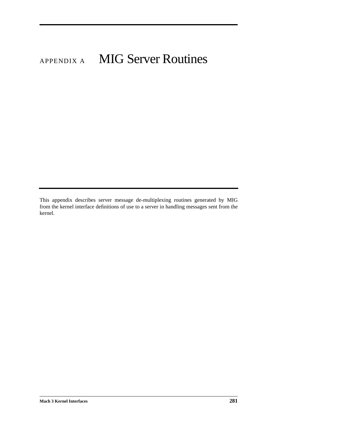# APPENDIX A MIG Server Routines

This appendix describes server message de-multiplexing routines generated by MIG from the kernel interface definitions of use to a server in handling messages sent from the kernel.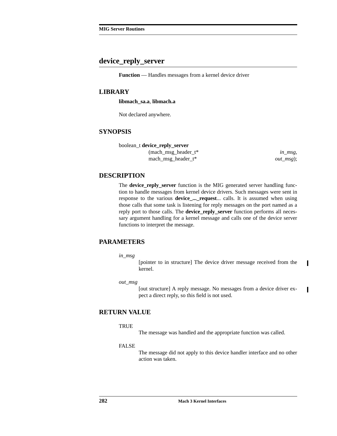# **device\_reply\_server**

**Function** — Handles messages from a kernel device driver

### **LIBRARY**

**libmach\_sa.a**, **libmach.a**

Not declared anywhere.

# **SYNOPSIS**

boolean\_t **device\_reply\_server** (mach\_msg\_header\_t\* *in\_msg,* mach\_msg\_header\_t\* *out\_msg*);

 $\blacksquare$ 

 $\mathbf I$ 

# **DESCRIPTION**

The **device\_reply\_server** function is the MIG generated server handling function to handle messages from kernel device drivers. Such messages were sent in response to the various **device\_...\_request**... calls. It is assumed when using those calls that some task is listening for reply messages on the port named as a reply port to those calls. The **device\_reply\_server** function performs all necessary argument handling for a kernel message and calls one of the device server functions to interpret the message.

# **PARAMETERS**

#### *in\_msg*

[pointer to in structure] The device driver message received from the kernel.

#### *out\_msg*

[out structure] A reply message. No messages from a device driver expect a direct reply, so this field is not used.

# **RETURN VALUE**

#### **TRUE**

The message was handled and the appropriate function was called.

#### FALSE

The message did not apply to this device handler interface and no other action was taken.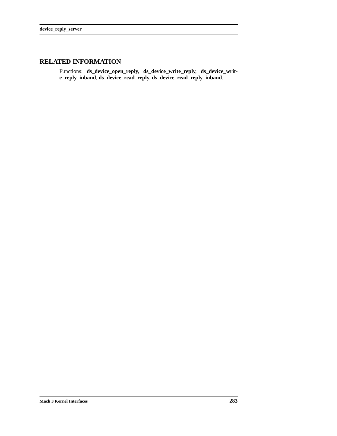# **RELATED INFORMATION**

Functions: **ds\_device\_open\_reply**, **ds\_device\_write\_reply**, **ds\_device\_write\_reply\_inband**, **ds\_device\_read\_reply**, **ds\_device\_read\_reply\_inband**.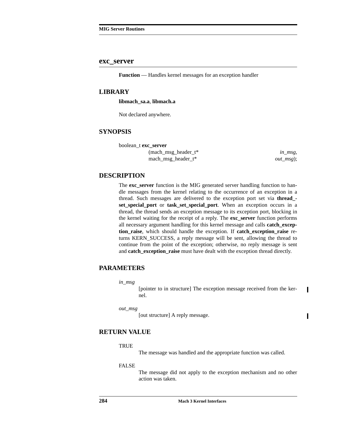### **exc\_server**

**Function** — Handles kernel messages for an exception handler

### **LIBRARY**

**libmach\_sa.a**, **libmach.a**

Not declared anywhere.

# **SYNOPSIS**

boolean\_t **exc\_server** (mach\_msg\_header\_t\* *in\_msg,* mach\_msg\_header\_t\* *out\_msg*);

 $\mathbf I$ 

 $\overline{\phantom{a}}$ 

# **DESCRIPTION**

The **exc\_server** function is the MIG generated server handling function to handle messages from the kernel relating to the occurrence of an exception in a thread. Such messages are delivered to the exception port set via **thread\_ set\_special\_port** or **task\_set\_special\_port**. When an exception occurs in a thread, the thread sends an exception message to its exception port, blocking in the kernel waiting for the receipt of a reply. The **exc\_server** function performs all necessary argument handling for this kernel message and calls **catch\_exception\_raise**, which should handle the exception. If **catch\_exception\_raise** returns KERN\_SUCCESS, a reply message will be sent, allowing the thread to continue from the point of the exception; otherwise, no reply message is sent and **catch\_exception\_raise** must have dealt with the exception thread directly.

# **PARAMETERS**

*in\_msg*

[pointer to in structure] The exception message received from the kernel.

*out\_msg*

[out structure] A reply message.

# **RETURN VALUE**

#### TRUE

The message was handled and the appropriate function was called.

#### FALSE

The message did not apply to the exception mechanism and no other action was taken.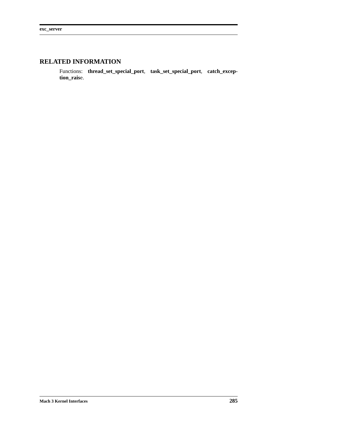# **RELATED INFORMATION**

Functions: **thread\_set\_special\_port**, **task\_set\_special\_port**, **catch\_exception\_rais**e.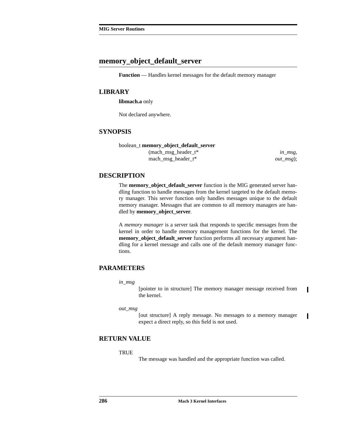# **memory\_object\_default\_server**

**Function** — Handles kernel messages for the default memory manager

### **LIBRARY**

**libmach.a** only

Not declared anywhere.

# **SYNOPSIS**

boolean\_t **memory\_object\_default\_server** (mach\_msg\_header\_t\* *in\_msg,* mach\_msg\_header\_t\* *out\_msg*);

 $\mathbf I$ 

# **DESCRIPTION**

The **memory\_object\_default\_server** function is the MIG generated server handling function to handle messages from the kernel targeted to the default memory manager. This server function only handles messages unique to the default memory manager. Messages that are common to all memory managers are handled by **memory\_object\_server**.

A *memory manager* is a server task that responds to specific messages from the kernel in order to handle memory management functions for the kernel. The **memory\_object\_default\_server** function performs all necessary argument handling for a kernel message and calls one of the default memory manager functions.

# **PARAMETERS**

*in\_msg*

[pointer to in structure] The memory manager message received from the kernel.

*out\_msg*

[out structure] A reply message. No messages to a memory manager expect a direct reply, so this field is not used.

# **RETURN VALUE**

**TRUE** 

The message was handled and the appropriate function was called.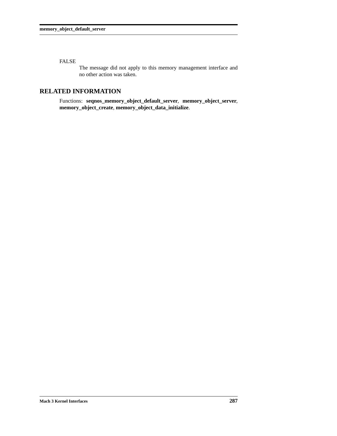FALSE

The message did not apply to this memory management interface and no other action was taken.

# **RELATED INFORMATION**

Functions: **seqnos\_memory\_object\_default\_server**, **memory\_object\_server**, **memory\_object\_create**, **memory\_object\_data\_initialize**.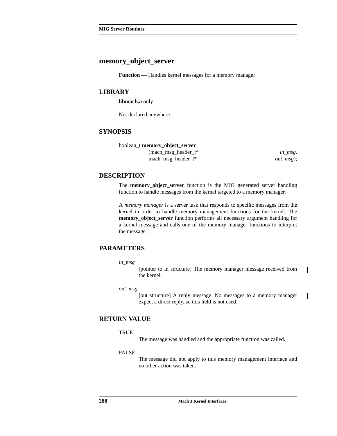# **memory\_object\_server**

**Function** — Handles kernel messages for a memory manager

### **LIBRARY**

**libmach.a** only

Not declared anywhere.

# **SYNOPSIS**

boolean\_t **memory\_object\_server** (mach\_msg\_header\_t\* *in\_msg,* mach\_msg\_header\_t\* *out\_msg*);

 $\blacksquare$ 

 $\blacksquare$ 

# **DESCRIPTION**

The **memory\_object\_server** function is the MIG generated server handling function to handle messages from the kernel targeted to a memory manager.

A *memory manager* is a server task that responds to specific messages from the kernel in order to handle memory management functions for the kernel. The **memory\_object\_server** function performs all necessary argument handling for a kernel message and calls one of the memory manager functions to interpret the message.

# **PARAMETERS**

*in\_msg*

[pointer to in structure] The memory manager message received from the kernel.

*out\_msg*

[out structure] A reply message. No messages to a memory manager expect a direct reply, so this field is not used.

# **RETURN VALUE**

### **TRUE**

The message was handled and the appropriate function was called.

#### FALSE

The message did not apply to this memory management interface and no other action was taken.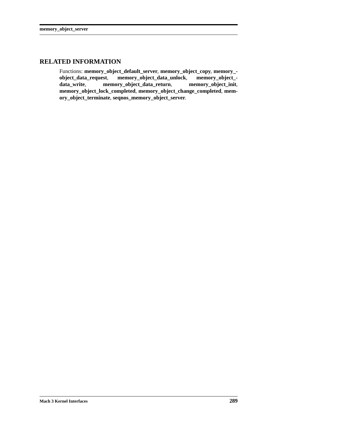# **RELATED INFORMATION**

Functions: **memory\_object\_default\_server**, **memory\_object\_copy**, **memory\_ object\_data\_request**, **memory\_object\_data\_unlock**, **memory\_object\_ data\_write**, **memory\_object\_data\_return**, **memory\_object\_init**, **memory\_object\_lock\_completed**, **memory\_object\_change\_completed**, **memory\_object\_terminate**, **seqnos\_memory\_object\_server**.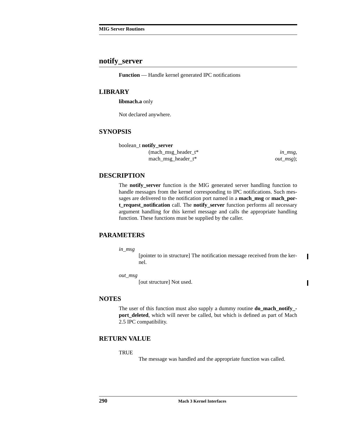# **notify\_server**

**Function** — Handle kernel generated IPC notifications

### **LIBRARY**

**libmach.a** only

Not declared anywhere.

# **SYNOPSIS**

boolean\_t **notify\_server** (mach\_msg\_header\_t\* *in\_msg,* mach\_msg\_header\_t\* *out\_msg*);

 $\blacksquare$ 

 $\blacksquare$ 

### **DESCRIPTION**

The **notify\_server** function is the MIG generated server handling function to handle messages from the kernel corresponding to IPC notifications. Such messages are delivered to the notification port named in a **mach\_msg** or **mach\_port\_request\_notification** call. The **notify\_server** function performs all necessary argument handling for this kernel message and calls the appropriate handling function. These functions must be supplied by the caller.

# **PARAMETERS**

*in\_msg*

[pointer to in structure] The notification message received from the kernel.

```
out_msg
```
[out structure] Not used.

### **NOTES**

The user of this function must also supply a dummy routine **do\_mach\_notify\_ port\_deleted**, which will never be called, but which is defined as part of Mach 2.5 IPC compatibility.

# **RETURN VALUE**

**TRUE** 

The message was handled and the appropriate function was called.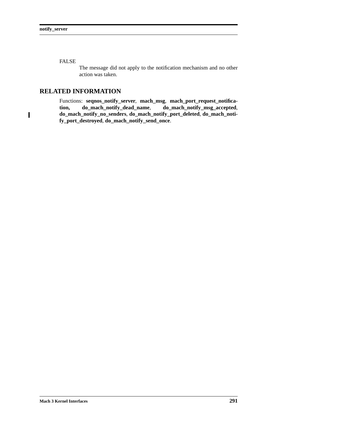$\mathbf I$ 

FALSE

The message did not apply to the notification mechanism and no other action was taken.

# **RELATED INFORMATION**

Functions: **seqnos\_notify\_server**, **mach\_msg**, **mach\_port\_request\_notification, do\_mach\_notify\_dead\_name**, **do\_mach\_notify\_msg\_accepted**, **do\_mach\_notify\_no\_senders**, **do\_mach\_notify\_port\_deleted**, **do\_mach\_notify\_port\_destroyed**, **do\_mach\_notify\_send\_once**.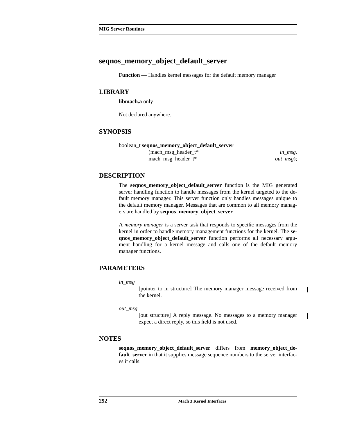# **seqnos\_memory\_object\_default\_server**

**Function** — Handles kernel messages for the default memory manager

### **LIBRARY**

**libmach.a** only

Not declared anywhere.

# **SYNOPSIS**

boolean\_t **seqnos\_memory\_object\_default\_server** (mach\_msg\_header\_t\* *in\_msg,* mach\_msg\_header\_t\* *out\_msg*);

 $\mathbf I$ 

# **DESCRIPTION**

The **seqnos\_memory\_object\_default\_server** function is the MIG generated server handling function to handle messages from the kernel targeted to the default memory manager. This server function only handles messages unique to the default memory manager. Messages that are common to all memory managers are handled by **seqnos\_memory\_object\_server**.

A *memory manager* is a server task that responds to specific messages from the kernel in order to handle memory management functions for the kernel. The **seqnos\_memory\_object\_default\_server** function performs all necessary argument handling for a kernel message and calls one of the default memory manager functions.

# **PARAMETERS**

*in\_msg*

[pointer to in structure] The memory manager message received from the kernel.

*out\_msg*

[out structure] A reply message. No messages to a memory manager expect a direct reply, so this field is not used.

# **NOTES**

**seqnos\_memory\_object\_default\_server** differs from **memory\_object\_default\_server** in that it supplies message sequence numbers to the server interfaces it calls.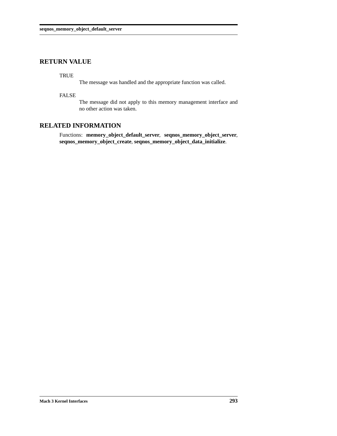# **RETURN VALUE**

# **TRUE**

The message was handled and the appropriate function was called.

### FALSE

The message did not apply to this memory management interface and no other action was taken.

# **RELATED INFORMATION**

Functions: **memory\_object\_default\_server**, **seqnos\_memory\_object\_server**, **seqnos\_memory\_object\_create**, **seqnos\_memory\_object\_data\_initialize**.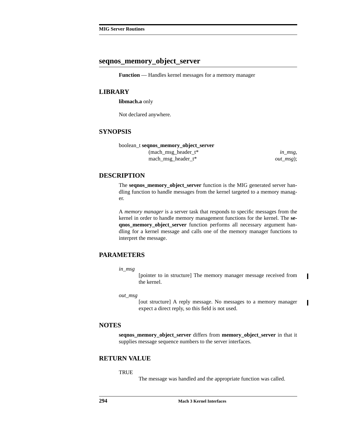# **seqnos\_memory\_object\_server**

**Function** — Handles kernel messages for a memory manager

### **LIBRARY**

**libmach.a** only

Not declared anywhere.

# **SYNOPSIS**

boolean\_t **seqnos\_memory\_object\_server** (mach\_msg\_header\_t\* *in\_msg,* mach\_msg\_header\_t\* *out\_msg*);

 $\blacksquare$ 

 $\overline{\phantom{a}}$ 

### **DESCRIPTION**

The **seqnos\_memory\_object\_server** function is the MIG generated server handling function to handle messages from the kernel targeted to a memory manager.

A *memory manager* is a server task that responds to specific messages from the kernel in order to handle memory management functions for the kernel. The **seqnos\_memory\_object\_server** function performs all necessary argument handling for a kernel message and calls one of the memory manager functions to interpret the message.

# **PARAMETERS**

*in\_msg*

[pointer to in structure] The memory manager message received from the kernel.

*out\_msg*

[out structure] A reply message. No messages to a memory manager expect a direct reply, so this field is not used.

# **NOTES**

**seqnos\_memory\_object\_server** differs from **memory\_object\_server** in that it supplies message sequence numbers to the server interfaces.

# **RETURN VALUE**

**TRUE** 

The message was handled and the appropriate function was called.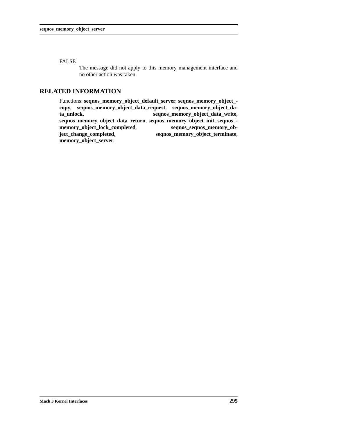FALSE

The message did not apply to this memory management interface and no other action was taken.

# **RELATED INFORMATION**

Functions: **seqnos\_memory\_object\_default\_server**, **seqnos\_memory\_object\_ copy**, **seqnos\_memory\_object\_data\_request**, **seqnos\_memory\_object\_data\_unlock**, **seqnos\_memory\_object\_data\_write**, **seqnos\_memory\_object\_data\_return**, **seqnos\_memory\_object\_init**, **seqnos\_ memory\_object\_lock\_completed**, **seqnos\_seqnos\_memory\_object\_change\_completed**, **seqnos\_memory\_object\_terminate**, **memory\_object\_server**.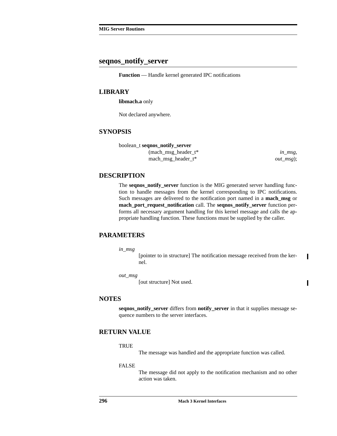# **seqnos\_notify\_server**

**Function** — Handle kernel generated IPC notifications

### **LIBRARY**

**libmach.a** only

Not declared anywhere.

# **SYNOPSIS**

boolean\_t **seqnos\_notify\_server** (mach\_msg\_header\_t\* *in\_msg,* mach\_msg\_header\_t\* *out\_msg*);

 $\blacksquare$ 

 $\blacksquare$ 

### **DESCRIPTION**

The **seqnos\_notify\_server** function is the MIG generated server handling function to handle messages from the kernel corresponding to IPC notifications. Such messages are delivered to the notification port named in a **mach\_msg** or **mach\_port\_request\_notification** call. The **seqnos\_notify\_server** function performs all necessary argument handling for this kernel message and calls the appropriate handling function. These functions must be supplied by the caller.

### **PARAMETERS**

*in\_msg*

[pointer to in structure] The notification message received from the kernel.

*out\_msg*

[out structure] Not used.

#### **NOTES**

**seqnos\_notify\_server** differs from **notify\_server** in that it supplies message sequence numbers to the server interfaces.

# **RETURN VALUE**

#### TRUE

The message was handled and the appropriate function was called.

#### FALSE

The message did not apply to the notification mechanism and no other action was taken.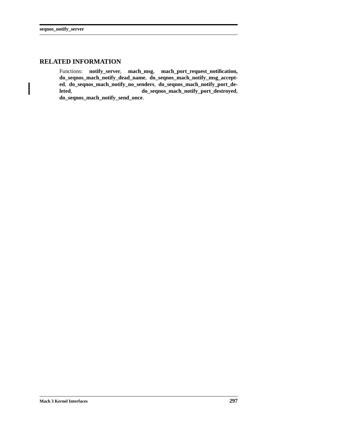# **RELATED INFORMATION**

Functions: **notify\_server**, **mach\_msg**, **mach\_port\_request\_notification, do\_seqnos\_mach\_notify\_dead\_name**, **do\_seqnos\_mach\_notify\_msg\_accepted**, **do\_seqnos\_mach\_notify\_no\_senders**, **do\_seqnos\_mach\_notify\_port\_deleted**, **do\_seqnos\_mach\_notify\_port\_destroyed**, **do\_seqnos\_mach\_notify\_send\_once**.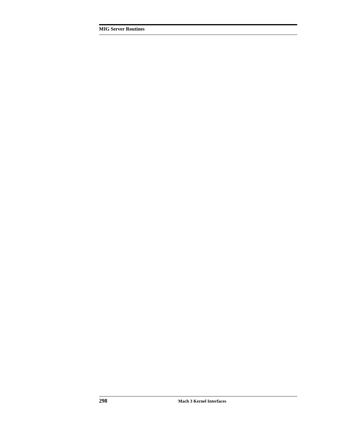**MIG Server Routines**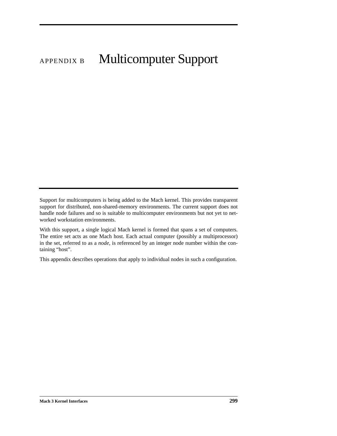# APPENDIX B Multicomputer Support

Support for multicomputers is being added to the Mach kernel. This provides transparent support for distributed, non-shared-memory environments. The current support does not handle node failures and so is suitable to multicomputer environments but not yet to networked workstation environments.

With this support, a single logical Mach kernel is formed that spans a set of computers. The entire set acts as one Mach host. Each actual computer (possibly a multiprocessor) in the set, referred to as a *node*, is referenced by an integer node number within the containing "host".

This appendix describes operations that apply to individual nodes in such a configuration.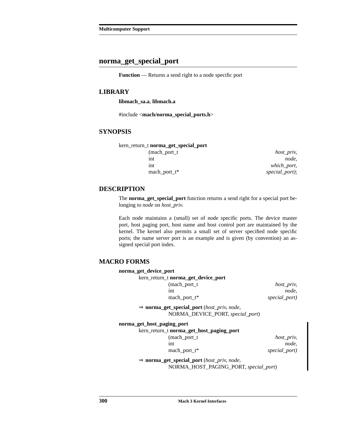# **norma\_get\_special\_port**

Function — Returns a send right to a node specific port

### **LIBRARY**

**libmach\_sa.a**, **libmach.a**

#include <**mach/norma\_special\_ports.h**>

# **SYNOPSIS**

| host priv,     | (mach port t    |
|----------------|-----------------|
| node,          | int             |
| which port,    | int             |
| special_port); | mach port $t^*$ |

# **DESCRIPTION**

The **norma\_get\_special\_port** function returns a send right for a special port belonging to *node* on *host\_priv*.

Each node maintains a (small) set of node specific ports. The device master port, host paging port, host name and host control port are maintained by the kernel. The kernel also permits a small set of server specified node specific ports; the name server port is an example and is given (by convention) an assigned special port index.

# **MACRO FORMS**

**norma\_get\_device\_port**

| norma get device port                                  |               |
|--------------------------------------------------------|---------------|
| kern_return_t norma_get_device_port                    |               |
| (mach port t                                           | host_priv,    |
| int                                                    | node,         |
| mach port $t^*$                                        | special_port) |
| $\Rightarrow$ norma_get_special_port (host_priv, node, |               |
| NORMA_DEVICE_PORT, special_port)                       |               |
| norma_get_host_paging_port                             |               |
| kern return t norma get host paging port               |               |
| (mach_port_t                                           | host_priv,    |
| int                                                    | node.         |
| $mach\_port_t*$                                        | special_port) |
| $\Rightarrow$ norma_get_special_port (host_priv, node, |               |
| NORMA_HOST_PAGING_PORT, special_port)                  |               |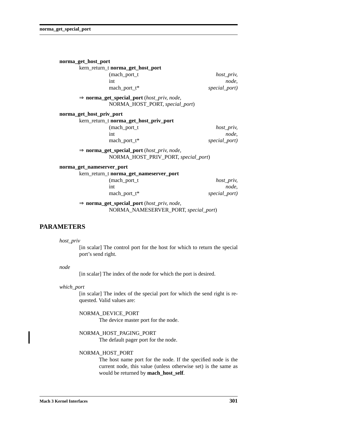| norma get host port       |                                                        |               |
|---------------------------|--------------------------------------------------------|---------------|
|                           | kern_return_t norma_get_host_port                      |               |
|                           | (mach port t                                           | host_priv,    |
|                           | int                                                    | node.         |
|                           | mach_port_t*                                           | special_port) |
|                           | $\Rightarrow$ norma_get_special_port (host_priv, node, |               |
|                           | NORMA_HOST_PORT, special_port)                         |               |
| norma_get_host_priv_port  |                                                        |               |
|                           | kern_return_t norma_get_host_priv_port                 |               |
|                           | (mach_port_t                                           | host_priv,    |
|                           | int                                                    | node.         |
|                           | mach_port_t*                                           | special_port) |
|                           | $\Rightarrow$ norma_get_special_port (host_priv, node, |               |
|                           | NORMA_HOST_PRIV_PORT, special_port)                    |               |
| norma_get_nameserver_port |                                                        |               |
|                           | kern_return_t norma_get_nameserver_port                |               |
|                           | (mach_port_t                                           | host_priv,    |
|                           | int                                                    | node,         |
|                           | mach_port_t*                                           | special_port) |

⇒ **norma\_get\_special\_port** (*host\_priv*, *node*, NORMA\_NAMESERVER\_PORT, *special\_port*)

# **PARAMETERS**

#### *host\_priv*

[in scalar] The control port for the host for which to return the special port's send right.

#### *node*

[in scalar] The index of the node for which the port is desired.

#### *which\_port*

[in scalar] The index of the special port for which the send right is requested. Valid values are:

#### NORMA\_DEVICE\_PORT

The device master port for the node.

### NORMA\_HOST\_PAGING\_PORT

The default pager port for the node.

#### NORMA\_HOST\_PORT

The host name port for the node. If the specified node is the current node, this value (unless otherwise set) is the same as would be returned by **mach\_host\_self**.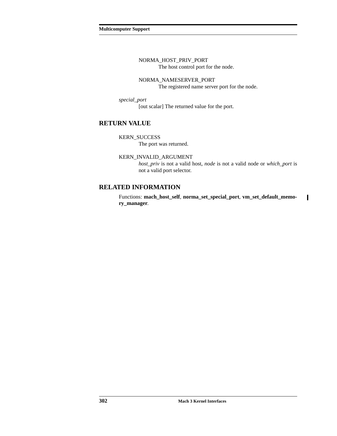NORMA\_HOST\_PRIV\_PORT The host control port for the node.

NORMA\_NAMESERVER\_PORT The registered name server port for the node.

*special\_port*

[out scalar] The returned value for the port.

# **RETURN VALUE**

#### KERN\_SUCCESS

The port was returned.

### KERN\_INVALID\_ARGUMENT

*host\_priv* is not a valid host, *node* is not a valid node or *which\_port* is not a valid port selector.

 $\mathbf I$ 

### **RELATED INFORMATION**

Functions: **mach\_host\_self**, **norma\_set\_special\_port**, **vm\_set\_default\_memory\_manager**.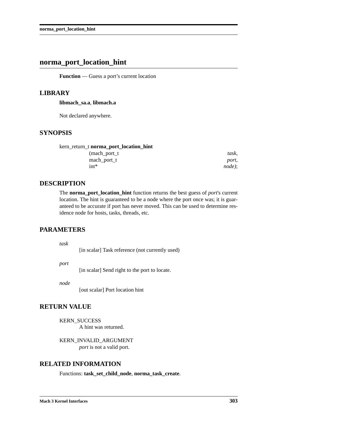# **norma\_port\_location\_hint**

**Function** — Guess a port's current location

### **LIBRARY**

**libmach\_sa.a**, **libmach.a**

Not declared anywhere.

# **SYNOPSIS**

kern\_return\_t **norma\_port\_location\_hint**

| (mach_port_t) | task,  |
|---------------|--------|
| mach_port_t   | port,  |
| $int*$        | node); |

# **DESCRIPTION**

The **norma\_port\_location\_hint** function returns the best guess of *port*'s current location. The hint is guaranteed to be a node where the port once was; it is guaranteed to be accurate if port has never moved. This can be used to determine residence node for hosts, tasks, threads, etc.

# **PARAMETERS**

*task*

[in scalar] Task reference (not currently used)

*port*

[in scalar] Send right to the port to locate.

*node*

[out scalar] Port location hint

### **RETURN VALUE**

KERN\_SUCCESS A hint was returned.

KERN\_INVALID\_ARGUMENT *port* is not a valid port.

# **RELATED INFORMATION**

Functions: **task\_set\_child\_node**, **norma\_task\_create**.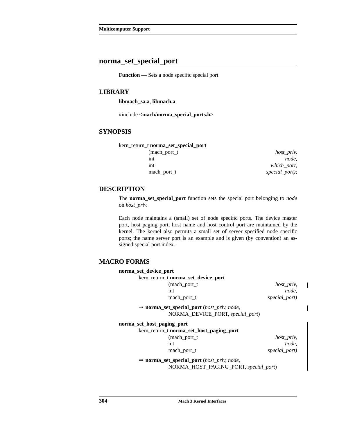# **norma\_set\_special\_port**

**Function** — Sets a node specific special port

# **LIBRARY**

**libmach\_sa.a**, **libmach.a**

#include <**mach/norma\_special\_ports.h**>

# **SYNOPSIS**

| host priv,     | (mach port t |
|----------------|--------------|
| node,          | int          |
| which port,    | int          |
| special_port); | mach_port_t  |

# **DESCRIPTION**

The **norma\_set\_special\_port** function sets the special port belonging to *node* on *host\_priv*.

Each node maintains a (small) set of node specific ports. The device master port, host paging port, host name and host control port are maintained by the kernel. The kernel also permits a small set of server specified node specific ports; the name server port is an example and is given (by convention) an assigned special port index.

# **MACRO FORMS**

| norma_set_device_port                                  |               |
|--------------------------------------------------------|---------------|
| kern_return_t norma_set_device_port                    |               |
| (mach port t                                           | $host\_priv,$ |
| int                                                    | node.         |
| mach_port_t                                            | special_port) |
| $\Rightarrow$ norma_set_special_port (host_priv, node, |               |
| NORMA_DEVICE_PORT, special_port)                       |               |
| norma set host paging port                             |               |
| kern_return_t norma_set_host_paging_port               |               |
| (mach port t                                           | host_priv,    |
| int                                                    | node.         |
| mach port t                                            | special_port) |
| $\Rightarrow$ norma_set_special_port (host_priv, node, |               |
| NORMA_HOST_PAGING_PORT, special_port)                  |               |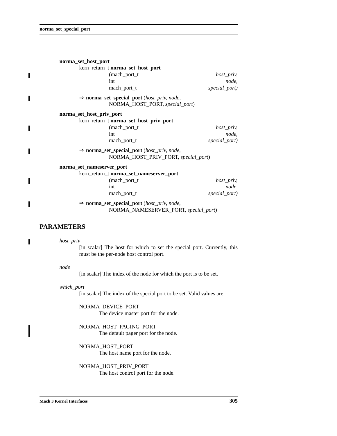$\mathbf{I}$ 

Ι

Γ

 $\blacksquare$ 

 $\mathbf I$ 

 $\mathbf I$ 

 $\blacksquare$ 

| norma_set_host_port                                    |               |
|--------------------------------------------------------|---------------|
| kern_return_t norma_set_host_port                      |               |
| (mach_port_t                                           | host_priv,    |
| int                                                    | node.         |
| mach_port_t                                            | special_port) |
| $\Rightarrow$ norma_set_special_port (host_priv, node, |               |
| NORMA_HOST_PORT, special_port)                         |               |
| norma_set_host_priv_port                               |               |
| kern_return_t norma_set_host_priv_port                 |               |
| (mach_port_t                                           | host_priv,    |
| int                                                    | node.         |
| mach_port_t                                            | special_port) |
| $\Rightarrow$ norma_set_special_port (host_priv, node, |               |
| NORMA_HOST_PRIV_PORT, special_port)                    |               |
| norma_set_nameserver_port                              |               |
| kern_return_t norma_set_nameserver_port                |               |
| (mach_port_t                                           | host_priv,    |
| int                                                    | node.         |
| mach_port_t                                            | special_port) |

⇒ **norma\_set\_special\_port** (*host\_priv*, *node*, NORMA\_NAMESERVER\_PORT, *special\_port*)

# **PARAMETERS**

#### *host\_priv*

[in scalar] The host for which to set the special port. Currently, this must be the per-node host control port.

#### *node*

[in scalar] The index of the node for which the port is to be set.

#### *which\_port*

[in scalar] The index of the special port to be set. Valid values are:

### NORMA\_DEVICE\_PORT The device master port for the node.

# NORMA\_HOST\_PAGING\_PORT

The default pager port for the node.

# NORMA\_HOST\_PORT

The host name port for the node.

### NORMA\_HOST\_PRIV\_PORT

The host control port for the node.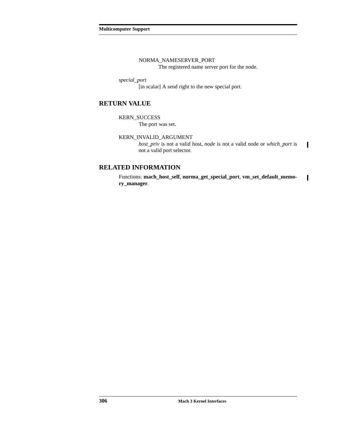### NORMA\_NAMESERVER\_PORT

The registered name server port for the node.

# *special\_port*

[in scalar] A send right to the new special port.

# **RETURN VALUE**

#### KERN\_SUCCESS

The port was set.

### KERN\_INVALID\_ARGUMENT

*host\_priv* is not a valid host, *node* is not a valid node or *which\_port* is not a valid port selector.

 $\mathbf{I}$ 

 $\mathbf I$ 

# **RELATED INFORMATION**

Functions: **mach\_host\_self**, **norma\_get\_special\_port**, **vm\_set\_default\_memory\_manager**.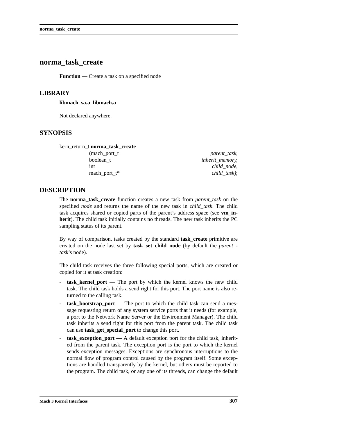# **norma\_task\_create**

**Function** — Create a task on a specified node

#### **LIBRARY**

**libmach\_sa.a**, **libmach.a**

Not declared anywhere.

# **SYNOPSIS**

kern\_return\_t **norma\_task\_create**

(mach\_port\_t *parent\_task,* boolean\_t *inherit\_memory*, int *child\_node*, mach\_port\_t\* *child\_task*);

### **DESCRIPTION**

The **norma\_task\_create** function creates a new task from *parent\_task* on the specified *node* and returns the name of the new task in *child\_task*. The child task acquires shared or copied parts of the parent's address space (see **vm\_inherit**). The child task initially contains no threads. The new task inherits the PC sampling status of its parent.

By way of comparison, tasks created by the standard **task\_create** primitive are created on the node last set by **task\_set\_child\_node** (by default the *parent\_ task*'s node).

The child task receives the three following special ports, which are created or copied for it at task creation:

- **task\_kernel\_port** The port by which the kernel knows the new child task. The child task holds a send right for this port. The port name is also returned to the calling task.
- **task\_bootstrap\_port** The port to which the child task can send a message requesting return of any system service ports that it needs (for example, a port to the Network Name Server or the Environment Manager). The child task inherits a send right for this port from the parent task. The child task can use **task\_get\_special\_port** to change this port.
- **task\_exception\_port** A default exception port for the child task, inherited from the parent task. The exception port is the port to which the kernel sends exception messages. Exceptions are synchronous interruptions to the normal flow of program control caused by the program itself. Some exceptions are handled transparently by the kernel, but others must be reported to the program. The child task, or any one of its threads, can change the default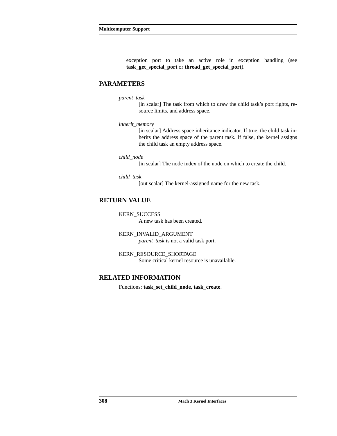exception port to take an active role in exception handling (see **task\_get\_special\_port** or **thread\_get\_special\_port**).

# **PARAMETERS**

*parent\_task*

[in scalar] The task from which to draw the child task's port rights, resource limits, and address space.

*inherit\_memory*

[in scalar] Address space inheritance indicator. If true, the child task inherits the address space of the parent task. If false, the kernel assigns the child task an empty address space.

*child\_node*

[in scalar] The node index of the node on which to create the child.

*child\_task*

[out scalar] The kernel-assigned name for the new task.

# **RETURN VALUE**

#### KERN\_SUCCESS

A new task has been created.

KERN\_INVALID\_ARGUMENT *parent\_task* is not a valid task port.

KERN\_RESOURCE\_SHORTAGE Some critical kernel resource is unavailable.

# **RELATED INFORMATION**

Functions: **task\_set\_child\_node**, **task\_create**.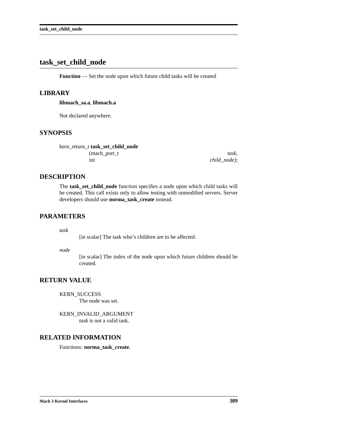# **task\_set\_child\_node**

**Function** — Set the node upon which future child tasks will be created

### **LIBRARY**

**libmach\_sa.a**, **libmach.a**

Not declared anywhere.

# **SYNOPSIS**

kern\_return\_t **task\_set\_child\_node** (mach\_port\_t *task,* int  $child\_node);$ 

# **DESCRIPTION**

The **task\_set\_child\_node** function specifies a node upon which child tasks will be created. This call exists only to allow testing with unmodified servers. Server developers should use **norma\_task\_create** instead.

# **PARAMETERS**

*task*

[in scalar] The task who's children are to be affected.

#### *node*

[in scalar] The index of the node upon which future children should be created.

# **RETURN VALUE**

KERN\_SUCCESS

The node was set.

KERN\_INVALID\_ARGUMENT *task* is not a valid task.

# **RELATED INFORMATION**

Functions: **norma\_task\_create**.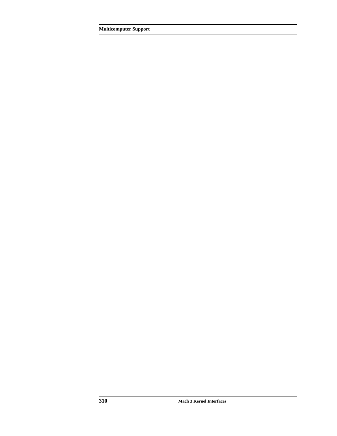**Multicomputer Support**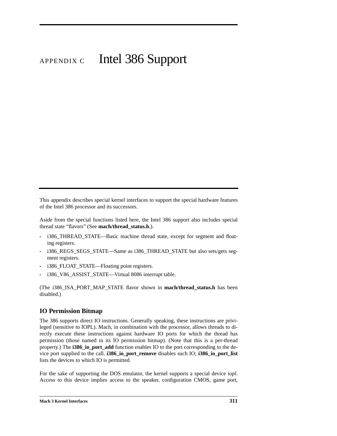# APPENDIX C Intel 386 Support

This appendix describes special kernel interfaces to support the special hardware features of the Intel 386 processor and its successors.

Aside from the special functions listed here, the Intel 386 support also includes special thread state "flavors" (See **mach/thread\_status.h**.).

- i386\_THREAD\_STATE—Basic machine thread state, except for segment and floating registers.
- i386\_REGS\_SEGS\_STATE—Same as i386\_THREAD\_STATE but also sets/gets segment registers.
- i386\_FLOAT\_STATE—Floating point registers.
- i386\_V86\_ASSIST\_STATE—Virtual 8086 interrupt table.

(The i386\_ISA\_PORT\_MAP\_STATE flavor shown in **mach/thread\_status.h** has been disabled.)

# **IO Permission Bitmap**

The 386 supports direct IO instructions. Generally speaking, these instructions are privileged (sensitive to IOPL). Mach, in combination with the processor, allows threads to directly execute these instructions against hardware IO ports for which the thread has permission (those named in its IO permission bitmap). (Note that this is a per-thread property.) The **i386\_io\_port\_add** function enables IO to the port corresponding to the device port supplied to the call. **i386\_io\_port\_remove** disables such IO; **i386\_io\_port\_list** lists the devices to which IO is permitted.

For the sake of supporting the DOS emulator, the kernel supports a special device *iopl*. Access to this device implies access to the speaker, configuration CMOS, game port,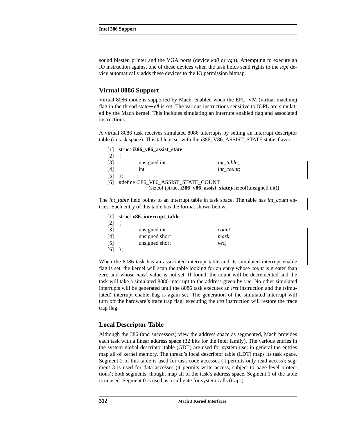sound blaster, printer and the VGA ports (device *kd0* or *vga*). Attempting to execute an IO instruction against one of these devices when the task holds send rights to the *iopl* device automatically adds these devices to the IO permission bitmap.

### **Virtual 8086 Support**

Virtual 8086 mode is supported by Mach, enabled when the EFL\_VM (virtual machine) flag in the thread state→*efl* is set. The various instructions sensitive to IOPL are simulated by the Mach kernel. This includes simulating an interrupt enabled flag and associated instructions.

A virtual 8086 task receives simulated 8086 interrupts by setting an interrupt descriptor table (in task space). This table is set with the i386\_V86\_ASSIST\_STATE status flavor.

| [1]                                                                                                                                                             | struct i386_v86_assist_state        |                                                                 |
|-----------------------------------------------------------------------------------------------------------------------------------------------------------------|-------------------------------------|-----------------------------------------------------------------|
| $[2] % \includegraphics[width=0.9\columnwidth]{figures/fig_10.pdf} \caption{The figure shows the number of parameters in the left and right.} \label{fig:2}} %$ |                                     |                                                                 |
| $[3]$                                                                                                                                                           | unsigned int                        | int table;                                                      |
| $[4]$                                                                                                                                                           | int                                 | int count:                                                      |
| $[5]$                                                                                                                                                           | - 1:                                |                                                                 |
| [6]                                                                                                                                                             | #define i386 V86 ASSIST STATE COUNT |                                                                 |
|                                                                                                                                                                 |                                     | $(sizeof (struct i386_v86_sasist_state)/sizeof (unsigned int))$ |
|                                                                                                                                                                 |                                     |                                                                 |

The *int\_table* field points to an interrupt table in task space. The table has *int\_count* entries. Each entry of this table has the format shown below.

| -111 | struct v86_interrupt_table |         |
|------|----------------------------|---------|
| [2]  |                            |         |
| [3]  | unsigned int               | count;  |
| [4]  | unsigned short             | mask:   |
| [5]  | unsigned short             | $vec$ : |
| [6]  |                            |         |

When the 8086 task has an associated interrupt table and its simulated interrupt enable flag is set, the kernel will scan the table looking for an entry whose *count* is greater than zero and whose *mask* value is not set. If found, the count will be decremented and the task will take a simulated 8086 interrupt to the address given by *vec*. No other simulated interrupts will be generated until the 8086 task executes an *iret* instruction and the (simulated) interrupt enable flag is again set. The generation of the simulated interrupt will turn off the hardware's trace trap flag; executing the *iret* instruction will restore the trace trap flag.

### **Local Descriptor Table**

Although the 386 (and successors) view the address space as segmented, Mach provides each task with a linear address space (32 bits for the Intel family). The various entries in the system global descriptor table (GDT) are used for system use; in general the entries map all of kernel memory. The thread's local descriptor table (LDT) maps its task space. Segment 2 of this table is used for task code accesses (it permits only read access); segment 3 is used for data accesses (it permits write access, subject to page level protections); both segments, though, map all of the task's address space. Segment 1 of the table is unused. Segment 0 is used as a call gate for system calls (traps).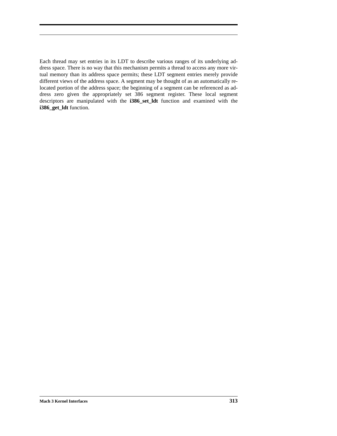Each thread may set entries in its LDT to describe various ranges of its underlying address space. There is no way that this mechanism permits a thread to access any more virtual memory than its address space permits; these LDT segment entries merely provide different views of the address space. A segment may be thought of as an automatically relocated portion of the address space; the beginning of a segment can be referenced as address zero given the appropriately set 386 segment register. These local segment descriptors are manipulated with the **i386\_set\_ldt** function and examined with the **i386\_get\_ldt** function.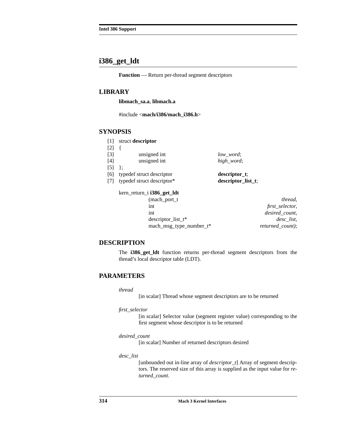# **i386\_get\_ldt**

**Function** — Return per-thread segment descriptors

### **LIBRARY**

**libmach\_sa.a**, **libmach.a**

#include <**mach/i386/mach\_i386.h**>

### **SYNOPSIS**

| $[1]$ | struct <b>descriptor</b>       |                    |
|-------|--------------------------------|--------------------|
| [2]   |                                |                    |
| $[3]$ | unsigned int                   | low word:          |
| [4]   | unsigned int                   | high_word;         |
| [5]   | $\cdot$ :                      |                    |
|       | [6] typedef struct descriptor  | descriptor_t;      |
|       | [7] typedef struct descriptor* | descriptor_list_t; |
|       | kern_return_t i386_get_ldt     |                    |
|       |                                |                    |

(mach\_port\_t *thread,* int *first\_selector*, int *desired\_count*, descriptor\_list\_t\* *desc\_list*, mach\_msg\_type\_number\_t\* *returned\_count)*;

# **DESCRIPTION**

The **i386\_get\_ldt** function returns per-thread segment descriptors from the thread's local descriptor table (LDT).

# **PARAMETERS**

#### *thread*

[in scalar] Thread whose segment descriptors are to be returned

#### *first\_selector*

[in scalar] Selector value (segment register value) corresponding to the first segment whose descriptor is to be returned

#### *desired\_count*

[in scalar] Number of returned descriptors desired

#### *desc\_list*

[unbounded out in-line array of *descriptor\_t*] Array of segment descriptors. The reserved size of this array is supplied as the input value for *returned\_count*.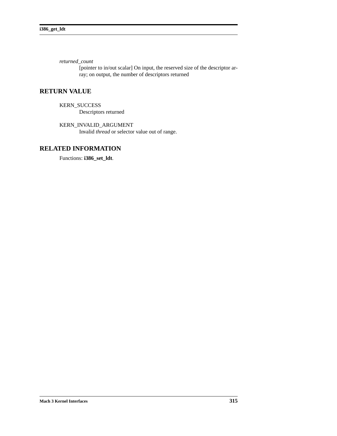*returned\_count*

[pointer to in/out scalar] On input, the reserved size of the descriptor array; on output, the number of descriptors returned

# **RETURN VALUE**

KERN\_SUCCESS Descriptors returned

KERN\_INVALID\_ARGUMENT Invalid *thread* or selector value out of range.

# **RELATED INFORMATION**

Functions: **i386\_set\_ldt**.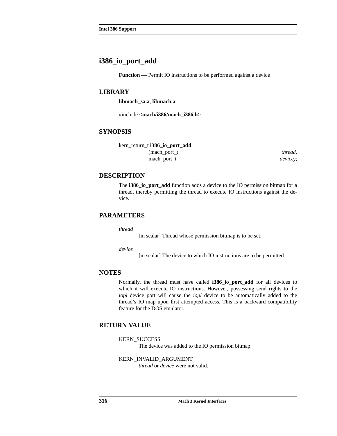# **i386\_io\_port\_add**

**Function** — Permit IO instructions to be performed against a device

### **LIBRARY**

**libmach\_sa.a**, **libmach.a**

#include <**mach/i386/mach\_i386.h**>

# **SYNOPSIS**

kern\_return\_t **i386\_io\_port\_add** (mach port t *thread,* mach\_port\_t *device*);

# **DESCRIPTION**

The **i386\_io\_port\_add** function adds a device to the IO permission bitmap for a thread, thereby permitting the thread to execute IO instructions against the device.

# **PARAMETERS**

*thread*

[in scalar] Thread whose permission bitmap is to be set.

*device*

[in scalar] The device to which IO instructions are to be permitted.

# **NOTES**

Normally, the thread must have called **i386\_io\_port\_add** for all devices to which it will execute IO instructions. However, possessing send rights to the *iopl* device port will cause the *iopl* device to be automatically added to the thread's IO map upon first attempted access. This is a backward compatibility feature for the DOS emulator.

# **RETURN VALUE**

### KERN\_SUCCESS

The device was added to the IO permission bitmap.

KERN\_INVALID\_ARGUMENT

*thread* or *device* were not valid.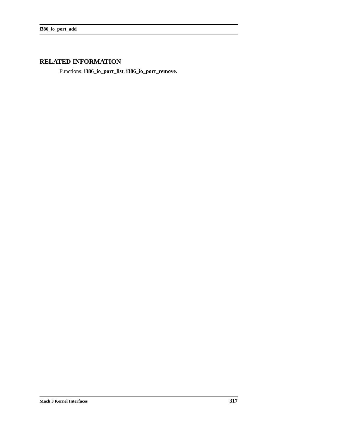## **RELATED INFORMATION**

Functions: **i386\_io\_port\_list**, **i386\_io\_port\_remove**.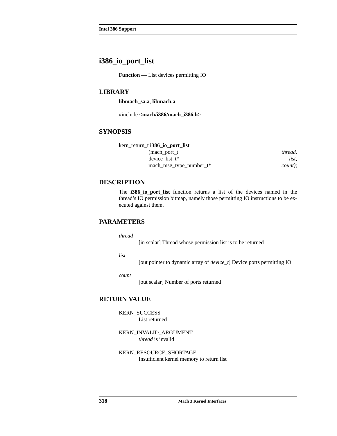## **i386\_io\_port\_list**

**Function** — List devices permitting IO

#### **LIBRARY**

**libmach\_sa.a**, **libmach.a**

#include <**mach/i386/mach\_i386.h**>

## **SYNOPSIS**

kern\_return\_t **i386\_io\_port\_list** (mach port t *thread,* device\_list\_t\* *list*, mach\_msg\_type\_number\_t\* *count)*;

### **DESCRIPTION**

The **i386\_io\_port\_list** function returns a list of the devices named in the thread's IO permission bitmap, namely those permitting IO instructions to be executed against them.

### **PARAMETERS**

*thread*

[in scalar] Thread whose permission list is to be returned

*list*

[out pointer to dynamic array of *device\_t*] Device ports permitting IO

*count*

[out scalar] Number of ports returned

#### **RETURN VALUE**

KERN\_SUCCESS List returned

KERN\_INVALID\_ARGUMENT *thread* is invalid

KERN\_RESOURCE\_SHORTAGE Insufficient kernel memory to return list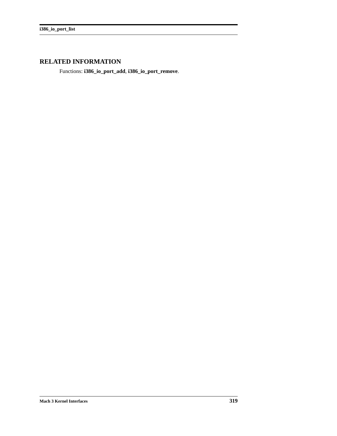## **RELATED INFORMATION**

Functions: **i386\_io\_port\_add**, **i386\_io\_port\_remove**.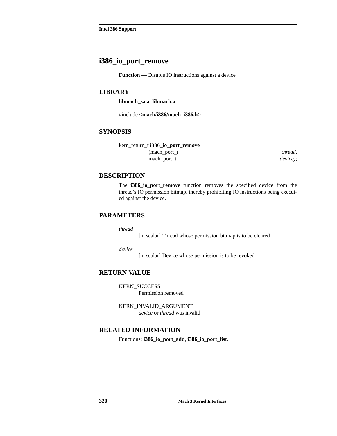## **i386\_io\_port\_remove**

**Function** — Disable IO instructions against a device

#### **LIBRARY**

**libmach\_sa.a**, **libmach.a**

#include <**mach/i386/mach\_i386.h**>

## **SYNOPSIS**

kern\_return\_t **i386\_io\_port\_remove** (mach port t *thread,* mach\_port\_t *device)*;

### **DESCRIPTION**

The **i386\_io\_port\_remove** function removes the specified device from the thread's IO permission bitmap, thereby prohibiting IO instructions being executed against the device.

## **PARAMETERS**

*thread*

[in scalar] Thread whose permission bitmap is to be cleared

*device*

[in scalar] Device whose permission is to be revoked

## **RETURN VALUE**

KERN\_SUCCESS

Permission removed

KERN\_INVALID\_ARGUMENT *device* or *thread* was invalid

#### **RELATED INFORMATION**

Functions: **i386\_io\_port\_add**, **i386\_io\_port\_list**.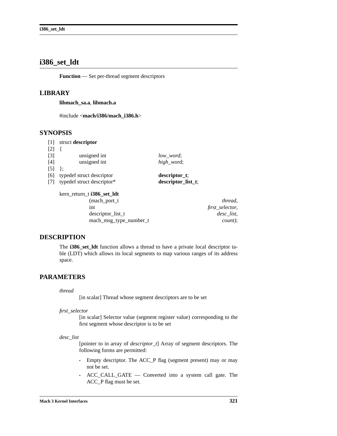## **i386\_set\_ldt**

**Function** — Set per-thread segment descriptors

#### **LIBRARY**

**libmach\_sa.a**, **libmach.a**

#include <**mach/i386/mach\_i386.h**>

#### **SYNOPSIS**

| $\vert \, \vert \, \vert$ | struct descriptor                              |                    |
|---------------------------|------------------------------------------------|--------------------|
| $\lceil 2 \rceil$         |                                                |                    |
| $\lceil 3 \rceil$         | unsigned int                                   | low word:          |
| [4]                       | unsigned int                                   | high_word;         |
| $\lceil 5 \rceil$         | ∤:                                             |                    |
| [6]                       | typedef struct descriptor                      | descriptor_t;      |
| [7]                       | typedef struct descriptor*                     | descriptor_list_t; |
|                           | $l_{\rm{conv}}$ actions $+320\zeta$ and $1.14$ |                    |

kern\_return\_t **i386\_set\_ldt**

| (mach port t)          | thread,         |
|------------------------|-----------------|
| int                    | first selector, |
| descriptor list t      | desc list.      |
| mach_msg_type_number_t | count);         |

#### **DESCRIPTION**

The **i386\_set\_ldt** function allows a thread to have a private local descriptor table (LDT) which allows its local segments to map various ranges of its address space.

## **PARAMETERS**

*thread*

[in scalar] Thread whose segment descriptors are to be set

#### *first\_selector*

[in scalar] Selector value (segment register value) corresponding to the first segment whose descriptor is to be set

*desc\_list*

[pointer to in array of *descriptor\_t*] Array of segment descriptors. The following forms are permitted:

- Empty descriptor. The ACC\_P flag (segment present) may or may not be set.
- ACC\_CALL\_GATE Converted into a system call gate. The ACC\_P flag must be set.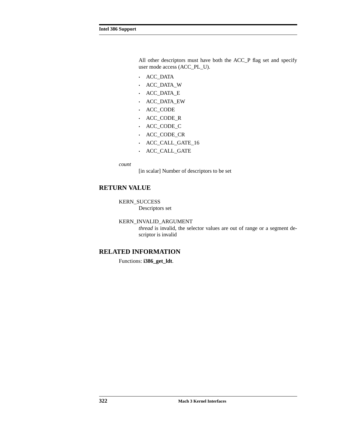All other descriptors must have both the ACC\_P flag set and specify user mode access (ACC\_PL\_U).

- ACC\_DATA
- ACC\_DATA\_W
- ACC\_DATA\_E
- ACC\_DATA\_EW
- ACC\_CODE
- ACC\_CODE\_R
- ACC\_CODE\_C
- ACC\_CODE\_CR
- ACC\_CALL\_GATE\_16
- ACC\_CALL\_GATE

*count*

[in scalar] Number of descriptors to be set

## **RETURN VALUE**

#### KERN\_SUCCESS

Descriptors set

#### KERN\_INVALID\_ARGUMENT

*thread* is invalid, the selector values are out of range or a segment descriptor is invalid

### **RELATED INFORMATION**

Functions: **i386\_get\_ldt**.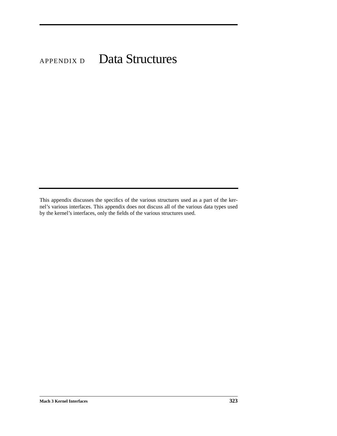# APPENDIX D Data Structures

This appendix discusses the specifics of the various structures used as a part of the kernel's various interfaces. This appendix does not discuss all of the various data types used by the kernel's interfaces, only the fields of the various structures used.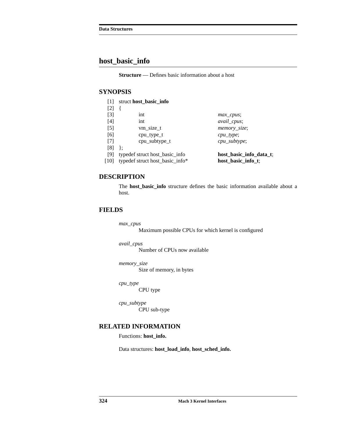## **host\_basic\_info**

**Structure** — Defines basic information about a host

## **SYNOPSIS**

| $\lceil 1 \rceil$ | struct host_basic_info               |                         |
|-------------------|--------------------------------------|-------------------------|
| $\lceil 2 \rceil$ |                                      |                         |
| $\lceil 3 \rceil$ | int                                  | max_cpus;               |
| [4]               | int                                  | avail_cpus;             |
| $\lceil 5 \rceil$ | vm size t                            | memory_size;            |
| [6]               | $cpu_type_t$                         | $cpu\_type;$            |
| $\lceil 7 \rceil$ | cpu_subtype_t                        | cpu_subtype;            |
| [8]               |                                      |                         |
| [9]               | typedef struct host basic info       | host_basic_info_data_t; |
|                   | [10] typedef struct host_basic_info* | host basic info t:      |
|                   |                                      |                         |

## **DESCRIPTION**

The **host\_basic\_info** structure defines the basic information available about a host.

## **FIELDS**

*max\_cpus*

Maximum possible CPUs for which kernel is configured

#### *avail\_cpus*

Number of CPUs now available

## *memory\_size*

Size of memory, in bytes

*cpu\_type*

CPU type

#### *cpu\_subtype* CPU sub-type

#### **RELATED INFORMATION**

Functions: **host\_info.**

Data structures: **host\_load\_info**, **host\_sched\_info.**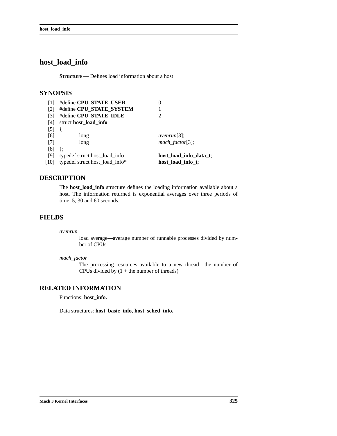## **host\_load\_info**

**Structure** — Defines load information about a host

#### **SYNOPSIS**

| $\lceil 1 \rceil$ | #define CPU STATE USER              |                        |
|-------------------|-------------------------------------|------------------------|
| $\lceil 2 \rceil$ | #define CPU STATE SYSTEM            |                        |
| [3]               | #define CPU_STATE_IDLE              |                        |
| [4]               | struct host load info               |                        |
| $\lceil 5 \rceil$ |                                     |                        |
| [6]               | long                                | <i>avenrun</i> [3]:    |
| $\lceil 7 \rceil$ | long                                | mach factor[3];        |
| [8]               | ∤:                                  |                        |
| - 191             | typedef struct host_load_info       | host load info data t: |
|                   | [10] typedef struct host_load_info* | host load info t:      |

#### **DESCRIPTION**

The **host\_load\_info** structure defines the loading information available about a host. The information returned is exponential averages over three periods of time: 5, 30 and 60 seconds.

### **FIELDS**

#### *avenrun*

load average—average number of runnable processes divided by number of CPUs

#### *mach\_factor*

The processing resources available to a new thread—the number of CPUs divided by  $(1 +$  the number of threads)

### **RELATED INFORMATION**

Functions: **host\_info.**

Data structures: **host\_basic\_info**, **host\_sched\_info.**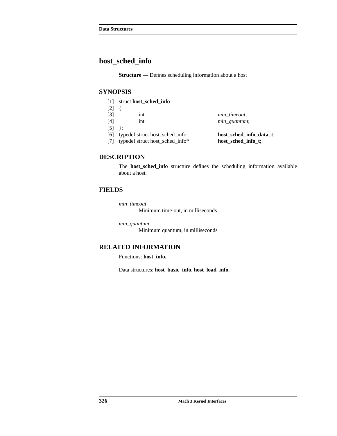## **host\_sched\_info**

**Structure** — Defines scheduling information about a host

### **SYNOPSIS**

- [1] struct **host\_sched\_info**
- [2] {
- [3] int *min\_timeout*;
- [4] int *min\_quantum*;
- [5] };
- [6] typedef struct host\_sched\_info **host\_sched\_info\_data\_t**;

[7] typedef struct host\_sched\_info\* **host\_sched\_info\_t**;

## **DESCRIPTION**

The **host\_sched\_info** structure defines the scheduling information available about a host.

## **FIELDS**

*min\_timeout* Minimum time-out, in milliseconds

*min\_quantum* Minimum quantum, in milliseconds

## **RELATED INFORMATION**

Functions: **host\_info.**

Data structures: **host\_basic\_info**, **host\_load\_info.**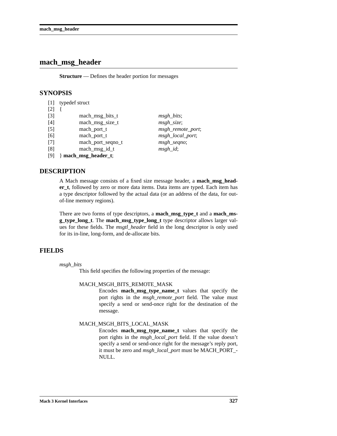## **mach\_msg\_header**

**Structure** — Defines the header portion for messages

#### **SYNOPSIS**

| typedef struct     |                   |
|--------------------|-------------------|
|                    |                   |
| mach_msg_bits_t    | $msgh\_bits;$     |
| mach_msg_size_t    | $msgh\_size;$     |
| mach_port_t        | msgh_remote_port; |
| mach_port_t        | msgh_local_port;  |
| mach_port_seqno_t  | $msgh\_seqno;$    |
| mach_msg_id_t      | $msgh_id;$        |
| mach_msg_header_t; |                   |
|                    |                   |

#### **DESCRIPTION**

A Mach message consists of a fixed size message header, a **mach\_msg\_header\_t**, followed by zero or more data items. Data items are typed. Each item has a type descriptor followed by the actual data (or an address of the data, for outof-line memory regions).

There are two forms of type descriptors, a **mach\_msg\_type\_t** and a **mach\_msg\_type\_long\_t**. The **mach\_msg\_type\_long\_t** type descriptor allows larger values for these fields. The *msgtl\_header* field in the long descriptor is only used for its in-line, long-form, and de-allocate bits.

#### **FIELDS**

*msgh\_bits*

This field specifies the following properties of the message:

#### MACH\_MSGH\_BITS\_REMOTE\_MASK

Encodes **mach\_msg\_type\_name\_t** values that specify the port rights in the *msgh\_remote\_port* field. The value must specify a send or send-once right for the destination of the message.

#### MACH\_MSGH\_BITS\_LOCAL\_MASK

Encodes **mach\_msg\_type\_name\_t** values that specify the port rights in the *msgh\_local\_port* field. If the value doesn't specify a send or send-once right for the message's reply port, it must be zero and *msgh\_local\_port* must be MACH\_PORT\_- NULL.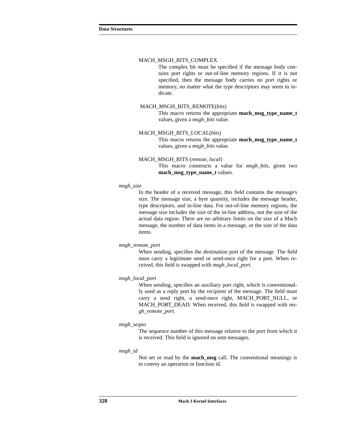#### MACH\_MSGH\_BITS\_COMPLEX

The complex bit must be specified if the message body contains port rights or out-of-line memory regions. If it is not specified, then the message body carries no port rights or memory, no matter what the type descriptors may seem to indicate.

#### MACH\_MSGH\_BITS\_REMOTE(*bits*)

This macro returns the appropriate **mach\_msg\_type\_name\_t** values, given a *msgh\_bits* value.

#### MACH\_MSGH\_BITS\_LOCAL(*bits*)

This macro returns the appropriate **mach\_msg\_type\_name\_t** values, given a *msgh\_bits* value.

#### MACH\_MSGH\_BITS (*remote*, *local*)

This macro constructs a value for *msgh\_bits*, given two **mach\_msg\_type\_name\_t** values.

#### *msgh\_size*

In the header of a received message, this field contains the message's size. The message size, a byte quantity, includes the message header, type descriptors, and in-line data. For out-of-line memory regions, the message size includes the size of the in-line address, not the size of the actual data region. There are no arbitrary limits on the size of a Mach message, the number of data items in a message, or the size of the data items.

#### *msgh\_remote\_port*

When sending, specifies the destination port of the message. The field must carry a legitimate send or send-once right for a port. When received, this field is swapped with *msgh\_local\_port*.

#### *msgh\_local\_port*

When sending, specifies an auxiliary port right, which is conventionally used as a reply port by the recipient of the message. The field must carry a send right, a send-once right, MACH\_PORT\_NULL, or MACH\_PORT\_DEAD. When received, this field is swapped with *msgh\_remote\_port*.

#### *msgh\_seqno*

The sequence number of this message relative to the port from which it is received. This field is ignored on sent messages.

#### *msgh\_id*

Not set or read by the **mach\_msg** call. The conventional meanings is to convey an operation or function id.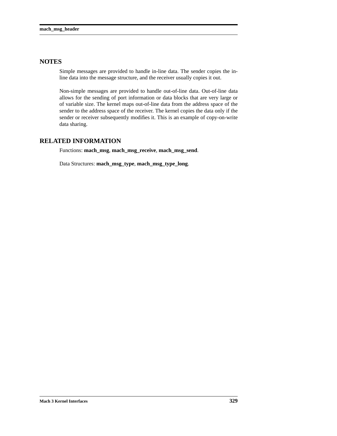## **NOTES**

Simple messages are provided to handle in-line data. The sender copies the inline data into the message structure, and the receiver usually copies it out.

Non-simple messages are provided to handle out-of-line data. Out-of-line data allows for the sending of port information or data blocks that are very large or of variable size. The kernel maps out-of-line data from the address space of the sender to the address space of the receiver. The kernel copies the data only if the sender or receiver subsequently modifies it. This is an example of copy-on-write data sharing.

#### **RELATED INFORMATION**

Functions: **mach\_msg**, **mach\_msg\_receive**, **mach\_msg\_send**.

Data Structures: **mach\_msg\_type**, **mach\_msg\_type\_long**.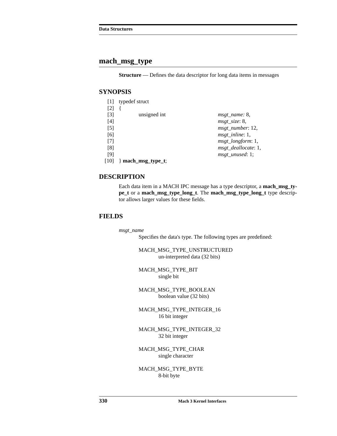## **mach\_msg\_type**

**Structure** — Defines the data descriptor for long data items in messages

#### **SYNOPSIS**

| [1]               | typedef struct   |                     |
|-------------------|------------------|---------------------|
| $\lceil 2 \rceil$ |                  |                     |
| $\lceil 3 \rceil$ | unsigned int     | msgt name: 8,       |
| [4]               |                  | $msgt\_size$ : 8,   |
| [5]               |                  | $msgt_number: 12,$  |
| [6]               |                  | $msgt\_inline: 1,$  |
| [7]               |                  | msgt_longform: 1,   |
| [8]               |                  | msgt_deallocate: 1, |
| [9]               |                  | $msgt$ unused: 1;   |
| [10]              | mach msg type t; |                     |

## **DESCRIPTION**

Each data item in a MACH IPC message has a type descriptor, a **mach\_msg\_type\_t** or a **mach\_msg\_type\_long\_t**. The **mach\_msg\_type\_long\_t** type descriptor allows larger values for these fields.

### **FIELDS**

*msgt\_name*

Specifies the data's type. The following types are predefined:

MACH\_MSG\_TYPE\_UNSTRUCTURED un-interpreted data (32 bits)

MACH\_MSG\_TYPE\_BIT single bit

MACH\_MSG\_TYPE\_BOOLEAN boolean value (32 bits)

MACH\_MSG\_TYPE\_INTEGER\_16 16 bit integer

MACH\_MSG\_TYPE\_INTEGER\_32 32 bit integer

MACH\_MSG\_TYPE\_CHAR single character

MACH\_MSG\_TYPE\_BYTE 8-bit byte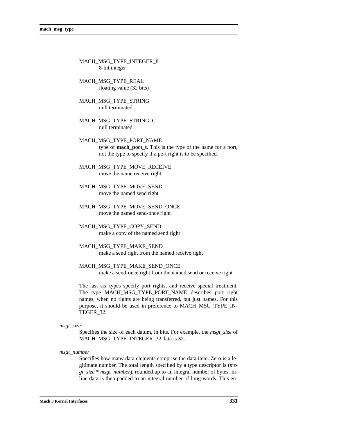MACH\_MSG\_TYPE\_INTEGER\_8 8-bit integer

MACH\_MSG\_TYPE\_REAL floating value (32 bits)

MACH\_MSG\_TYPE\_STRING null terminated

MACH\_MSG\_TYPE\_STRING\_C null terminated

MACH\_MSG\_TYPE\_PORT\_NAME type of **mach\_port\_t**. This is the type of the name for a port, not the type to specify if a port right is to be specified.

MACH\_MSG\_TYPE\_MOVE\_RECEIVE move the name receive right

MACH\_MSG\_TYPE\_MOVE\_SEND move the named send right

MACH\_MSG\_TYPE\_MOVE\_SEND\_ONCE move the named send-once right

MACH\_MSG\_TYPE\_COPY\_SEND make a copy of the named send right

MACH\_MSG\_TYPE\_MAKE\_SEND make a send right from the named receive right

MACH\_MSG\_TYPE\_MAKE\_SEND\_ONCE make a send-once right from the named send or receive right

The last six types specify port rights, and receive special treatment. The type MACH\_MSG\_TYPE\_PORT\_NAME describes port right names, when no rights are being transferred, but just names. For this purpose, it should be used in preference to MACH\_MSG\_TYPE\_IN-TEGER\_32.

*msgt\_size*

Specifies the size of each datum, in bits. For example, the *msgt\_size* of MACH\_MSG\_TYPE\_INTEGER\_32 data is 32.

*msgt\_number*

Specifies how many data elements comprise the data item. Zero is a legitimate number. The total length specified by a type descriptor is (*msgt\_size* \* *msgt\_number*), rounded up to an integral number of bytes. Inline data is then padded to an integral number of long-words. This en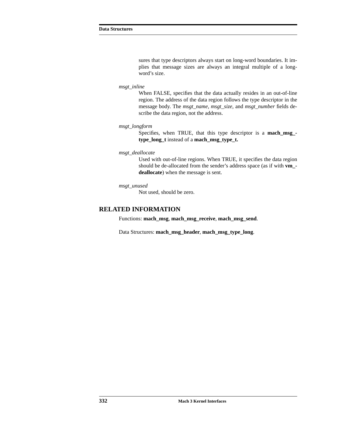sures that type descriptors always start on long-word boundaries. It implies that message sizes are always an integral multiple of a longword's size.

#### *msgt\_inline*

When FALSE, specifies that the data actually resides in an out-of-line region. The address of the data region follows the type descriptor in the message body. The *msgt\_name*, *msgt\_size*, and *msgt\_number* fields describe the data region, not the address.

#### *msgt\_longform*

Specifies, when TRUE, that this type descriptor is a **mach\_msg\_ type\_long\_t** instead of a **mach\_msg\_type\_t.**

#### *msgt\_deallocate*

Used with out-of-line regions. When TRUE, it specifies the data region should be de-allocated from the sender's address space (as if with **vm\_ deallocate**) when the message is sent.

#### *msgt\_unused*

Not used, should be zero.

### **RELATED INFORMATION**

Functions: **mach\_msg**, **mach\_msg\_receive**, **mach\_msg\_send**.

Data Structures: **mach\_msg\_header**, **mach\_msg\_type\_long**.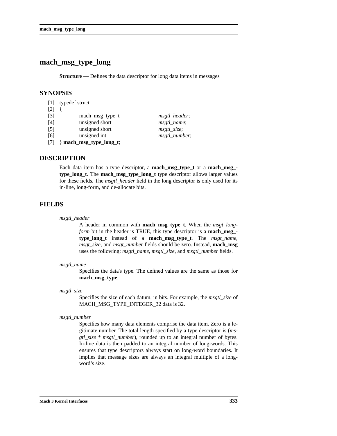## **mach\_msg\_type\_long**

**Structure** — Defines the data descriptor for long data items in messages

#### **SYNOPSIS**

| $\lceil 1 \rceil$ | typedef struct        |                       |
|-------------------|-----------------------|-----------------------|
| $\lceil 2 \rceil$ |                       |                       |
| $\lceil 3 \rceil$ | mach_msg_type_t       | <i>msgtl_header</i> ; |
| [4]               | unsigned short        | msgtl_name;           |
| $\lceil 5 \rceil$ | unsigned short        | $msgtL_size;$         |
| [6]               | unsigned int          | msgtl_number;         |
| -171              | mach_msg_type_long_t; |                       |

#### **DESCRIPTION**

Each data item has a type descriptor, a **mach\_msg\_type\_t** or a **mach\_msg\_ type long t.** The **mach msg** type long t type descriptor allows larger values for these fields. The *msgtl\_header* field in the long descriptor is only used for its in-line, long-form, and de-allocate bits.

#### **FIELDS**

*msgtl\_header*

A header in common with **mach\_msg\_type\_t**. When the *msgt\_longform* bit in the header is TRUE, this type descriptor is a **mach\_msg\_ type\_long\_t** instead of a **mach\_msg\_type\_t**. The *msgt\_name*, *msgt\_size*, and *msgt\_number* fields should be zero. Instead, **mach\_msg** uses the following: *msgtl\_name*, *msgtl\_size*, and *msgtl\_number* fields.

#### *msgtl\_name*

Specifies the data's type. The defined values are the same as those for **mach\_msg\_type**.

*msgtl\_size*

Specifies the size of each datum, in bits. For example, the *msgtl\_size* of MACH\_MSG\_TYPE\_INTEGER\_32 data is 32.

#### *msgtl\_number*

Specifies how many data elements comprise the data item. Zero is a legitimate number. The total length specified by a type descriptor is (*msgtl\_size* \* *msgtl\_number*), rounded up to an integral number of bytes. In-line data is then padded to an integral number of long-words. This ensures that type descriptors always start on long-word boundaries. It implies that message sizes are always an integral multiple of a longword's size.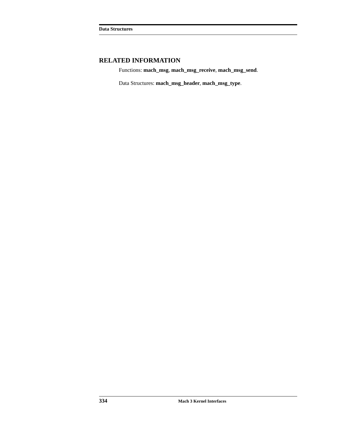### **RELATED INFORMATION**

Functions: **mach\_msg**, **mach\_msg\_receive**, **mach\_msg\_send**.

Data Structures: **mach\_msg\_header**, **mach\_msg\_type**.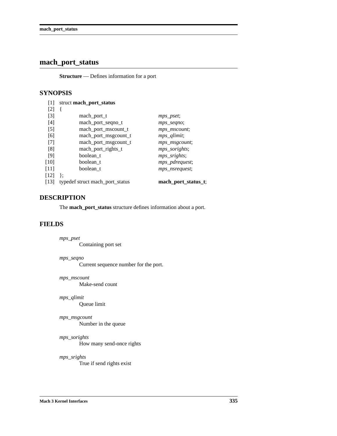## **mach\_port\_status**

**Structure** — Defines information for a port

#### **SYNOPSIS**

| $\lceil 1 \rceil$ | struct mach port status         |                     |
|-------------------|---------------------------------|---------------------|
| $\lceil 2 \rceil$ |                                 |                     |
| $\lceil 3 \rceil$ | mach port t                     | mps_pset;           |
| [4]               | mach port segno t               | mps_seqno;          |
| $\lceil 5 \rceil$ | mach port mscount t             | mps_mscount;        |
| [6]               | mach port msgcount t            | $mps\_qlimit;$      |
| [7]               | mach port msgcount t            | mps msgcount;       |
| [8]               | mach_port_rights_t              | mps sorights;       |
| [9]               | boolean t                       | mps_srights;        |
| [10]              | boolean t                       | mps_pdrequest;      |
| [11]              | boolean t                       | mps nsrequest;      |
| [12]              | $\cdot$                         |                     |
| [13]              | typedef struct mach port status | mach port status t; |
|                   |                                 |                     |

## **DESCRIPTION**

The **mach\_port\_status** structure defines information about a port.

### **FIELDS**

*mps\_pset*

Containing port set

*mps\_seqno*

Current sequence number for the port.

*mps\_mscount*

Make-send count

#### *mps\_qlimit*

Queue limit

#### *mps\_msgcount*

Number in the queue

#### *mps\_sorights*

How many send-once rights

#### *mps\_srights*

True if send rights exist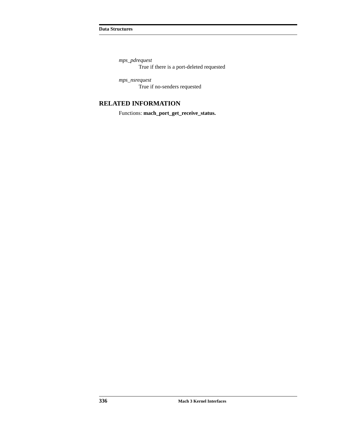*mps\_pdrequest* True if there is a port-deleted requested

*mps\_nsrequest*

True if no-senders requested

## **RELATED INFORMATION**

Functions: **mach\_port\_get\_receive\_status.**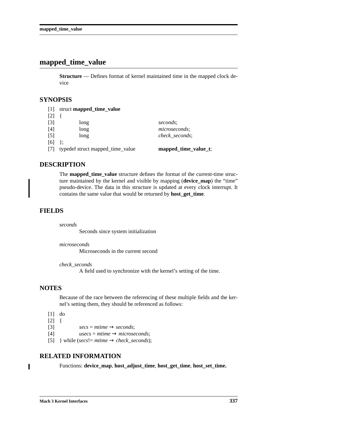## **mapped\_time\_value**

**Structure** — Defines format of kernel maintained time in the mapped clock device

## **SYNOPSIS**

| 111               | struct mapped_time_value         |                      |
|-------------------|----------------------------------|----------------------|
| $\lceil 2 \rceil$ |                                  |                      |
| $[3]$             | long                             | seconds;             |
| $[4]$             | long                             | microseconds;        |
| [5]               | long                             | check seconds;       |
| [6]               |                                  |                      |
| T <sub>7</sub>    | typedef struct mapped time value | mapped time value t; |
|                   |                                  |                      |

#### **DESCRIPTION**

The **mapped\_time\_value** structure defines the format of the current-time structure maintained by the kernel and visible by mapping (**device\_map**) the "time" pseudo-device. The data in this structure is updated at every clock interrupt. It contains the same value that would be returned by **host\_get\_time**.

### **FIELDS**

*seconds*

Seconds since system initialization

*microseconds*

Microseconds in the current second

*check\_seconds*

A field used to synchronize with the kernel's setting of the time.

#### **NOTES**

Because of the race between the referencing of these multiple fields and the kernel's setting them, they should be referenced as follows:

```
[1] do
```
 $[2]$  {

 $\blacksquare$ 

 $[3]$  *secs* = *mtime*  $\rightarrow$  *seconds*;

 $[4]$  *usecs* = *mtime*  $\rightarrow$  *microseconds*;

 $[5]$  } while (*secs*!= *mtime*  $\rightarrow$  *check\_seconds*);

#### **RELATED INFORMATION**

Functions: **device\_map**, **host\_adjust\_time**, **host\_get\_time**, **host\_set\_time.**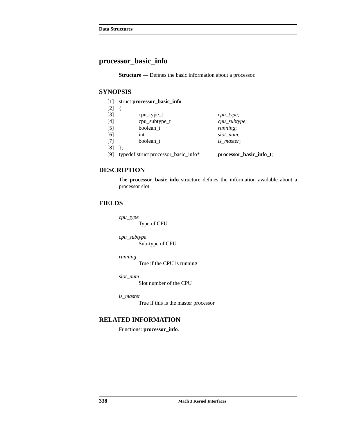| <b>Data Structures</b> |  |  |
|------------------------|--|--|
|------------------------|--|--|

## **processor\_basic\_info**

**Structure** — Defines the basic information about a processor.

## **SYNOPSIS**

| $\lceil 1 \rceil$ | struct processor_basic_info          |                         |
|-------------------|--------------------------------------|-------------------------|
| $\lceil 2 \rceil$ |                                      |                         |
| $[3]$             | $cpu_type_t$                         | $cpu\_type;$            |
| [4]               | cpu_subtype_t                        | cpu_subtype;            |
| [5]               | boolean t                            | running;                |
| [6]               | int                                  | slot num;               |
| [7]               | boolean t                            | is master;              |
| [8]               | ۱.                                   |                         |
| [9]               | typedef struct processor_basic_info* | processor_basic_info_t; |

## **DESCRIPTION**

Th**e processor\_basic\_info** structure defines the information available about a processor slot.

## **FIELDS**

*cpu\_type*

Type of CPU

*cpu\_subtype* Sub-type of CPU

*running*

True if the CPU is running

*slot\_num*

Slot number of the CPU

*is\_master*

True if this is the master processor

## **RELATED INFORMATION**

Functions: **processor\_info**.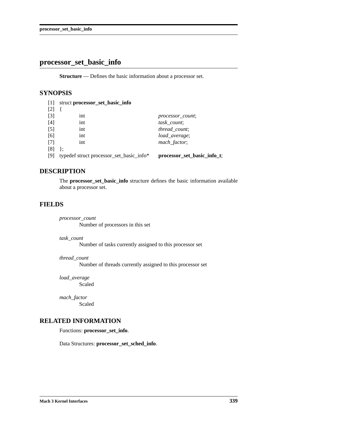## **processor\_set\_basic\_info**

**Structure** — Defines the basic information about a processor set.

#### **SYNOPSIS**

| $\lceil 1 \rceil$ | struct processor_set_basic_info          |                             |
|-------------------|------------------------------------------|-----------------------------|
| $\lceil 2 \rceil$ |                                          |                             |
| $\lceil 3 \rceil$ | int                                      | processor_count;            |
| [4]               | int                                      | task_count;                 |
| $\lceil 5 \rceil$ | int                                      | thread count;               |
| [6]               | int                                      | <i>load average</i> ;       |
| $\lceil 7 \rceil$ | int                                      | mach_factor;                |
| [8]               | ∤:                                       |                             |
| [9]               | typedef struct processor_set_basic_info* | processor_set_basic_info_t; |

## **DESCRIPTION**

The **processor\_set\_basic\_info** structure defines the basic information available about a processor set.

## **FIELDS**

*processor\_count* Number of processors in this set

*task\_count*

Number of tasks currently assigned to this processor set

#### *thread\_count*

Number of threads currently assigned to this processor set

*load\_average* Scaled

*mach\_factor* Scaled

### **RELATED INFORMATION**

Functions: **processor\_set\_info**.

Data Structures: **processor\_set\_sched\_info**.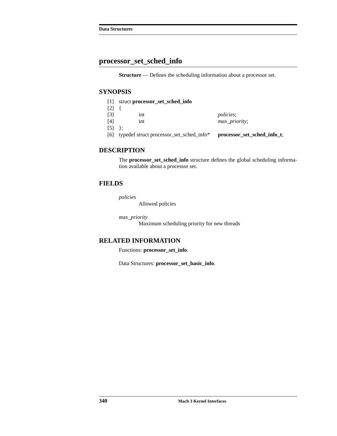## **processor\_set\_sched\_info**

**Structure** — Defines the scheduling information about a processor set.

#### **SYNOPSIS**

- [1] struct **processor\_set\_sched\_info**
- [2] {
- [3] int *policies*;
- [4] int *max\_priority*;
	- [5] };
	- [6] typedef struct processor\_set\_sched\_info\* **processor\_set\_sched\_info\_t**;

## **DESCRIPTION**

The **processor\_set\_sched\_info** structure defines the global scheduling information available about a processor set.

## **FIELDS**

*policies*

Allowed policies

*max\_priority*

Maximum scheduling priority for new threads

## **RELATED INFORMATION**

Functions: **processor\_set\_info**.

Data Structures: **processor\_set\_basic\_info**.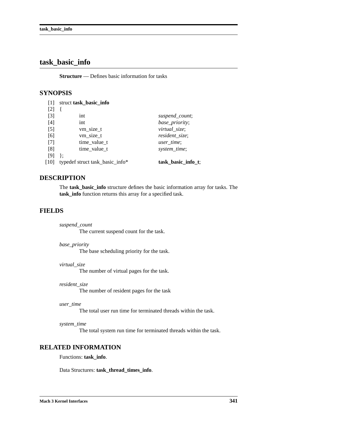## **task\_basic\_info**

**Structure** — Defines basic information for tasks

#### **SYNOPSIS**

| $\lceil 1 \rceil$ | struct task_basic_info          |                    |
|-------------------|---------------------------------|--------------------|
| $\lceil 2 \rceil$ |                                 |                    |
| $\lceil 3 \rceil$ | int                             | suspend_count;     |
| [4]               | int                             | base_priority;     |
| $\lceil 5 \rceil$ | vm size t                       | virtual_size;      |
| [6]               | vm_size_t                       | resident_size;     |
| $[7]$             | time value t                    | user time;         |
| [8]               | time_value t                    | system_time;       |
| [9]               | ł:                              |                    |
| [10]              | typedef struct task_basic_info* | task basic info t: |
|                   |                                 |                    |

#### **DESCRIPTION**

The **task\_basic\_info** structure defines the basic information array for tasks. The **task\_info** function returns this array for a specified task.

#### **FIELDS**

*suspend\_count*

The current suspend count for the task.

#### *base\_priority*

The base scheduling priority for the task.

#### *virtual\_size*

The number of virtual pages for the task.

#### *resident\_size*

The number of resident pages for the task

#### *user\_time*

The total user run time for terminated threads within the task.

#### *system\_time*

The total system run time for terminated threads within the task.

#### **RELATED INFORMATION**

Functions: **task\_info**.

Data Structures: **task\_thread\_times\_info**.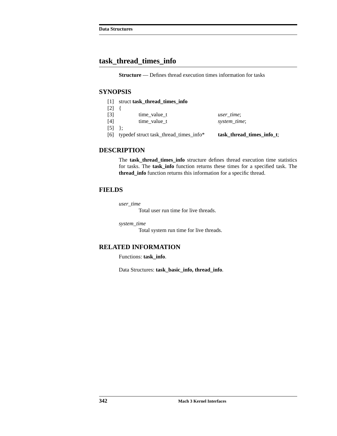## **task\_thread\_times\_info**

**Structure** — Defines thread execution times information for tasks

### **SYNOPSIS**

- [1] struct **task\_thread\_times\_info**
- [2] {
- [3] time\_value\_t *user\_time*;
- [4] time\_value\_t *system\_time*;
- $[5]$  };
- [6] typedef struct task\_thread\_times\_info\* **task\_thread\_times\_info\_t**;

## **DESCRIPTION**

The **task\_thread\_times\_info** structure defines thread execution time statistics for tasks. The **task\_info** function returns these times for a specified task. The **thread\_info** function returns this information for a specific thread.

## **FIELDS**

*user\_time*

Total user run time for live threads.

*system\_time*

Total system run time for live threads.

## **RELATED INFORMATION**

Functions: **task\_info**.

Data Structures: **task\_basic\_info, thread\_info**.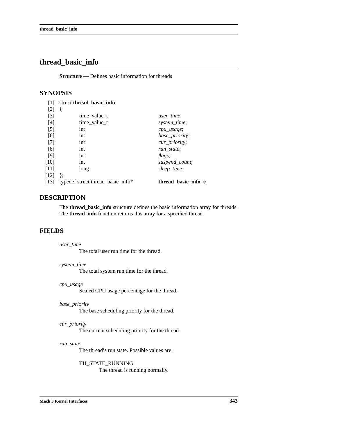## **thread\_basic\_info**

**Structure** — Defines basic information for threads

#### **SYNOPSIS**

| $\lceil 1 \rceil$ | struct thread_basic_info          |                      |
|-------------------|-----------------------------------|----------------------|
| $\lceil 2 \rceil$ |                                   |                      |
| $\lceil 3 \rceil$ | time_value t                      | user time;           |
| [4]               | time_value_t                      | system_time;         |
| $\lceil 5 \rceil$ | int                               | cpu_usage;           |
| [6]               | int                               | base_priority;       |
| [7]               | int                               | cur_priority;        |
| [8]               | int                               | run state;           |
| [9]               | int                               | flags;               |
| [10]              | int                               | suspend count;       |
| [11]              | long                              | sleep_time;          |
| [12]              | ł:                                |                      |
| [13]              | typedef struct thread basic info* | thread_basic_info_t; |
|                   |                                   |                      |

## **DESCRIPTION**

The **thread\_basic\_info** structure defines the basic information array for threads. The **thread\_info** function returns this array for a specified thread.

## **FIELDS**

*user\_time*

The total user run time for the thread.

#### *system\_time*

The total system run time for the thread.

#### *cpu\_usage*

Scaled CPU usage percentage for the thread.

## *base\_priority*

The base scheduling priority for the thread.

#### *cur\_priority*

The current scheduling priority for the thread.

#### *run\_state*

The thread's run state. Possible values are:

## TH\_STATE\_RUNNING

The thread is running normally.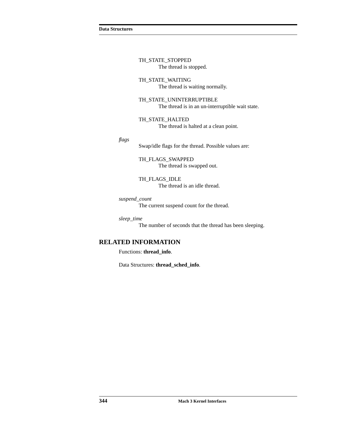TH\_STATE\_STOPPED The thread is stopped.

TH\_STATE\_WAITING The thread is waiting normally.

TH\_STATE\_UNINTERRUPTIBLE The thread is in an un-interruptible wait state.

TH\_STATE\_HALTED The thread is halted at a clean point.

*flags*

Swap/idle flags for the thread. Possible values are:

TH\_FLAGS\_SWAPPED The thread is swapped out.

TH\_FLAGS\_IDLE The thread is an idle thread.

#### *suspend\_count*

The current suspend count for the thread.

*sleep\_time*

The number of seconds that the thread has been sleeping.

## **RELATED INFORMATION**

Functions: **thread\_info**.

Data Structures: **thread\_sched\_info**.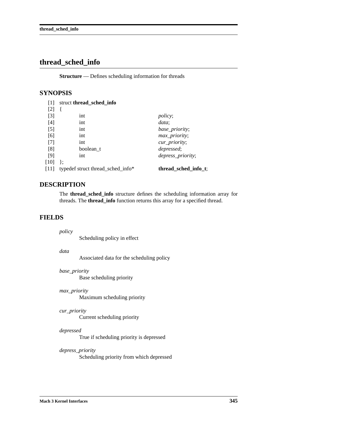## **thread\_sched\_info**

**Structure** — Defines scheduling information for threads

## **SYNOPSIS**

| $\lceil 1 \rceil$ | struct thread_sched_info          |                           |
|-------------------|-----------------------------------|---------------------------|
| $\lceil 2 \rceil$ |                                   |                           |
| $\lceil 3 \rceil$ | int                               | <i>policy</i> ;           |
| [4]               | int                               | data:                     |
| $\lceil 5 \rceil$ | int                               | <i>base priority</i> ;    |
| [6]               | int                               | max_priority;             |
| [7]               | int                               | cur_priority;             |
| [8]               | boolean t                         | depressed;                |
| [9]               | int                               | <i>depress_priority</i> ; |
| [10]              | <b>};</b>                         |                           |
| [11]              | typedef struct thread sched info* | thread sched info t:      |
|                   |                                   |                           |

### **DESCRIPTION**

The **thread\_sched\_info** structure defines the scheduling information array for threads. The **thread\_info** function returns this array for a specified thread.

### **FIELDS**

*policy*

Scheduling policy in effect

#### *data*

Associated data for the scheduling policy

#### *base\_priority*

Base scheduling priority

#### *max\_priority*

Maximum scheduling priority

#### *cur\_priority*

Current scheduling priority

#### *depressed*

True if scheduling priority is depressed

#### *depress\_priority*

Scheduling priority from which depressed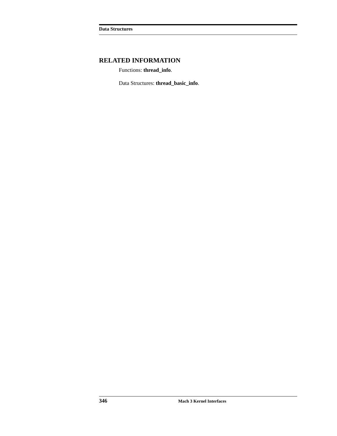## **RELATED INFORMATION**

Functions: **thread\_info**.

Data Structures: **thread\_basic\_info**.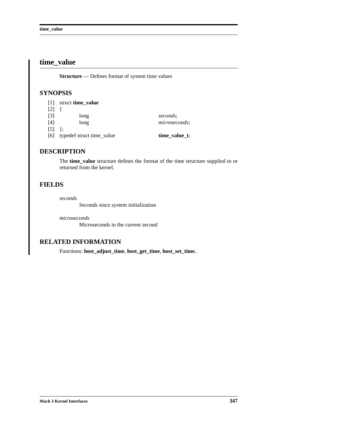## **time\_value**

**Structure** — Defines format of system time values

## **SYNOPSIS**

- [1] struct **time\_value**
- $[2]$  {
- [3] long *seconds*;
- [4] long *microseconds*;
- [5] };
- [6] typedef struct time\_value **time\_value\_t**;

### **DESCRIPTION**

The **time\_value** structure defines the format of the time structure supplied to or returned from the kernel.

## **FIELDS**

*seconds*

Seconds since system initialization

*microseconds* Microseconds in the current second

#### **RELATED INFORMATION**

Functions: **host\_adjust\_time**, **host\_get\_time**, **host\_set\_time.**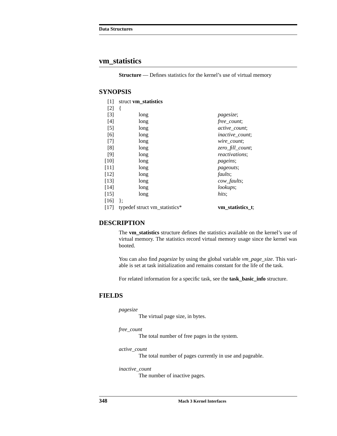## **vm\_statistics**

**Structure** — Defines statistics for the kernel's use of virtual memory

## **SYNOPSIS**

| $\lceil 1 \rceil$ | struct <b>vm</b> statistics               |                   |
|-------------------|-------------------------------------------|-------------------|
| $\lceil 2 \rceil$ | ł                                         |                   |
| $\lceil 3 \rceil$ | long                                      | <i>pagesize</i> ; |
| [4]               | long                                      | free_count;       |
| $\lceil 5 \rceil$ | long                                      | active_count;     |
| [6]               | long                                      | inactive_count;   |
| $[7]$             | long                                      | wire count;       |
| [8]               | long                                      | zero_fill_count;  |
| [9]               | long                                      | reactivations;    |
| $[10]$            | long                                      | <i>pageins</i> ;  |
| $[11]$            | long                                      | pageouts;         |
| $[12]$            | long                                      | <i>faults</i> ;   |
| [13]              | long                                      | cow_faults;       |
| [14]              | long                                      | lookups;          |
| $[15]$            | long                                      | hits:             |
| [16]              | <b>};</b>                                 |                   |
| [17]              | typedef struct vm statistics <sup>*</sup> | ym statistics t:  |

#### **DESCRIPTION**

The **vm\_statistics** structure defines the statistics available on the kernel's use of virtual memory. The statistics record virtual memory usage since the kernel was booted.

You can also find *pagesize* by using the global variable *vm\_page\_size*. This variable is set at task initialization and remains constant for the life of the task.

For related information for a specific task, see the **task\_basic\_info** structure.

#### **FIELDS**

*pagesize*

The virtual page size, in bytes.

#### *free\_count*

The total number of free pages in the system.

#### *active\_count*

The total number of pages currently in use and pageable.

*inactive\_count*

The number of inactive pages.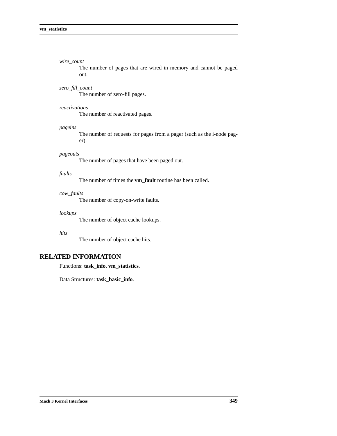#### *wire\_count*

The number of pages that are wired in memory and cannot be paged out.

#### *zero\_fill\_count*

The number of zero-fill pages.

#### *reactivations*

The number of reactivated pages.

#### *pageins*

The number of requests for pages from a pager (such as the i-node pager).

#### *pageouts*

The number of pages that have been paged out.

#### *faults*

The number of times the **vm\_fault** routine has been called.

#### *cow\_faults*

The number of copy-on-write faults.

#### *lookups*

The number of object cache lookups.

#### *hits*

The number of object cache hits.

### **RELATED INFORMATION**

Functions: **task\_info**, **vm\_statistics**.

Data Structures: **task\_basic\_info**.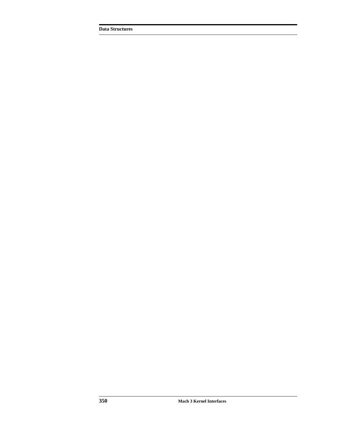**Data Structures**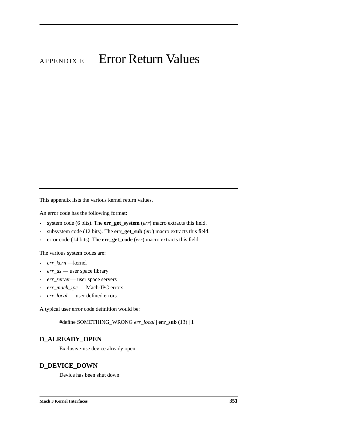# APPENDIX E Error Return Values

This appendix lists the various kernel return values.

An error code has the following format:

- system code (6 bits). The **err\_get\_system** (*err*) macro extracts this field.
- subsystem code (12 bits). The **err\_get\_sub** (*err*) macro extracts this field.
- error code (14 bits). The **err\_get\_code** (*err*) macro extracts this field.

The various system codes are:

- *err\_kern* —kernel
- *err\_us* user space library
- *err\_server* user space servers
- *err\_mach\_ipc* Mach-IPC errors
- *err\_local* user defined errors

A typical user error code definition would be:

#define SOMETHING\_WRONG *err\_local* | **err\_sub** (13) | 1

#### **D\_ALREADY\_OPEN**

Exclusive-use device already open

#### **D\_DEVICE\_DOWN**

Device has been shut down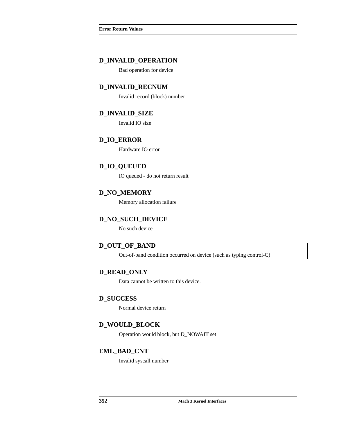## **D\_INVALID\_OPERATION**

Bad operation for device

#### **D\_INVALID\_RECNUM**

Invalid record (block) number

#### **D\_INVALID\_SIZE**

Invalid IO size

## **D\_IO\_ERROR**

Hardware IO error

### **D\_IO\_QUEUED**

IO queued - do not return result

## **D\_NO\_MEMORY**

Memory allocation failure

### **D\_NO\_SUCH\_DEVICE**

No such device

### **D\_OUT\_OF\_BAND**

Out-of-band condition occurred on device (such as typing control-C)

#### **D\_READ\_ONLY**

Data cannot be written to this device.

#### **D\_SUCCESS**

Normal device return

## **D\_WOULD\_BLOCK**

Operation would block, but D\_NOWAIT set

### **EML\_BAD\_CNT**

Invalid syscall number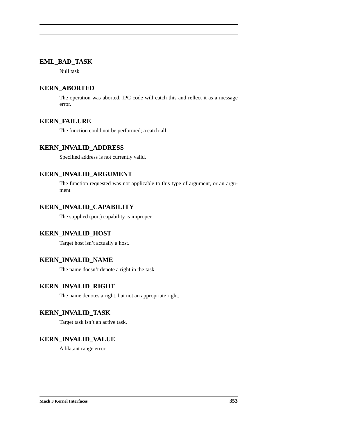#### **EML\_BAD\_TASK**

Null task

# **KERN\_ABORTED**

The operation was aborted. IPC code will catch this and reflect it as a message error.

# **KERN\_FAILURE**

The function could not be performed; a catch-all.

# **KERN\_INVALID\_ADDRESS**

Specified address is not currently valid.

### **KERN\_INVALID\_ARGUMENT**

The function requested was not applicable to this type of argument, or an argument

# **KERN\_INVALID\_CAPABILITY**

The supplied (port) capability is improper.

#### **KERN\_INVALID\_HOST**

Target host isn't actually a host.

# **KERN\_INVALID\_NAME**

The name doesn't denote a right in the task.

#### **KERN\_INVALID\_RIGHT**

The name denotes a right, but not an appropriate right.

### **KERN\_INVALID\_TASK**

Target task isn't an active task.

# **KERN\_INVALID\_VALUE**

A blatant range error.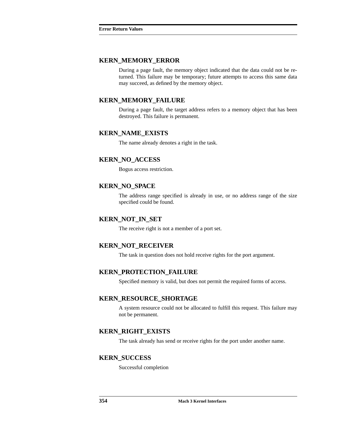#### **KERN\_MEMORY\_ERROR**

During a page fault, the memory object indicated that the data could not be returned. This failure may be temporary; future attempts to access this same data may succeed, as defined by the memory object.

# **KERN\_MEMORY\_FAILURE**

During a page fault, the target address refers to a memory object that has been destroyed. This failure is permanent.

#### **KERN\_NAME\_EXISTS**

The name already denotes a right in the task.

#### **KERN\_NO\_ACCESS**

Bogus access restriction.

#### **KERN\_NO\_SPACE**

The address range specified is already in use, or no address range of the size specified could be found.

#### **KERN\_NOT\_IN\_SET**

The receive right is not a member of a port set.

#### **KERN\_NOT\_RECEIVER**

The task in question does not hold receive rights for the port argument.

#### **KERN\_PROTECTION\_FAILURE**

Specified memory is valid, but does not permit the required forms of access.

#### **KERN\_RESOURCE\_SHORTAGE**

A system resource could not be allocated to fulfill this request. This failure may not be permanent.

#### **KERN\_RIGHT\_EXISTS**

The task already has send or receive rights for the port under another name.

#### **KERN\_SUCCESS**

Successful completion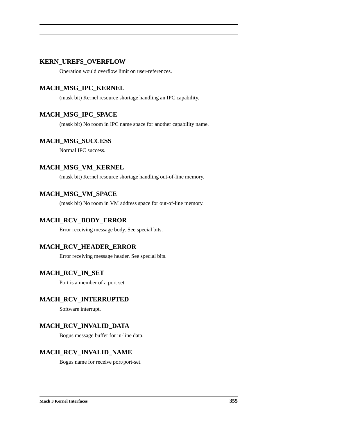#### **KERN\_UREFS\_OVERFLOW**

Operation would overflow limit on user-references.

### **MACH\_MSG\_IPC\_KERNEL**

(mask bit) Kernel resource shortage handling an IPC capability.

#### **MACH\_MSG\_IPC\_SPACE**

(mask bit) No room in IPC name space for another capability name.

#### **MACH\_MSG\_SUCCESS**

Normal IPC success.

### **MACH\_MSG\_VM\_KERNEL**

(mask bit) Kernel resource shortage handling out-of-line memory.

# **MACH\_MSG\_VM\_SPACE**

(mask bit) No room in VM address space for out-of-line memory.

# **MACH\_RCV\_BODY\_ERROR**

Error receiving message body. See special bits.

# **MACH\_RCV\_HEADER\_ERROR**

Error receiving message header. See special bits.

#### **MACH\_RCV\_IN\_SET**

Port is a member of a port set.

#### **MACH\_RCV\_INTERRUPTED**

Software interrupt.

#### **MACH\_RCV\_INVALID\_DATA**

Bogus message buffer for in-line data.

#### **MACH\_RCV\_INVALID\_NAME**

Bogus name for receive port/port-set.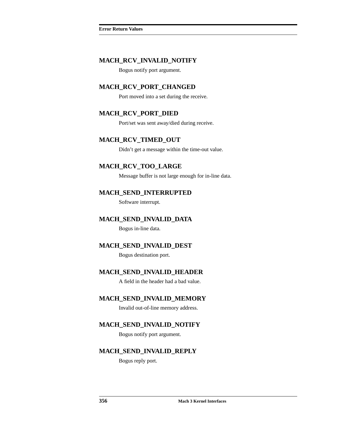# **MACH\_RCV\_INVALID\_NOTIFY**

Bogus notify port argument.

# **MACH\_RCV\_PORT\_CHANGED**

Port moved into a set during the receive.

# **MACH\_RCV\_PORT\_DIED**

Port/set was sent away/died during receive.

# **MACH\_RCV\_TIMED\_OUT**

Didn't get a message within the time-out value.

# **MACH\_RCV\_TOO\_LARGE**

Message buffer is not large enough for in-line data.

# **MACH\_SEND\_INTERRUPTED**

Software interrupt.

# **MACH\_SEND\_INVALID\_DATA**

Bogus in-line data.

# **MACH\_SEND\_INVALID\_DEST**

Bogus destination port.

# **MACH\_SEND\_INVALID\_HEADER**

A field in the header had a bad value.

# **MACH\_SEND\_INVALID\_MEMORY**

Invalid out-of-line memory address.

# **MACH\_SEND\_INVALID\_NOTIFY**

Bogus notify port argument.

# **MACH\_SEND\_INVALID\_REPLY**

Bogus reply port.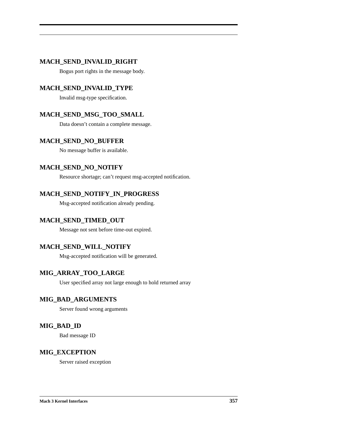#### **MACH\_SEND\_INVALID\_RIGHT**

Bogus port rights in the message body.

# **MACH\_SEND\_INVALID\_TYPE**

Invalid msg-type specification.

# **MACH\_SEND\_MSG\_TOO\_SMALL**

Data doesn't contain a complete message.

# **MACH\_SEND\_NO\_BUFFER**

No message buffer is available.

# **MACH\_SEND\_NO\_NOTIFY**

Resource shortage; can't request msg-accepted notification.

# **MACH\_SEND\_NOTIFY\_IN\_PROGRESS**

Msg-accepted notification already pending.

# **MACH\_SEND\_TIMED\_OUT**

Message not sent before time-out expired.

# **MACH\_SEND\_WILL\_NOTIFY**

Msg-accepted notification will be generated.

### **MIG\_ARRAY\_TOO\_LARGE**

User specified array not large enough to hold returned array

# **MIG\_BAD\_ARGUMENTS**

Server found wrong arguments

# **MIG\_BAD\_ID**

Bad message ID

# **MIG\_EXCEPTION**

Server raised exception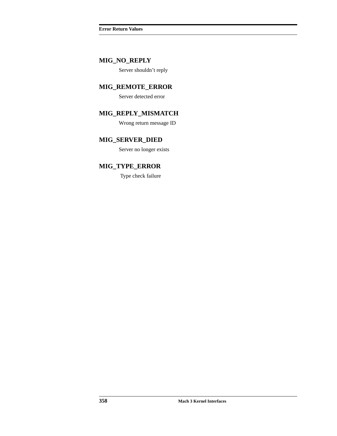# **MIG\_NO\_REPLY**

Server shouldn't reply

# **MIG\_REMOTE\_ERROR**

Server detected error

# **MIG\_REPLY\_MISMATCH**

Wrong return message ID

# **MIG\_SERVER\_DIED**

Server no longer exists

# **MIG\_TYPE\_ERROR**

Type check failure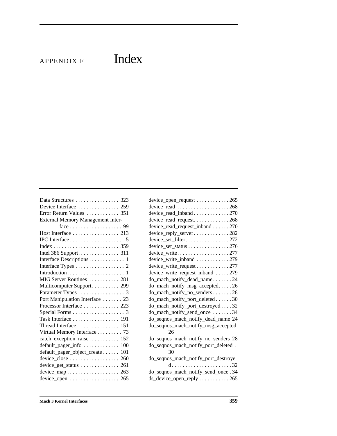# APPENDIX F Index

| Data Structures  323                                                                |
|-------------------------------------------------------------------------------------|
| Device Interface  259                                                               |
| Error Return Values  351                                                            |
| External Memory Management Inter-                                                   |
|                                                                                     |
|                                                                                     |
|                                                                                     |
|                                                                                     |
| Intel 386 Support 311                                                               |
| Interface Descriptions 1                                                            |
| Interface Types 2                                                                   |
|                                                                                     |
| MIG Server Routines  281                                                            |
| Multicomputer Support 299                                                           |
| Parameter Types 3                                                                   |
| Port Manipulation Interface  23                                                     |
| Processor Interface  223                                                            |
|                                                                                     |
| Task Interface  191                                                                 |
| Thread Interface  151                                                               |
| Virtual Memory Interface 73                                                         |
| catch_exception_raise 152                                                           |
| default_pager_info  100                                                             |
| default_pager_object_create 101                                                     |
| $\text{device}\_\text{close}\ldots\ldots\ldots\ldots\ldots\ldots\ldots\ldots\ldots$ |
| device_get_status  261                                                              |
| $device_map \ldots \ldots \ldots \ldots \ldots \ldots 263$                          |
| device_open  265                                                                    |

| $device\_open\_request \ldots \ldots \ldots \ldots 265$ |
|---------------------------------------------------------|
| device_read 268                                         |
| device_read_inband270                                   |
| device_read_request268                                  |
| device_read_request_inband 270                          |
| device_reply_server282                                  |
| device_set_filter272                                    |
| device_set_status 276                                   |
| device_write277                                         |
| device_write_inband 279                                 |
| device_write_request277                                 |
| device_write_request_inband 279                         |
| do_mach_notify_dead_name24                              |
| do_mach_notify_msg_accepted26                           |
| do_mach_notify_no_senders28                             |
| do_mach_notify_port_deleted30                           |
| do_mach_notify_port_destroyed32                         |
| do_mach_notify_send_once 34                             |
| do_seqnos_mach_notify_dead_name 24                      |
| do_seqnos_mach_notify_msg_accepted                      |
| 26                                                      |
| do_seqnos_mach_notify_no_senders 28                     |
| do_seqnos_mach_notify_port_deleted.                     |
| 30                                                      |
| do_seqnos_mach_notify_port_destroye                     |
| $d$ 32                                                  |
| do_seqnos_mach_notify_send_once.34                      |
| ds_device_open_reply 265                                |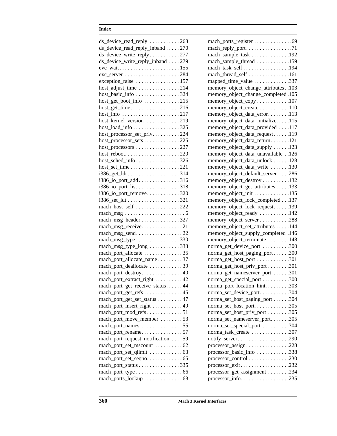#### **Index**

| ds_device_read_reply 268                                                                                           |  |
|--------------------------------------------------------------------------------------------------------------------|--|
| ds_device_read_reply_inband 270                                                                                    |  |
| ds_device_write_reply277                                                                                           |  |
| ds_device_write_reply_inband 279                                                                                   |  |
| $\text{evc\_wait} \dots \dots \dots \dots \dots \dots \dots \dots \dots \dots \dots \dots \dots \dots \dots \dots$ |  |
| $exc$ _server 284                                                                                                  |  |
|                                                                                                                    |  |
| $host\_adjust\_time \ldots \ldots \ldots \ldots 214$                                                               |  |
| host_basic_info $\ldots \ldots \ldots \ldots \ldots$ 324                                                           |  |
| $host\_get\_boot\_info$ 215                                                                                        |  |
| $host\_get\_time \ldots \ldots \ldots \ldots \ldots 216$                                                           |  |
|                                                                                                                    |  |
| $host\_kernel\_version \ldots \ldots \ldots \ldots 219$                                                            |  |
| $host\_load\_info \ldots \ldots \ldots \ldots \ldots 325$                                                          |  |
| host_processor_set_priv224                                                                                         |  |
| $host\_processor\_sets \ldots \ldots \ldots \ldots 225$                                                            |  |
| $host\_processors \ldots \ldots \ldots \ldots \ldots 227$                                                          |  |
| $host_reboot. \ldots \ldots \ldots \ldots \ldots \ldots 220$                                                       |  |
| $host\_sched\_info \ldots \ldots \ldots \ldots 326$                                                                |  |
| $host_set_time \ldots \ldots \ldots \ldots \ldots 221$                                                             |  |
|                                                                                                                    |  |
| i386_io_port_add316                                                                                                |  |
| i386_io_port_list 318                                                                                              |  |
| $i386$ <sub>-</sub> io <sub>-</sub> port <sub>-</sub> remove320                                                    |  |
|                                                                                                                    |  |
| mach_host_self 222                                                                                                 |  |
|                                                                                                                    |  |
| $mach\_msg \ldots \ldots \ldots \ldots \ldots \ldots 6$<br>mach_msg_header327                                      |  |
|                                                                                                                    |  |
| mach_msg_receive21                                                                                                 |  |
| mach_msg_send22                                                                                                    |  |
| mach_msg_type330                                                                                                   |  |
| $mach_msg_type_long \ldots \ldots \ldots 333$                                                                      |  |
| mach_port_allocate 35                                                                                              |  |
| mach_port_allocate_name37                                                                                          |  |
| mach_port_deallocate 39                                                                                            |  |
| mach_port_destroy40                                                                                                |  |
| mach_port_extract_right 42                                                                                         |  |
| mach_port_get_receive_status44                                                                                     |  |
| mach_port_get_refs 45                                                                                              |  |
| mach_port_get_set_status 47                                                                                        |  |
| mach_port_insert_right 49                                                                                          |  |
| mach_port_mod_refs51                                                                                               |  |
| mach_port_move_member 53                                                                                           |  |
| mach_port_names 55                                                                                                 |  |
| mach_port_rename57                                                                                                 |  |
| mach_port_request_notification 59                                                                                  |  |
|                                                                                                                    |  |
| mach_port_set_qlimit  63                                                                                           |  |
| mach_port_set_seqno65                                                                                              |  |
| mach_port_status 335                                                                                               |  |
| mach_port_type 66                                                                                                  |  |
| mach_ports_lookup 68                                                                                               |  |

| mach_ports_register 69                                             |
|--------------------------------------------------------------------|
| $mach\_reply\_port.\dots \dots \dots \dots \dots \dots$            |
| $mach\_sample\_task \ldots \ldots \ldots \ldots 192$               |
| $mach\_sample\_thread$ 159                                         |
| $mach\_task\_self$ 194                                             |
|                                                                    |
| $mapped_time_value \dots \dots \dots \dots \dots 337$              |
| memory_object_change_attributes103                                 |
| memory_object_change_completed.105                                 |
| $memory\_object\_copy \ldots \ldots \ldots 107$                    |
| memory_object_create 110                                           |
| memory_object_data_error113                                        |
| memory_object_data_initialize115                                   |
| memory_object_data_provided 117                                    |
| memory_object_data_request119                                      |
| memory_object_data_return121                                       |
| memory_object_data_supply 123                                      |
| nemory_object_data_unavailable126                                  |
| memory_object_data_unlock 128                                      |
| memory_object_data_write 130                                       |
| memory_object_default_server 286                                   |
| memory_object_destroy 132                                          |
| memory_object_get_attributes 133                                   |
|                                                                    |
| memory_object_lock_completed137                                    |
| memory_object_lock_request139                                      |
| memory_object_ready 142                                            |
| memory_object_server288                                            |
| memory_object_set_attributes 144                                   |
| nemory_object_supply_completed .146                                |
| memory_object_terminate 148                                        |
|                                                                    |
| norma_get_device_port 300<br>norma_get_host_paging_port300         |
| norma_get_host_port 301                                            |
|                                                                    |
| norma_get_host_priv_port 301                                       |
| norma_get_nameserver_port 301                                      |
| norma_get_special_port 300<br>norma_port_location_hint. 303        |
|                                                                    |
| norma_set_device_port304                                           |
| norma_set_host_paging_port 304                                     |
| $normal\_set\_host\_port$ 305                                      |
| norma_set_host_priv_port 305                                       |
| norma_set_nameserver_port305                                       |
| norma_set_special_port 304                                         |
| $normal\_task\_create \dots \dots \dots \dots \dots 307$           |
| notify_server290                                                   |
| $\text{processor}\_\text{assign}\dots\dots\dots\dots\dots\,.228$   |
| processor_basic_info 338                                           |
|                                                                    |
|                                                                    |
| processor_get_assignment 234                                       |
| $\text{processor}\_\text{info}\dots\dots\dots\dots\dots\dots$ .235 |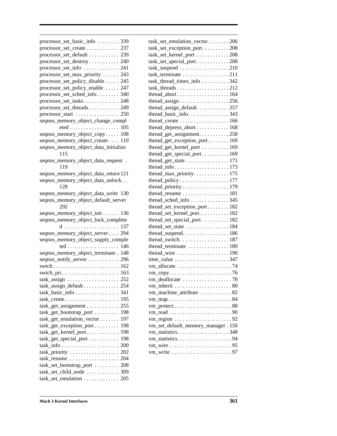processor\_set\_basic\_info . . . . . . . . 339 processor\_set\_create . . . . . . . . . . . . 237 processor\_set\_default . . . . . . . . . . . 239 processor set destroy . . . . . . . . . . . 240 processor set info . . . . . . . . . . . . 241 processor\_set\_max\_priority . . . . . . 243 processor set policy disable . . . . . 245 processor\_set\_policy\_enable . . . . . 247 processor set sched info . . . . . . . . 340 processor\_set\_tasks. . . . . . . . . . . . 248 processor set threads . . . . . . . . . . 249 processor\_start . . . . . . . . . . . . . . . . 250 seqnos\_memory\_object\_change\_compl eted . . . . . . . . . . . . . . . . . . 105 seqnos\_memory\_object\_copy. . . . . 108 segnos memory object create . . . . 110 seqnos\_memory\_object\_data\_initialize 115 seqnos\_memory\_object\_data\_request . 119 seqnos memory object data return 121 seqnos memory object data unlock . . 128 seqnos\_memory\_object\_data\_write 130 seqnos\_memory\_object\_default\_server 292 seqnos memory object init . . . . . . 136 seqnos\_memory\_object\_lock\_complete d . . . . . . . . . . . . . . . . . . . . 137 seqnos\_memory\_object\_server. . . . 294 seqnos memory object supply comple ted . . . . . . . . . . . . . . . . . . . 146 seqnos memory object terminate . 148 seqnos\_notify\_server . . . . . . . . . . . 296 swtch . . . . . . . . . . . . . . . . . . . . . . . . 162 swtch\_pri. . . . . . . . . . . . . . . . . . . . . 163 task\_assign . . . . . . . . . . . . . . . . . . . 252 task assign default . . . . . . . . . . . . 254 task\_basic\_info . . . . . . . . . . . . . . . . 341 task\_create. . . . . . . . . . . . . . . . . . . . 195 task\_get\_assignment . . . . . . . . . . . . 255 task get bootstrap port  $\dots$  . . . . . . . 198 task\_get\_emulation\_vector . . . . . . . 197 task get exception port . . . . . . . . . 198 task\_get\_kernel\_port. . . . . . . . . . . . 198 task\_get\_special\_port . . . . . . . . . . . 198 task\_info . . . . . . . . . . . . . . . . . . . . . 200 task priority . . . . . . . . . . . . . . . . . 202 task resume. . . . . . . . . . . . . . . . . . 204 task\_set\_bootstrap\_port . . . . . . . . . 208 task set child node  $\dots \dots \dots$  . . . . . . 309 task\_set\_emulation . . . . . . . . . . . . . 205

| task_set_emulation_vector206                                                      |  |
|-----------------------------------------------------------------------------------|--|
| task_set_exception_port208                                                        |  |
| task_set_kernel_port 208                                                          |  |
| task_set_special_port208                                                          |  |
| $task\_suspend \dots \dots \dots \dots \dots \dots 210$                           |  |
| $task_{\text{1}}\text{temperature} \dots \dots \dots \dots \dots 211$             |  |
| $task_{\text{i}}\cdot\ldots\cdot\ldots\cdot 342$                                  |  |
| $task_{\text{threads}} \dots \dots \dots \dots \dots \dots 212$                   |  |
|                                                                                   |  |
| $thread\_assign \ldots \ldots \ldots \ldots \ldots 256$                           |  |
| thread_assign_default 257                                                         |  |
|                                                                                   |  |
| $thread\_create \ldots \ldots \ldots \ldots \ldots 166$                           |  |
| $thread_{\text{e}$ depress_abort 168                                              |  |
| thread_get_assignment258                                                          |  |
| thread_get_exception_port169                                                      |  |
| thread_get_kernel_port  169                                                       |  |
| $thread\_get\_special\_port$ 169                                                  |  |
| $thread\_get\_state \ldots \ldots \ldots \ldots 171$                              |  |
|                                                                                   |  |
| $thread_max\_priority$ . 175                                                      |  |
|                                                                                   |  |
| thread_priority 179                                                               |  |
| $thread\_resume \ldots \ldots \ldots \ldots 181$                                  |  |
| $thread\_sched\_info$ 345                                                         |  |
| thread_set_exception_port182                                                      |  |
| thread_set_kernel_port 182                                                        |  |
| thread_set_special_port 182                                                       |  |
| $thread_set_state \ldots \ldots \ldots \ldots 184$                                |  |
|                                                                                   |  |
| $thread\_switch \ldots \ldots \ldots \ldots \ldots 187$                           |  |
| thread_terminate 189                                                              |  |
|                                                                                   |  |
| $time_value \dots \dots \dots \dots \dots \dots 347$                              |  |
| vm_allocate 74                                                                    |  |
|                                                                                   |  |
| vm_deallocate 78                                                                  |  |
|                                                                                   |  |
|                                                                                   |  |
| vm_machine_attribute 82<br>$vm\_map \ldots \ldots \ldots \ldots \ldots \ldots 84$ |  |
| $vm\_protect \dots \dots \dots \dots \dots \dots \dots 88$                        |  |
| $vm\_read \ldots \ldots \ldots \ldots \ldots \ldots \ldots 90$                    |  |
|                                                                                   |  |
|                                                                                   |  |
| vm_set_default_memory_manager.150<br>vm_statistics348                             |  |
|                                                                                   |  |
| vm_statistics94                                                                   |  |
| $vm\_wire \dots \dots \dots \dots \dots \dots \dots \dots 95$                     |  |
| $vm\_write \dots \dots \dots \dots \dots \dots \dots 97$                          |  |